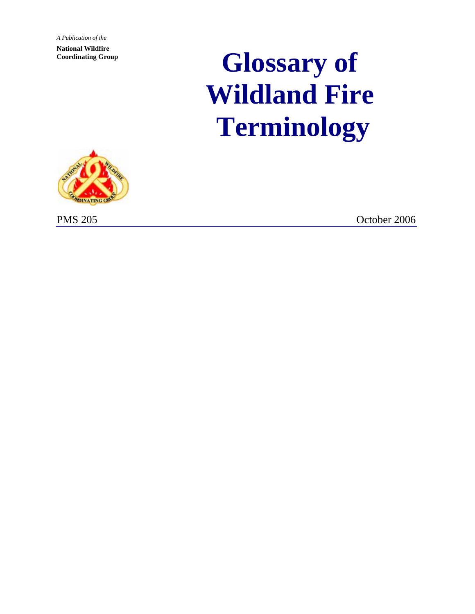*A Publication of the* **National Wildfire Coordinating Group**

# **Glossary of Wildland Fire Terminology**



PMS 205 October 2006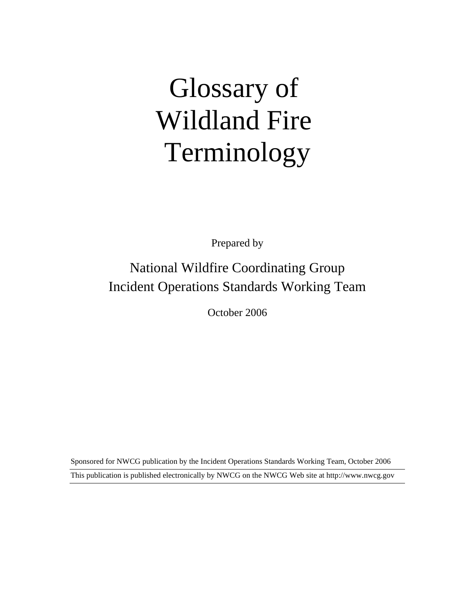# Glossary of Wildland Fire Terminology

Prepared by

# National Wildfire Coordinating Group Incident Operations Standards Working Team

October 2006

This publication is published electronically by NWCG on the NWCG Web site at http://www.nwcg.gov Sponsored for NWCG publication by the Incident Operations Standards Working Team, October 2006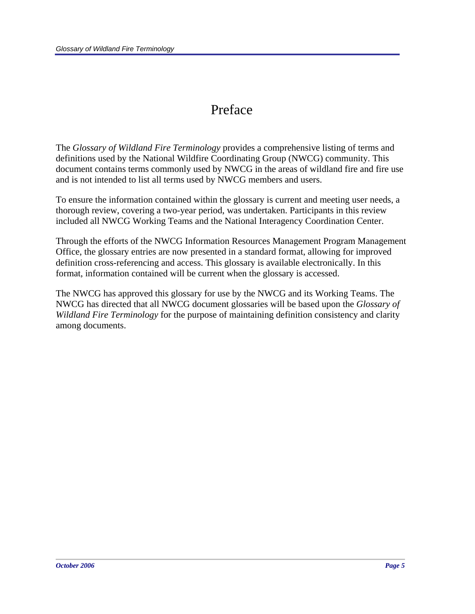## Preface

The *Glossary of Wildland Fire Terminology* provides a comprehensive listing of terms and definitions used by the National Wildfire Coordinating Group (NWCG) community. This document contains terms commonly used by NWCG in the areas of wildland fire and fire use and is not intended to list all terms used by NWCG members and users.

To ensure the information contained within the glossary is current and meeting user needs, a thorough review, covering a two-year period, was undertaken. Participants in this review included all NWCG Working Teams and the National Interagency Coordination Center.

Through the efforts of the NWCG Information Resources Management Program Management Office, the glossary entries are now presented in a standard format, allowing for improved definition cross-referencing and access. This glossary is available electronically. In this format, information contained will be current when the glossary is accessed.

The NWCG has approved this glossary for use by the NWCG and its Working Teams. The NWCG has directed that all NWCG document glossaries will be based upon the *Glossary of Wildland Fire Terminology* for the purpose of maintaining definition consistency and clarity among documents.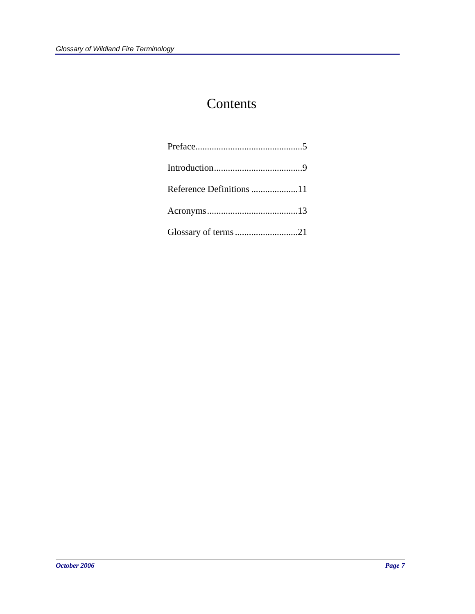# Contents

| Glossary of terms 21 |  |
|----------------------|--|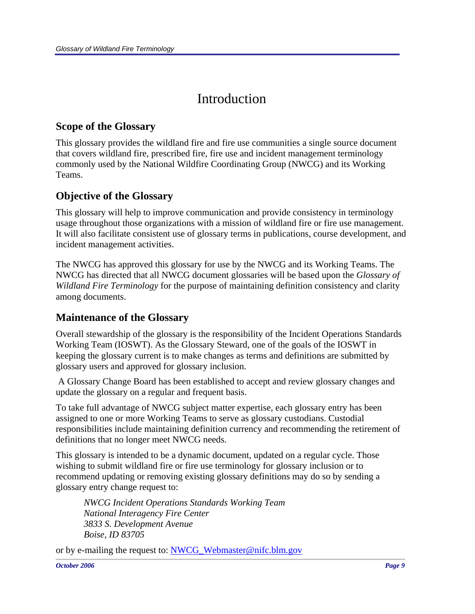# Introduction

## **Scope of the Glossary**

This glossary provides the wildland fire and fire use communities a single source document that covers wildland fire, prescribed fire, fire use and incident management terminology commonly used by the National Wildfire Coordinating Group (NWCG) and its Working Teams.

## **Objective of the Glossary**

This glossary will help to improve communication and provide consistency in terminology usage throughout those organizations with a mission of wildland fire or fire use management. It will also facilitate consistent use of glossary terms in publications, course development, and incident management activities.

The NWCG has approved this glossary for use by the NWCG and its Working Teams. The NWCG has directed that all NWCG document glossaries will be based upon the *Glossary of Wildland Fire Terminology* for the purpose of maintaining definition consistency and clarity among documents.

### **Maintenance of the Glossary**

Overall stewardship of the glossary is the responsibility of the Incident Operations Standards Working Team (IOSWT). As the Glossary Steward, one of the goals of the IOSWT in keeping the glossary current is to make changes as terms and definitions are submitted by glossary users and approved for glossary inclusion.

 A Glossary Change Board has been established to accept and review glossary changes and update the glossary on a regular and frequent basis.

To take full advantage of NWCG subject matter expertise, each glossary entry has been assigned to one or more Working Teams to serve as glossary custodians. Custodial responsibilities include maintaining definition currency and recommending the retirement of definitions that no longer meet NWCG needs.

This glossary is intended to be a dynamic document, updated on a regular cycle. Those wishing to submit wildland fire or fire use terminology for glossary inclusion or to recommend updating or removing existing glossary definitions may do so by sending a glossary entry change request to:

*NWCG Incident Operations Standards Working Team National Interagency Fire Center 3833 S. Development Avenue Boise, ID 83705* 

or by e-mailing the request to: NWCG\_Webmaster@nifc.blm.gov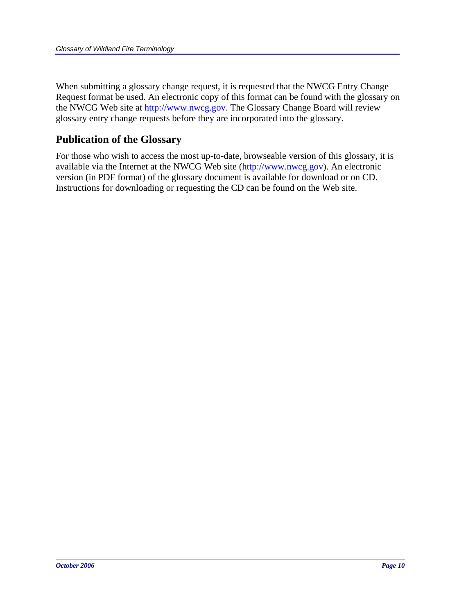When submitting a glossary change request, it is requested that the NWCG Entry Change Request format be used. An electronic copy of this format can be found with the glossary on the NWCG Web site at http://www.nwcg.gov. The Glossary Change Board will review glossary entry change requests before they are incorporated into the glossary.

### **Publication of the Glossary**

For those who wish to access the most up-to-date, browseable version of this glossary, it is available via the Internet at the NWCG Web site (http://www.nwcg.gov). An electronic version (in PDF format) of the glossary document is available for download or on CD. Instructions for downloading or requesting the CD can be found on the Web site.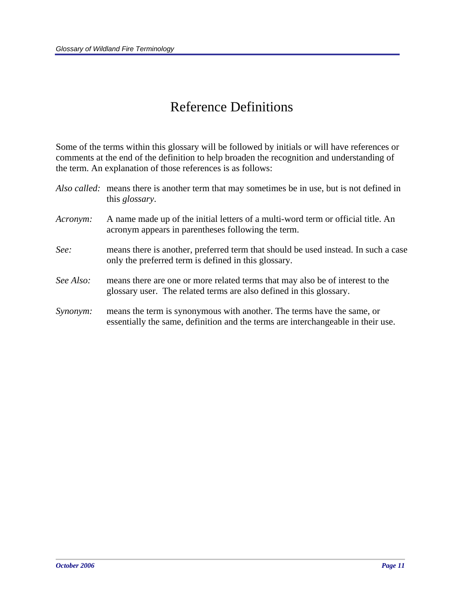# Reference Definitions

Some of the terms within this glossary will be followed by initials or will have references or comments at the end of the definition to help broaden the recognition and understanding of the term. An explanation of those references is as follows:

|           | Also called: means there is another term that may sometimes be in use, but is not defined in<br>this <i>glossary</i> .                                     |
|-----------|------------------------------------------------------------------------------------------------------------------------------------------------------------|
| Acronym:  | A name made up of the initial letters of a multi-word term or official title. An<br>acronym appears in parentheses following the term.                     |
| See:      | means there is another, preferred term that should be used instead. In such a case<br>only the preferred term is defined in this glossary.                 |
| See Also: | means there are one or more related terms that may also be of interest to the<br>glossary user. The related terms are also defined in this glossary.       |
| Synonym:  | means the term is synonymous with another. The terms have the same, or<br>essentially the same, definition and the terms are interchangeable in their use. |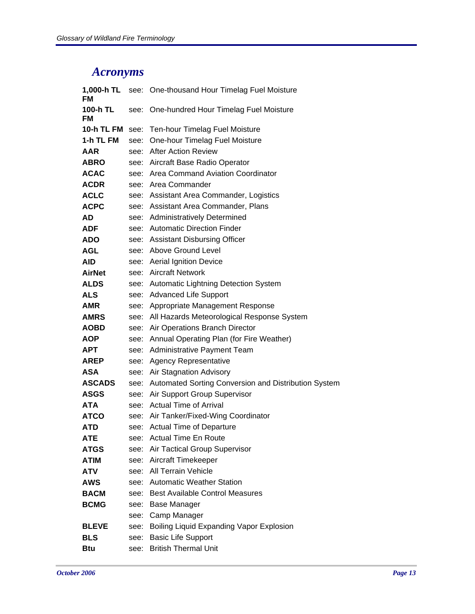## *Acronyms*

| 1,000-h TL<br>FM |      | see: One-thousand Hour Timelag Fuel Moisture              |
|------------------|------|-----------------------------------------------------------|
| 100-h TL<br>FM   | see: | One-hundred Hour Timelag Fuel Moisture                    |
| 10-h TL FM       | see: | Ten-hour Timelag Fuel Moisture                            |
| 1-h TL FM        | see: | One-hour Timelag Fuel Moisture                            |
| <b>AAR</b>       |      | see: After Action Review                                  |
| <b>ABRO</b>      |      | see: Aircraft Base Radio Operator                         |
| <b>ACAC</b>      |      | see: Area Command Aviation Coordinator                    |
| <b>ACDR</b>      |      | see: Area Commander                                       |
| <b>ACLC</b>      |      | see: Assistant Area Commander, Logistics                  |
| <b>ACPC</b>      |      | see: Assistant Area Commander, Plans                      |
| AD               | see: | <b>Administratively Determined</b>                        |
| <b>ADF</b>       |      | see: Automatic Direction Finder                           |
| ADO              |      | see: Assistant Disbursing Officer                         |
| AGL              |      | see: Above Ground Level                                   |
| AID              |      | see: Aerial Ignition Device                               |
| <b>AirNet</b>    |      | see: Aircraft Network                                     |
| <b>ALDS</b>      |      | see: Automatic Lightning Detection System                 |
| ALS              |      | see: Advanced Life Support                                |
| AMR              | see: | Appropriate Management Response                           |
| <b>AMRS</b>      |      | see: All Hazards Meteorological Response System           |
| <b>AOBD</b>      |      | see: Air Operations Branch Director                       |
| <b>AOP</b>       | see: | Annual Operating Plan (for Fire Weather)                  |
| APT              |      | see: Administrative Payment Team                          |
| <b>AREP</b>      | see: | <b>Agency Representative</b>                              |
| ASA              |      | see: Air Stagnation Advisory                              |
| <b>ASCADS</b>    |      | see: Automated Sorting Conversion and Distribution System |
| <b>ASGS</b>      | see: | Air Support Group Supervisor                              |
| <b>ATA</b>       |      | see: Actual Time of Arrival                               |
| <b>ATCO</b>      |      | see: Air Tanker/Fixed-Wing Coordinator                    |
| <b>ATD</b>       | see: | <b>Actual Time of Departure</b>                           |
| ATE              |      | see: Actual Time En Route                                 |
| <b>ATGS</b>      | see: | Air Tactical Group Supervisor                             |
| ATIM             |      | see: Aircraft Timekeeper                                  |
| <b>ATV</b>       |      | see: All Terrain Vehicle                                  |
| AWS              | see: | <b>Automatic Weather Station</b>                          |
| <b>BACM</b>      | see: | <b>Best Available Control Measures</b>                    |
| <b>BCMG</b>      | see: | <b>Base Manager</b>                                       |
|                  | see: | Camp Manager                                              |
| <b>BLEVE</b>     | see: | Boiling Liquid Expanding Vapor Explosion                  |
| <b>BLS</b>       | see: | <b>Basic Life Support</b>                                 |
| <b>Btu</b>       | see: | <b>British Thermal Unit</b>                               |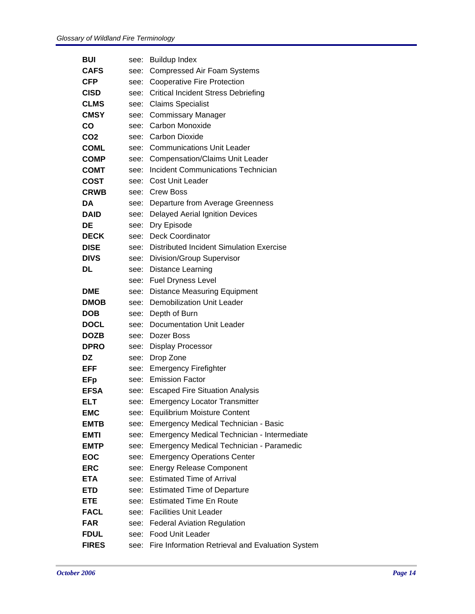| <b>BUI</b>      |      | see: Buildup Index                               |
|-----------------|------|--------------------------------------------------|
| <b>CAFS</b>     | see: | <b>Compressed Air Foam Systems</b>               |
| <b>CFP</b>      | see: | <b>Cooperative Fire Protection</b>               |
| <b>CISD</b>     | see: | <b>Critical Incident Stress Debriefing</b>       |
| <b>CLMS</b>     | see: | <b>Claims Specialist</b>                         |
| <b>CMSY</b>     | see: | <b>Commissary Manager</b>                        |
| CO              | see: | Carbon Monoxide                                  |
| CO <sub>2</sub> | see: | Carbon Dioxide                                   |
| <b>COML</b>     | see: | <b>Communications Unit Leader</b>                |
| <b>COMP</b>     | see: | <b>Compensation/Claims Unit Leader</b>           |
| <b>COMT</b>     | see: | <b>Incident Communications Technician</b>        |
| <b>COST</b>     | see: | Cost Unit Leader                                 |
| <b>CRWB</b>     |      | see: Crew Boss                                   |
| DA              |      | see: Departure from Average Greenness            |
| <b>DAID</b>     | see: | <b>Delayed Aerial Ignition Devices</b>           |
| <b>DE</b>       |      | see: Dry Episode                                 |
| <b>DECK</b>     | see: | <b>Deck Coordinator</b>                          |
| <b>DISE</b>     | see: | Distributed Incident Simulation Exercise         |
| <b>DIVS</b>     |      | see: Division/Group Supervisor                   |
| <b>DL</b>       | see: | <b>Distance Learning</b>                         |
|                 | see: | <b>Fuel Dryness Level</b>                        |
| <b>DME</b>      |      | see: Distance Measuring Equipment                |
| <b>DMOB</b>     | see: | Demobilization Unit Leader                       |
| <b>DOB</b>      |      | see: Depth of Burn                               |
| <b>DOCL</b>     | see: | Documentation Unit Leader                        |
| <b>DOZB</b>     | see: | Dozer Boss                                       |
| <b>DPRO</b>     |      | see: Display Processor                           |
| DZ              | see: | Drop Zone                                        |
| EFF             |      | see: Emergency Firefighter                       |
| <b>EFp</b>      |      | see: Emission Factor                             |
| <b>EFSA</b>     |      | see: Escaped Fire Situation Analysis             |
| <b>ELT</b>      |      | see: Emergency Locator Transmitter               |
| <b>EMC</b>      |      | see: Equilibrium Moisture Content                |
| <b>EMTB</b>     | see: | <b>Emergency Medical Technician - Basic</b>      |
| <b>EMTI</b>     | see: | Emergency Medical Technician - Intermediate      |
| <b>EMTP</b>     | see: | <b>Emergency Medical Technician - Paramedic</b>  |
| <b>EOC</b>      | see: | <b>Emergency Operations Center</b>               |
| <b>ERC</b>      | see: | <b>Energy Release Component</b>                  |
| <b>ETA</b>      | see: | <b>Estimated Time of Arrival</b>                 |
| <b>ETD</b>      | see: | <b>Estimated Time of Departure</b>               |
| <b>ETE</b>      | see: | <b>Estimated Time En Route</b>                   |
| <b>FACL</b>     | see: | <b>Facilities Unit Leader</b>                    |
| <b>FAR</b>      | see: | <b>Federal Aviation Regulation</b>               |
| <b>FDUL</b>     | see: | <b>Food Unit Leader</b>                          |
| <b>FIRES</b>    | see: | Fire Information Retrieval and Evaluation System |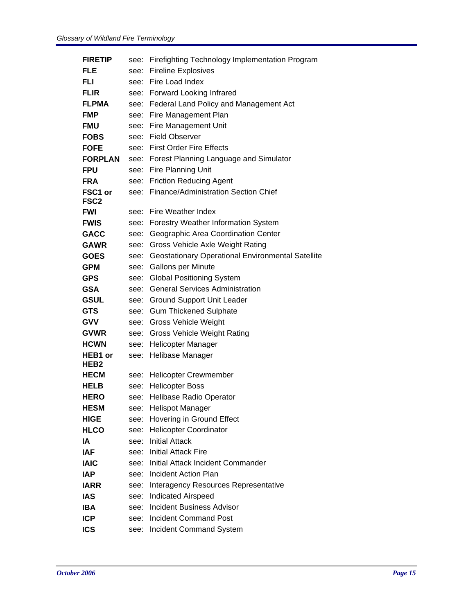| <b>FIRETIP</b>              | see: | Firefighting Technology Implementation Program           |
|-----------------------------|------|----------------------------------------------------------|
| FLE                         | see: | <b>Fireline Explosives</b>                               |
| FLI                         | see: | Fire Load Index                                          |
| <b>FLIR</b>                 | see: | <b>Forward Looking Infrared</b>                          |
| <b>FLPMA</b>                | see: | Federal Land Policy and Management Act                   |
| <b>FMP</b>                  | see: | Fire Management Plan                                     |
| <b>FMU</b>                  | see: | <b>Fire Management Unit</b>                              |
| <b>FOBS</b>                 | see: | <b>Field Observer</b>                                    |
| <b>FOFE</b>                 | see: | <b>First Order Fire Effects</b>                          |
| <b>FORPLAN</b>              | see: | Forest Planning Language and Simulator                   |
| <b>FPU</b>                  | see: | Fire Planning Unit                                       |
| <b>FRA</b>                  | see: | <b>Friction Reducing Agent</b>                           |
| FSC1 or<br>FSC <sub>2</sub> | see: | Finance/Administration Section Chief                     |
| <b>FWI</b>                  | see: | Fire Weather Index                                       |
| <b>FWIS</b>                 | see: | <b>Forestry Weather Information System</b>               |
| <b>GACC</b>                 | see: | Geographic Area Coordination Center                      |
| <b>GAWR</b>                 | see: | Gross Vehicle Axle Weight Rating                         |
| <b>GOES</b>                 | see: | <b>Geostationary Operational Environmental Satellite</b> |
| <b>GPM</b>                  | see: | <b>Gallons per Minute</b>                                |
| <b>GPS</b>                  | see: | <b>Global Positioning System</b>                         |
| <b>GSA</b>                  | see: | <b>General Services Administration</b>                   |
| <b>GSUL</b>                 | see: | <b>Ground Support Unit Leader</b>                        |
| <b>GTS</b>                  | see: | <b>Gum Thickened Sulphate</b>                            |
| <b>GVV</b>                  | see: | <b>Gross Vehicle Weight</b>                              |
| <b>GVWR</b>                 | see: | <b>Gross Vehicle Weight Rating</b>                       |
| <b>HCWN</b>                 | see: | Helicopter Manager                                       |
| HEB1 or<br>HEB2             | see: | Helibase Manager                                         |
| <b>HECM</b>                 | see: | <b>Helicopter Crewmember</b>                             |
| HELB                        | see: | <b>Helicopter Boss</b>                                   |
| <b>HERO</b>                 | see: | <b>Helibase Radio Operator</b>                           |
| <b>HESM</b>                 | see: | <b>Helispot Manager</b>                                  |
| <b>HIGE</b>                 | see: | Hovering in Ground Effect                                |
| <b>HLCO</b>                 | see: | <b>Helicopter Coordinator</b>                            |
| ΙA                          | see: | <b>Initial Attack</b>                                    |
| IAF                         | see: | <b>Initial Attack Fire</b>                               |
| <b>IAIC</b>                 | see: | Initial Attack Incident Commander                        |
| IAP                         | see: | Incident Action Plan                                     |
| IARR                        | see: | Interagency Resources Representative                     |
| IAS                         | see: | <b>Indicated Airspeed</b>                                |
| <b>IBA</b>                  | see: | <b>Incident Business Advisor</b>                         |
| <b>ICP</b>                  | see: | <b>Incident Command Post</b>                             |
| <b>ICS</b>                  | see: | Incident Command System                                  |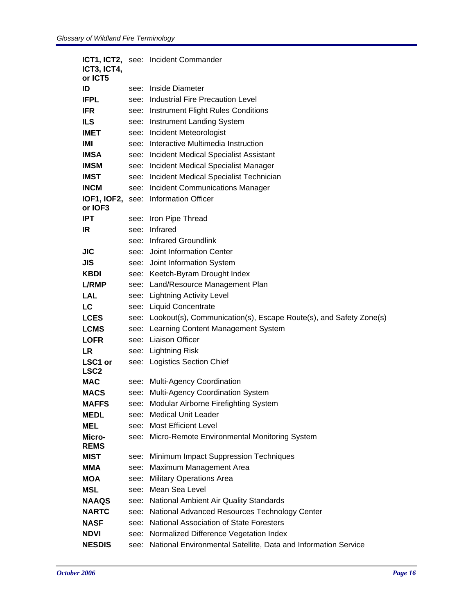|                             |      | ICT1, ICT2, see: Incident Commander                                    |
|-----------------------------|------|------------------------------------------------------------------------|
| ICT3, ICT4,<br>or ICT5      |      |                                                                        |
| ID                          | see: | Inside Diameter                                                        |
| <b>IFPL</b>                 |      | <b>Industrial Fire Precaution Level</b>                                |
|                             | see: |                                                                        |
| <b>IFR</b>                  |      | see: Instrument Flight Rules Conditions                                |
| <b>ILS</b>                  | see: | <b>Instrument Landing System</b>                                       |
| <b>IMET</b>                 |      | see: Incident Meteorologist                                            |
| IMI                         | see: | Interactive Multimedia Instruction                                     |
| <b>IMSA</b>                 | see: | Incident Medical Specialist Assistant                                  |
| <b>IMSM</b>                 |      | see: Incident Medical Specialist Manager                               |
| <b>IMST</b>                 | see: | Incident Medical Specialist Technician                                 |
| <b>INCM</b>                 | see: | <b>Incident Communications Manager</b>                                 |
| or IOF3                     |      | IOF1, IOF2, see: Information Officer                                   |
| <b>IPT</b>                  |      | see: Iron Pipe Thread                                                  |
| IR.                         | see: | Infrared                                                               |
|                             |      | see: Infrared Groundlink                                               |
| JIC                         |      | see: Joint Information Center                                          |
| JIS                         |      | see: Joint Information System                                          |
| KBDI                        |      | see: Keetch-Byram Drought Index                                        |
| <b>L/RMP</b>                |      | see: Land/Resource Management Plan                                     |
| LAL                         |      | see: Lightning Activity Level                                          |
| LC                          |      | see: Liquid Concentrate                                                |
| <b>LCES</b>                 |      | see: Lookout(s), Communication(s), Escape Route(s), and Safety Zone(s) |
| <b>LCMS</b>                 |      | see: Learning Content Management System                                |
| <b>LOFR</b>                 |      | see: Liaison Officer                                                   |
| <b>LR</b>                   |      | see: Lightning Risk                                                    |
| LSC1 or<br>LSC <sub>2</sub> |      | see: Logistics Section Chief                                           |
| <b>MAC</b>                  |      | see: Multi-Agency Coordination                                         |
| <b>MACS</b>                 |      | see: Multi-Agency Coordination System                                  |
| <b>MAFFS</b>                | see: | Modular Airborne Firefighting System                                   |
| <b>MEDL</b>                 | see: | <b>Medical Unit Leader</b>                                             |
| <b>MEL</b>                  |      | see: Most Efficient Level                                              |
| Micro-<br><b>REMS</b>       |      | see: Micro-Remote Environmental Monitoring System                      |
| MIST                        |      | see: Minimum Impact Suppression Techniques                             |
| <b>MMA</b>                  |      | see: Maximum Management Area                                           |
| <b>MOA</b>                  |      | see: Military Operations Area                                          |
| <b>MSL</b>                  | see: | Mean Sea Level                                                         |
| <b>NAAQS</b>                |      | see: National Ambient Air Quality Standards                            |
| <b>NARTC</b>                |      | see: National Advanced Resources Technology Center                     |
| <b>NASF</b>                 |      | see: National Association of State Foresters                           |
| <b>NDVI</b>                 |      | see: Normalized Difference Vegetation Index                            |
| <b>NESDIS</b>               | see: | National Environmental Satellite, Data and Information Service         |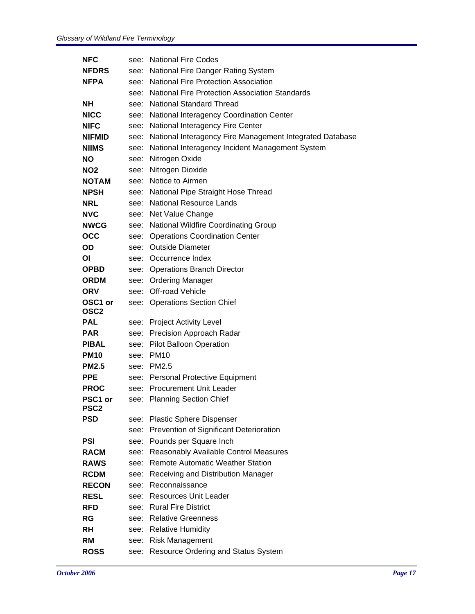| NFC                         | see: | <b>National Fire Codes</b>                                    |
|-----------------------------|------|---------------------------------------------------------------|
| <b>NFDRS</b>                | see: | National Fire Danger Rating System                            |
| <b>NFPA</b>                 |      | see: National Fire Protection Association                     |
|                             | see: | <b>National Fire Protection Association Standards</b>         |
| NΗ                          |      | see: National Standard Thread                                 |
| NICC                        |      | see: National Interagency Coordination Center                 |
| <b>NIFC</b>                 | see: | National Interagency Fire Center                              |
| <b>NIFMID</b>               |      | see: National Interagency Fire Management Integrated Database |
| <b>NIIMS</b>                | see: | National Interagency Incident Management System               |
| NO.                         | see: | Nitrogen Oxide                                                |
| NO2                         |      | see: Nitrogen Dioxide                                         |
| <b>NOTAM</b>                | see: | Notice to Airmen                                              |
| <b>NPSH</b>                 | see: | National Pipe Straight Hose Thread                            |
| NRL                         |      | see: National Resource Lands                                  |
| <b>NVC</b>                  | see: | Net Value Change                                              |
| <b>NWCG</b>                 |      | see: National Wildfire Coordinating Group                     |
| <b>OCC</b>                  | see: | <b>Operations Coordination Center</b>                         |
| OD.                         | see: | <b>Outside Diameter</b>                                       |
| ΟI                          |      | see: Occurrence Index                                         |
| <b>OPBD</b>                 |      | see: Operations Branch Director                               |
| <b>ORDM</b>                 | see: | <b>Ordering Manager</b>                                       |
| ORV                         |      | see: Off-road Vehicle                                         |
| OSC1 or<br>OSC <sub>2</sub> | see: | <b>Operations Section Chief</b>                               |
| PAL                         | see: | <b>Project Activity Level</b>                                 |
| PAR                         |      | see: Precision Approach Radar                                 |
| <b>PIBAL</b>                | see: | Pilot Balloon Operation                                       |
| <b>PM10</b>                 | see: | <b>PM10</b>                                                   |
| <b>PM2.5</b>                | see: | PM2.5                                                         |
| <b>PPE</b>                  | see: | Personal Protective Equipment                                 |
| <b>PROC</b>                 |      | see: Procurement Unit Leader                                  |
| PSC1 or<br><b>PSC2</b>      | see: | <b>Planning Section Chief</b>                                 |
| <b>PSD</b>                  | see: | <b>Plastic Sphere Dispenser</b>                               |
|                             | see: | Prevention of Significant Deterioration                       |
| PSI                         | see: | Pounds per Square Inch                                        |
| <b>RACM</b>                 | see: | Reasonably Available Control Measures                         |
| <b>RAWS</b>                 | see: | <b>Remote Automatic Weather Station</b>                       |
| <b>RCDM</b>                 | see: | Receiving and Distribution Manager                            |
| <b>RECON</b>                | see: | Reconnaissance                                                |
| <b>RESL</b>                 |      | see: Resources Unit Leader                                    |
| <b>RFD</b>                  | see: | <b>Rural Fire District</b>                                    |
| <b>RG</b>                   |      | see: Relative Greenness                                       |
| RH                          | see: | <b>Relative Humidity</b>                                      |
| RM                          | see: | <b>Risk Management</b>                                        |
| <b>ROSS</b>                 | see: | Resource Ordering and Status System                           |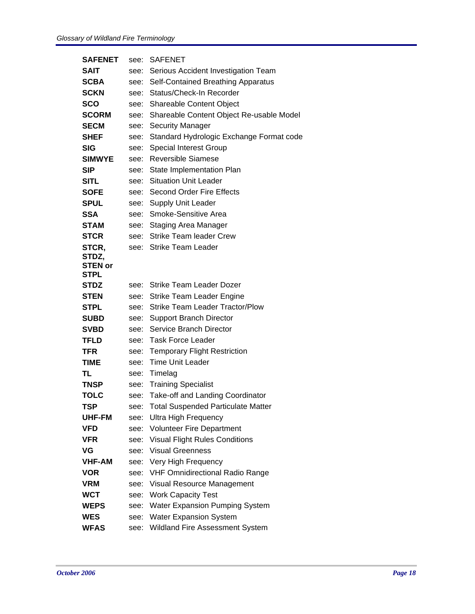| <b>SAFENET</b>                | see: | <b>SAFENET</b>                           |
|-------------------------------|------|------------------------------------------|
| SAIT                          | see: | Serious Accident Investigation Team      |
| <b>SCBA</b>                   | see: | Self-Contained Breathing Apparatus       |
| <b>SCKN</b>                   | see: | Status/Check-In Recorder                 |
| <b>SCO</b>                    | see: | Shareable Content Object                 |
| <b>SCORM</b>                  | see: | Shareable Content Object Re-usable Model |
| <b>SECM</b>                   | see: | <b>Security Manager</b>                  |
| <b>SHEF</b>                   | see: | Standard Hydrologic Exchange Format code |
| <b>SIG</b>                    | see: | <b>Special Interest Group</b>            |
| <b>SIMWYE</b>                 | see: | <b>Reversible Siamese</b>                |
| <b>SIP</b>                    | see: | State Implementation Plan                |
| SITL                          | see: | <b>Situation Unit Leader</b>             |
| <b>SOFE</b>                   | see: | <b>Second Order Fire Effects</b>         |
| <b>SPUL</b>                   | see: | <b>Supply Unit Leader</b>                |
| SSA                           | see: | Smoke-Sensitive Area                     |
| <b>STAM</b>                   | see: | <b>Staging Area Manager</b>              |
| <b>STCR</b>                   | see: | <b>Strike Team leader Crew</b>           |
| STCR,                         | see: | <b>Strike Team Leader</b>                |
| STDZ,                         |      |                                          |
| <b>STEN or</b><br><b>STPL</b> |      |                                          |
| <b>STDZ</b>                   | see: | Strike Team Leader Dozer                 |
| <b>STEN</b>                   | see: | <b>Strike Team Leader Engine</b>         |
| STPL                          | see: | <b>Strike Team Leader Tractor/Plow</b>   |
| <b>SUBD</b>                   | see: | <b>Support Branch Director</b>           |
| <b>SVBD</b>                   | see: | Service Branch Director                  |
| <b>TFLD</b>                   | see: | <b>Task Force Leader</b>                 |
| TFR                           | see: | <b>Temporary Flight Restriction</b>      |
| TIME                          | see: | <b>Time Unit Leader</b>                  |
| TL                            | see: | Timelag                                  |
| <b>TNSP</b>                   | see: | <b>Training Specialist</b>               |
| <b>TOLC</b>                   | see: | Take-off and Landing Coordinator         |
| TSP                           | see: | Total Suspended Particulate Matter       |
| UHF-FM                        | see: | <b>Ultra High Frequency</b>              |
| <b>VFD</b>                    | see: | Volunteer Fire Department                |
| <b>VFR</b>                    | see: | <b>Visual Flight Rules Conditions</b>    |
| VG                            | see: | <b>Visual Greenness</b>                  |
| <b>VHF-AM</b>                 | see: | Very High Frequency                      |
| <b>VOR</b>                    | see: | <b>VHF Omnidirectional Radio Range</b>   |
| <b>VRM</b>                    | see: | Visual Resource Management               |
| <b>WCT</b>                    | see: | <b>Work Capacity Test</b>                |
| <b>WEPS</b>                   | see: | Water Expansion Pumping System           |
| <b>WES</b>                    | see: | <b>Water Expansion System</b>            |
| <b>WFAS</b>                   | see: | Wildland Fire Assessment System          |
|                               |      |                                          |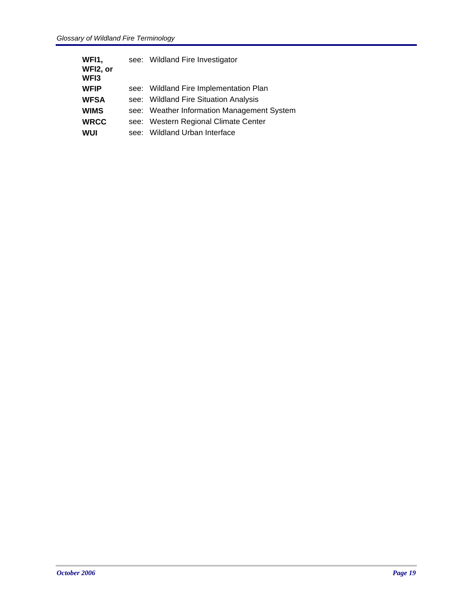| see: Wildland Fire Investigator            |
|--------------------------------------------|
| see: Wildland Fire Implementation Plan     |
| see: Wildland Fire Situation Analysis      |
| see: Weather Information Management System |
| see: Western Regional Climate Center       |
| see: Wildland Urban Interface              |
|                                            |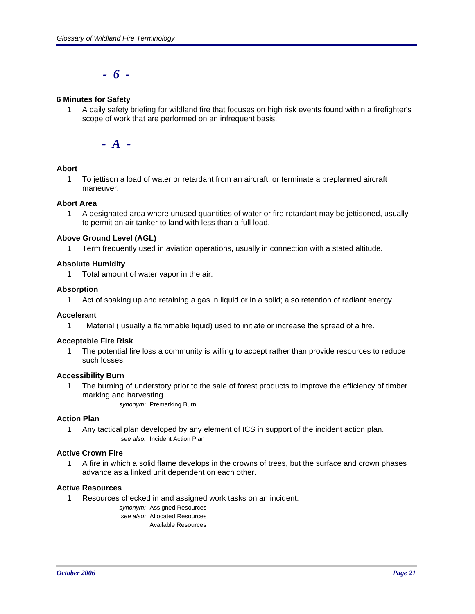*- 6 -*

#### **6 Minutes for Safety**

1 A daily safety briefing for wildland fire that focuses on high risk events found within a firefighter's scope of work that are performed on an infrequent basis.

*- A -*

#### **Abort**

1 To jettison a load of water or retardant from an aircraft, or terminate a preplanned aircraft maneuver.

#### **Abort Area**

1 A designated area where unused quantities of water or fire retardant may be jettisoned, usually to permit an air tanker to land with less than a full load.

#### **Above Ground Level (AGL)**

1 Term frequently used in aviation operations, usually in connection with a stated altitude.

#### **Absolute Humidity**

1 Total amount of water vapor in the air.

#### **Absorption**

1 Act of soaking up and retaining a gas in liquid or in a solid; also retention of radiant energy.

#### **Accelerant**

1 Material ( usually a flammable liquid) used to initiate or increase the spread of a fire.

#### **Acceptable Fire Risk**

1 The potential fire loss a community is willing to accept rather than provide resources to reduce such losses.

#### **Accessibility Burn**

1 The burning of understory prior to the sale of forest products to improve the efficiency of timber marking and harvesting.

*synonym:* Premarking Burn

#### **Action Plan**

1 Any tactical plan developed by any element of ICS in support of the incident action plan. *see also:* Incident Action Plan

#### **Active Crown Fire**

1 A fire in which a solid flame develops in the crowns of trees, but the surface and crown phases advance as a linked unit dependent on each other.

#### **Active Resources**

1 Resources checked in and assigned work tasks on an incident.

*synonym:* Assigned Resources *see also:* Allocated Resources Available Resources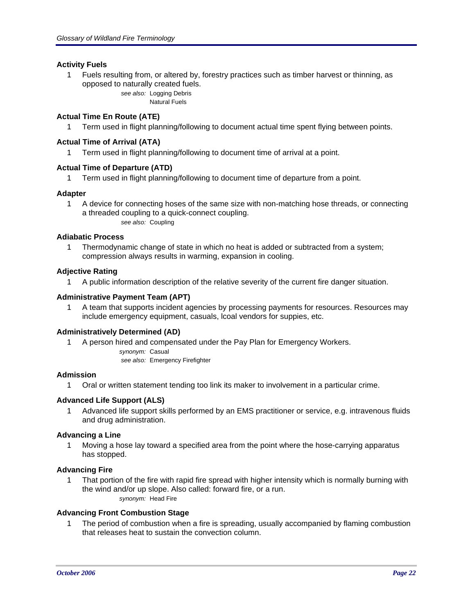#### **Activity Fuels**

1 Fuels resulting from, or altered by, forestry practices such as timber harvest or thinning, as opposed to naturally created fuels.

*see also:* Logging Debris Natural Fuels

#### **Actual Time En Route (ATE)**

1 Term used in flight planning/following to document actual time spent flying between points.

#### **Actual Time of Arrival (ATA)**

1 Term used in flight planning/following to document time of arrival at a point.

#### **Actual Time of Departure (ATD)**

1 Term used in flight planning/following to document time of departure from a point.

#### **Adapter**

1 A device for connecting hoses of the same size with non-matching hose threads, or connecting a threaded coupling to a quick-connect coupling. *see also:* Coupling

#### **Adiabatic Process**

1 Thermodynamic change of state in which no heat is added or subtracted from a system; compression always results in warming, expansion in cooling.

#### **Adjective Rating**

1 A public information description of the relative severity of the current fire danger situation.

#### **Administrative Payment Team (APT)**

1 A team that supports incident agencies by processing payments for resources. Resources may include emergency equipment, casuals, lcoal vendors for suppies, etc.

#### **Administratively Determined (AD)**

1 A person hired and compensated under the Pay Plan for Emergency Workers.

*synonym:* Casual

*see also:* Emergency Firefighter

#### **Admission**

1 Oral or written statement tending too link its maker to involvement in a particular crime.

#### **Advanced Life Support (ALS)**

1 Advanced life support skills performed by an EMS practitioner or service, e.g. intravenous fluids and drug administration.

#### **Advancing a Line**

1 Moving a hose lay toward a specified area from the point where the hose-carrying apparatus has stopped.

#### **Advancing Fire**

1 That portion of the fire with rapid fire spread with higher intensity which is normally burning with the wind and/or up slope. Also called: forward fire, or a run. *synonym:* Head Fire

#### **Advancing Front Combustion Stage**

1 The period of combustion when a fire is spreading, usually accompanied by flaming combustion that releases heat to sustain the convection column.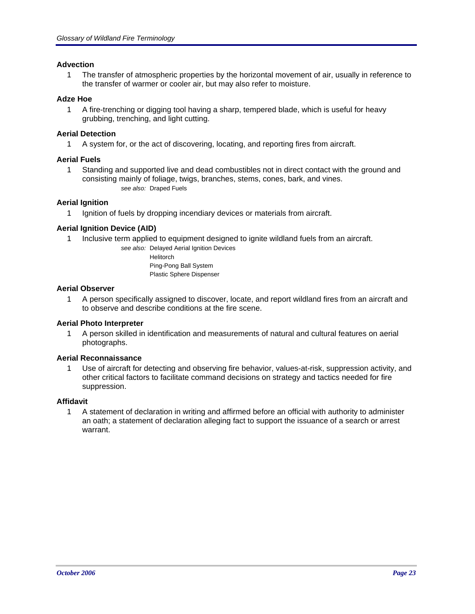#### **Advection**

1 The transfer of atmospheric properties by the horizontal movement of air, usually in reference to the transfer of warmer or cooler air, but may also refer to moisture.

#### **Adze Hoe**

1 A fire-trenching or digging tool having a sharp, tempered blade, which is useful for heavy grubbing, trenching, and light cutting.

#### **Aerial Detection**

1 A system for, or the act of discovering, locating, and reporting fires from aircraft.

#### **Aerial Fuels**

1 Standing and supported live and dead combustibles not in direct contact with the ground and consisting mainly of foliage, twigs, branches, stems, cones, bark, and vines. *see also:* Draped Fuels

#### **Aerial Ignition**

1 Ignition of fuels by dropping incendiary devices or materials from aircraft.

#### **Aerial Ignition Device (AID)**

1 Inclusive term applied to equipment designed to ignite wildland fuels from an aircraft.

*see also:* Delayed Aerial Ignition Devices Helitorch Ping-Pong Ball System Plastic Sphere Dispenser

#### **Aerial Observer**

1 A person specifically assigned to discover, locate, and report wildland fires from an aircraft and to observe and describe conditions at the fire scene.

#### **Aerial Photo Interpreter**

1 A person skilled in identification and measurements of natural and cultural features on aerial photographs.

#### **Aerial Reconnaissance**

1 Use of aircraft for detecting and observing fire behavior, values-at-risk, suppression activity, and other critical factors to facilitate command decisions on strategy and tactics needed for fire suppression.

#### **Affidavit**

1 A statement of declaration in writing and affirmed before an official with authority to administer an oath; a statement of declaration alleging fact to support the issuance of a search or arrest warrant.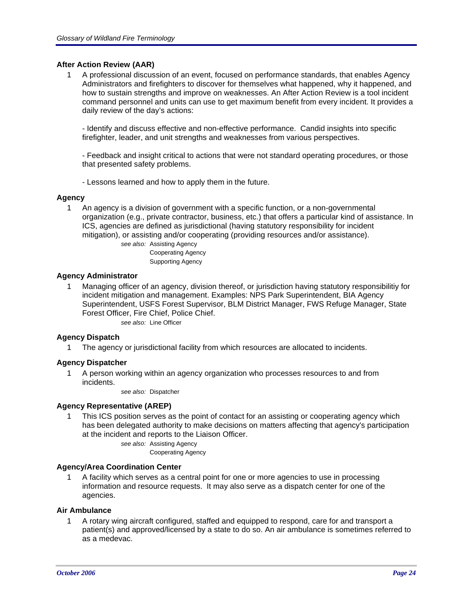#### **After Action Review (AAR)**

1 A professional discussion of an event, focused on performance standards, that enables Agency Administrators and firefighters to discover for themselves what happened, why it happened, and how to sustain strengths and improve on weaknesses. An After Action Review is a tool incident command personnel and units can use to get maximum benefit from every incident. It provides a daily review of the day's actions:

- Identify and discuss effective and non-effective performance. Candid insights into specific firefighter, leader, and unit strengths and weaknesses from various perspectives.

- Feedback and insight critical to actions that were not standard operating procedures, or those that presented safety problems.

- Lessons learned and how to apply them in the future.

#### **Agency**

1 An agency is a division of government with a specific function, or a non-governmental organization (e.g., private contractor, business, etc.) that offers a particular kind of assistance. In ICS, agencies are defined as jurisdictional (having statutory responsibility for incident mitigation), or assisting and/or cooperating (providing resources and/or assistance).

> *see also:* Assisting Agency Cooperating Agency Supporting Agency

#### **Agency Administrator**

Managing officer of an agency, division thereof, or jurisdiction having statutory responsibilitiy for incident mitigation and management. Examples: NPS Park Superintendent, BIA Agency Superintendent, USFS Forest Supervisor, BLM District Manager, FWS Refuge Manager, State Forest Officer, Fire Chief, Police Chief.

*see also:* Line Officer

#### **Agency Dispatch**

1 The agency or jurisdictional facility from which resources are allocated to incidents.

#### **Agency Dispatcher**

1 A person working within an agency organization who processes resources to and from incidents.

*see also:* Dispatcher

#### **Agency Representative (AREP)**

This ICS position serves as the point of contact for an assisting or cooperating agency which has been delegated authority to make decisions on matters affecting that agency's participation at the incident and reports to the Liaison Officer.

*see also:* Assisting Agency

Cooperating Agency

#### **Agency/Area Coordination Center**

1 A facility which serves as a central point for one or more agencies to use in processing information and resource requests. It may also serve as a dispatch center for one of the agencies.

#### **Air Ambulance**

1 A rotary wing aircraft configured, staffed and equipped to respond, care for and transport a patient(s) and approved/licensed by a state to do so. An air ambulance is sometimes referred to as a medevac.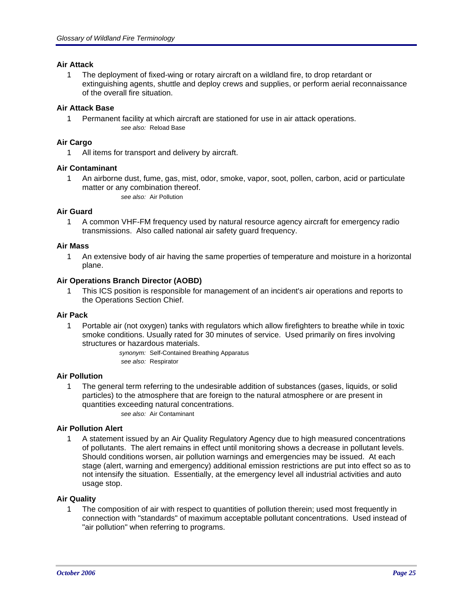#### **Air Attack**

1 The deployment of fixed-wing or rotary aircraft on a wildland fire, to drop retardant or extinguishing agents, shuttle and deploy crews and supplies, or perform aerial reconnaissance of the overall fire situation.

#### **Air Attack Base**

1 Permanent facility at which aircraft are stationed for use in air attack operations. *see also:* Reload Base

#### **Air Cargo**

1 All items for transport and delivery by aircraft.

#### **Air Contaminant**

1 An airborne dust, fume, gas, mist, odor, smoke, vapor, soot, pollen, carbon, acid or particulate matter or any combination thereof. *see also:* Air Pollution

#### **Air Guard**

1 A common VHF-FM frequency used by natural resource agency aircraft for emergency radio transmissions. Also called national air safety guard frequency.

#### **Air Mass**

1 An extensive body of air having the same properties of temperature and moisture in a horizontal plane.

#### **Air Operations Branch Director (AOBD)**

1 This ICS position is responsible for management of an incident's air operations and reports to the Operations Section Chief.

#### **Air Pack**

1 Portable air (not oxygen) tanks with regulators which allow firefighters to breathe while in toxic smoke conditions. Usually rated for 30 minutes of service. Used primarily on fires involving structures or hazardous materials.

*synonym:* Self-Contained Breathing Apparatus *see also:* Respirator

#### **Air Pollution**

1 The general term referring to the undesirable addition of substances (gases, liquids, or solid particles) to the atmosphere that are foreign to the natural atmosphere or are present in quantities exceeding natural concentrations.

*see also:* Air Contaminant

#### **Air Pollution Alert**

1 A statement issued by an Air Quality Regulatory Agency due to high measured concentrations of pollutants. The alert remains in effect until monitoring shows a decrease in pollutant levels. Should conditions worsen, air pollution warnings and emergencies may be issued. At each stage (alert, warning and emergency) additional emission restrictions are put into effect so as to not intensify the situation. Essentially, at the emergency level all industrial activities and auto usage stop.

#### **Air Quality**

1 The composition of air with respect to quantities of pollution therein; used most frequently in connection with "standards" of maximum acceptable pollutant concentrations. Used instead of "air pollution" when referring to programs.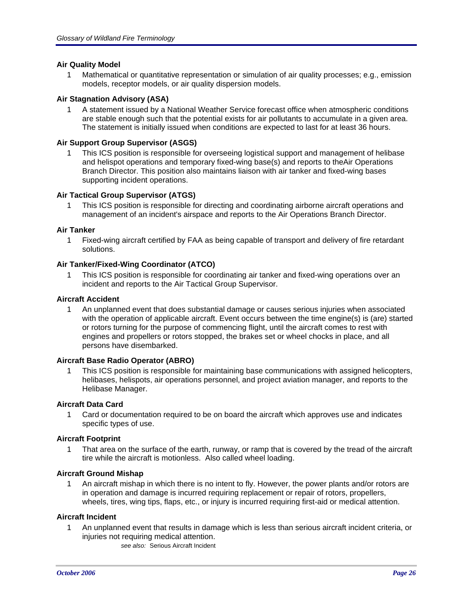#### **Air Quality Model**

1 Mathematical or quantitative representation or simulation of air quality processes; e.g., emission models, receptor models, or air quality dispersion models.

#### **Air Stagnation Advisory (ASA)**

1 A statement issued by a National Weather Service forecast office when atmospheric conditions are stable enough such that the potential exists for air pollutants to accumulate in a given area. The statement is initially issued when conditions are expected to last for at least 36 hours.

#### **Air Support Group Supervisor (ASGS)**

1 This ICS position is responsible for overseeing logistical support and management of helibase and helispot operations and temporary fixed-wing base(s) and reports to theAir Operations Branch Director. This position also maintains liaison with air tanker and fixed-wing bases supporting incident operations.

#### **Air Tactical Group Supervisor (ATGS)**

1 This ICS position is responsible for directing and coordinating airborne aircraft operations and management of an incident's airspace and reports to the Air Operations Branch Director.

#### **Air Tanker**

1 Fixed-wing aircraft certified by FAA as being capable of transport and delivery of fire retardant solutions.

#### **Air Tanker/Fixed-Wing Coordinator (ATCO)**

1 This ICS position is responsible for coordinating air tanker and fixed-wing operations over an incident and reports to the Air Tactical Group Supervisor.

#### **Aircraft Accident**

1 An unplanned event that does substantial damage or causes serious injuries when associated with the operation of applicable aircraft. Event occurs between the time engine(s) is (are) started or rotors turning for the purpose of commencing flight, until the aircraft comes to rest with engines and propellers or rotors stopped, the brakes set or wheel chocks in place, and all persons have disembarked.

#### **Aircraft Base Radio Operator (ABRO)**

1 This ICS position is responsible for maintaining base communications with assigned helicopters, helibases, helispots, air operations personnel, and project aviation manager, and reports to the Helibase Manager.

#### **Aircraft Data Card**

1 Card or documentation required to be on board the aircraft which approves use and indicates specific types of use.

#### **Aircraft Footprint**

1 That area on the surface of the earth, runway, or ramp that is covered by the tread of the aircraft tire while the aircraft is motionless. Also called wheel loading.

#### **Aircraft Ground Mishap**

1 An aircraft mishap in which there is no intent to fly. However, the power plants and/or rotors are in operation and damage is incurred requiring replacement or repair of rotors, propellers, wheels, tires, wing tips, flaps, etc., or injury is incurred requiring first-aid or medical attention.

#### **Aircraft Incident**

- 1 An unplanned event that results in damage which is less than serious aircraft incident criteria, or injuries not requiring medical attention.
	- *see also:* Serious Aircraft Incident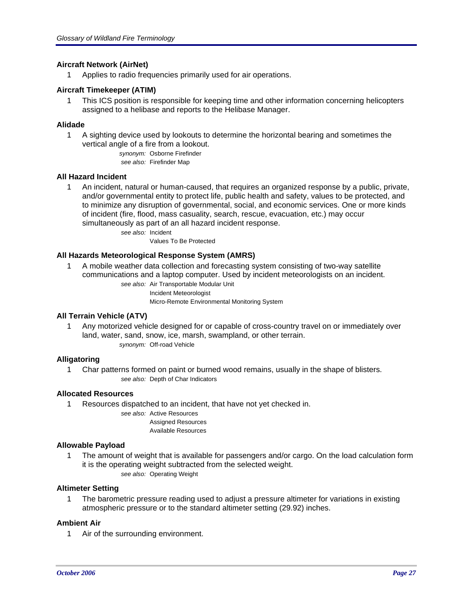#### **Aircraft Network (AirNet)**

1 Applies to radio frequencies primarily used for air operations.

#### **Aircraft Timekeeper (ATIM)**

1 This ICS position is responsible for keeping time and other information concerning helicopters assigned to a helibase and reports to the Helibase Manager.

#### **Alidade**

1 A sighting device used by lookouts to determine the horizontal bearing and sometimes the vertical angle of a fire from a lookout.

*synonym:* Osborne Firefinder *see also:* Firefinder Map

#### **All Hazard Incident**

1 An incident, natural or human-caused, that requires an organized response by a public, private, and/or governmental entity to protect life, public health and safety, values to be protected, and to minimize any disruption of governmental, social, and economic services. One or more kinds of incident (fire, flood, mass casuality, search, rescue, evacuation, etc.) may occur simultaneously as part of an all hazard incident response.

> *see also:* Incident Values To Be Protected

#### **All Hazards Meteorological Response System (AMRS)**

1 A mobile weather data collection and forecasting system consisting of two-way satellite communications and a laptop computer. Used by incident meteorologists on an incident.

> *see also:* Air Transportable Modular Unit Incident Meteorologist Micro-Remote Environmental Monitoring System

#### **All Terrain Vehicle (ATV)**

1 Any motorized vehicle designed for or capable of cross-country travel on or immediately over land, water, sand, snow, ice, marsh, swampland, or other terrain. *synonym:* Off-road Vehicle

#### **Alligatoring**

1 Char patterns formed on paint or burned wood remains, usually in the shape of blisters. *see also:* Depth of Char Indicators

#### **Allocated Resources**

1 Resources dispatched to an incident, that have not yet checked in.

*see also:* Active Resources

Assigned Resources Available Resources

## **Allowable Payload**

1 The amount of weight that is available for passengers and/or cargo. On the load calculation form it is the operating weight subtracted from the selected weight.

*see also:* Operating Weight

#### **Altimeter Setting**

1 The barometric pressure reading used to adjust a pressure altimeter for variations in existing atmospheric pressure or to the standard altimeter setting (29.92) inches.

#### **Ambient Air**

1 Air of the surrounding environment.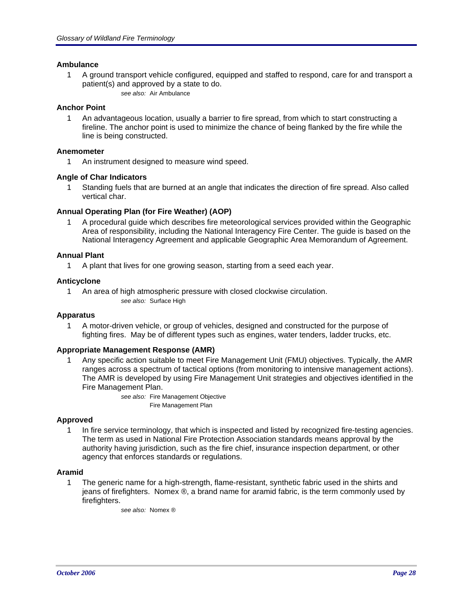#### **Ambulance**

1 A ground transport vehicle configured, equipped and staffed to respond, care for and transport a patient(s) and approved by a state to do. *see also:* Air Ambulance

#### **Anchor Point**

1 An advantageous location, usually a barrier to fire spread, from which to start constructing a fireline. The anchor point is used to minimize the chance of being flanked by the fire while the line is being constructed.

#### **Anemometer**

1 An instrument designed to measure wind speed.

#### **Angle of Char Indicators**

1 Standing fuels that are burned at an angle that indicates the direction of fire spread. Also called vertical char.

#### **Annual Operating Plan (for Fire Weather) (AOP)**

1 A procedural guide which describes fire meteorological services provided within the Geographic Area of responsibility, including the National Interagency Fire Center. The guide is based on the National Interagency Agreement and applicable Geographic Area Memorandum of Agreement.

#### **Annual Plant**

1 A plant that lives for one growing season, starting from a seed each year.

#### **Anticyclone**

1 An area of high atmospheric pressure with closed clockwise circulation. *see also:* Surface High

#### **Apparatus**

1 A motor-driven vehicle, or group of vehicles, designed and constructed for the purpose of fighting fires. May be of different types such as engines, water tenders, ladder trucks, etc.

#### **Appropriate Management Response (AMR)**

1 Any specific action suitable to meet Fire Management Unit (FMU) objectives. Typically, the AMR ranges across a spectrum of tactical options (from monitoring to intensive management actions). The AMR is developed by using Fire Management Unit strategies and objectives identified in the Fire Management Plan.

> *see also:* Fire Management Objective Fire Management Plan

#### **Approved**

1 In fire service terminology, that which is inspected and listed by recognized fire-testing agencies. The term as used in National Fire Protection Association standards means approval by the authority having jurisdiction, such as the fire chief, insurance inspection department, or other agency that enforces standards or regulations.

#### **Aramid**

1 The generic name for a high-strength, flame-resistant, synthetic fabric used in the shirts and jeans of firefighters. Nomex ®, a brand name for aramid fabric, is the term commonly used by firefighters.

*see also:* Nomex ®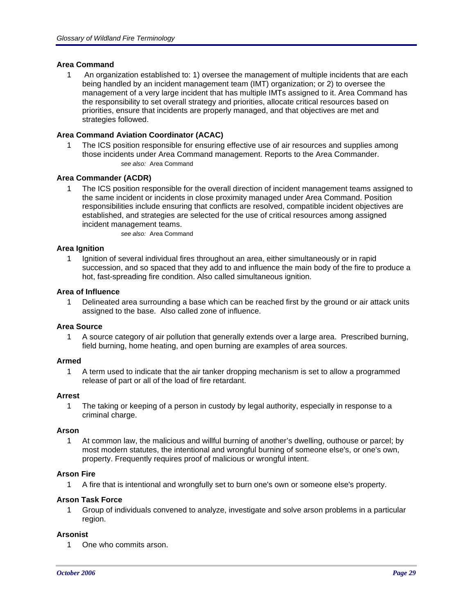#### **Area Command**

1 An organization established to: 1) oversee the management of multiple incidents that are each being handled by an incident management team (IMT) organization; or 2) to oversee the management of a very large incident that has multiple IMTs assigned to it. Area Command has the responsibility to set overall strategy and priorities, allocate critical resources based on priorities, ensure that incidents are properly managed, and that objectives are met and strategies followed.

#### **Area Command Aviation Coordinator (ACAC)**

1 The ICS position responsible for ensuring effective use of air resources and supplies among those incidents under Area Command management. Reports to the Area Commander. *see also:* Area Command

#### **Area Commander (ACDR)**

1 The ICS position responsible for the overall direction of incident management teams assigned to the same incident or incidents in close proximity managed under Area Command. Position responsibilities include ensuring that conflicts are resolved, compatible incident objectives are established, and strategies are selected for the use of critical resources among assigned incident management teams.

*see also:* Area Command

#### **Area Ignition**

1 Ignition of several individual fires throughout an area, either simultaneously or in rapid succession, and so spaced that they add to and influence the main body of the fire to produce a hot, fast-spreading fire condition. Also called simultaneous ignition.

#### **Area of Influence**

1 Delineated area surrounding a base which can be reached first by the ground or air attack units assigned to the base. Also called zone of influence.

#### **Area Source**

1 A source category of air pollution that generally extends over a large area. Prescribed burning, field burning, home heating, and open burning are examples of area sources.

#### **Armed**

1 A term used to indicate that the air tanker dropping mechanism is set to allow a programmed release of part or all of the load of fire retardant.

#### **Arrest**

1 The taking or keeping of a person in custody by legal authority, especially in response to a criminal charge.

#### **Arson**

1 At common law, the malicious and willful burning of another's dwelling, outhouse or parcel; by most modern statutes, the intentional and wrongful burning of someone else's, or one's own, property. Frequently requires proof of malicious or wrongful intent.

#### **Arson Fire**

1 A fire that is intentional and wrongfully set to burn one's own or someone else's property.

#### **Arson Task Force**

1 Group of individuals convened to analyze, investigate and solve arson problems in a particular region.

#### **Arsonist**

1 One who commits arson.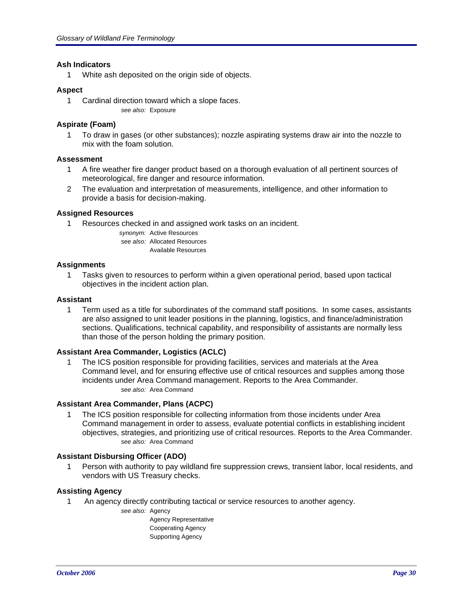#### **Ash Indicators**

1 White ash deposited on the origin side of objects.

#### **Aspect**

1 Cardinal direction toward which a slope faces. *see also:* Exposure

#### **Aspirate (Foam)**

1 To draw in gases (or other substances); nozzle aspirating systems draw air into the nozzle to mix with the foam solution.

#### **Assessment**

- 1 A fire weather fire danger product based on a thorough evaluation of all pertinent sources of meteorological, fire danger and resource information.
- 2 The evaluation and interpretation of measurements, intelligence, and other information to provide a basis for decision-making.

#### **Assigned Resources**

1 Resources checked in and assigned work tasks on an incident.

*synonym:* Active Resources *see also:* Allocated Resources Available Resources

#### **Assignments**

1 Tasks given to resources to perform within a given operational period, based upon tactical objectives in the incident action plan.

#### **Assistant**

1 Term used as a title for subordinates of the command staff positions. In some cases, assistants are also assigned to unit leader positions in the planning, logistics, and finance/administration sections. Qualifications, technical capability, and responsibility of assistants are normally less than those of the person holding the primary position.

#### **Assistant Area Commander, Logistics (ACLC)**

1 The ICS position responsible for providing facilities, services and materials at the Area Command level, and for ensuring effective use of critical resources and supplies among those incidents under Area Command management. Reports to the Area Commander. *see also:* Area Command

#### **Assistant Area Commander, Plans (ACPC)**

1 The ICS position responsible for collecting information from those incidents under Area Command management in order to assess, evaluate potential conflicts in establishing incident objectives, strategies, and prioritizing use of critical resources. Reports to the Area Commander. *see also:* Area Command

#### **Assistant Disbursing Officer (ADO)**

1 Person with authority to pay wildland fire suppression crews, transient labor, local residents, and vendors with US Treasury checks.

#### **Assisting Agency**

- 1 An agency directly contributing tactical or service resources to another agency.
	- *see also:* Agency

Agency Representative Cooperating Agency Supporting Agency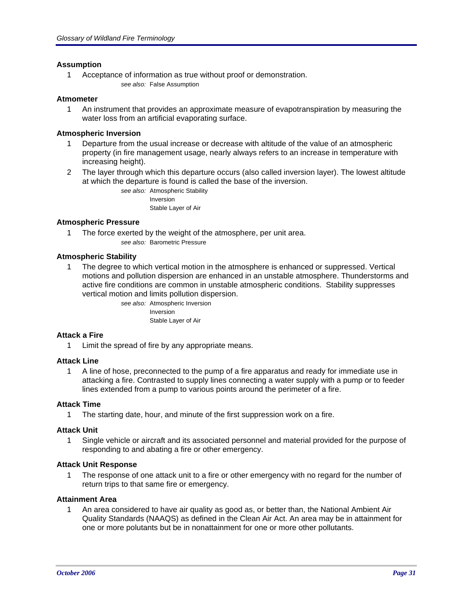#### **Assumption**

1 Acceptance of information as true without proof or demonstration. *see also:* False Assumption

#### **Atmometer**

1 An instrument that provides an approximate measure of evapotranspiration by measuring the water loss from an artificial evaporating surface.

#### **Atmospheric Inversion**

- 1 Departure from the usual increase or decrease with altitude of the value of an atmospheric property (in fire management usage, nearly always refers to an increase in temperature with increasing height).
- 2 The layer through which this departure occurs (also called inversion layer). The lowest altitude at which the departure is found is called the base of the inversion.

*see also:* Atmospheric Stability Inversion Stable Layer of Air

#### **Atmospheric Pressure**

1 The force exerted by the weight of the atmosphere, per unit area. *see also:* Barometric Pressure

#### **Atmospheric Stability**

1 The degree to which vertical motion in the atmosphere is enhanced or suppressed. Vertical motions and pollution dispersion are enhanced in an unstable atmosphere. Thunderstorms and active fire conditions are common in unstable atmospheric conditions. Stability suppresses vertical motion and limits pollution dispersion.

> *see also:* Atmospheric Inversion Inversion Stable Layer of Air

#### **Attack a Fire**

1 Limit the spread of fire by any appropriate means.

#### **Attack Line**

1 A line of hose, preconnected to the pump of a fire apparatus and ready for immediate use in attacking a fire. Contrasted to supply lines connecting a water supply with a pump or to feeder lines extended from a pump to various points around the perimeter of a fire.

#### **Attack Time**

1 The starting date, hour, and minute of the first suppression work on a fire.

#### **Attack Unit**

1 Single vehicle or aircraft and its associated personnel and material provided for the purpose of responding to and abating a fire or other emergency.

#### **Attack Unit Response**

1 The response of one attack unit to a fire or other emergency with no regard for the number of return trips to that same fire or emergency.

#### **Attainment Area**

1 An area considered to have air quality as good as, or better than, the National Ambient Air Quality Standards (NAAQS) as defined in the Clean Air Act. An area may be in attainment for one or more polutants but be in nonattainment for one or more other pollutants.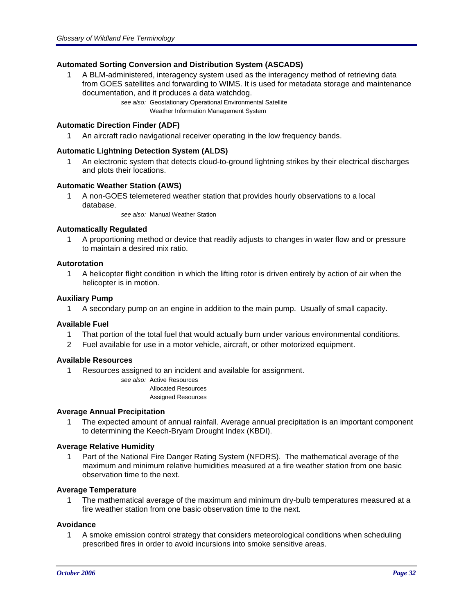#### **Automated Sorting Conversion and Distribution System (ASCADS)**

1 A BLM-administered, interagency system used as the interagency method of retrieving data from GOES satellites and forwarding to WIMS. It is used for metadata storage and maintenance documentation, and it produces a data watchdog.

> *see also:* Geostationary Operational Environmental Satellite Weather Information Management System

#### **Automatic Direction Finder (ADF)**

1 An aircraft radio navigational receiver operating in the low frequency bands.

#### **Automatic Lightning Detection System (ALDS)**

1 An electronic system that detects cloud-to-ground lightning strikes by their electrical discharges and plots their locations.

#### **Automatic Weather Station (AWS)**

1 A non-GOES telemetered weather station that provides hourly observations to a local database.

*see also:* Manual Weather Station

#### **Automatically Regulated**

1 A proportioning method or device that readily adjusts to changes in water flow and or pressure to maintain a desired mix ratio.

#### **Autorotation**

1 A helicopter flight condition in which the lifting rotor is driven entirely by action of air when the helicopter is in motion.

#### **Auxiliary Pump**

1 A secondary pump on an engine in addition to the main pump. Usually of small capacity.

#### **Available Fuel**

- 1 That portion of the total fuel that would actually burn under various environmental conditions.
- 2 Fuel available for use in a motor vehicle, aircraft, or other motorized equipment.

#### **Available Resources**

1 Resources assigned to an incident and available for assignment.

*see also:* Active Resources Allocated Resources Assigned Resources

#### **Average Annual Precipitation**

1 The expected amount of annual rainfall. Average annual precipitation is an important component to determining the Keech-Bryam Drought Index (KBDI).

#### **Average Relative Humidity**

1 Part of the National Fire Danger Rating System (NFDRS). The mathematical average of the maximum and minimum relative humidities measured at a fire weather station from one basic observation time to the next.

#### **Average Temperature**

1 The mathematical average of the maximum and minimum dry-bulb temperatures measured at a fire weather station from one basic observation time to the next.

#### **Avoidance**

1 A smoke emission control strategy that considers meteorological conditions when scheduling prescribed fires in order to avoid incursions into smoke sensitive areas.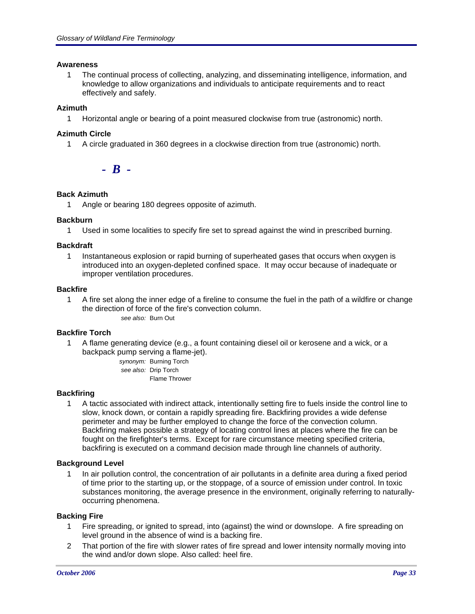#### **Awareness**

1 The continual process of collecting, analyzing, and disseminating intelligence, information, and knowledge to allow organizations and individuals to anticipate requirements and to react effectively and safely.

#### **Azimuth**

1 Horizontal angle or bearing of a point measured clockwise from true (astronomic) north.

#### **Azimuth Circle**

1 A circle graduated in 360 degrees in a clockwise direction from true (astronomic) north.

*- B -*

#### **Back Azimuth**

1 Angle or bearing 180 degrees opposite of azimuth.

#### **Backburn**

1 Used in some localities to specify fire set to spread against the wind in prescribed burning.

#### **Backdraft**

1 Instantaneous explosion or rapid burning of superheated gases that occurs when oxygen is introduced into an oxygen-depleted confined space. It may occur because of inadequate or improper ventilation procedures.

#### **Backfire**

1 A fire set along the inner edge of a fireline to consume the fuel in the path of a wildfire or change the direction of force of the fire's convection column.

*see also:* Burn Out

#### **Backfire Torch**

1 A flame generating device (e.g., a fount containing diesel oil or kerosene and a wick, or a backpack pump serving a flame-jet).

> *synonym:* Burning Torch *see also:* Drip Torch Flame Thrower

#### **Backfiring**

1 A tactic associated with indirect attack, intentionally setting fire to fuels inside the control line to slow, knock down, or contain a rapidly spreading fire. Backfiring provides a wide defense perimeter and may be further employed to change the force of the convection column. Backfiring makes possible a strategy of locating control lines at places where the fire can be fought on the firefighter's terms. Except for rare circumstance meeting specified criteria, backfiring is executed on a command decision made through line channels of authority.

#### **Background Level**

1 In air pollution control, the concentration of air pollutants in a definite area during a fixed period of time prior to the starting up, or the stoppage, of a source of emission under control. In toxic substances monitoring, the average presence in the environment, originally referring to naturallyoccurring phenomena.

#### **Backing Fire**

- 1 Fire spreading, or ignited to spread, into (against) the wind or downslope. A fire spreading on level ground in the absence of wind is a backing fire.
- 2 That portion of the fire with slower rates of fire spread and lower intensity normally moving into the wind and/or down slope. Also called: heel fire.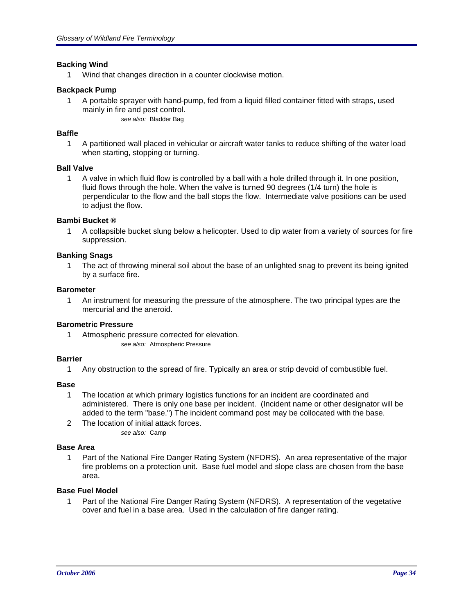#### **Backing Wind**

1 Wind that changes direction in a counter clockwise motion.

#### **Backpack Pump**

1 A portable sprayer with hand-pump, fed from a liquid filled container fitted with straps, used mainly in fire and pest control. *see also:* Bladder Bag

#### **Baffle**

1 A partitioned wall placed in vehicular or aircraft water tanks to reduce shifting of the water load when starting, stopping or turning.

#### **Ball Valve**

1 A valve in which fluid flow is controlled by a ball with a hole drilled through it. In one position, fluid flows through the hole. When the valve is turned 90 degrees (1/4 turn) the hole is perpendicular to the flow and the ball stops the flow. Intermediate valve positions can be used to adjust the flow.

#### **Bambi Bucket ®**

1 A collapsible bucket slung below a helicopter. Used to dip water from a variety of sources for fire suppression.

#### **Banking Snags**

1 The act of throwing mineral soil about the base of an unlighted snag to prevent its being ignited by a surface fire.

#### **Barometer**

1 An instrument for measuring the pressure of the atmosphere. The two principal types are the mercurial and the aneroid.

#### **Barometric Pressure**

1 Atmospheric pressure corrected for elevation. *see also:* Atmospheric Pressure

#### **Barrier**

1 Any obstruction to the spread of fire. Typically an area or strip devoid of combustible fuel.

#### **Base**

- 1 The location at which primary logistics functions for an incident are coordinated and administered. There is only one base per incident. (Incident name or other designator will be added to the term "base.") The incident command post may be collocated with the base.
- 2 The location of initial attack forces. *see also:* Camp

#### **Base Area**

1 Part of the National Fire Danger Rating System (NFDRS). An area representative of the major fire problems on a protection unit. Base fuel model and slope class are chosen from the base area.

#### **Base Fuel Model**

1 Part of the National Fire Danger Rating System (NFDRS). A representation of the vegetative cover and fuel in a base area. Used in the calculation of fire danger rating.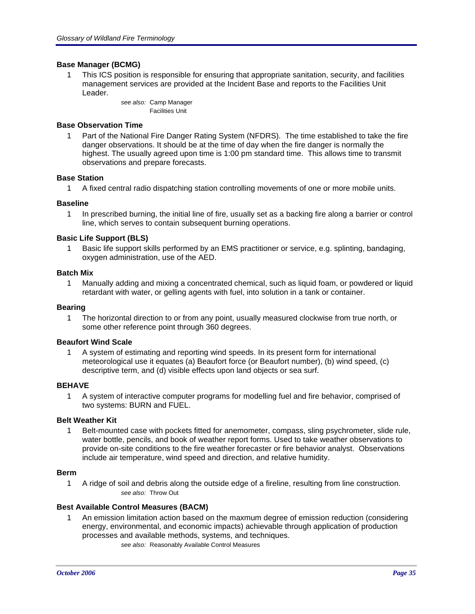#### **Base Manager (BCMG)**

1 This ICS position is responsible for ensuring that appropriate sanitation, security, and facilities management services are provided at the Incident Base and reports to the Facilities Unit Leader.

> *see also:* Camp Manager Facilities Unit

#### **Base Observation Time**

1 Part of the National Fire Danger Rating System (NFDRS). The time established to take the fire danger observations. It should be at the time of day when the fire danger is normally the highest. The usually agreed upon time is 1:00 pm standard time. This allows time to transmit observations and prepare forecasts.

#### **Base Station**

1 A fixed central radio dispatching station controlling movements of one or more mobile units.

#### **Baseline**

1 In prescribed burning, the initial line of fire, usually set as a backing fire along a barrier or control line, which serves to contain subsequent burning operations.

#### **Basic Life Support (BLS)**

1 Basic life support skills performed by an EMS practitioner or service, e.g. splinting, bandaging, oxygen administration, use of the AED.

#### **Batch Mix**

1 Manually adding and mixing a concentrated chemical, such as liquid foam, or powdered or liquid retardant with water, or gelling agents with fuel, into solution in a tank or container.

#### **Bearing**

1 The horizontal direction to or from any point, usually measured clockwise from true north, or some other reference point through 360 degrees.

#### **Beaufort Wind Scale**

1 A system of estimating and reporting wind speeds. In its present form for international meteorological use it equates (a) Beaufort force (or Beaufort number), (b) wind speed, (c) descriptive term, and (d) visible effects upon land objects or sea surf.

#### **BEHAVE**

1 A system of interactive computer programs for modelling fuel and fire behavior, comprised of two systems: BURN and FUEL.

#### **Belt Weather Kit**

1 Belt-mounted case with pockets fitted for anemometer, compass, sling psychrometer, slide rule, water bottle, pencils, and book of weather report forms. Used to take weather observations to provide on-site conditions to the fire weather forecaster or fire behavior analyst. Observations include air temperature, wind speed and direction, and relative humidity.

#### **Berm**

1 A ridge of soil and debris along the outside edge of a fireline, resulting from line construction. *see also:* Throw Out

#### **Best Available Control Measures (BACM)**

1 An emission limitation action based on the maxmum degree of emission reduction (considering energy, environmental, and economic impacts) achievable through application of production processes and available methods, systems, and techniques. *see also:* Reasonably Available Control Measures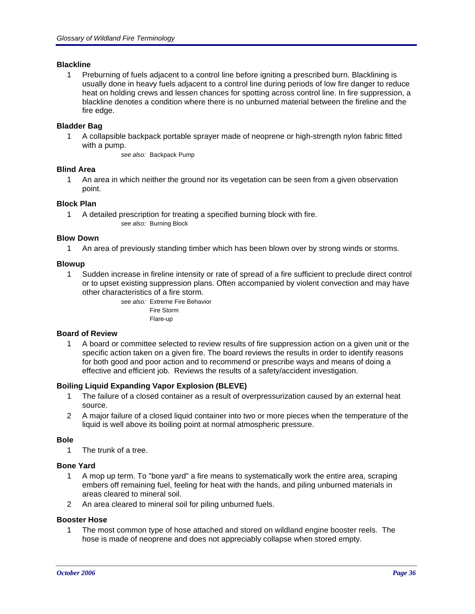#### **Blackline**

1 Preburning of fuels adjacent to a control line before igniting a prescribed burn. Blacklining is usually done in heavy fuels adjacent to a control line during periods of low fire danger to reduce heat on holding crews and lessen chances for spotting across control line. In fire suppression, a blackline denotes a condition where there is no unburned material between the fireline and the fire edge.

#### **Bladder Bag**

1 A collapsible backpack portable sprayer made of neoprene or high-strength nylon fabric fitted with a pump.

*see also:* Backpack Pump

#### **Blind Area**

1 An area in which neither the ground nor its vegetation can be seen from a given observation point.

#### **Block Plan**

1 A detailed prescription for treating a specified burning block with fire. *see also:* Burning Block

#### **Blow Down**

1 An area of previously standing timber which has been blown over by strong winds or storms.

#### **Blowup**

1 Sudden increase in fireline intensity or rate of spread of a fire sufficient to preclude direct control or to upset existing suppression plans. Often accompanied by violent convection and may have other characteristics of a fire storm.

> *see also:* Extreme Fire Behavior Fire Storm Flare-up

#### **Board of Review**

1 A board or committee selected to review results of fire suppression action on a given unit or the specific action taken on a given fire. The board reviews the results in order to identify reasons for both good and poor action and to recommend or prescribe ways and means of doing a effective and efficient job. Reviews the results of a safety/accident investigation.

#### **Boiling Liquid Expanding Vapor Explosion (BLEVE)**

- 1 The failure of a closed container as a result of overpressurization caused by an external heat source.
- 2 A major failure of a closed liquid container into two or more pieces when the temperature of the liquid is well above its boiling point at normal atmospheric pressure.

#### **Bole**

1 The trunk of a tree.

#### **Bone Yard**

- 1 A mop up term. To "bone yard" a fire means to systematically work the entire area, scraping embers off remaining fuel, feeling for heat with the hands, and piling unburned materials in areas cleared to mineral soil.
- 2 An area cleared to mineral soil for piling unburned fuels.

#### **Booster Hose**

1 The most common type of hose attached and stored on wildland engine booster reels. The hose is made of neoprene and does not appreciably collapse when stored empty.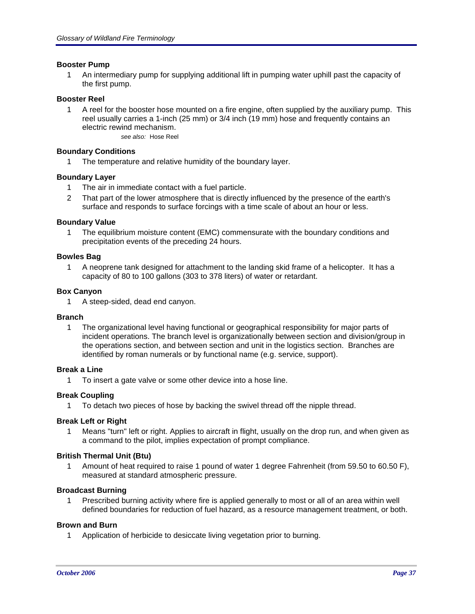### **Booster Pump**

1 An intermediary pump for supplying additional lift in pumping water uphill past the capacity of the first pump.

#### **Booster Reel**

1 A reel for the booster hose mounted on a fire engine, often supplied by the auxiliary pump. This reel usually carries a 1-inch (25 mm) or 3/4 inch (19 mm) hose and frequently contains an electric rewind mechanism. *see also:* Hose Reel

#### **Boundary Conditions**

1 The temperature and relative humidity of the boundary layer.

#### **Boundary Layer**

- 1 The air in immediate contact with a fuel particle.
- 2 That part of the lower atmosphere that is directly influenced by the presence of the earth's surface and responds to surface forcings with a time scale of about an hour or less.

#### **Boundary Value**

1 The equilibrium moisture content (EMC) commensurate with the boundary conditions and precipitation events of the preceding 24 hours.

#### **Bowles Bag**

1 A neoprene tank designed for attachment to the landing skid frame of a helicopter. It has a capacity of 80 to 100 gallons (303 to 378 liters) of water or retardant.

#### **Box Canyon**

1 A steep-sided, dead end canyon.

#### **Branch**

1 The organizational level having functional or geographical responsibility for major parts of incident operations. The branch level is organizationally between section and division/group in the operations section, and between section and unit in the logistics section. Branches are identified by roman numerals or by functional name (e.g. service, support).

# **Break a Line**

1 To insert a gate valve or some other device into a hose line.

#### **Break Coupling**

1 To detach two pieces of hose by backing the swivel thread off the nipple thread.

#### **Break Left or Right**

1 Means "turn" left or right. Applies to aircraft in flight, usually on the drop run, and when given as a command to the pilot, implies expectation of prompt compliance.

#### **British Thermal Unit (Btu)**

1 Amount of heat required to raise 1 pound of water 1 degree Fahrenheit (from 59.50 to 60.50 F), measured at standard atmospheric pressure.

### **Broadcast Burning**

1 Prescribed burning activity where fire is applied generally to most or all of an area within well defined boundaries for reduction of fuel hazard, as a resource management treatment, or both.

#### **Brown and Burn**

1 Application of herbicide to desiccate living vegetation prior to burning.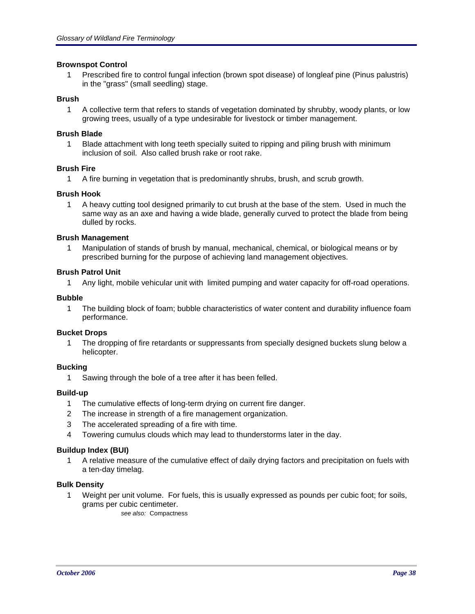### **Brownspot Control**

1 Prescribed fire to control fungal infection (brown spot disease) of longleaf pine (Pinus palustris) in the "grass" (small seedling) stage.

### **Brush**

1 A collective term that refers to stands of vegetation dominated by shrubby, woody plants, or low growing trees, usually of a type undesirable for livestock or timber management.

#### **Brush Blade**

1 Blade attachment with long teeth specially suited to ripping and piling brush with minimum inclusion of soil. Also called brush rake or root rake.

#### **Brush Fire**

1 A fire burning in vegetation that is predominantly shrubs, brush, and scrub growth.

#### **Brush Hook**

1 A heavy cutting tool designed primarily to cut brush at the base of the stem. Used in much the same way as an axe and having a wide blade, generally curved to protect the blade from being dulled by rocks.

#### **Brush Management**

1 Manipulation of stands of brush by manual, mechanical, chemical, or biological means or by prescribed burning for the purpose of achieving land management objectives.

#### **Brush Patrol Unit**

1 Any light, mobile vehicular unit with limited pumping and water capacity for off-road operations.

#### **Bubble**

1 The building block of foam; bubble characteristics of water content and durability influence foam performance.

#### **Bucket Drops**

1 The dropping of fire retardants or suppressants from specially designed buckets slung below a helicopter.

### **Bucking**

1 Sawing through the bole of a tree after it has been felled.

#### **Build-up**

- 1 The cumulative effects of long-term drying on current fire danger.
- 2 The increase in strength of a fire management organization.
- 3 The accelerated spreading of a fire with time.
- 4 Towering cumulus clouds which may lead to thunderstorms later in the day.

### **Buildup Index (BUI)**

1 A relative measure of the cumulative effect of daily drying factors and precipitation on fuels with a ten-day timelag.

#### **Bulk Density**

1 Weight per unit volume. For fuels, this is usually expressed as pounds per cubic foot; for soils, grams per cubic centimeter.

*see also:* Compactness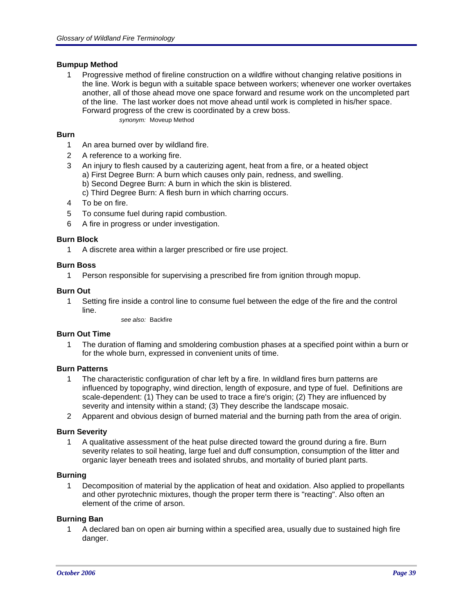## **Bumpup Method**

1 Progressive method of fireline construction on a wildfire without changing relative positions in the line. Work is begun with a suitable space between workers; whenever one worker overtakes another, all of those ahead move one space forward and resume work on the uncompleted part of the line. The last worker does not move ahead until work is completed in his/her space. Forward progress of the crew is coordinated by a crew boss. *synonym:* Moveup Method

## **Burn**

- 1 An area burned over by wildland fire.
- 2 A reference to a working fire.
- 3 An injury to flesh caused by a cauterizing agent, heat from a fire, or a heated object a) First Degree Burn: A burn which causes only pain, redness, and swelling. b) Second Degree Burn: A burn in which the skin is blistered.
	- c) Third Degree Burn: A flesh burn in which charring occurs.
- 4 To be on fire.
- 5 To consume fuel during rapid combustion.
- 6 A fire in progress or under investigation.

## **Burn Block**

1 A discrete area within a larger prescribed or fire use project.

## **Burn Boss**

1 Person responsible for supervising a prescribed fire from ignition through mopup.

### **Burn Out**

1 Setting fire inside a control line to consume fuel between the edge of the fire and the control line.

*see also:* Backfire

### **Burn Out Time**

1 The duration of flaming and smoldering combustion phases at a specified point within a burn or for the whole burn, expressed in convenient units of time.

### **Burn Patterns**

- 1 The characteristic configuration of char left by a fire. In wildland fires burn patterns are influenced by topography, wind direction, length of exposure, and type of fuel. Definitions are scale-dependent: (1) They can be used to trace a fire's origin; (2) They are influenced by severity and intensity within a stand; (3) They describe the landscape mosaic.
- 2 Apparent and obvious design of burned material and the burning path from the area of origin.

### **Burn Severity**

1 A qualitative assessment of the heat pulse directed toward the ground during a fire. Burn severity relates to soil heating, large fuel and duff consumption, consumption of the litter and organic layer beneath trees and isolated shrubs, and mortality of buried plant parts.

### **Burning**

1 Decomposition of material by the application of heat and oxidation. Also applied to propellants and other pyrotechnic mixtures, though the proper term there is "reacting". Also often an element of the crime of arson.

### **Burning Ban**

1 A declared ban on open air burning within a specified area, usually due to sustained high fire danger.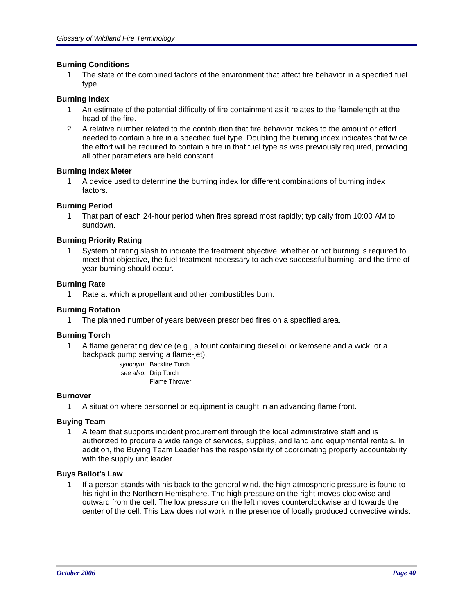## **Burning Conditions**

1 The state of the combined factors of the environment that affect fire behavior in a specified fuel type.

## **Burning Index**

- 1 An estimate of the potential difficulty of fire containment as it relates to the flamelength at the head of the fire.
- 2 A relative number related to the contribution that fire behavior makes to the amount or effort needed to contain a fire in a specified fuel type. Doubling the burning index indicates that twice the effort will be required to contain a fire in that fuel type as was previously required, providing all other parameters are held constant.

### **Burning Index Meter**

1 A device used to determine the burning index for different combinations of burning index factors.

## **Burning Period**

1 That part of each 24-hour period when fires spread most rapidly; typically from 10:00 AM to sundown.

## **Burning Priority Rating**

1 System of rating slash to indicate the treatment objective, whether or not burning is required to meet that objective, the fuel treatment necessary to achieve successful burning, and the time of year burning should occur.

### **Burning Rate**

1 Rate at which a propellant and other combustibles burn.

### **Burning Rotation**

1 The planned number of years between prescribed fires on a specified area.

### **Burning Torch**

1 A flame generating device (e.g., a fount containing diesel oil or kerosene and a wick, or a backpack pump serving a flame-jet).

*synonym:* Backfire Torch *see also:* Drip Torch Flame Thrower

### **Burnover**

1 A situation where personnel or equipment is caught in an advancing flame front.

### **Buying Team**

1 A team that supports incident procurement through the local administrative staff and is authorized to procure a wide range of services, supplies, and land and equipmental rentals. In addition, the Buying Team Leader has the responsibility of coordinating property accountability with the supply unit leader.

### **Buys Ballot's Law**

1 If a person stands with his back to the general wind, the high atmospheric pressure is found to his right in the Northern Hemisphere. The high pressure on the right moves clockwise and outward from the cell. The low pressure on the left moves counterclockwise and towards the center of the cell. This Law does not work in the presence of locally produced convective winds.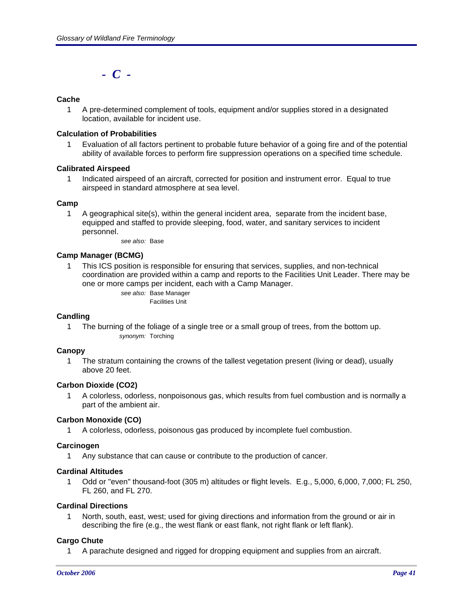*- C -*

# **Cache**

1 A pre-determined complement of tools, equipment and/or supplies stored in a designated location, available for incident use.

### **Calculation of Probabilities**

1 Evaluation of all factors pertinent to probable future behavior of a going fire and of the potential ability of available forces to perform fire suppression operations on a specified time schedule.

### **Calibrated Airspeed**

1 Indicated airspeed of an aircraft, corrected for position and instrument error. Equal to true airspeed in standard atmosphere at sea level.

### **Camp**

1 A geographical site(s), within the general incident area, separate from the incident base, equipped and staffed to provide sleeping, food, water, and sanitary services to incident personnel.

*see also:* Base

## **Camp Manager (BCMG)**

1 This ICS position is responsible for ensuring that services, supplies, and non-technical coordination are provided within a camp and reports to the Facilities Unit Leader. There may be one or more camps per incident, each with a Camp Manager.

*see also:* Base Manager Facilities Unit

### **Candling**

1 The burning of the foliage of a single tree or a small group of trees, from the bottom up. *synonym:* Torching

### **Canopy**

1 The stratum containing the crowns of the tallest vegetation present (living or dead), usually above 20 feet.

## **Carbon Dioxide (CO2)**

1 A colorless, odorless, nonpoisonous gas, which results from fuel combustion and is normally a part of the ambient air.

### **Carbon Monoxide (CO)**

1 A colorless, odorless, poisonous gas produced by incomplete fuel combustion.

### **Carcinogen**

1 Any substance that can cause or contribute to the production of cancer.

### **Cardinal Altitudes**

1 Odd or "even" thousand-foot (305 m) altitudes or flight levels. E.g., 5,000, 6,000, 7,000; FL 250, FL 260, and FL 270.

### **Cardinal Directions**

1 North, south, east, west; used for giving directions and information from the ground or air in describing the fire (e.g., the west flank or east flank, not right flank or left flank).

### **Cargo Chute**

1 A parachute designed and rigged for dropping equipment and supplies from an aircraft.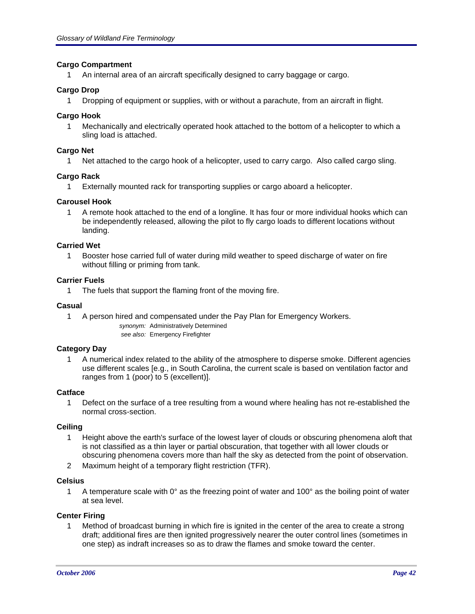### **Cargo Compartment**

1 An internal area of an aircraft specifically designed to carry baggage or cargo.

## **Cargo Drop**

1 Dropping of equipment or supplies, with or without a parachute, from an aircraft in flight.

## **Cargo Hook**

1 Mechanically and electrically operated hook attached to the bottom of a helicopter to which a sling load is attached.

## **Cargo Net**

1 Net attached to the cargo hook of a helicopter, used to carry cargo. Also called cargo sling.

# **Cargo Rack**

1 Externally mounted rack for transporting supplies or cargo aboard a helicopter.

## **Carousel Hook**

1 A remote hook attached to the end of a longline. It has four or more individual hooks which can be independently released, allowing the pilot to fly cargo loads to different locations without landing.

## **Carried Wet**

1 Booster hose carried full of water during mild weather to speed discharge of water on fire without filling or priming from tank.

## **Carrier Fuels**

1 The fuels that support the flaming front of the moving fire.

## **Casual**

1 A person hired and compensated under the Pay Plan for Emergency Workers. *synonym:* Administratively Determined *see also:* Emergency Firefighter

# **Category Day**

1 A numerical index related to the ability of the atmosphere to disperse smoke. Different agencies use different scales [e.g., in South Carolina, the current scale is based on ventilation factor and ranges from 1 (poor) to 5 (excellent)].

### **Catface**

1 Defect on the surface of a tree resulting from a wound where healing has not re-established the normal cross-section.

### **Ceiling**

- 1 Height above the earth's surface of the lowest layer of clouds or obscuring phenomena aloft that is not classified as a thin layer or partial obscuration, that together with all lower clouds or obscuring phenomena covers more than half the sky as detected from the point of observation.
- 2 Maximum height of a temporary flight restriction (TFR).

### **Celsius**

1 A temperature scale with  $0^{\circ}$  as the freezing point of water and 100 $^{\circ}$  as the boiling point of water at sea level.

# **Center Firing**

1 Method of broadcast burning in which fire is ignited in the center of the area to create a strong draft; additional fires are then ignited progressively nearer the outer control lines (sometimes in one step) as indraft increases so as to draw the flames and smoke toward the center.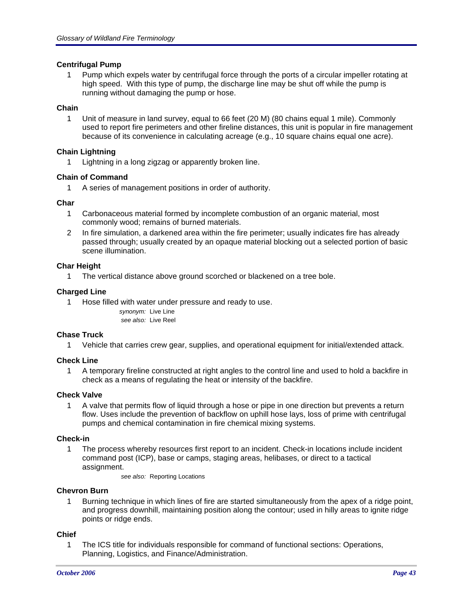## **Centrifugal Pump**

1 Pump which expels water by centrifugal force through the ports of a circular impeller rotating at high speed. With this type of pump, the discharge line may be shut off while the pump is running without damaging the pump or hose.

# **Chain**

1 Unit of measure in land survey, equal to 66 feet (20 M) (80 chains equal 1 mile). Commonly used to report fire perimeters and other fireline distances, this unit is popular in fire management because of its convenience in calculating acreage (e.g., 10 square chains equal one acre).

# **Chain Lightning**

1 Lightning in a long zigzag or apparently broken line.

## **Chain of Command**

1 A series of management positions in order of authority.

## **Char**

- 1 Carbonaceous material formed by incomplete combustion of an organic material, most commonly wood; remains of burned materials.
- 2 In fire simulation, a darkened area within the fire perimeter; usually indicates fire has already passed through; usually created by an opaque material blocking out a selected portion of basic scene illumination.

## **Char Height**

1 The vertical distance above ground scorched or blackened on a tree bole.

## **Charged Line**

1 Hose filled with water under pressure and ready to use.

*synonym:* Live Line *see also:* Live Reel

### **Chase Truck**

1 Vehicle that carries crew gear, supplies, and operational equipment for initial/extended attack.

# **Check Line**

1 A temporary fireline constructed at right angles to the control line and used to hold a backfire in check as a means of regulating the heat or intensity of the backfire.

### **Check Valve**

1 A valve that permits flow of liquid through a hose or pipe in one direction but prevents a return flow. Uses include the prevention of backflow on uphill hose lays, loss of prime with centrifugal pumps and chemical contamination in fire chemical mixing systems.

### **Check-in**

1 The process whereby resources first report to an incident. Check-in locations include incident command post (ICP), base or camps, staging areas, helibases, or direct to a tactical assignment.

*see also:* Reporting Locations

# **Chevron Burn**

1 Burning technique in which lines of fire are started simultaneously from the apex of a ridge point, and progress downhill, maintaining position along the contour; used in hilly areas to ignite ridge points or ridge ends.

### **Chief**

1 The ICS title for individuals responsible for command of functional sections: Operations, Planning, Logistics, and Finance/Administration.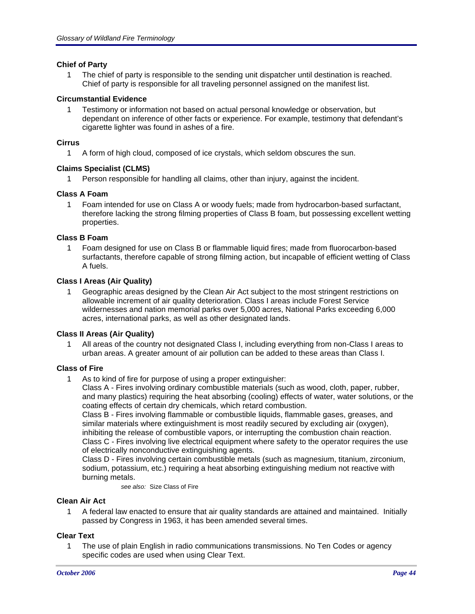### **Chief of Party**

1 The chief of party is responsible to the sending unit dispatcher until destination is reached. Chief of party is responsible for all traveling personnel assigned on the manifest list.

### **Circumstantial Evidence**

1 Testimony or information not based on actual personal knowledge or observation, but dependant on inference of other facts or experience. For example, testimony that defendant's cigarette lighter was found in ashes of a fire.

### **Cirrus**

1 A form of high cloud, composed of ice crystals, which seldom obscures the sun.

## **Claims Specialist (CLMS)**

1 Person responsible for handling all claims, other than injury, against the incident.

## **Class A Foam**

1 Foam intended for use on Class A or woody fuels; made from hydrocarbon-based surfactant, therefore lacking the strong filming properties of Class B foam, but possessing excellent wetting properties.

## **Class B Foam**

1 Foam designed for use on Class B or flammable liquid fires; made from fluorocarbon-based surfactants, therefore capable of strong filming action, but incapable of efficient wetting of Class A fuels.

## **Class I Areas (Air Quality)**

1 Geographic areas designed by the Clean Air Act subject to the most stringent restrictions on allowable increment of air quality deterioration. Class I areas include Forest Service wildernesses and nation memorial parks over 5,000 acres, National Parks exceeding 6,000 acres, international parks, as well as other designated lands.

### **Class II Areas (Air Quality)**

1 All areas of the country not designated Class I, including everything from non-Class I areas to urban areas. A greater amount of air pollution can be added to these areas than Class I.

# **Class of Fire**

1 As to kind of fire for purpose of using a proper extinguisher:

Class A - Fires involving ordinary combustible materials (such as wood, cloth, paper, rubber, and many plastics) requiring the heat absorbing (cooling) effects of water, water solutions, or the coating effects of certain dry chemicals, which retard combustion.

Class B - Fires involving flammable or combustible liquids, flammable gases, greases, and similar materials where extinguishment is most readily secured by excluding air (oxygen), inhibiting the release of combustible vapors, or interrupting the combustion chain reaction. Class C - Fires involving live electrical equipment where safety to the operator requires the use of electrically nonconductive extinguishing agents.

Class D - Fires involving certain combustible metals (such as magnesium, titanium, zirconium, sodium, potassium, etc.) requiring a heat absorbing extinguishing medium not reactive with burning metals.

*see also:* Size Class of Fire

### **Clean Air Act**

1 A federal law enacted to ensure that air quality standards are attained and maintained. Initially passed by Congress in 1963, it has been amended several times.

# **Clear Text**

1 The use of plain English in radio communications transmissions. No Ten Codes or agency specific codes are used when using Clear Text.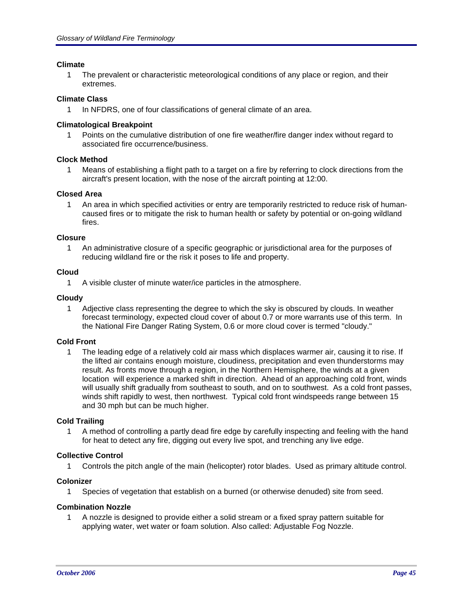### **Climate**

1 The prevalent or characteristic meteorological conditions of any place or region, and their extremes.

## **Climate Class**

1 In NFDRS, one of four classifications of general climate of an area.

## **Climatological Breakpoint**

1 Points on the cumulative distribution of one fire weather/fire danger index without regard to associated fire occurrence/business.

## **Clock Method**

1 Means of establishing a flight path to a target on a fire by referring to clock directions from the aircraft's present location, with the nose of the aircraft pointing at 12:00.

### **Closed Area**

1 An area in which specified activities or entry are temporarily restricted to reduce risk of humancaused fires or to mitigate the risk to human health or safety by potential or on-going wildland fires.

### **Closure**

1 An administrative closure of a specific geographic or jurisdictional area for the purposes of reducing wildland fire or the risk it poses to life and property.

### **Cloud**

1 A visible cluster of minute water/ice particles in the atmosphere.

## **Cloudy**

1 Adjective class representing the degree to which the sky is obscured by clouds. In weather forecast terminology, expected cloud cover of about 0.7 or more warrants use of this term. In the National Fire Danger Rating System, 0.6 or more cloud cover is termed "cloudy."

# **Cold Front**

1 The leading edge of a relatively cold air mass which displaces warmer air, causing it to rise. If the lifted air contains enough moisture, cloudiness, precipitation and even thunderstorms may result. As fronts move through a region, in the Northern Hemisphere, the winds at a given location will experience a marked shift in direction. Ahead of an approaching cold front, winds will usually shift gradually from southeast to south, and on to southwest. As a cold front passes, winds shift rapidly to west, then northwest. Typical cold front windspeeds range between 15 and 30 mph but can be much higher.

### **Cold Trailing**

1 A method of controlling a partly dead fire edge by carefully inspecting and feeling with the hand for heat to detect any fire, digging out every live spot, and trenching any live edge.

### **Collective Control**

1 Controls the pitch angle of the main (helicopter) rotor blades. Used as primary altitude control.

### **Colonizer**

1 Species of vegetation that establish on a burned (or otherwise denuded) site from seed.

### **Combination Nozzle**

1 A nozzle is designed to provide either a solid stream or a fixed spray pattern suitable for applying water, wet water or foam solution. Also called: Adjustable Fog Nozzle.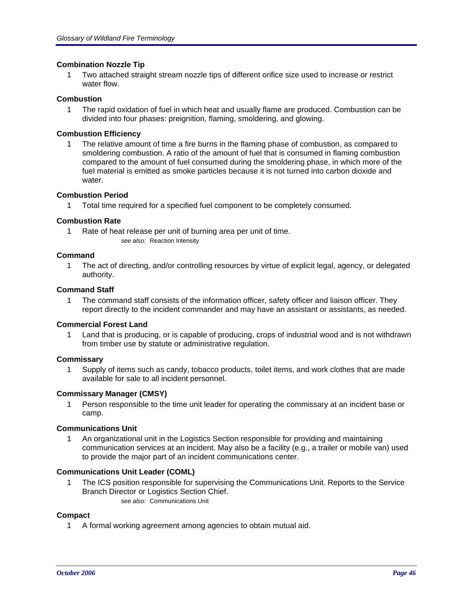## **Combination Nozzle Tip**

1 Two attached straight stream nozzle tips of different orifice size used to increase or restrict water flow.

### **Combustion**

1 The rapid oxidation of fuel in which heat and usually flame are produced. Combustion can be divided into four phases: preignition, flaming, smoldering, and glowing.

### **Combustion Efficiency**

1 The relative amount of time a fire burns in the flaming phase of combustion, as compared to smoldering combustion. A ratio of the amount of fuel that is consumed in flaming combustion compared to the amount of fuel consumed during the smoldering phase, in which more of the fuel material is emitted as smoke particles because it is not turned into carbon dioxide and water.

### **Combustion Period**

1 Total time required for a specified fuel component to be completely consumed.

## **Combustion Rate**

1 Rate of heat release per unit of burning area per unit of time. *see also:* Reaction Intensity

## **Command**

1 The act of directing, and/or controlling resources by virtue of explicit legal, agency, or delegated authority.

### **Command Staff**

1 The command staff consists of the information officer, safety officer and liaison officer. They report directly to the incident commander and may have an assistant or assistants, as needed.

### **Commercial Forest Land**

1 Land that is producing, or is capable of producing, crops of industrial wood and is not withdrawn from timber use by statute or administrative regulation.

### **Commissary**

1 Supply of items such as candy, tobacco products, toilet items, and work clothes that are made available for sale to all incident personnel.

### **Commissary Manager (CMSY)**

1 Person responsible to the time unit leader for operating the commissary at an incident base or camp.

### **Communications Unit**

1 An organizational unit in the Logistics Section responsible for providing and maintaining communication services at an incident. May also be a facility (e.g., a trailer or mobile van) used to provide the major part of an incident communications center.

## **Communications Unit Leader (COML)**

1 The ICS position responsible for supervising the Communications Unit. Reports to the Service Branch Director or Logistics Section Chief. *see also:* Communications Unit

### **Compact**

1 A formal working agreement among agencies to obtain mutual aid.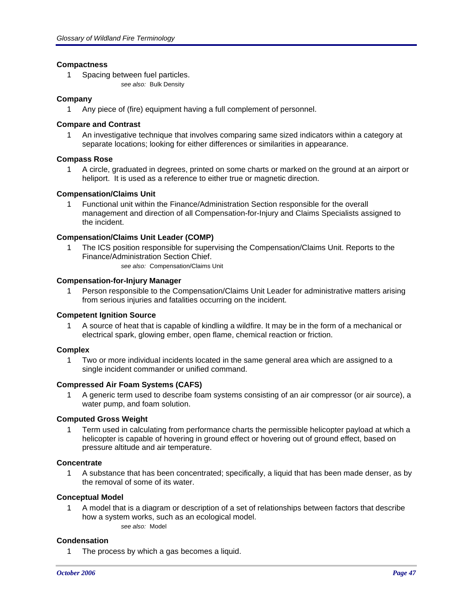### **Compactness**

- 1 Spacing between fuel particles.
	- *see also:* Bulk Density

### **Company**

1 Any piece of (fire) equipment having a full complement of personnel.

### **Compare and Contrast**

1 An investigative technique that involves comparing same sized indicators within a category at separate locations; looking for either differences or similarities in appearance.

## **Compass Rose**

1 A circle, graduated in degrees, printed on some charts or marked on the ground at an airport or heliport. It is used as a reference to either true or magnetic direction.

### **Compensation/Claims Unit**

1 Functional unit within the Finance/Administration Section responsible for the overall management and direction of all Compensation-for-Injury and Claims Specialists assigned to the incident.

## **Compensation/Claims Unit Leader (COMP)**

1 The ICS position responsible for supervising the Compensation/Claims Unit. Reports to the Finance/Administration Section Chief.

*see also:* Compensation/Claims Unit

# **Compensation-for-Injury Manager**

1 Person responsible to the Compensation/Claims Unit Leader for administrative matters arising from serious injuries and fatalities occurring on the incident.

### **Competent Ignition Source**

1 A source of heat that is capable of kindling a wildfire. It may be in the form of a mechanical or electrical spark, glowing ember, open flame, chemical reaction or friction.

### **Complex**

1 Two or more individual incidents located in the same general area which are assigned to a single incident commander or unified command.

### **Compressed Air Foam Systems (CAFS)**

1 A generic term used to describe foam systems consisting of an air compressor (or air source), a water pump, and foam solution.

### **Computed Gross Weight**

1 Term used in calculating from performance charts the permissible helicopter payload at which a helicopter is capable of hovering in ground effect or hovering out of ground effect, based on pressure altitude and air temperature.

### **Concentrate**

1 A substance that has been concentrated; specifically, a liquid that has been made denser, as by the removal of some of its water.

# **Conceptual Model**

1 A model that is a diagram or description of a set of relationships between factors that describe how a system works, such as an ecological model. *see also:* Model

### **Condensation**

1 The process by which a gas becomes a liquid.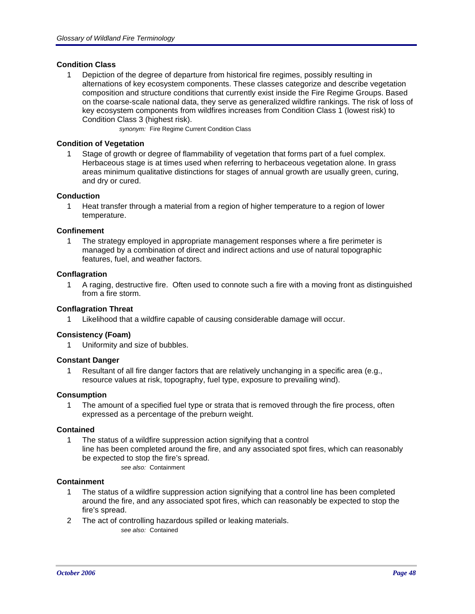## **Condition Class**

1 Depiction of the degree of departure from historical fire regimes, possibly resulting in alternations of key ecosystem components. These classes categorize and describe vegetation composition and structure conditions that currently exist inside the Fire Regime Groups. Based on the coarse-scale national data, they serve as generalized wildfire rankings. The risk of loss of key ecosystem components from wildfires increases from Condition Class 1 (lowest risk) to Condition Class 3 (highest risk).

*synonym:* Fire Regime Current Condition Class

## **Condition of Vegetation**

Stage of growth or degree of flammability of vegetation that forms part of a fuel complex. Herbaceous stage is at times used when referring to herbaceous vegetation alone. In grass areas minimum qualitative distinctions for stages of annual growth are usually green, curing, and dry or cured.

### **Conduction**

1 Heat transfer through a material from a region of higher temperature to a region of lower temperature.

### **Confinement**

1 The strategy employed in appropriate management responses where a fire perimeter is managed by a combination of direct and indirect actions and use of natural topographic features, fuel, and weather factors.

### **Conflagration**

1 A raging, destructive fire. Often used to connote such a fire with a moving front as distinguished from a fire storm.

### **Conflagration Threat**

Likelihood that a wildfire capable of causing considerable damage will occur.

### **Consistency (Foam)**

1 Uniformity and size of bubbles.

### **Constant Danger**

1 Resultant of all fire danger factors that are relatively unchanging in a specific area (e.g., resource values at risk, topography, fuel type, exposure to prevailing wind).

### **Consumption**

1 The amount of a specified fuel type or strata that is removed through the fire process, often expressed as a percentage of the preburn weight.

### **Contained**

1 The status of a wildfire suppression action signifying that a control line has been completed around the fire, and any associated spot fires, which can reasonably be expected to stop the fire's spread. *see also:* Containment

## **Containment**

- 1 The status of a wildfire suppression action signifying that a control line has been completed around the fire, and any associated spot fires, which can reasonably be expected to stop the fire's spread.
- 2 The act of controlling hazardous spilled or leaking materials. *see also:* Contained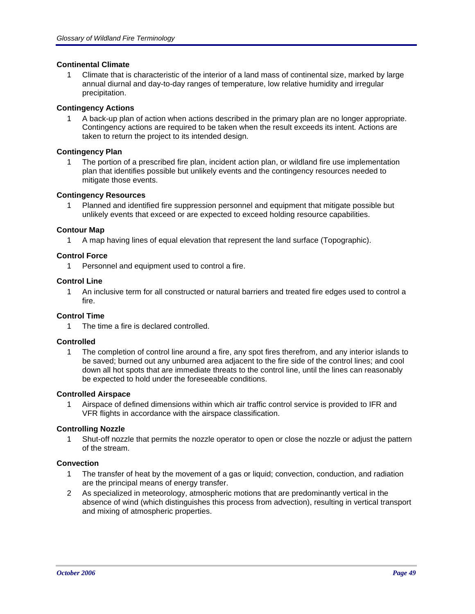## **Continental Climate**

Climate that is characteristic of the interior of a land mass of continental size, marked by large annual diurnal and day-to-day ranges of temperature, low relative humidity and irregular precipitation.

## **Contingency Actions**

1 A back-up plan of action when actions described in the primary plan are no longer appropriate. Contingency actions are required to be taken when the result exceeds its intent. Actions are taken to return the project to its intended design.

## **Contingency Plan**

1 The portion of a prescribed fire plan, incident action plan, or wildland fire use implementation plan that identifies possible but unlikely events and the contingency resources needed to mitigate those events.

## **Contingency Resources**

1 Planned and identified fire suppression personnel and equipment that mitigate possible but unlikely events that exceed or are expected to exceed holding resource capabilities.

## **Contour Map**

1 A map having lines of equal elevation that represent the land surface (Topographic).

## **Control Force**

1 Personnel and equipment used to control a fire.

### **Control Line**

1 An inclusive term for all constructed or natural barriers and treated fire edges used to control a fire.

# **Control Time**

1 The time a fire is declared controlled.

### **Controlled**

1 The completion of control line around a fire, any spot fires therefrom, and any interior islands to be saved; burned out any unburned area adjacent to the fire side of the control lines; and cool down all hot spots that are immediate threats to the control line, until the lines can reasonably be expected to hold under the foreseeable conditions.

### **Controlled Airspace**

1 Airspace of defined dimensions within which air traffic control service is provided to IFR and VFR flights in accordance with the airspace classification.

# **Controlling Nozzle**

1 Shut-off nozzle that permits the nozzle operator to open or close the nozzle or adjust the pattern of the stream.

## **Convection**

- 1 The transfer of heat by the movement of a gas or liquid; convection, conduction, and radiation are the principal means of energy transfer.
- 2 As specialized in meteorology, atmospheric motions that are predominantly vertical in the absence of wind (which distinguishes this process from advection), resulting in vertical transport and mixing of atmospheric properties.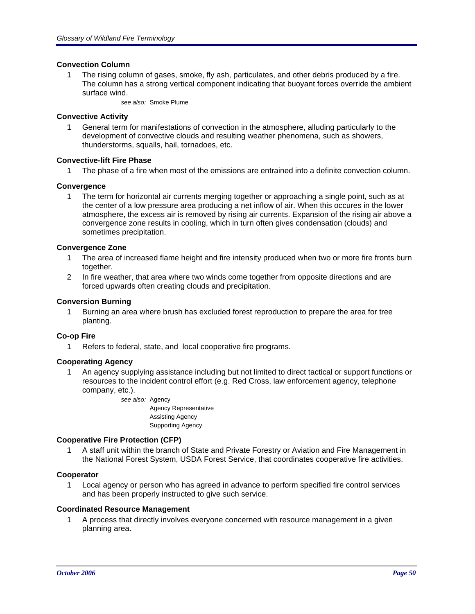## **Convection Column**

1 The rising column of gases, smoke, fly ash, particulates, and other debris produced by a fire. The column has a strong vertical component indicating that buoyant forces override the ambient surface wind.

*see also:* Smoke Plume

### **Convective Activity**

1 General term for manifestations of convection in the atmosphere, alluding particularly to the development of convective clouds and resulting weather phenomena, such as showers, thunderstorms, squalls, hail, tornadoes, etc.

## **Convective-lift Fire Phase**

1 The phase of a fire when most of the emissions are entrained into a definite convection column.

## **Convergence**

1 The term for horizontal air currents merging together or approaching a single point, such as at the center of a low pressure area producing a net inflow of air. When this occures in the lower atmosphere, the excess air is removed by rising air currents. Expansion of the rising air above a convergence zone results in cooling, which in turn often gives condensation (clouds) and sometimes precipitation.

## **Convergence Zone**

- 1 The area of increased flame height and fire intensity produced when two or more fire fronts burn together.
- 2 In fire weather, that area where two winds come together from opposite directions and are forced upwards often creating clouds and precipitation.

## **Conversion Burning**

1 Burning an area where brush has excluded forest reproduction to prepare the area for tree planting.

### **Co-op Fire**

1 Refers to federal, state, and local cooperative fire programs.

### **Cooperating Agency**

1 An agency supplying assistance including but not limited to direct tactical or support functions or resources to the incident control effort (e.g. Red Cross, law enforcement agency, telephone company, etc.).

> *see also:* Agency Agency Representative Assisting Agency Supporting Agency

### **Cooperative Fire Protection (CFP)**

1 A staff unit within the branch of State and Private Forestry or Aviation and Fire Management in the National Forest System, USDA Forest Service, that coordinates cooperative fire activities.

### **Cooperator**

1 Local agency or person who has agreed in advance to perform specified fire control services and has been properly instructed to give such service.

### **Coordinated Resource Management**

1 A process that directly involves everyone concerned with resource management in a given planning area.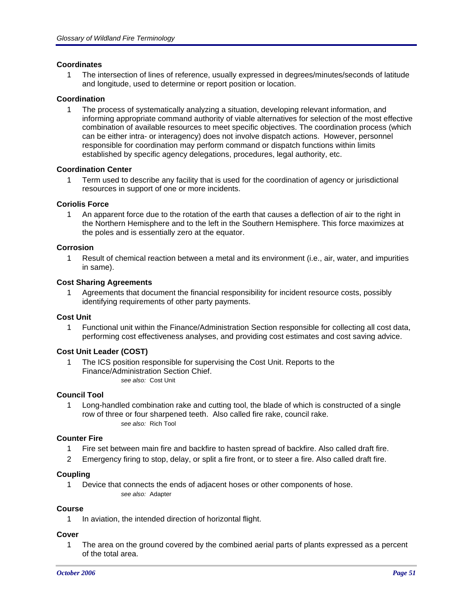### **Coordinates**

1 The intersection of lines of reference, usually expressed in degrees/minutes/seconds of latitude and longitude, used to determine or report position or location.

## **Coordination**

1 The process of systematically analyzing a situation, developing relevant information, and informing appropriate command authority of viable alternatives for selection of the most effective combination of available resources to meet specific objectives. The coordination process (which can be either intra- or interagency) does not involve dispatch actions. However, personnel responsible for coordination may perform command or dispatch functions within limits established by specific agency delegations, procedures, legal authority, etc.

### **Coordination Center**

1 Term used to describe any facility that is used for the coordination of agency or jurisdictional resources in support of one or more incidents.

# **Coriolis Force**

1 An apparent force due to the rotation of the earth that causes a deflection of air to the right in the Northern Hemisphere and to the left in the Southern Hemisphere. This force maximizes at the poles and is essentially zero at the equator.

## **Corrosion**

1 Result of chemical reaction between a metal and its environment (i.e., air, water, and impurities in same).

### **Cost Sharing Agreements**

1 Agreements that document the financial responsibility for incident resource costs, possibly identifying requirements of other party payments.

### **Cost Unit**

1 Functional unit within the Finance/Administration Section responsible for collecting all cost data, performing cost effectiveness analyses, and providing cost estimates and cost saving advice.

### **Cost Unit Leader (COST)**

1 The ICS position responsible for supervising the Cost Unit. Reports to the Finance/Administration Section Chief. *see also:* Cost Unit

### **Council Tool**

1 Long-handled combination rake and cutting tool, the blade of which is constructed of a single row of three or four sharpened teeth. Also called fire rake, council rake. *see also:* Rich Tool

### **Counter Fire**

- 1 Fire set between main fire and backfire to hasten spread of backfire. Also called draft fire.
- 2 Emergency firing to stop, delay, or split a fire front, or to steer a fire. Also called draft fire.

### **Coupling**

1 Device that connects the ends of adjacent hoses or other components of hose. *see also:* Adapter

# **Course**

1 In aviation, the intended direction of horizontal flight.

### **Cover**

1 The area on the ground covered by the combined aerial parts of plants expressed as a percent of the total area.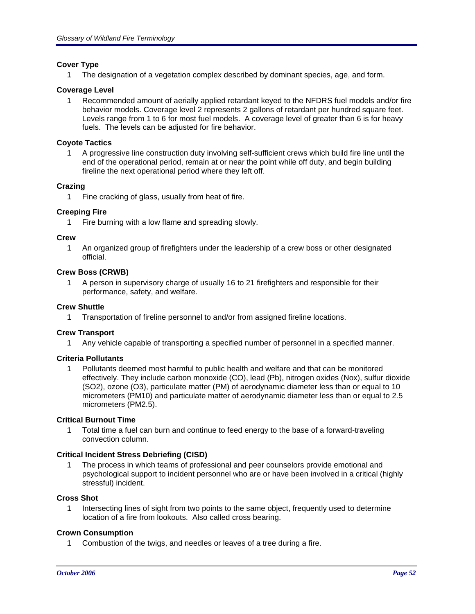# **Cover Type**

1 The designation of a vegetation complex described by dominant species, age, and form.

## **Coverage Level**

1 Recommended amount of aerially applied retardant keyed to the NFDRS fuel models and/or fire behavior models. Coverage level 2 represents 2 gallons of retardant per hundred square feet. Levels range from 1 to 6 for most fuel models. A coverage level of greater than 6 is for heavy fuels. The levels can be adjusted for fire behavior.

## **Coyote Tactics**

1 A progressive line construction duty involving self-sufficient crews which build fire line until the end of the operational period, remain at or near the point while off duty, and begin building fireline the next operational period where they left off.

## **Crazing**

1 Fine cracking of glass, usually from heat of fire.

## **Creeping Fire**

1 Fire burning with a low flame and spreading slowly.

### **Crew**

1 An organized group of firefighters under the leadership of a crew boss or other designated official.

### **Crew Boss (CRWB)**

1 A person in supervisory charge of usually 16 to 21 firefighters and responsible for their performance, safety, and welfare.

### **Crew Shuttle**

1 Transportation of fireline personnel to and/or from assigned fireline locations.

### **Crew Transport**

1 Any vehicle capable of transporting a specified number of personnel in a specified manner.

# **Criteria Pollutants**

1 Pollutants deemed most harmful to public health and welfare and that can be monitored effectively. They include carbon monoxide (CO), lead (Pb), nitrogen oxides (Nox), sulfur dioxide (SO2), ozone (O3), particulate matter (PM) of aerodynamic diameter less than or equal to 10 micrometers (PM10) and particulate matter of aerodynamic diameter less than or equal to 2.5 micrometers (PM2.5).

# **Critical Burnout Time**

1 Total time a fuel can burn and continue to feed energy to the base of a forward-traveling convection column.

# **Critical Incident Stress Debriefing (CISD)**

1 The process in which teams of professional and peer counselors provide emotional and psychological support to incident personnel who are or have been involved in a critical (highly stressful) incident.

### **Cross Shot**

1 Intersecting lines of sight from two points to the same object, frequently used to determine location of a fire from lookouts. Also called cross bearing.

# **Crown Consumption**

1 Combustion of the twigs, and needles or leaves of a tree during a fire.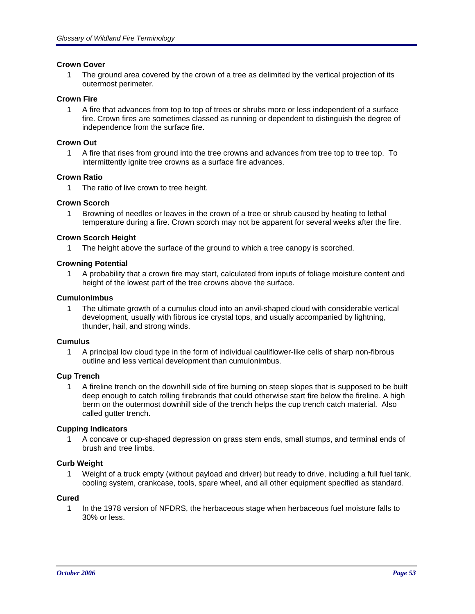### **Crown Cover**

1 The ground area covered by the crown of a tree as delimited by the vertical projection of its outermost perimeter.

### **Crown Fire**

1 A fire that advances from top to top of trees or shrubs more or less independent of a surface fire. Crown fires are sometimes classed as running or dependent to distinguish the degree of independence from the surface fire.

### **Crown Out**

1 A fire that rises from ground into the tree crowns and advances from tree top to tree top. To intermittently ignite tree crowns as a surface fire advances.

## **Crown Ratio**

1 The ratio of live crown to tree height.

## **Crown Scorch**

1 Browning of needles or leaves in the crown of a tree or shrub caused by heating to lethal temperature during a fire. Crown scorch may not be apparent for several weeks after the fire.

### **Crown Scorch Height**

1 The height above the surface of the ground to which a tree canopy is scorched.

## **Crowning Potential**

1 A probability that a crown fire may start, calculated from inputs of foliage moisture content and height of the lowest part of the tree crowns above the surface.

### **Cumulonimbus**

1 The ultimate growth of a cumulus cloud into an anvil-shaped cloud with considerable vertical development, usually with fibrous ice crystal tops, and usually accompanied by lightning, thunder, hail, and strong winds.

### **Cumulus**

1 A principal low cloud type in the form of individual cauliflower-like cells of sharp non-fibrous outline and less vertical development than cumulonimbus.

### **Cup Trench**

1 A fireline trench on the downhill side of fire burning on steep slopes that is supposed to be built deep enough to catch rolling firebrands that could otherwise start fire below the fireline. A high berm on the outermost downhill side of the trench helps the cup trench catch material. Also called gutter trench.

### **Cupping Indicators**

1 A concave or cup-shaped depression on grass stem ends, small stumps, and terminal ends of brush and tree limbs.

### **Curb Weight**

1 Weight of a truck empty (without payload and driver) but ready to drive, including a full fuel tank, cooling system, crankcase, tools, spare wheel, and all other equipment specified as standard.

# **Cured**

1 In the 1978 version of NFDRS, the herbaceous stage when herbaceous fuel moisture falls to 30% or less.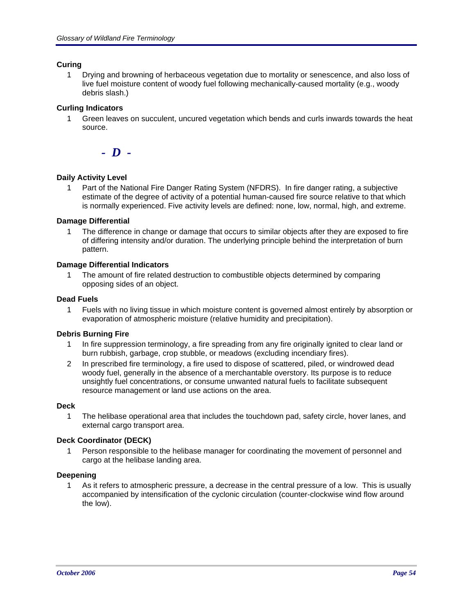## **Curing**

1 Drying and browning of herbaceous vegetation due to mortality or senescence, and also loss of live fuel moisture content of woody fuel following mechanically-caused mortality (e.g., woody debris slash.)

## **Curling Indicators**

1 Green leaves on succulent, uncured vegetation which bends and curls inwards towards the heat source.

*- D -*

## **Daily Activity Level**

1 Part of the National Fire Danger Rating System (NFDRS). In fire danger rating, a subjective estimate of the degree of activity of a potential human-caused fire source relative to that which is normally experienced. Five activity levels are defined: none, low, normal, high, and extreme.

### **Damage Differential**

1 The difference in change or damage that occurs to similar objects after they are exposed to fire of differing intensity and/or duration. The underlying principle behind the interpretation of burn pattern.

## **Damage Differential Indicators**

1 The amount of fire related destruction to combustible objects determined by comparing opposing sides of an object.

### **Dead Fuels**

1 Fuels with no living tissue in which moisture content is governed almost entirely by absorption or evaporation of atmospheric moisture (relative humidity and precipitation).

### **Debris Burning Fire**

- 1 In fire suppression terminology, a fire spreading from any fire originally ignited to clear land or burn rubbish, garbage, crop stubble, or meadows (excluding incendiary fires).
- 2 In prescribed fire terminology, a fire used to dispose of scattered, piled, or windrowed dead woody fuel, generally in the absence of a merchantable overstory. Its purpose is to reduce unsightly fuel concentrations, or consume unwanted natural fuels to facilitate subsequent resource management or land use actions on the area.

#### **Deck**

1 The helibase operational area that includes the touchdown pad, safety circle, hover lanes, and external cargo transport area.

# **Deck Coordinator (DECK)**

1 Person responsible to the helibase manager for coordinating the movement of personnel and cargo at the helibase landing area.

### **Deepening**

1 As it refers to atmospheric pressure, a decrease in the central pressure of a low. This is usually accompanied by intensification of the cyclonic circulation (counter-clockwise wind flow around the low).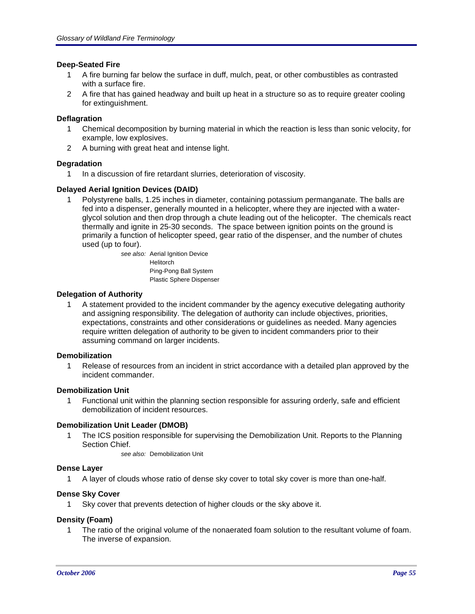### **Deep-Seated Fire**

- 1 A fire burning far below the surface in duff, mulch, peat, or other combustibles as contrasted with a surface fire.
- 2 A fire that has gained headway and built up heat in a structure so as to require greater cooling for extinguishment.

### **Deflagration**

- 1 Chemical decomposition by burning material in which the reaction is less than sonic velocity, for example, low explosives.
- 2 A burning with great heat and intense light.

## **Degradation**

1 In a discussion of fire retardant slurries, deterioration of viscosity.

## **Delayed Aerial Ignition Devices (DAID)**

1 Polystyrene balls, 1.25 inches in diameter, containing potassium permanganate. The balls are fed into a dispenser, generally mounted in a helicopter, where they are injected with a waterglycol solution and then drop through a chute leading out of the helicopter. The chemicals react thermally and ignite in 25-30 seconds. The space between ignition points on the ground is primarily a function of helicopter speed, gear ratio of the dispenser, and the number of chutes used (up to four).

*see also:* Aerial Ignition Device Helitorch Ping-Pong Ball System Plastic Sphere Dispenser

## **Delegation of Authority**

1 A statement provided to the incident commander by the agency executive delegating authority and assigning responsibility. The delegation of authority can include objectives, priorities, expectations, constraints and other considerations or guidelines as needed. Many agencies require written delegation of authority to be given to incident commanders prior to their assuming command on larger incidents.

### **Demobilization**

1 Release of resources from an incident in strict accordance with a detailed plan approved by the incident commander.

### **Demobilization Unit**

1 Functional unit within the planning section responsible for assuring orderly, safe and efficient demobilization of incident resources.

### **Demobilization Unit Leader (DMOB)**

1 The ICS position responsible for supervising the Demobilization Unit. Reports to the Planning Section Chief.

*see also:* Demobilization Unit

### **Dense Layer**

1 A layer of clouds whose ratio of dense sky cover to total sky cover is more than one-half.

### **Dense Sky Cover**

1 Sky cover that prevents detection of higher clouds or the sky above it.

### **Density (Foam)**

1 The ratio of the original volume of the nonaerated foam solution to the resultant volume of foam. The inverse of expansion.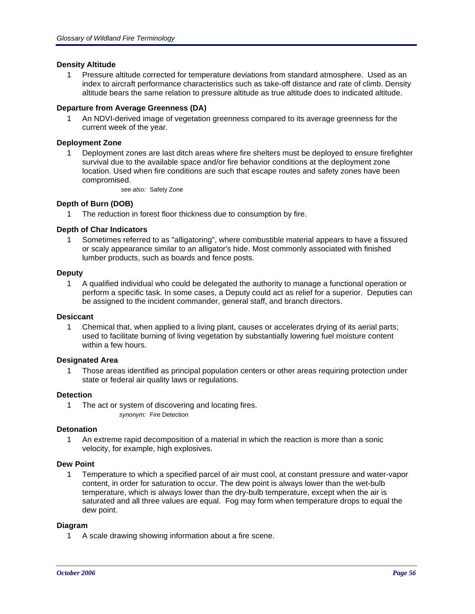### **Density Altitude**

1 Pressure altitude corrected for temperature deviations from standard atmosphere. Used as an index to aircraft performance characteristics such as take-off distance and rate of climb. Density altitude bears the same relation to pressure altitude as true altitude does to indicated altitude.

## **Departure from Average Greenness (DA)**

1 An NDVI-derived image of vegetation greenness compared to its average greenness for the current week of the year.

### **Deployment Zone**

1 Deployment zones are last ditch areas where fire shelters must be deployed to ensure firefighter survival due to the available space and/or fire behavior conditions at the deployment zone location. Used when fire conditions are such that escape routes and safety zones have been compromised.

*see also:* Safety Zone

## **Depth of Burn (DOB)**

1 The reduction in forest floor thickness due to consumption by fire.

## **Depth of Char Indicators**

1 Sometimes referred to as "alligatoring", where combustible material appears to have a fissured or scaly appearance similar to an alligator's hide. Most commonly associated with finished lumber products, such as boards and fence posts.

### **Deputy**

1 A qualified individual who could be delegated the authority to manage a functional operation or perform a specific task. In some cases, a Deputy could act as relief for a superior. Deputies can be assigned to the incident commander, general staff, and branch directors.

### **Desiccant**

1 Chemical that, when applied to a living plant, causes or accelerates drying of its aerial parts; used to facilitate burning of living vegetation by substantially lowering fuel moisture content within a few hours.

### **Designated Area**

1 Those areas identified as principal population centers or other areas requiring protection under state or federal air quality laws or regulations.

### **Detection**

1 The act or system of discovering and locating fires. *synonym:* Fire Detection

### **Detonation**

1 An extreme rapid decomposition of a material in which the reaction is more than a sonic velocity, for example, high explosives.

### **Dew Point**

1 Temperature to which a specified parcel of air must cool, at constant pressure and water-vapor content, in order for saturation to occur. The dew point is always lower than the wet-bulb temperature, which is always lower than the dry-bulb temperature, except when the air is saturated and all three values are equal. Fog may form when temperature drops to equal the dew point.

### **Diagram**

1 A scale drawing showing information about a fire scene.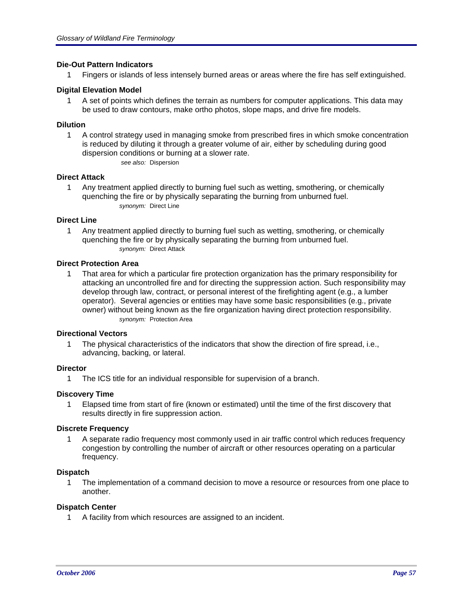### **Die-Out Pattern Indicators**

1 Fingers or islands of less intensely burned areas or areas where the fire has self extinguished.

## **Digital Elevation Model**

1 A set of points which defines the terrain as numbers for computer applications. This data may be used to draw contours, make ortho photos, slope maps, and drive fire models.

### **Dilution**

1 A control strategy used in managing smoke from prescribed fires in which smoke concentration is reduced by diluting it through a greater volume of air, either by scheduling during good dispersion conditions or burning at a slower rate. *see also:* Dispersion

### **Direct Attack**

1 Any treatment applied directly to burning fuel such as wetting, smothering, or chemically quenching the fire or by physically separating the burning from unburned fuel. *synonym:* Direct Line

### **Direct Line**

1 Any treatment applied directly to burning fuel such as wetting, smothering, or chemically quenching the fire or by physically separating the burning from unburned fuel. *synonym:* Direct Attack

### **Direct Protection Area**

1 That area for which a particular fire protection organization has the primary responsibility for attacking an uncontrolled fire and for directing the suppression action. Such responsibility may develop through law, contract, or personal interest of the firefighting agent (e.g., a lumber operator). Several agencies or entities may have some basic responsibilities (e.g., private owner) without being known as the fire organization having direct protection responsibility. *synonym:* Protection Area

### **Directional Vectors**

1 The physical characteristics of the indicators that show the direction of fire spread, i.e., advancing, backing, or lateral.

### **Director**

1 The ICS title for an individual responsible for supervision of a branch.

### **Discovery Time**

1 Elapsed time from start of fire (known or estimated) until the time of the first discovery that results directly in fire suppression action.

### **Discrete Frequency**

1 A separate radio frequency most commonly used in air traffic control which reduces frequency congestion by controlling the number of aircraft or other resources operating on a particular frequency.

### **Dispatch**

1 The implementation of a command decision to move a resource or resources from one place to another.

### **Dispatch Center**

1 A facility from which resources are assigned to an incident.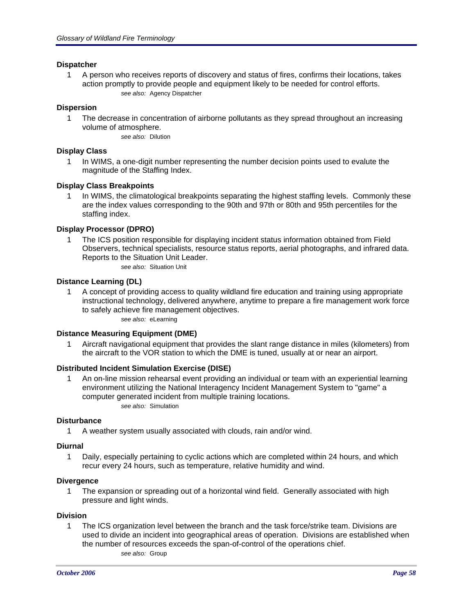### **Dispatcher**

1 A person who receives reports of discovery and status of fires, confirms their locations, takes action promptly to provide people and equipment likely to be needed for control efforts. *see also:* Agency Dispatcher

## **Dispersion**

1 The decrease in concentration of airborne pollutants as they spread throughout an increasing volume of atmosphere.

*see also:* Dilution

### **Display Class**

1 In WIMS, a one-digit number representing the number decision points used to evalute the magnitude of the Staffing Index.

## **Display Class Breakpoints**

In WIMS, the climatological breakpoints separating the highest staffing levels. Commonly these are the index values corresponding to the 90th and 97th or 80th and 95th percentiles for the staffing index.

## **Display Processor (DPRO)**

1 The ICS position responsible for displaying incident status information obtained from Field Observers, technical specialists, resource status reports, aerial photographs, and infrared data. Reports to the Situation Unit Leader.

*see also:* Situation Unit

# **Distance Learning (DL)**

1 A concept of providing access to quality wildland fire education and training using appropriate instructional technology, delivered anywhere, anytime to prepare a fire management work force to safely achieve fire management objectives.

*see also:* eLearning

### **Distance Measuring Equipment (DME)**

1 Aircraft navigational equipment that provides the slant range distance in miles (kilometers) from the aircraft to the VOR station to which the DME is tuned, usually at or near an airport.

# **Distributed Incident Simulation Exercise (DISE)**

1 An on-line mission rehearsal event providing an individual or team with an experiential learning environment utilizing the National Interagency Incident Management System to "game" a computer generated incident from multiple training locations. *see also:* Simulation

### **Disturbance**

1 A weather system usually associated with clouds, rain and/or wind.

### **Diurnal**

1 Daily, especially pertaining to cyclic actions which are completed within 24 hours, and which recur every 24 hours, such as temperature, relative humidity and wind.

### **Divergence**

1 The expansion or spreading out of a horizontal wind field. Generally associated with high pressure and light winds.

### **Division**

1 The ICS organization level between the branch and the task force/strike team. Divisions are used to divide an incident into geographical areas of operation. Divisions are established when the number of resources exceeds the span-of-control of the operations chief. *see also:* Group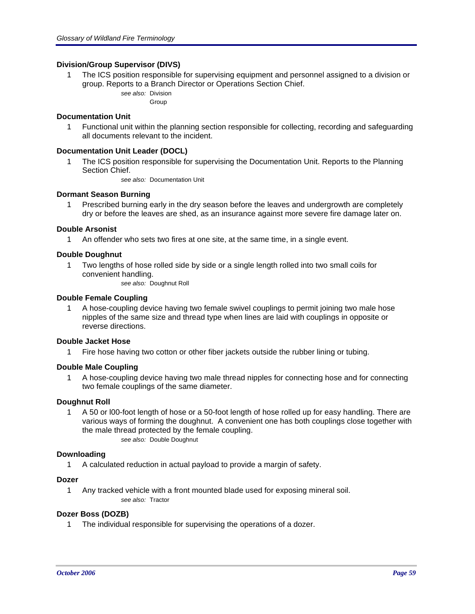### **Division/Group Supervisor (DIVS)**

- 1 The ICS position responsible for supervising equipment and personnel assigned to a division or group. Reports to a Branch Director or Operations Section Chief.
	- *see also:* Division

Group

### **Documentation Unit**

1 Functional unit within the planning section responsible for collecting, recording and safeguarding all documents relevant to the incident.

### **Documentation Unit Leader (DOCL)**

1 The ICS position responsible for supervising the Documentation Unit. Reports to the Planning Section Chief.

*see also:* Documentation Unit

## **Dormant Season Burning**

1 Prescribed burning early in the dry season before the leaves and undergrowth are completely dry or before the leaves are shed, as an insurance against more severe fire damage later on.

### **Double Arsonist**

1 An offender who sets two fires at one site, at the same time, in a single event.

### **Double Doughnut**

1 Two lengths of hose rolled side by side or a single length rolled into two small coils for convenient handling.

*see also:* Doughnut Roll

### **Double Female Coupling**

1 A hose-coupling device having two female swivel couplings to permit joining two male hose nipples of the same size and thread type when lines are laid with couplings in opposite or reverse directions.

### **Double Jacket Hose**

1 Fire hose having two cotton or other fiber jackets outside the rubber lining or tubing.

### **Double Male Coupling**

1 A hose-coupling device having two male thread nipples for connecting hose and for connecting two female couplings of the same diameter.

### **Doughnut Roll**

1 A 50 or l00-foot length of hose or a 50-foot length of hose rolled up for easy handling. There are various ways of forming the doughnut. A convenient one has both couplings close together with the male thread protected by the female coupling. *see also:* Double Doughnut

### **Downloading**

1 A calculated reduction in actual payload to provide a margin of safety.

### **Dozer**

1 Any tracked vehicle with a front mounted blade used for exposing mineral soil. *see also:* Tractor

## **Dozer Boss (DOZB)**

1 The individual responsible for supervising the operations of a dozer.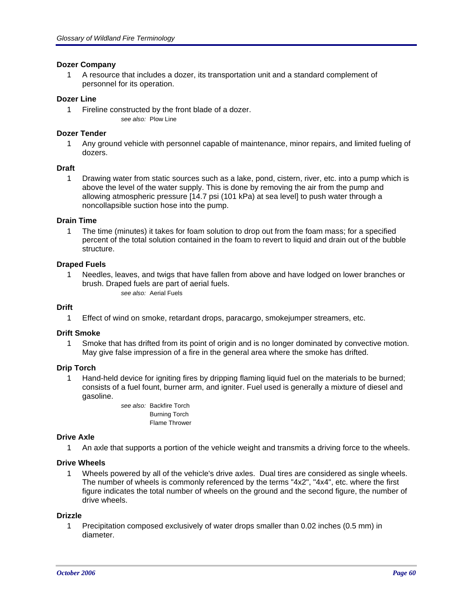### **Dozer Company**

1 A resource that includes a dozer, its transportation unit and a standard complement of personnel for its operation.

#### **Dozer Line**

1 Fireline constructed by the front blade of a dozer. *see also:* Plow Line

#### **Dozer Tender**

1 Any ground vehicle with personnel capable of maintenance, minor repairs, and limited fueling of dozers.

#### **Draft**

1 Drawing water from static sources such as a lake, pond, cistern, river, etc. into a pump which is above the level of the water supply. This is done by removing the air from the pump and allowing atmospheric pressure [14.7 psi (101 kPa) at sea level] to push water through a noncollapsible suction hose into the pump.

#### **Drain Time**

1 The time (minutes) it takes for foam solution to drop out from the foam mass; for a specified percent of the total solution contained in the foam to revert to liquid and drain out of the bubble structure.

#### **Draped Fuels**

1 Needles, leaves, and twigs that have fallen from above and have lodged on lower branches or brush. Draped fuels are part of aerial fuels.

*see also:* Aerial Fuels

### **Drift**

1 Effect of wind on smoke, retardant drops, paracargo, smokejumper streamers, etc.

#### **Drift Smoke**

1 Smoke that has drifted from its point of origin and is no longer dominated by convective motion. May give false impression of a fire in the general area where the smoke has drifted.

### **Drip Torch**

1 Hand-held device for igniting fires by dripping flaming liquid fuel on the materials to be burned; consists of a fuel fount, burner arm, and igniter. Fuel used is generally a mixture of diesel and gasoline.

> *see also:* Backfire Torch Burning Torch Flame Thrower

### **Drive Axle**

1 An axle that supports a portion of the vehicle weight and transmits a driving force to the wheels.

#### **Drive Wheels**

1 Wheels powered by all of the vehicle's drive axles. Dual tires are considered as single wheels. The number of wheels is commonly referenced by the terms "4x2", "4x4", etc. where the first figure indicates the total number of wheels on the ground and the second figure, the number of drive wheels.

#### **Drizzle**

1 Precipitation composed exclusively of water drops smaller than 0.02 inches (0.5 mm) in diameter.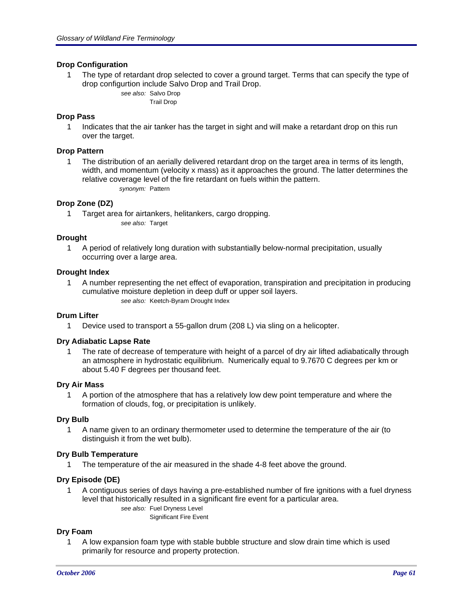## **Drop Configuration**

1 The type of retardant drop selected to cover a ground target. Terms that can specify the type of drop configurtion include Salvo Drop and Trail Drop.

> *see also:* Salvo Drop Trail Drop

### **Drop Pass**

1 Indicates that the air tanker has the target in sight and will make a retardant drop on this run over the target.

### **Drop Pattern**

1 The distribution of an aerially delivered retardant drop on the target area in terms of its length, width, and momentum (velocity x mass) as it approaches the ground. The latter determines the relative coverage level of the fire retardant on fuels within the pattern. *synonym:* Pattern

## **Drop Zone (DZ)**

1 Target area for airtankers, helitankers, cargo dropping. *see also:* Target

### **Drought**

1 A period of relatively long duration with substantially below-normal precipitation, usually occurring over a large area.

### **Drought Index**

1 A number representing the net effect of evaporation, transpiration and precipitation in producing cumulative moisture depletion in deep duff or upper soil layers. *see also:* Keetch-Byram Drought Index

### **Drum Lifter**

1 Device used to transport a 55-gallon drum (208 L) via sling on a helicopter.

### **Dry Adiabatic Lapse Rate**

1 The rate of decrease of temperature with height of a parcel of dry air lifted adiabatically through an atmosphere in hydrostatic equilibrium. Numerically equal to 9.7670 C degrees per km or about 5.40 F degrees per thousand feet.

### **Dry Air Mass**

1 A portion of the atmosphere that has a relatively low dew point temperature and where the formation of clouds, fog, or precipitation is unlikely.

### **Dry Bulb**

1 A name given to an ordinary thermometer used to determine the temperature of the air (to distinguish it from the wet bulb).

### **Dry Bulb Temperature**

1 The temperature of the air measured in the shade 4-8 feet above the ground.

### **Dry Episode (DE)**

1 A contiguous series of days having a pre-established number of fire ignitions with a fuel dryness level that historically resulted in a significant fire event for a particular area. *see also:* Fuel Dryness Level

Significant Fire Event

### **Dry Foam**

1 A low expansion foam type with stable bubble structure and slow drain time which is used primarily for resource and property protection.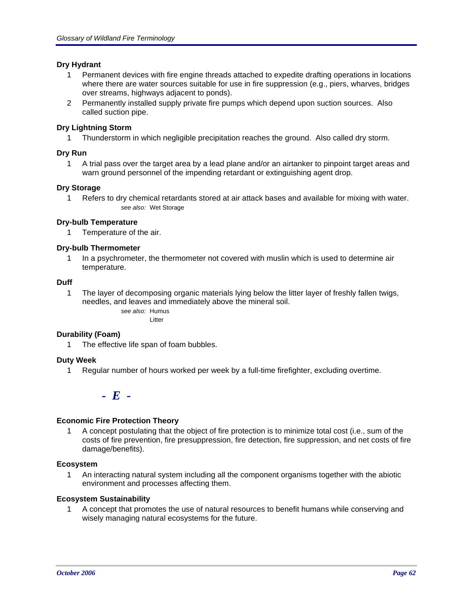## **Dry Hydrant**

- 1 Permanent devices with fire engine threads attached to expedite drafting operations in locations where there are water sources suitable for use in fire suppression (e.g., piers, wharves, bridges over streams, highways adjacent to ponds).
- 2 Permanently installed supply private fire pumps which depend upon suction sources. Also called suction pipe.

## **Dry Lightning Storm**

1 Thunderstorm in which negligible precipitation reaches the ground. Also called dry storm.

# **Dry Run**

1 A trial pass over the target area by a lead plane and/or an airtanker to pinpoint target areas and warn ground personnel of the impending retardant or extinguishing agent drop.

## **Dry Storage**

1 Refers to dry chemical retardants stored at air attack bases and available for mixing with water. *see also:* Wet Storage

## **Dry-bulb Temperature**

1 Temperature of the air.

## **Dry-bulb Thermometer**

1 In a psychrometer, the thermometer not covered with muslin which is used to determine air temperature.

## **Duff**

1 The layer of decomposing organic materials lying below the litter layer of freshly fallen twigs, needles, and leaves and immediately above the mineral soil. *see also:* Humus

Litter

### **Durability (Foam)**

1 The effective life span of foam bubbles.

# **Duty Week**

1 Regular number of hours worked per week by a full-time firefighter, excluding overtime.

*- E -*

# **Economic Fire Protection Theory**

1 A concept postulating that the object of fire protection is to minimize total cost (i.e., sum of the costs of fire prevention, fire presuppression, fire detection, fire suppression, and net costs of fire damage/benefits).

## **Ecosystem**

1 An interacting natural system including all the component organisms together with the abiotic environment and processes affecting them.

### **Ecosystem Sustainability**

1 A concept that promotes the use of natural resources to benefit humans while conserving and wisely managing natural ecosystems for the future.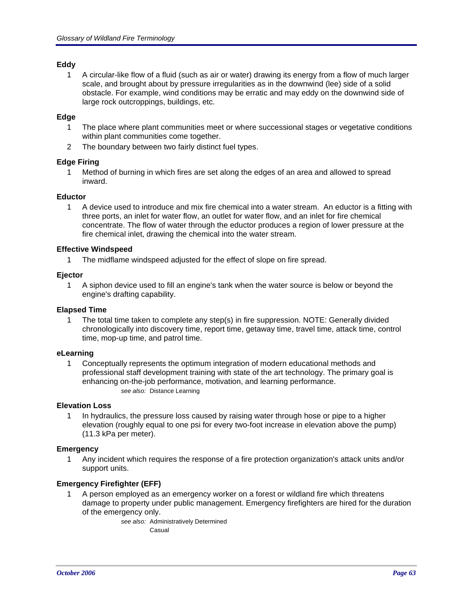# **Eddy**

1 A circular-like flow of a fluid (such as air or water) drawing its energy from a flow of much larger scale, and brought about by pressure irregularities as in the downwind (lee) side of a solid obstacle. For example, wind conditions may be erratic and may eddy on the downwind side of large rock outcroppings, buildings, etc.

## **Edge**

- 1 The place where plant communities meet or where successional stages or vegetative conditions within plant communities come together.
- 2 The boundary between two fairly distinct fuel types.

## **Edge Firing**

1 Method of burning in which fires are set along the edges of an area and allowed to spread inward.

## **Eductor**

1 A device used to introduce and mix fire chemical into a water stream. An eductor is a fitting with three ports, an inlet for water flow, an outlet for water flow, and an inlet for fire chemical concentrate. The flow of water through the eductor produces a region of lower pressure at the fire chemical inlet, drawing the chemical into the water stream.

## **Effective Windspeed**

1 The midflame windspeed adjusted for the effect of slope on fire spread.

## **Ejector**

1 A siphon device used to fill an engine's tank when the water source is below or beyond the engine's drafting capability.

### **Elapsed Time**

1 The total time taken to complete any step(s) in fire suppression. NOTE: Generally divided chronologically into discovery time, report time, getaway time, travel time, attack time, control time, mop-up time, and patrol time.

### **eLearning**

1 Conceptually represents the optimum integration of modern educational methods and professional staff development training with state of the art technology. The primary goal is enhancing on-the-job performance, motivation, and learning performance. *see also:* Distance Learning

# **Elevation Loss**

1 In hydraulics, the pressure loss caused by raising water through hose or pipe to a higher elevation (roughly equal to one psi for every two-foot increase in elevation above the pump) (11.3 kPa per meter).

### **Emergency**

1 Any incident which requires the response of a fire protection organization's attack units and/or support units.

# **Emergency Firefighter (EFF)**

1 A person employed as an emergency worker on a forest or wildland fire which threatens damage to property under public management. Emergency firefighters are hired for the duration of the emergency only.

> *see also:* Administratively Determined Casual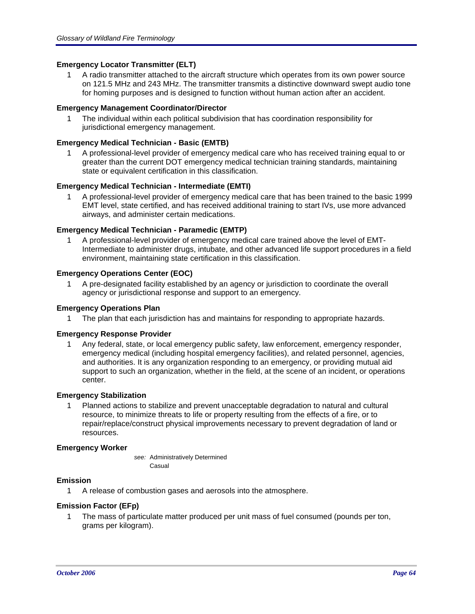# **Emergency Locator Transmitter (ELT)**

1 A radio transmitter attached to the aircraft structure which operates from its own power source on 121.5 MHz and 243 MHz. The transmitter transmits a distinctive downward swept audio tone for homing purposes and is designed to function without human action after an accident.

### **Emergency Management Coordinator/Director**

1 The individual within each political subdivision that has coordination responsibility for jurisdictional emergency management.

## **Emergency Medical Technician - Basic (EMTB)**

1 A professional-level provider of emergency medical care who has received training equal to or greater than the current DOT emergency medical technician training standards, maintaining state or equivalent certification in this classification.

## **Emergency Medical Technician - Intermediate (EMTI)**

1 A professional-level provider of emergency medical care that has been trained to the basic 1999 EMT level, state certified, and has received additional training to start IVs, use more advanced airways, and administer certain medications.

## **Emergency Medical Technician - Paramedic (EMTP)**

1 A professional-level provider of emergency medical care trained above the level of EMT-Intermediate to administer drugs, intubate, and other advanced life support procedures in a field environment, maintaining state certification in this classification.

### **Emergency Operations Center (EOC)**

1 A pre-designated facility established by an agency or jurisdiction to coordinate the overall agency or jurisdictional response and support to an emergency.

### **Emergency Operations Plan**

1 The plan that each jurisdiction has and maintains for responding to appropriate hazards.

### **Emergency Response Provider**

1 Any federal, state, or local emergency public safety, law enforcement, emergency responder, emergency medical (including hospital emergency facilities), and related personnel, agencies, and authorities. It is any organization responding to an emergency, or providing mutual aid support to such an organization, whether in the field, at the scene of an incident, or operations center.

### **Emergency Stabilization**

1 Planned actions to stabilize and prevent unacceptable degradation to natural and cultural resource, to minimize threats to life or property resulting from the effects of a fire, or to repair/replace/construct physical improvements necessary to prevent degradation of land or resources.

### **Emergency Worker**

*see:* Administratively Determined Casual

# **Emission**

1 A release of combustion gases and aerosols into the atmosphere.

# **Emission Factor (EFp)**

1 The mass of particulate matter produced per unit mass of fuel consumed (pounds per ton, grams per kilogram).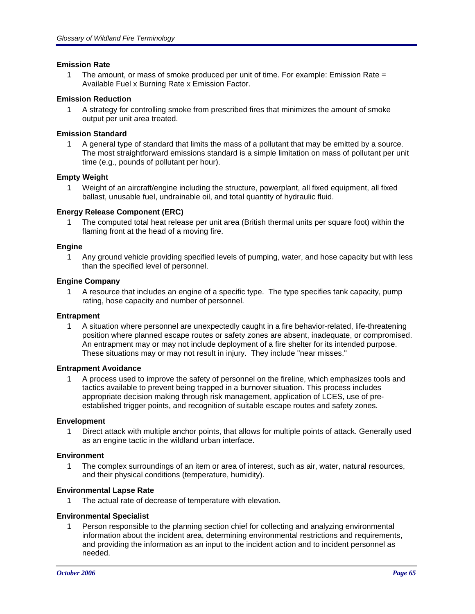### **Emission Rate**

1 The amount, or mass of smoke produced per unit of time. For example: Emission Rate = Available Fuel x Burning Rate x Emission Factor.

## **Emission Reduction**

1 A strategy for controlling smoke from prescribed fires that minimizes the amount of smoke output per unit area treated.

## **Emission Standard**

1 A general type of standard that limits the mass of a pollutant that may be emitted by a source. The most straightforward emissions standard is a simple limitation on mass of pollutant per unit time (e.g., pounds of pollutant per hour).

## **Empty Weight**

1 Weight of an aircraft/engine including the structure, powerplant, all fixed equipment, all fixed ballast, unusable fuel, undrainable oil, and total quantity of hydraulic fluid.

## **Energy Release Component (ERC)**

1 The computed total heat release per unit area (British thermal units per square foot) within the flaming front at the head of a moving fire.

### **Engine**

1 Any ground vehicle providing specified levels of pumping, water, and hose capacity but with less than the specified level of personnel.

### **Engine Company**

1 A resource that includes an engine of a specific type. The type specifies tank capacity, pump rating, hose capacity and number of personnel.

### **Entrapment**

1 A situation where personnel are unexpectedly caught in a fire behavior-related, life-threatening position where planned escape routes or safety zones are absent, inadequate, or compromised. An entrapment may or may not include deployment of a fire shelter for its intended purpose. These situations may or may not result in injury. They include "near misses."

### **Entrapment Avoidance**

1 A process used to improve the safety of personnel on the fireline, which emphasizes tools and tactics available to prevent being trapped in a burnover situation. This process includes appropriate decision making through risk management, application of LCES, use of preestablished trigger points, and recognition of suitable escape routes and safety zones.

### **Envelopment**

1 Direct attack with multiple anchor points, that allows for multiple points of attack. Generally used as an engine tactic in the wildland urban interface.

### **Environment**

1 The complex surroundings of an item or area of interest, such as air, water, natural resources, and their physical conditions (temperature, humidity).

### **Environmental Lapse Rate**

1 The actual rate of decrease of temperature with elevation.

### **Environmental Specialist**

1 Person responsible to the planning section chief for collecting and analyzing environmental information about the incident area, determining environmental restrictions and requirements, and providing the information as an input to the incident action and to incident personnel as needed.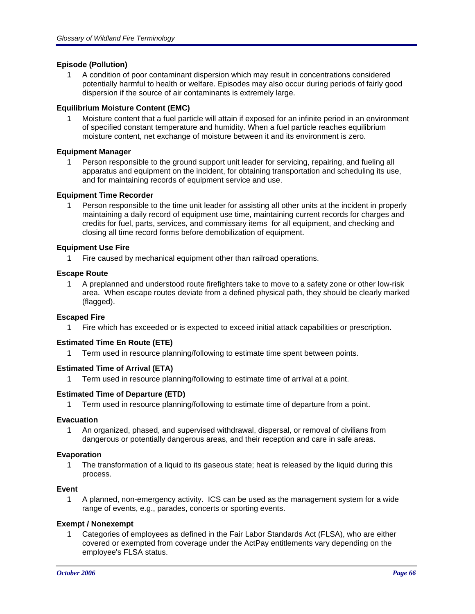# **Episode (Pollution)**

1 A condition of poor contaminant dispersion which may result in concentrations considered potentially harmful to health or welfare. Episodes may also occur during periods of fairly good dispersion if the source of air contaminants is extremely large.

### **Equilibrium Moisture Content (EMC)**

1 Moisture content that a fuel particle will attain if exposed for an infinite period in an environment of specified constant temperature and humidity. When a fuel particle reaches equilibrium moisture content, net exchange of moisture between it and its environment is zero.

## **Equipment Manager**

Person responsible to the ground support unit leader for servicing, repairing, and fueling all apparatus and equipment on the incident, for obtaining transportation and scheduling its use, and for maintaining records of equipment service and use.

## **Equipment Time Recorder**

1 Person responsible to the time unit leader for assisting all other units at the incident in properly maintaining a daily record of equipment use time, maintaining current records for charges and credits for fuel, parts, services, and commissary items for all equipment, and checking and closing all time record forms before demobilization of equipment.

## **Equipment Use Fire**

1 Fire caused by mechanical equipment other than railroad operations.

## **Escape Route**

1 A preplanned and understood route firefighters take to move to a safety zone or other low-risk area. When escape routes deviate from a defined physical path, they should be clearly marked (flagged).

### **Escaped Fire**

1 Fire which has exceeded or is expected to exceed initial attack capabilities or prescription.

# **Estimated Time En Route (ETE)**

1 Term used in resource planning/following to estimate time spent between points.

### **Estimated Time of Arrival (ETA)**

1 Term used in resource planning/following to estimate time of arrival at a point.

### **Estimated Time of Departure (ETD)**

1 Term used in resource planning/following to estimate time of departure from a point.

### **Evacuation**

1 An organized, phased, and supervised withdrawal, dispersal, or removal of civilians from dangerous or potentially dangerous areas, and their reception and care in safe areas.

### **Evaporation**

1 The transformation of a liquid to its gaseous state; heat is released by the liquid during this process.

### **Event**

1 A planned, non-emergency activity. ICS can be used as the management system for a wide range of events, e.g., parades, concerts or sporting events.

### **Exempt / Nonexempt**

1 Categories of employees as defined in the Fair Labor Standards Act (FLSA), who are either covered or exempted from coverage under the ActPay entitlements vary depending on the employee's FLSA status.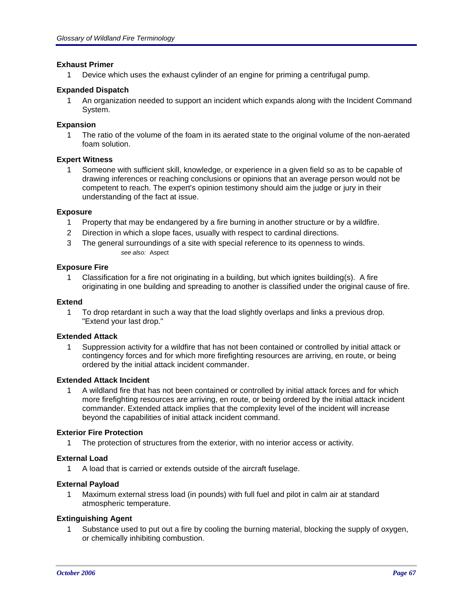### **Exhaust Primer**

1 Device which uses the exhaust cylinder of an engine for priming a centrifugal pump.

## **Expanded Dispatch**

1 An organization needed to support an incident which expands along with the Incident Command System.

## **Expansion**

1 The ratio of the volume of the foam in its aerated state to the original volume of the non-aerated foam solution.

# **Expert Witness**

1 Someone with sufficient skill, knowledge, or experience in a given field so as to be capable of drawing inferences or reaching conclusions or opinions that an average person would not be competent to reach. The expert's opinion testimony should aim the judge or jury in their understanding of the fact at issue.

## **Exposure**

- 1 Property that may be endangered by a fire burning in another structure or by a wildfire.
- 2 Direction in which a slope faces, usually with respect to cardinal directions.
- 3 The general surroundings of a site with special reference to its openness to winds. *see also:* Aspect

## **Exposure Fire**

1 Classification for a fire not originating in a building, but which ignites building(s). A fire originating in one building and spreading to another is classified under the original cause of fire.

### **Extend**

1 To drop retardant in such a way that the load slightly overlaps and links a previous drop. "Extend your last drop."

### **Extended Attack**

1 Suppression activity for a wildfire that has not been contained or controlled by initial attack or contingency forces and for which more firefighting resources are arriving, en route, or being ordered by the initial attack incident commander.

### **Extended Attack Incident**

1 A wildland fire that has not been contained or controlled by initial attack forces and for which more firefighting resources are arriving, en route, or being ordered by the initial attack incident commander. Extended attack implies that the complexity level of the incident will increase beyond the capabilities of initial attack incident command.

### **Exterior Fire Protection**

1 The protection of structures from the exterior, with no interior access or activity.

# **External Load**

1 A load that is carried or extends outside of the aircraft fuselage.

### **External Payload**

1 Maximum external stress load (in pounds) with full fuel and pilot in calm air at standard atmospheric temperature.

### **Extinguishing Agent**

1 Substance used to put out a fire by cooling the burning material, blocking the supply of oxygen, or chemically inhibiting combustion.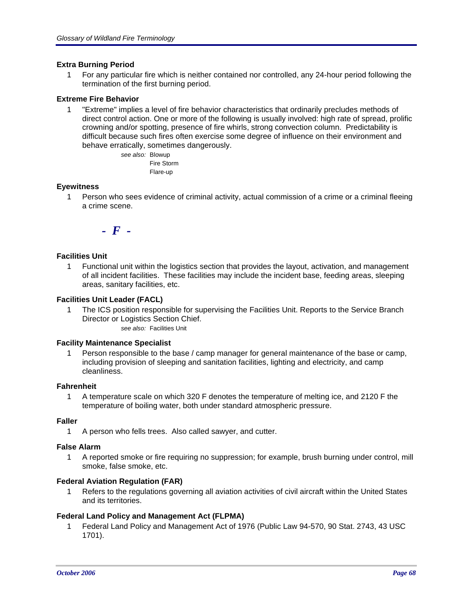## **Extra Burning Period**

1 For any particular fire which is neither contained nor controlled, any 24-hour period following the termination of the first burning period.

## **Extreme Fire Behavior**

1 "Extreme" implies a level of fire behavior characteristics that ordinarily precludes methods of direct control action. One or more of the following is usually involved: high rate of spread, prolific crowning and/or spotting, presence of fire whirls, strong convection column. Predictability is difficult because such fires often exercise some degree of influence on their environment and behave erratically, sometimes dangerously.

> *see also:* Blowup Fire Storm Flare-up

## **Eyewitness**

1 Person who sees evidence of criminal activity, actual commission of a crime or a criminal fleeing a crime scene.



## **Facilities Unit**

1 Functional unit within the logistics section that provides the layout, activation, and management of all incident facilities. These facilities may include the incident base, feeding areas, sleeping areas, sanitary facilities, etc.

## **Facilities Unit Leader (FACL)**

1 The ICS position responsible for supervising the Facilities Unit. Reports to the Service Branch Director or Logistics Section Chief. *see also:* Facilities Unit

# **Facility Maintenance Specialist**

1 Person responsible to the base / camp manager for general maintenance of the base or camp, including provision of sleeping and sanitation facilities, lighting and electricity, and camp cleanliness.

### **Fahrenheit**

1 A temperature scale on which 320 F denotes the temperature of melting ice, and 2120 F the temperature of boiling water, both under standard atmospheric pressure.

### **Faller**

1 A person who fells trees. Also called sawyer, and cutter.

### **False Alarm**

1 A reported smoke or fire requiring no suppression; for example, brush burning under control, mill smoke, false smoke, etc.

## **Federal Aviation Regulation (FAR)**

1 Refers to the regulations governing all aviation activities of civil aircraft within the United States and its territories.

### **Federal Land Policy and Management Act (FLPMA)**

1 Federal Land Policy and Management Act of 1976 (Public Law 94-570, 90 Stat. 2743, 43 USC 1701).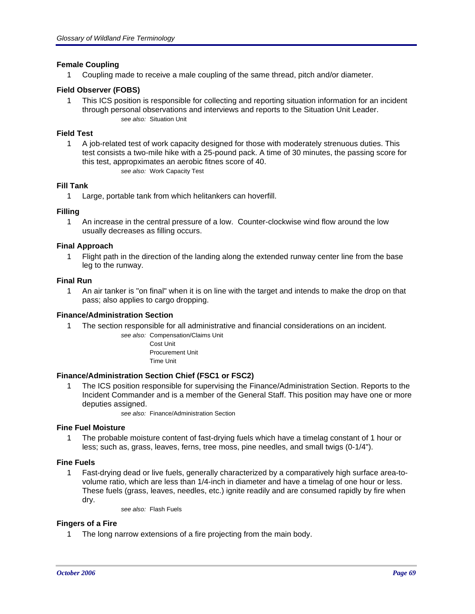## **Female Coupling**

1 Coupling made to receive a male coupling of the same thread, pitch and/or diameter.

## **Field Observer (FOBS)**

1 This ICS position is responsible for collecting and reporting situation information for an incident through personal observations and interviews and reports to the Situation Unit Leader. *see also:* Situation Unit

### **Field Test**

1 A job-related test of work capacity designed for those with moderately strenuous duties. This test consists a two-mile hike with a 25-pound pack. A time of 30 minutes, the passing score for this test, appropximates an aerobic fitnes score of 40. *see also:* Work Capacity Test

### **Fill Tank**

1 Large, portable tank from which helitankers can hoverfill.

## **Filling**

1 An increase in the central pressure of a low. Counter-clockwise wind flow around the low usually decreases as filling occurs.

### **Final Approach**

1 Flight path in the direction of the landing along the extended runway center line from the base leg to the runway.

#### **Final Run**

1 An air tanker is "on final" when it is on line with the target and intends to make the drop on that pass; also applies to cargo dropping.

### **Finance/Administration Section**

1 The section responsible for all administrative and financial considerations on an incident.

*see also:* Compensation/Claims Unit Cost Unit Procurement Unit Time Unit

### **Finance/Administration Section Chief (FSC1 or FSC2)**

1 The ICS position responsible for supervising the Finance/Administration Section. Reports to the Incident Commander and is a member of the General Staff. This position may have one or more deputies assigned.

*see also:* Finance/Administration Section

### **Fine Fuel Moisture**

1 The probable moisture content of fast-drying fuels which have a timelag constant of 1 hour or less; such as, grass, leaves, ferns, tree moss, pine needles, and small twigs (0-1/4").

### **Fine Fuels**

1 Fast-drying dead or live fuels, generally characterized by a comparatively high surface area-tovolume ratio, which are less than 1/4-inch in diameter and have a timelag of one hour or less. These fuels (grass, leaves, needles, etc.) ignite readily and are consumed rapidly by fire when dry.

*see also:* Flash Fuels

### **Fingers of a Fire**

1 The long narrow extensions of a fire projecting from the main body.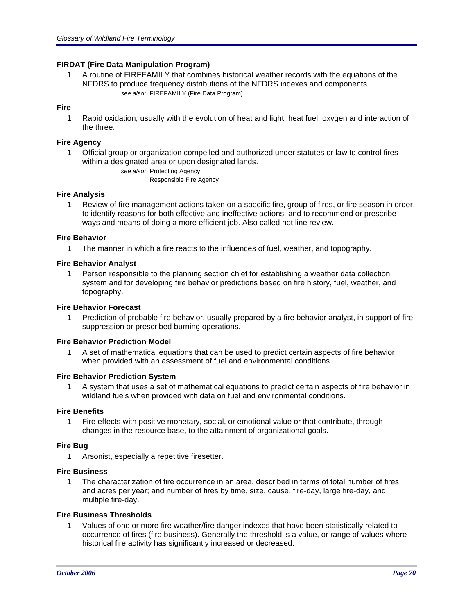# **FIRDAT (Fire Data Manipulation Program)**

1 A routine of FIREFAMILY that combines historical weather records with the equations of the NFDRS to produce frequency distributions of the NFDRS indexes and components. *see also:* FIREFAMILY (Fire Data Program)

# **Fire**

1 Rapid oxidation, usually with the evolution of heat and light; heat fuel, oxygen and interaction of the three.

### **Fire Agency**

1 Official group or organization compelled and authorized under statutes or law to control fires within a designated area or upon designated lands.

*see also:* Protecting Agency

Responsible Fire Agency

### **Fire Analysis**

1 Review of fire management actions taken on a specific fire, group of fires, or fire season in order to identify reasons for both effective and ineffective actions, and to recommend or prescribe ways and means of doing a more efficient job. Also called hot line review.

### **Fire Behavior**

1 The manner in which a fire reacts to the influences of fuel, weather, and topography.

## **Fire Behavior Analyst**

1 Person responsible to the planning section chief for establishing a weather data collection system and for developing fire behavior predictions based on fire history, fuel, weather, and topography.

### **Fire Behavior Forecast**

1 Prediction of probable fire behavior, usually prepared by a fire behavior analyst, in support of fire suppression or prescribed burning operations.

### **Fire Behavior Prediction Model**

1 A set of mathematical equations that can be used to predict certain aspects of fire behavior when provided with an assessment of fuel and environmental conditions.

### **Fire Behavior Prediction System**

1 A system that uses a set of mathematical equations to predict certain aspects of fire behavior in wildland fuels when provided with data on fuel and environmental conditions.

### **Fire Benefits**

1 Fire effects with positive monetary, social, or emotional value or that contribute, through changes in the resource base, to the attainment of organizational goals.

### **Fire Bug**

1 Arsonist, especially a repetitive firesetter.

# **Fire Business**

1 The characterization of fire occurrence in an area, described in terms of total number of fires and acres per year; and number of fires by time, size, cause, fire-day, large fire-day, and multiple fire-day.

### **Fire Business Thresholds**

1 Values of one or more fire weather/fire danger indexes that have been statistically related to occurrence of fires (fire business). Generally the threshold is a value, or range of values where historical fire activity has significantly increased or decreased.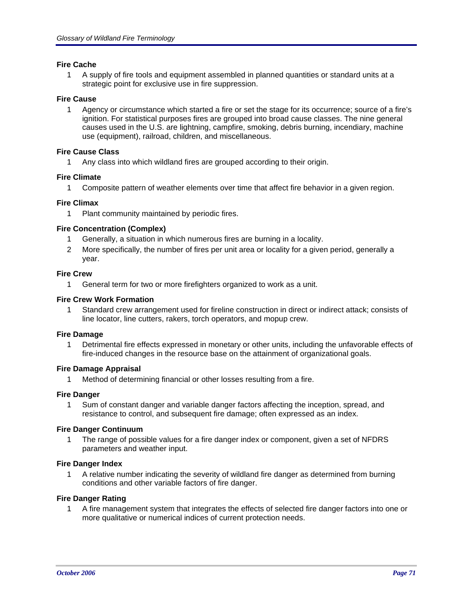### **Fire Cache**

1 A supply of fire tools and equipment assembled in planned quantities or standard units at a strategic point for exclusive use in fire suppression.

## **Fire Cause**

1 Agency or circumstance which started a fire or set the stage for its occurrence; source of a fire's ignition. For statistical purposes fires are grouped into broad cause classes. The nine general causes used in the U.S. are lightning, campfire, smoking, debris burning, incendiary, machine use (equipment), railroad, children, and miscellaneous.

## **Fire Cause Class**

1 Any class into which wildland fires are grouped according to their origin.

# **Fire Climate**

1 Composite pattern of weather elements over time that affect fire behavior in a given region.

## **Fire Climax**

1 Plant community maintained by periodic fires.

## **Fire Concentration (Complex)**

- 1 Generally, a situation in which numerous fires are burning in a locality.
- 2 More specifically, the number of fires per unit area or locality for a given period, generally a year.

### **Fire Crew**

1 General term for two or more firefighters organized to work as a unit.

## **Fire Crew Work Formation**

1 Standard crew arrangement used for fireline construction in direct or indirect attack; consists of line locator, line cutters, rakers, torch operators, and mopup crew.

### **Fire Damage**

1 Detrimental fire effects expressed in monetary or other units, including the unfavorable effects of fire-induced changes in the resource base on the attainment of organizational goals.

# **Fire Damage Appraisal**

1 Method of determining financial or other losses resulting from a fire.

### **Fire Danger**

1 Sum of constant danger and variable danger factors affecting the inception, spread, and resistance to control, and subsequent fire damage; often expressed as an index.

### **Fire Danger Continuum**

1 The range of possible values for a fire danger index or component, given a set of NFDRS parameters and weather input.

### **Fire Danger Index**

1 A relative number indicating the severity of wildland fire danger as determined from burning conditions and other variable factors of fire danger.

### **Fire Danger Rating**

1 A fire management system that integrates the effects of selected fire danger factors into one or more qualitative or numerical indices of current protection needs.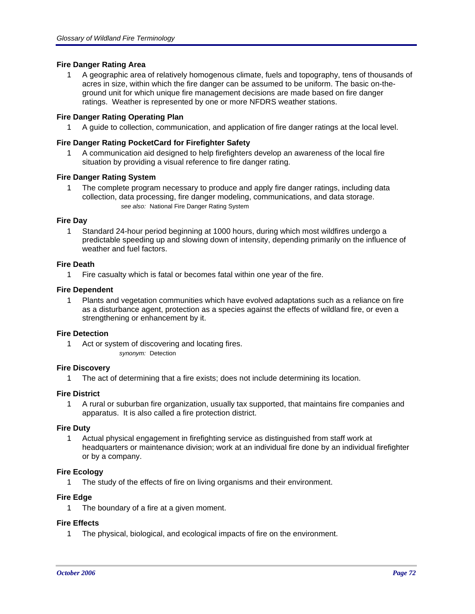# **Fire Danger Rating Area**

1 A geographic area of relatively homogenous climate, fuels and topography, tens of thousands of acres in size, within which the fire danger can be assumed to be uniform. The basic on-theground unit for which unique fire management decisions are made based on fire danger ratings. Weather is represented by one or more NFDRS weather stations.

### **Fire Danger Rating Operating Plan**

1 A guide to collection, communication, and application of fire danger ratings at the local level.

## **Fire Danger Rating PocketCard for Firefighter Safety**

1 A communication aid designed to help firefighters develop an awareness of the local fire situation by providing a visual reference to fire danger rating.

### **Fire Danger Rating System**

1 The complete program necessary to produce and apply fire danger ratings, including data collection, data processing, fire danger modeling, communications, and data storage. *see also:* National Fire Danger Rating System

### **Fire Day**

1 Standard 24-hour period beginning at 1000 hours, during which most wildfires undergo a predictable speeding up and slowing down of intensity, depending primarily on the influence of weather and fuel factors.

### **Fire Death**

1 Fire casualty which is fatal or becomes fatal within one year of the fire.

### **Fire Dependent**

1 Plants and vegetation communities which have evolved adaptations such as a reliance on fire as a disturbance agent, protection as a species against the effects of wildland fire, or even a strengthening or enhancement by it.

### **Fire Detection**

1 Act or system of discovering and locating fires. *synonym:* Detection

### **Fire Discovery**

1 The act of determining that a fire exists; does not include determining its location.

### **Fire District**

1 A rural or suburban fire organization, usually tax supported, that maintains fire companies and apparatus. It is also called a fire protection district.

### **Fire Duty**

1 Actual physical engagement in firefighting service as distinguished from staff work at headquarters or maintenance division; work at an individual fire done by an individual firefighter or by a company.

### **Fire Ecology**

1 The study of the effects of fire on living organisms and their environment.

### **Fire Edge**

1 The boundary of a fire at a given moment.

### **Fire Effects**

1 The physical, biological, and ecological impacts of fire on the environment.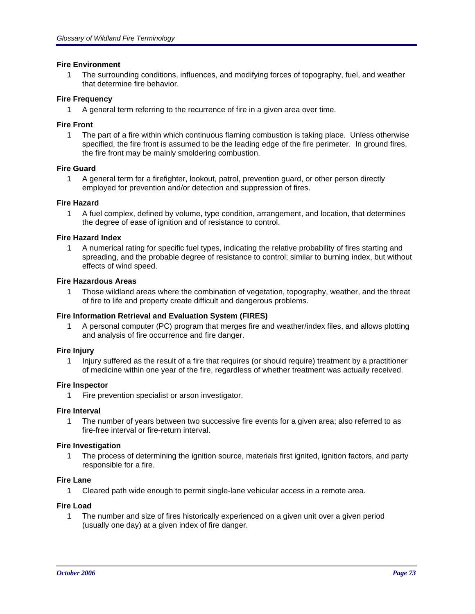## **Fire Environment**

1 The surrounding conditions, influences, and modifying forces of topography, fuel, and weather that determine fire behavior.

# **Fire Frequency**

1 A general term referring to the recurrence of fire in a given area over time.

## **Fire Front**

1 The part of a fire within which continuous flaming combustion is taking place. Unless otherwise specified, the fire front is assumed to be the leading edge of the fire perimeter. In ground fires, the fire front may be mainly smoldering combustion.

## **Fire Guard**

1 A general term for a firefighter, lookout, patrol, prevention guard, or other person directly employed for prevention and/or detection and suppression of fires.

## **Fire Hazard**

1 A fuel complex, defined by volume, type condition, arrangement, and location, that determines the degree of ease of ignition and of resistance to control.

## **Fire Hazard Index**

1 A numerical rating for specific fuel types, indicating the relative probability of fires starting and spreading, and the probable degree of resistance to control; similar to burning index, but without effects of wind speed.

## **Fire Hazardous Areas**

1 Those wildland areas where the combination of vegetation, topography, weather, and the threat of fire to life and property create difficult and dangerous problems.

## **Fire Information Retrieval and Evaluation System (FIRES)**

1 A personal computer (PC) program that merges fire and weather/index files, and allows plotting and analysis of fire occurrence and fire danger.

## **Fire Injury**

1 Injury suffered as the result of a fire that requires (or should require) treatment by a practitioner of medicine within one year of the fire, regardless of whether treatment was actually received.

## **Fire Inspector**

1 Fire prevention specialist or arson investigator.

## **Fire Interval**

1 The number of years between two successive fire events for a given area; also referred to as fire-free interval or fire-return interval.

## **Fire Investigation**

1 The process of determining the ignition source, materials first ignited, ignition factors, and party responsible for a fire.

## **Fire Lane**

1 Cleared path wide enough to permit single-lane vehicular access in a remote area.

## **Fire Load**

1 The number and size of fires historically experienced on a given unit over a given period (usually one day) at a given index of fire danger.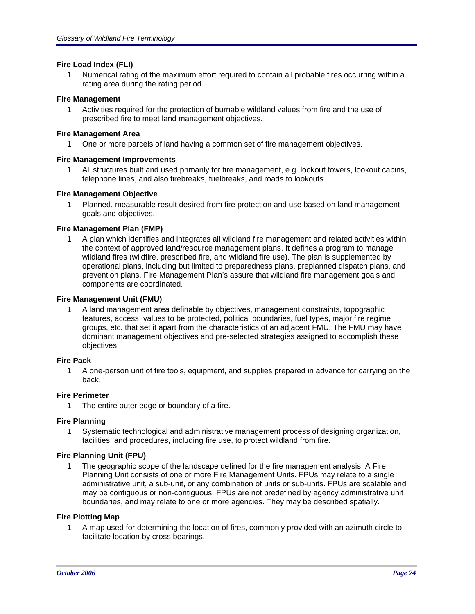## **Fire Load Index (FLI)**

1 Numerical rating of the maximum effort required to contain all probable fires occurring within a rating area during the rating period.

## **Fire Management**

1 Activities required for the protection of burnable wildland values from fire and the use of prescribed fire to meet land management objectives.

## **Fire Management Area**

1 One or more parcels of land having a common set of fire management objectives.

## **Fire Management Improvements**

1 All structures built and used primarily for fire management, e.g. lookout towers, lookout cabins, telephone lines, and also firebreaks, fuelbreaks, and roads to lookouts.

## **Fire Management Objective**

1 Planned, measurable result desired from fire protection and use based on land management goals and objectives.

## **Fire Management Plan (FMP)**

1 A plan which identifies and integrates all wildland fire management and related activities within the context of approved land/resource management plans. It defines a program to manage wildland fires (wildfire, prescribed fire, and wildland fire use). The plan is supplemented by operational plans, including but limited to preparedness plans, preplanned dispatch plans, and prevention plans. Fire Management Plan's assure that wildland fire management goals and components are coordinated.

## **Fire Management Unit (FMU)**

1 A land management area definable by objectives, management constraints, topographic features, access, values to be protected, political boundaries, fuel types, major fire regime groups, etc. that set it apart from the characteristics of an adjacent FMU. The FMU may have dominant management objectives and pre-selected strategies assigned to accomplish these objectives.

## **Fire Pack**

1 A one-person unit of fire tools, equipment, and supplies prepared in advance for carrying on the back.

## **Fire Perimeter**

1 The entire outer edge or boundary of a fire.

## **Fire Planning**

1 Systematic technological and administrative management process of designing organization, facilities, and procedures, including fire use, to protect wildland from fire.

## **Fire Planning Unit (FPU)**

1 The geographic scope of the landscape defined for the fire management analysis. A Fire Planning Unit consists of one or more Fire Management Units. FPUs may relate to a single administrative unit, a sub-unit, or any combination of units or sub-units. FPUs are scalable and may be contiguous or non-contiguous. FPUs are not predefined by agency administrative unit boundaries, and may relate to one or more agencies. They may be described spatially.

## **Fire Plotting Map**

1 A map used for determining the location of fires, commonly provided with an azimuth circle to facilitate location by cross bearings.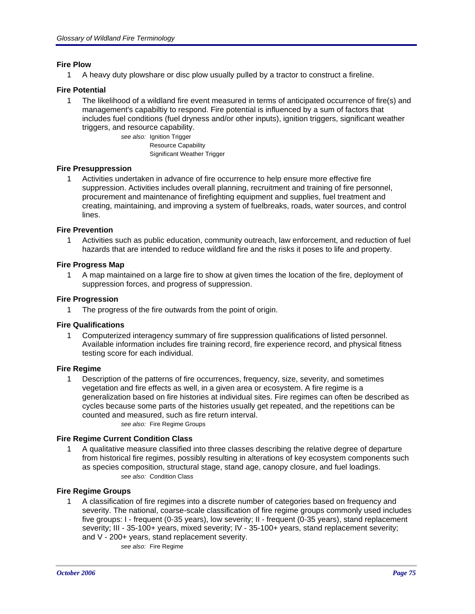## **Fire Plow**

1 A heavy duty plowshare or disc plow usually pulled by a tractor to construct a fireline.

## **Fire Potential**

1 The likelihood of a wildland fire event measured in terms of anticipated occurrence of fire(s) and management's capabiltiy to respond. Fire potential is influenced by a sum of factors that includes fuel conditions (fuel dryness and/or other inputs), ignition triggers, significant weather triggers, and resource capability.

*see also:* Ignition Trigger Resource Capability Significant Weather Trigger

## **Fire Presuppression**

1 Activities undertaken in advance of fire occurrence to help ensure more effective fire suppression. Activities includes overall planning, recruitment and training of fire personnel, procurement and maintenance of firefighting equipment and supplies, fuel treatment and creating, maintaining, and improving a system of fuelbreaks, roads, water sources, and control lines.

## **Fire Prevention**

1 Activities such as public education, community outreach, law enforcement, and reduction of fuel hazards that are intended to reduce wildland fire and the risks it poses to life and property.

## **Fire Progress Map**

1 A map maintained on a large fire to show at given times the location of the fire, deployment of suppression forces, and progress of suppression.

#### **Fire Progression**

1 The progress of the fire outwards from the point of origin.

#### **Fire Qualifications**

1 Computerized interagency summary of fire suppression qualifications of listed personnel. Available information includes fire training record, fire experience record, and physical fitness testing score for each individual.

## **Fire Regime**

1 Description of the patterns of fire occurrences, frequency, size, severity, and sometimes vegetation and fire effects as well, in a given area or ecosystem. A fire regime is a generalization based on fire histories at individual sites. Fire regimes can often be described as cycles because some parts of the histories usually get repeated, and the repetitions can be counted and measured, such as fire return interval.

*see also:* Fire Regime Groups

## **Fire Regime Current Condition Class**

1 A qualitative measure classified into three classes describing the relative degree of departure from historical fire regimes, possibly resulting in alterations of key ecosystem components such as species composition, structural stage, stand age, canopy closure, and fuel loadings. *see also:* Condition Class

## **Fire Regime Groups**

1 A classification of fire regimes into a discrete number of categories based on frequency and severity. The national, coarse-scale classification of fire regime groups commonly used includes five groups: I - frequent (0-35 years), low severity; II - frequent (0-35 years), stand replacement severity; III - 35-100+ years, mixed severity; IV - 35-100+ years, stand replacement severity; and V - 200+ years, stand replacement severity.

*see also:* Fire Regime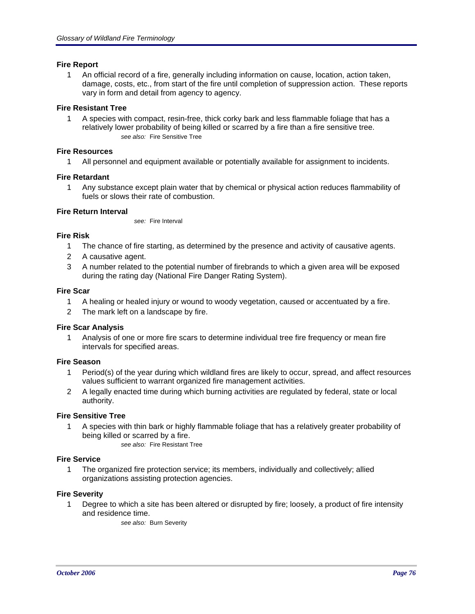## **Fire Report**

1 An official record of a fire, generally including information on cause, location, action taken, damage, costs, etc., from start of the fire until completion of suppression action. These reports vary in form and detail from agency to agency.

# **Fire Resistant Tree**

1 A species with compact, resin-free, thick corky bark and less flammable foliage that has a relatively lower probability of being killed or scarred by a fire than a fire sensitive tree. *see also:* Fire Sensitive Tree

## **Fire Resources**

1 All personnel and equipment available or potentially available for assignment to incidents.

# **Fire Retardant**

1 Any substance except plain water that by chemical or physical action reduces flammability of fuels or slows their rate of combustion.

## **Fire Return Interval**

*see:* Fire Interval

## **Fire Risk**

- 1 The chance of fire starting, as determined by the presence and activity of causative agents.
- 2 A causative agent.
- 3 A number related to the potential number of firebrands to which a given area will be exposed during the rating day (National Fire Danger Rating System).

## **Fire Scar**

- 1 A healing or healed injury or wound to woody vegetation, caused or accentuated by a fire.
- 2 The mark left on a landscape by fire.

# **Fire Scar Analysis**

1 Analysis of one or more fire scars to determine individual tree fire frequency or mean fire intervals for specified areas.

## **Fire Season**

- 1 Period(s) of the year during which wildland fires are likely to occur, spread, and affect resources values sufficient to warrant organized fire management activities.
- 2 A legally enacted time during which burning activities are regulated by federal, state or local authority.

## **Fire Sensitive Tree**

- 1 A species with thin bark or highly flammable foliage that has a relatively greater probability of being killed or scarred by a fire.
	- *see also:* Fire Resistant Tree

# **Fire Service**

1 The organized fire protection service; its members, individually and collectively; allied organizations assisting protection agencies.

## **Fire Severity**

1 Degree to which a site has been altered or disrupted by fire; loosely, a product of fire intensity and residence time.

*see also:* Burn Severity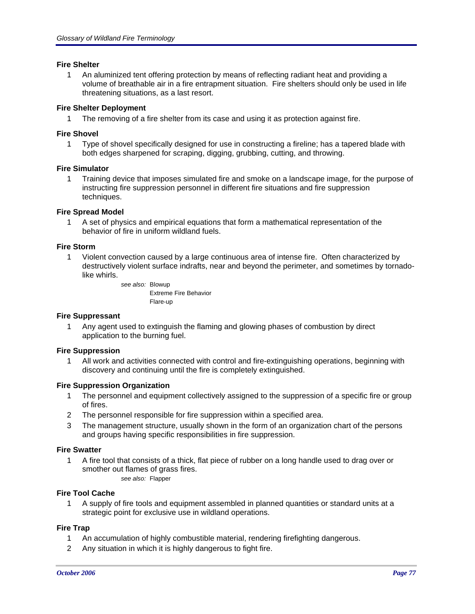## **Fire Shelter**

1 An aluminized tent offering protection by means of reflecting radiant heat and providing a volume of breathable air in a fire entrapment situation. Fire shelters should only be used in life threatening situations, as a last resort.

# **Fire Shelter Deployment**

1 The removing of a fire shelter from its case and using it as protection against fire.

# **Fire Shovel**

1 Type of shovel specifically designed for use in constructing a fireline; has a tapered blade with both edges sharpened for scraping, digging, grubbing, cutting, and throwing.

## **Fire Simulator**

1 Training device that imposes simulated fire and smoke on a landscape image, for the purpose of instructing fire suppression personnel in different fire situations and fire suppression techniques.

## **Fire Spread Model**

1 A set of physics and empirical equations that form a mathematical representation of the behavior of fire in uniform wildland fuels.

## **Fire Storm**

1 Violent convection caused by a large continuous area of intense fire. Often characterized by destructively violent surface indrafts, near and beyond the perimeter, and sometimes by tornadolike whirls.

> *see also:* Blowup Extreme Fire Behavior Flare-up

## **Fire Suppressant**

1 Any agent used to extinguish the flaming and glowing phases of combustion by direct application to the burning fuel.

## **Fire Suppression**

1 All work and activities connected with control and fire-extinguishing operations, beginning with discovery and continuing until the fire is completely extinguished.

## **Fire Suppression Organization**

- 1 The personnel and equipment collectively assigned to the suppression of a specific fire or group of fires.
- 2 The personnel responsible for fire suppression within a specified area.
- 3 The management structure, usually shown in the form of an organization chart of the persons and groups having specific responsibilities in fire suppression.

## **Fire Swatter**

1 A fire tool that consists of a thick, flat piece of rubber on a long handle used to drag over or smother out flames of grass fires. *see also:* Flapper

## **Fire Tool Cache**

1 A supply of fire tools and equipment assembled in planned quantities or standard units at a strategic point for exclusive use in wildland operations.

## **Fire Trap**

- 1 An accumulation of highly combustible material, rendering firefighting dangerous.
- 2 Any situation in which it is highly dangerous to fight fire.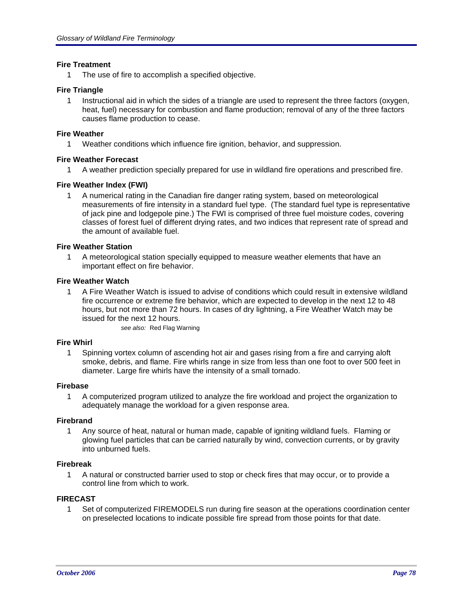## **Fire Treatment**

1 The use of fire to accomplish a specified objective.

## **Fire Triangle**

1 Instructional aid in which the sides of a triangle are used to represent the three factors (oxygen, heat, fuel) necessary for combustion and flame production; removal of any of the three factors causes flame production to cease.

## **Fire Weather**

1 Weather conditions which influence fire ignition, behavior, and suppression.

## **Fire Weather Forecast**

1 A weather prediction specially prepared for use in wildland fire operations and prescribed fire.

## **Fire Weather Index (FWI)**

1 A numerical rating in the Canadian fire danger rating system, based on meteorological measurements of fire intensity in a standard fuel type. (The standard fuel type is representative of jack pine and lodgepole pine.) The FWI is comprised of three fuel moisture codes, covering classes of forest fuel of different drying rates, and two indices that represent rate of spread and the amount of available fuel.

## **Fire Weather Station**

1 A meteorological station specially equipped to measure weather elements that have an important effect on fire behavior.

## **Fire Weather Watch**

1 A Fire Weather Watch is issued to advise of conditions which could result in extensive wildland fire occurrence or extreme fire behavior, which are expected to develop in the next 12 to 48 hours, but not more than 72 hours. In cases of dry lightning, a Fire Weather Watch may be issued for the next 12 hours.

*see also:* Red Flag Warning

## **Fire Whirl**

1 Spinning vortex column of ascending hot air and gases rising from a fire and carrying aloft smoke, debris, and flame. Fire whirls range in size from less than one foot to over 500 feet in diameter. Large fire whirls have the intensity of a small tornado.

## **Firebase**

1 A computerized program utilized to analyze the fire workload and project the organization to adequately manage the workload for a given response area.

## **Firebrand**

1 Any source of heat, natural or human made, capable of igniting wildland fuels. Flaming or glowing fuel particles that can be carried naturally by wind, convection currents, or by gravity into unburned fuels.

## **Firebreak**

1 A natural or constructed barrier used to stop or check fires that may occur, or to provide a control line from which to work.

# **FIRECAST**

1 Set of computerized FIREMODELS run during fire season at the operations coordination center on preselected locations to indicate possible fire spread from those points for that date.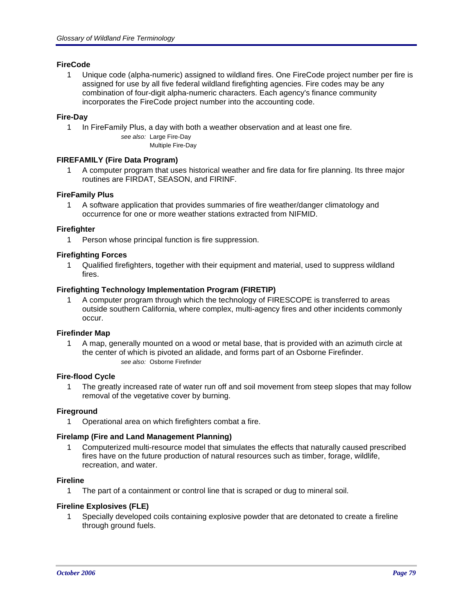## **FireCode**

1 Unique code (alpha-numeric) assigned to wildland fires. One FireCode project number per fire is assigned for use by all five federal wildland firefighting agencies. Fire codes may be any combination of four-digit alpha-numeric characters. Each agency's finance community incorporates the FireCode project number into the accounting code.

## **Fire-Day**

1 In FireFamily Plus, a day with both a weather observation and at least one fire.

*see also:* Large Fire-Day

Multiple Fire-Day

## **FIREFAMILY (Fire Data Program)**

1 A computer program that uses historical weather and fire data for fire planning. Its three major routines are FIRDAT, SEASON, and FIRINF.

## **FireFamily Plus**

1 A software application that provides summaries of fire weather/danger climatology and occurrence for one or more weather stations extracted from NIFMID.

## **Firefighter**

1 Person whose principal function is fire suppression.

## **Firefighting Forces**

1 Qualified firefighters, together with their equipment and material, used to suppress wildland fires.

## **Firefighting Technology Implementation Program (FIRETIP)**

1 A computer program through which the technology of FIRESCOPE is transferred to areas outside southern California, where complex, multi-agency fires and other incidents commonly occur.

## **Firefinder Map**

1 A map, generally mounted on a wood or metal base, that is provided with an azimuth circle at the center of which is pivoted an alidade, and forms part of an Osborne Firefinder. *see also:* Osborne Firefinder

## **Fire-flood Cycle**

1 The greatly increased rate of water run off and soil movement from steep slopes that may follow removal of the vegetative cover by burning.

## **Fireground**

1 Operational area on which firefighters combat a fire.

## **Firelamp (Fire and Land Management Planning)**

1 Computerized multi-resource model that simulates the effects that naturally caused prescribed fires have on the future production of natural resources such as timber, forage, wildlife, recreation, and water.

## **Fireline**

1 The part of a containment or control line that is scraped or dug to mineral soil.

# **Fireline Explosives (FLE)**

1 Specially developed coils containing explosive powder that are detonated to create a fireline through ground fuels.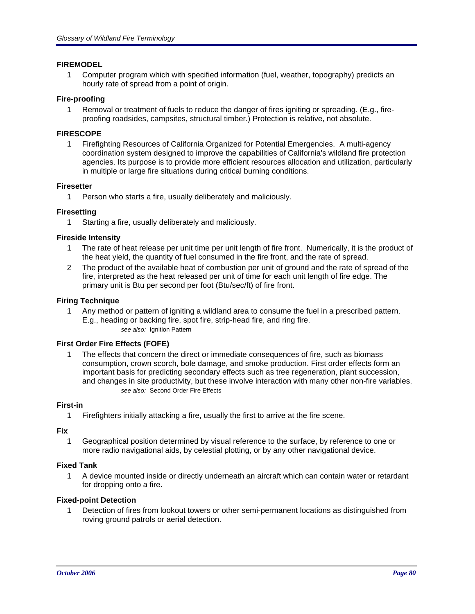# **FIREMODEL**

1 Computer program which with specified information (fuel, weather, topography) predicts an hourly rate of spread from a point of origin.

## **Fire-proofing**

1 Removal or treatment of fuels to reduce the danger of fires igniting or spreading. (E.g., fireproofing roadsides, campsites, structural timber.) Protection is relative, not absolute.

## **FIRESCOPE**

1 Firefighting Resources of California Organized for Potential Emergencies. A multi-agency coordination system designed to improve the capabilities of California's wildland fire protection agencies. Its purpose is to provide more efficient resources allocation and utilization, particularly in multiple or large fire situations during critical burning conditions.

## **Firesetter**

1 Person who starts a fire, usually deliberately and maliciously.

## **Firesetting**

1 Starting a fire, usually deliberately and maliciously.

## **Fireside Intensity**

- 1 The rate of heat release per unit time per unit length of fire front. Numerically, it is the product of the heat yield, the quantity of fuel consumed in the fire front, and the rate of spread.
- 2 The product of the available heat of combustion per unit of ground and the rate of spread of the fire, interpreted as the heat released per unit of time for each unit length of fire edge. The primary unit is Btu per second per foot (Btu/sec/ft) of fire front.

## **Firing Technique**

1 Any method or pattern of igniting a wildland area to consume the fuel in a prescribed pattern. E.g., heading or backing fire, spot fire, strip-head fire, and ring fire. *see also:* Ignition Pattern

# **First Order Fire Effects (FOFE)**

1 The effects that concern the direct or immediate consequences of fire, such as biomass consumption, crown scorch, bole damage, and smoke production. First order effects form an important basis for predicting secondary effects such as tree regeneration, plant succession, and changes in site productivity, but these involve interaction with many other non-fire variables. *see also:* Second Order Fire Effects

## **First-in**

1 Firefighters initially attacking a fire, usually the first to arrive at the fire scene.

## **Fix**

1 Geographical position determined by visual reference to the surface, by reference to one or more radio navigational aids, by celestial plotting, or by any other navigational device.

## **Fixed Tank**

1 A device mounted inside or directly underneath an aircraft which can contain water or retardant for dropping onto a fire.

## **Fixed-point Detection**

1 Detection of fires from lookout towers or other semi-permanent locations as distinguished from roving ground patrols or aerial detection.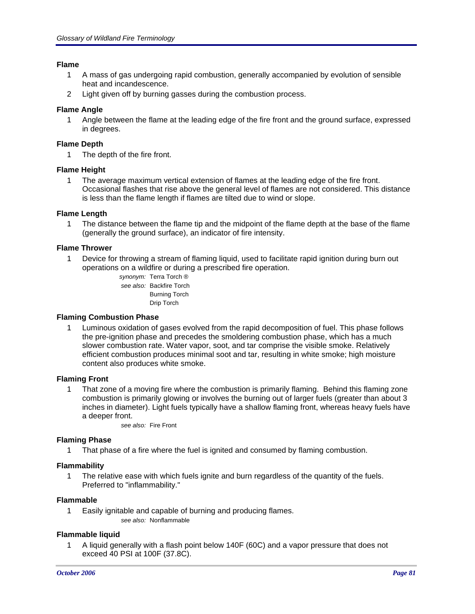## **Flame**

- 1 A mass of gas undergoing rapid combustion, generally accompanied by evolution of sensible heat and incandescence.
- 2 Light given off by burning gasses during the combustion process.

## **Flame Angle**

1 Angle between the flame at the leading edge of the fire front and the ground surface, expressed in degrees.

## **Flame Depth**

1 The depth of the fire front.

## **Flame Height**

1 The average maximum vertical extension of flames at the leading edge of the fire front. Occasional flashes that rise above the general level of flames are not considered. This distance is less than the flame length if flames are tilted due to wind or slope.

# **Flame Length**

1 The distance between the flame tip and the midpoint of the flame depth at the base of the flame (generally the ground surface), an indicator of fire intensity.

## **Flame Thrower**

- 1 Device for throwing a stream of flaming liquid, used to facilitate rapid ignition during burn out operations on a wildfire or during a prescribed fire operation.
	- *synonym:* Terra Torch ® *see also:* Backfire Torch Burning Torch Drip Torch

## **Flaming Combustion Phase**

1 Luminous oxidation of gases evolved from the rapid decomposition of fuel. This phase follows the pre-ignition phase and precedes the smoldering combustion phase, which has a much slower combustion rate. Water vapor, soot, and tar comprise the visible smoke. Relatively efficient combustion produces minimal soot and tar, resulting in white smoke; high moisture content also produces white smoke.

## **Flaming Front**

1 That zone of a moving fire where the combustion is primarily flaming. Behind this flaming zone combustion is primarily glowing or involves the burning out of larger fuels (greater than about 3 inches in diameter). Light fuels typically have a shallow flaming front, whereas heavy fuels have a deeper front.

*see also:* Fire Front

## **Flaming Phase**

1 That phase of a fire where the fuel is ignited and consumed by flaming combustion.

## **Flammability**

1 The relative ease with which fuels ignite and burn regardless of the quantity of the fuels. Preferred to "inflammability."

## **Flammable**

1 Easily ignitable and capable of burning and producing flames. *see also:* Nonflammable

## **Flammable liquid**

1 A liquid generally with a flash point below 140F (60C) and a vapor pressure that does not exceed 40 PSI at 100F (37.8C).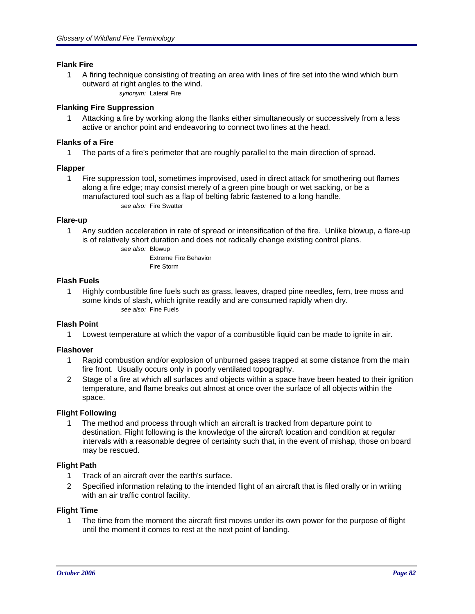## **Flank Fire**

- 1 A firing technique consisting of treating an area with lines of fire set into the wind which burn outward at right angles to the wind.
	- *synonym:* Lateral Fire

# **Flanking Fire Suppression**

1 Attacking a fire by working along the flanks either simultaneously or successively from a less active or anchor point and endeavoring to connect two lines at the head.

## **Flanks of a Fire**

1 The parts of a fire's perimeter that are roughly parallel to the main direction of spread.

## **Flapper**

1 Fire suppression tool, sometimes improvised, used in direct attack for smothering out flames along a fire edge; may consist merely of a green pine bough or wet sacking, or be a manufactured tool such as a flap of belting fabric fastened to a long handle. *see also:* Fire Swatter

## **Flare-up**

1 Any sudden acceleration in rate of spread or intensification of the fire. Unlike blowup, a flare-up is of relatively short duration and does not radically change existing control plans.

*see also:* Blowup

Extreme Fire Behavior Fire Storm

## **Flash Fuels**

1 Highly combustible fine fuels such as grass, leaves, draped pine needles, fern, tree moss and some kinds of slash, which ignite readily and are consumed rapidly when dry. *see also:* Fine Fuels

# **Flash Point**

1 Lowest temperature at which the vapor of a combustible liquid can be made to ignite in air.

# **Flashover**

- 1 Rapid combustion and/or explosion of unburned gases trapped at some distance from the main fire front. Usually occurs only in poorly ventilated topography.
- 2 Stage of a fire at which all surfaces and objects within a space have been heated to their ignition temperature, and flame breaks out almost at once over the surface of all objects within the space.

# **Flight Following**

1 The method and process through which an aircraft is tracked from departure point to destination. Flight following is the knowledge of the aircraft location and condition at regular intervals with a reasonable degree of certainty such that, in the event of mishap, those on board may be rescued.

# **Flight Path**

- 1 Track of an aircraft over the earth's surface.
- 2 Specified information relating to the intended flight of an aircraft that is filed orally or in writing with an air traffic control facility.

## **Flight Time**

1 The time from the moment the aircraft first moves under its own power for the purpose of flight until the moment it comes to rest at the next point of landing.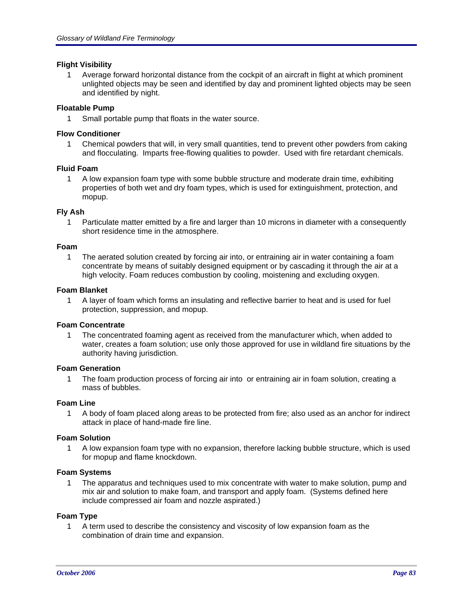## **Flight Visibility**

1 Average forward horizontal distance from the cockpit of an aircraft in flight at which prominent unlighted objects may be seen and identified by day and prominent lighted objects may be seen and identified by night.

## **Floatable Pump**

1 Small portable pump that floats in the water source.

## **Flow Conditioner**

1 Chemical powders that will, in very small quantities, tend to prevent other powders from caking and flocculating. Imparts free-flowing qualities to powder. Used with fire retardant chemicals.

## **Fluid Foam**

1 A low expansion foam type with some bubble structure and moderate drain time, exhibiting properties of both wet and dry foam types, which is used for extinguishment, protection, and mopup.

## **Fly Ash**

1 Particulate matter emitted by a fire and larger than 10 microns in diameter with a consequently short residence time in the atmosphere.

## **Foam**

1 The aerated solution created by forcing air into, or entraining air in water containing a foam concentrate by means of suitably designed equipment or by cascading it through the air at a high velocity. Foam reduces combustion by cooling, moistening and excluding oxygen.

## **Foam Blanket**

1 A layer of foam which forms an insulating and reflective barrier to heat and is used for fuel protection, suppression, and mopup.

## **Foam Concentrate**

1 The concentrated foaming agent as received from the manufacturer which, when added to water, creates a foam solution; use only those approved for use in wildland fire situations by the authority having jurisdiction.

## **Foam Generation**

1 The foam production process of forcing air into or entraining air in foam solution, creating a mass of bubbles.

## **Foam Line**

1 A body of foam placed along areas to be protected from fire; also used as an anchor for indirect attack in place of hand-made fire line.

## **Foam Solution**

1 A low expansion foam type with no expansion, therefore lacking bubble structure, which is used for mopup and flame knockdown.

## **Foam Systems**

1 The apparatus and techniques used to mix concentrate with water to make solution, pump and mix air and solution to make foam, and transport and apply foam. (Systems defined here include compressed air foam and nozzle aspirated.)

# **Foam Type**

1 A term used to describe the consistency and viscosity of low expansion foam as the combination of drain time and expansion.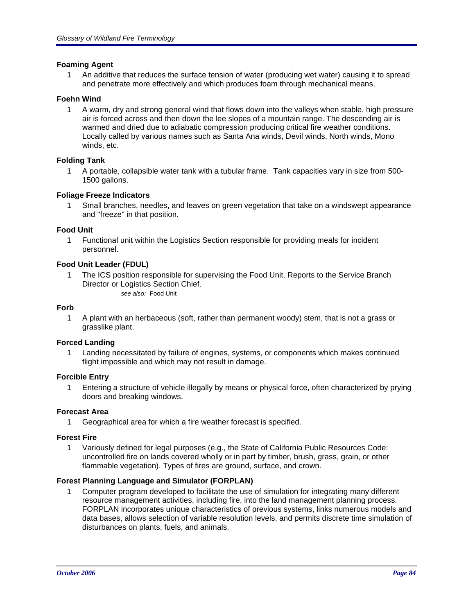## **Foaming Agent**

1 An additive that reduces the surface tension of water (producing wet water) causing it to spread and penetrate more effectively and which produces foam through mechanical means.

## **Foehn Wind**

1 A warm, dry and strong general wind that flows down into the valleys when stable, high pressure air is forced across and then down the lee slopes of a mountain range. The descending air is warmed and dried due to adiabatic compression producing critical fire weather conditions. Locally called by various names such as Santa Ana winds, Devil winds, North winds, Mono winds, etc.

## **Folding Tank**

1 A portable, collapsible water tank with a tubular frame. Tank capacities vary in size from 500- 1500 gallons.

## **Foliage Freeze Indicators**

1 Small branches, needles, and leaves on green vegetation that take on a windswept appearance and "freeze" in that position.

## **Food Unit**

1 Functional unit within the Logistics Section responsible for providing meals for incident personnel.

## **Food Unit Leader (FDUL)**

1 The ICS position responsible for supervising the Food Unit. Reports to the Service Branch Director or Logistics Section Chief. *see also:* Food Unit

## **Forb**

1 A plant with an herbaceous (soft, rather than permanent woody) stem, that is not a grass or grasslike plant.

## **Forced Landing**

1 Landing necessitated by failure of engines, systems, or components which makes continued flight impossible and which may not result in damage.

## **Forcible Entry**

1 Entering a structure of vehicle illegally by means or physical force, often characterized by prying doors and breaking windows.

## **Forecast Area**

1 Geographical area for which a fire weather forecast is specified.

## **Forest Fire**

1 Variously defined for legal purposes (e.g., the State of California Public Resources Code: uncontrolled fire on lands covered wholly or in part by timber, brush, grass, grain, or other flammable vegetation). Types of fires are ground, surface, and crown.

## **Forest Planning Language and Simulator (FORPLAN)**

1 Computer program developed to facilitate the use of simulation for integrating many different resource management activities, including fire, into the land management planning process. FORPLAN incorporates unique characteristics of previous systems, links numerous models and data bases, allows selection of variable resolution levels, and permits discrete time simulation of disturbances on plants, fuels, and animals.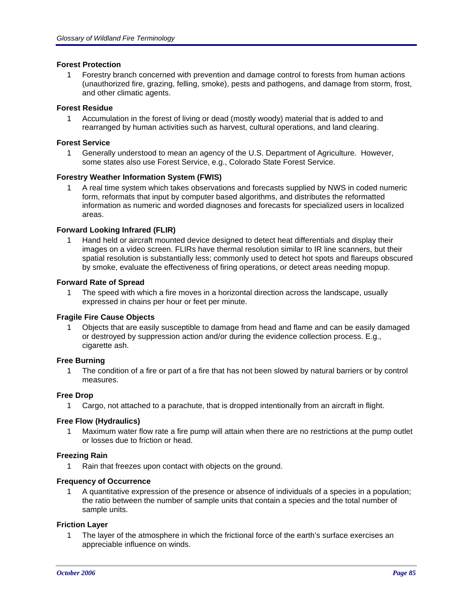## **Forest Protection**

1 Forestry branch concerned with prevention and damage control to forests from human actions (unauthorized fire, grazing, felling, smoke), pests and pathogens, and damage from storm, frost, and other climatic agents.

## **Forest Residue**

1 Accumulation in the forest of living or dead (mostly woody) material that is added to and rearranged by human activities such as harvest, cultural operations, and land clearing.

## **Forest Service**

1 Generally understood to mean an agency of the U.S. Department of Agriculture. However, some states also use Forest Service, e.g., Colorado State Forest Service.

## **Forestry Weather Information System (FWIS)**

1 A real time system which takes observations and forecasts supplied by NWS in coded numeric form, reformats that input by computer based algorithms, and distributes the reformatted information as numeric and worded diagnoses and forecasts for specialized users in localized areas.

## **Forward Looking Infrared (FLIR)**

1 Hand held or aircraft mounted device designed to detect heat differentials and display their images on a video screen. FLIRs have thermal resolution similar to IR line scanners, but their spatial resolution is substantially less; commonly used to detect hot spots and flareups obscured by smoke, evaluate the effectiveness of firing operations, or detect areas needing mopup.

## **Forward Rate of Spread**

1 The speed with which a fire moves in a horizontal direction across the landscape, usually expressed in chains per hour or feet per minute.

## **Fragile Fire Cause Objects**

1 Objects that are easily susceptible to damage from head and flame and can be easily damaged or destroyed by suppression action and/or during the evidence collection process. E.g., cigarette ash.

## **Free Burning**

1 The condition of a fire or part of a fire that has not been slowed by natural barriers or by control measures.

## **Free Drop**

1 Cargo, not attached to a parachute, that is dropped intentionally from an aircraft in flight.

## **Free Flow (Hydraulics)**

1 Maximum water flow rate a fire pump will attain when there are no restrictions at the pump outlet or losses due to friction or head.

## **Freezing Rain**

1 Rain that freezes upon contact with objects on the ground.

## **Frequency of Occurrence**

1 A quantitative expression of the presence or absence of individuals of a species in a population; the ratio between the number of sample units that contain a species and the total number of sample units.

## **Friction Layer**

1 The layer of the atmosphere in which the frictional force of the earth's surface exercises an appreciable influence on winds.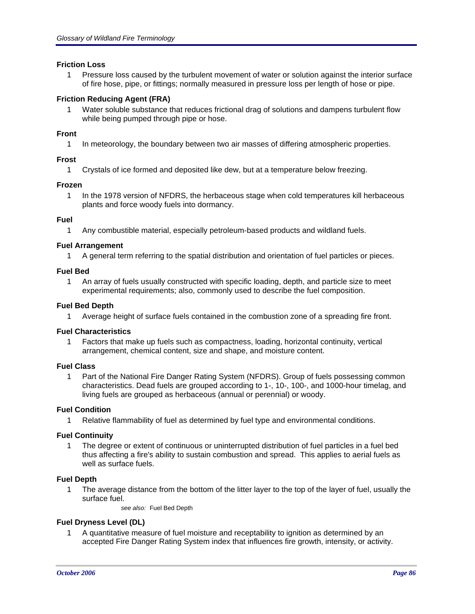## **Friction Loss**

1 Pressure loss caused by the turbulent movement of water or solution against the interior surface of fire hose, pipe, or fittings; normally measured in pressure loss per length of hose or pipe.

## **Friction Reducing Agent (FRA)**

1 Water soluble substance that reduces frictional drag of solutions and dampens turbulent flow while being pumped through pipe or hose.

## **Front**

1 In meteorology, the boundary between two air masses of differing atmospheric properties.

## **Frost**

1 Crystals of ice formed and deposited like dew, but at a temperature below freezing.

## **Frozen**

1 In the 1978 version of NFDRS, the herbaceous stage when cold temperatures kill herbaceous plants and force woody fuels into dormancy.

## **Fuel**

1 Any combustible material, especially petroleum-based products and wildland fuels.

## **Fuel Arrangement**

1 A general term referring to the spatial distribution and orientation of fuel particles or pieces.

## **Fuel Bed**

1 An array of fuels usually constructed with specific loading, depth, and particle size to meet experimental requirements; also, commonly used to describe the fuel composition.

## **Fuel Bed Depth**

1 Average height of surface fuels contained in the combustion zone of a spreading fire front.

## **Fuel Characteristics**

1 Factors that make up fuels such as compactness, loading, horizontal continuity, vertical arrangement, chemical content, size and shape, and moisture content.

## **Fuel Class**

1 Part of the National Fire Danger Rating System (NFDRS). Group of fuels possessing common characteristics. Dead fuels are grouped according to 1-, 10-, 100-, and 1000-hour timelag, and living fuels are grouped as herbaceous (annual or perennial) or woody.

## **Fuel Condition**

1 Relative flammability of fuel as determined by fuel type and environmental conditions.

## **Fuel Continuity**

1 The degree or extent of continuous or uninterrupted distribution of fuel particles in a fuel bed thus affecting a fire's ability to sustain combustion and spread. This applies to aerial fuels as well as surface fuels.

## **Fuel Depth**

1 The average distance from the bottom of the litter layer to the top of the layer of fuel, usually the surface fuel.

*see also:* Fuel Bed Depth

# **Fuel Dryness Level (DL)**

1 A quantitative measure of fuel moisture and receptability to ignition as determined by an accepted Fire Danger Rating System index that influences fire growth, intensity, or activity.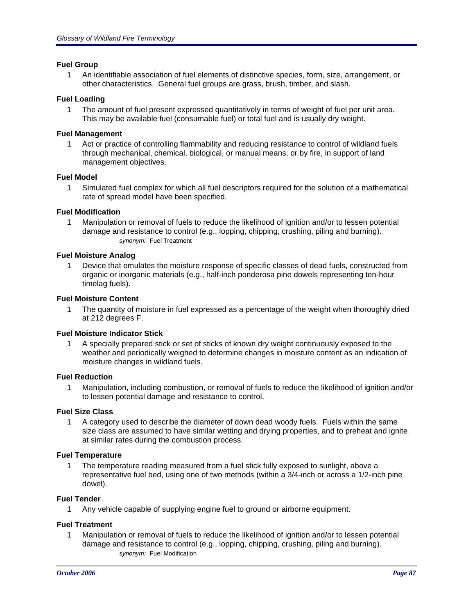## **Fuel Group**

1 An identifiable association of fuel elements of distinctive species, form, size, arrangement, or other characteristics. General fuel groups are grass, brush, timber, and slash.

## **Fuel Loading**

1 The amount of fuel present expressed quantitatively in terms of weight of fuel per unit area. This may be available fuel (consumable fuel) or total fuel and is usually dry weight.

## **Fuel Management**

1 Act or practice of controlling flammability and reducing resistance to control of wildland fuels through mechanical, chemical, biological, or manual means, or by fire, in support of land management objectives.

## **Fuel Model**

1 Simulated fuel complex for which all fuel descriptors required for the solution of a mathematical rate of spread model have been specified.

## **Fuel Modification**

1 Manipulation or removal of fuels to reduce the likelihood of ignition and/or to lessen potential damage and resistance to control (e.g., lopping, chipping, crushing, piling and burning). *synonym:* Fuel Treatment

# **Fuel Moisture Analog**

1 Device that emulates the moisture response of specific classes of dead fuels, constructed from organic or inorganic materials (e.g., half-inch ponderosa pine dowels representing ten-hour timelag fuels).

## **Fuel Moisture Content**

1 The quantity of moisture in fuel expressed as a percentage of the weight when thoroughly dried at 212 degrees F.

## **Fuel Moisture Indicator Stick**

1 A specially prepared stick or set of sticks of known dry weight continuously exposed to the weather and periodically weighed to determine changes in moisture content as an indication of moisture changes in wildland fuels.

## **Fuel Reduction**

1 Manipulation, including combustion, or removal of fuels to reduce the likelihood of ignition and/or to lessen potential damage and resistance to control.

## **Fuel Size Class**

1 A category used to describe the diameter of down dead woody fuels. Fuels within the same size class are assumed to have similar wetting and drying properties, and to preheat and ignite at similar rates during the combustion process.

## **Fuel Temperature**

1 The temperature reading measured from a fuel stick fully exposed to sunlight, above a representative fuel bed, using one of two methods (within a 3/4-inch or across a 1/2-inch pine dowel).

## **Fuel Tender**

1 Any vehicle capable of supplying engine fuel to ground or airborne equipment.

## **Fuel Treatment**

1 Manipulation or removal of fuels to reduce the likelihood of ignition and/or to lessen potential damage and resistance to control (e.g., lopping, chipping, crushing, piling and burning). *synonym:* Fuel Modification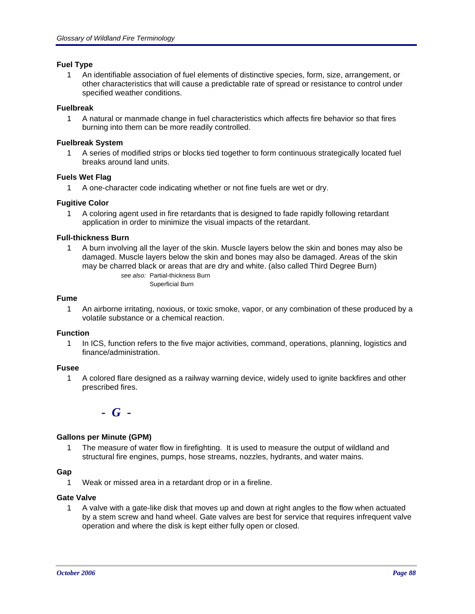## **Fuel Type**

1 An identifiable association of fuel elements of distinctive species, form, size, arrangement, or other characteristics that will cause a predictable rate of spread or resistance to control under specified weather conditions.

## **Fuelbreak**

1 A natural or manmade change in fuel characteristics which affects fire behavior so that fires burning into them can be more readily controlled.

## **Fuelbreak System**

1 A series of modified strips or blocks tied together to form continuous strategically located fuel breaks around land units.

## **Fuels Wet Flag**

1 A one-character code indicating whether or not fine fuels are wet or dry.

## **Fugitive Color**

1 A coloring agent used in fire retardants that is designed to fade rapidly following retardant application in order to minimize the visual impacts of the retardant.

## **Full-thickness Burn**

1 A burn involving all the layer of the skin. Muscle layers below the skin and bones may also be damaged. Muscle layers below the skin and bones may also be damaged. Areas of the skin may be charred black or areas that are dry and white. (also called Third Degree Burn)

*see also:* Partial-thickness Burn Superficial Burn

## **Fume**

1 An airborne irritating, noxious, or toxic smoke, vapor, or any combination of these produced by a volatile substance or a chemical reaction.

## **Function**

1 In ICS, function refers to the five major activities, command, operations, planning, logistics and finance/administration.

## **Fusee**

1 A colored flare designed as a railway warning device, widely used to ignite backfires and other prescribed fires.



# **Gallons per Minute (GPM)**

1 The measure of water flow in firefighting. It is used to measure the output of wildland and structural fire engines, pumps, hose streams, nozzles, hydrants, and water mains.

# **Gap**

1 Weak or missed area in a retardant drop or in a fireline.

## **Gate Valve**

1 A valve with a gate-like disk that moves up and down at right angles to the flow when actuated by a stem screw and hand wheel. Gate valves are best for service that requires infrequent valve operation and where the disk is kept either fully open or closed.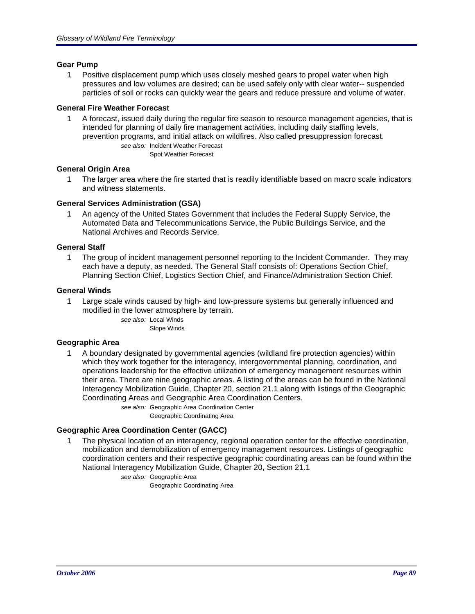## **Gear Pump**

1 Positive displacement pump which uses closely meshed gears to propel water when high pressures and low volumes are desired; can be used safely only with clear water-- suspended particles of soil or rocks can quickly wear the gears and reduce pressure and volume of water.

## **General Fire Weather Forecast**

1 A forecast, issued daily during the regular fire season to resource management agencies, that is intended for planning of daily fire management activities, including daily staffing levels, prevention programs, and initial attack on wildfires. Also called presuppression forecast. *see also:* Incident Weather Forecast

Spot Weather Forecast

## **General Origin Area**

1 The larger area where the fire started that is readily identifiable based on macro scale indicators and witness statements.

## **General Services Administration (GSA)**

1 An agency of the United States Government that includes the Federal Supply Service, the Automated Data and Telecommunications Service, the Public Buildings Service, and the National Archives and Records Service.

## **General Staff**

1 The group of incident management personnel reporting to the Incident Commander. They may each have a deputy, as needed. The General Staff consists of: Operations Section Chief, Planning Section Chief, Logistics Section Chief, and Finance/Administration Section Chief.

## **General Winds**

1 Large scale winds caused by high- and low-pressure systems but generally influenced and modified in the lower atmosphere by terrain.

> *see also:* Local Winds Slope Winds

## **Geographic Area**

1 A boundary designated by governmental agencies (wildland fire protection agencies) within which they work together for the interagency, intergovernmental planning, coordination, and operations leadership for the effective utilization of emergency management resources within their area. There are nine geographic areas. A listing of the areas can be found in the National Interagency Mobilization Guide, Chapter 20, section 21.1 along with listings of the Geographic Coordinating Areas and Geographic Area Coordination Centers.

*see also:* Geographic Area Coordination Center

Geographic Coordinating Area

## **Geographic Area Coordination Center (GACC)**

1 The physical location of an interagency, regional operation center for the effective coordination, mobilization and demobilization of emergency management resources. Listings of geographic coordination centers and their respective geographic coordinating areas can be found within the National Interagency Mobilization Guide, Chapter 20, Section 21.1

*see also:* Geographic Area

Geographic Coordinating Area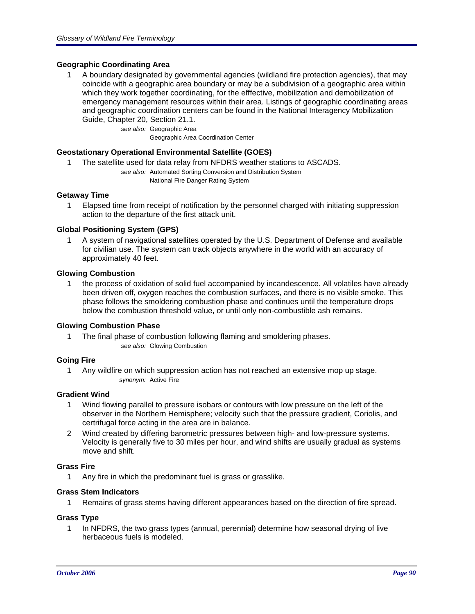## **Geographic Coordinating Area**

1 A boundary designated by governmental agencies (wildland fire protection agencies), that may coincide with a geographic area boundary or may be a subdivision of a geographic area within which they work together coordinating, for the efffective, mobilization and demobilization of emergency management resources within their area. Listings of geographic coordinating areas and geographic coordination centers can be found in the National Interagency Mobilization Guide, Chapter 20, Section 21.1.

> *see also:* Geographic Area Geographic Area Coordination Center

## **Geostationary Operational Environmental Satellite (GOES)**

- 1 The satellite used for data relay from NFDRS weather stations to ASCADS.
	- *see also:* Automated Sorting Conversion and Distribution System National Fire Danger Rating System

## **Getaway Time**

1 Elapsed time from receipt of notification by the personnel charged with initiating suppression action to the departure of the first attack unit.

#### **Global Positioning System (GPS)**

1 A system of navigational satellites operated by the U.S. Department of Defense and available for civilian use. The system can track objects anywhere in the world with an accuracy of approximately 40 feet.

#### **Glowing Combustion**

1 the process of oxidation of solid fuel accompanied by incandescence. All volatiles have already been driven off, oxygen reaches the combustion surfaces, and there is no visible smoke. This phase follows the smoldering combustion phase and continues until the temperature drops below the combustion threshold value, or until only non-combustible ash remains.

## **Glowing Combustion Phase**

1 The final phase of combustion following flaming and smoldering phases. *see also:* Glowing Combustion

#### **Going Fire**

1 Any wildfire on which suppression action has not reached an extensive mop up stage. *synonym:* Active Fire

## **Gradient Wind**

- 1 Wind flowing parallel to pressure isobars or contours with low pressure on the left of the observer in the Northern Hemisphere; velocity such that the pressure gradient, Coriolis, and certrifugal force acting in the area are in balance.
- 2 Wind created by differing barometric pressures between high- and low-pressure systems. Velocity is generally five to 30 miles per hour, and wind shifts are usually gradual as systems move and shift.

## **Grass Fire**

1 Any fire in which the predominant fuel is grass or grasslike.

## **Grass Stem Indicators**

1 Remains of grass stems having different appearances based on the direction of fire spread.

## **Grass Type**

1 In NFDRS, the two grass types (annual, perennial) determine how seasonal drying of live herbaceous fuels is modeled.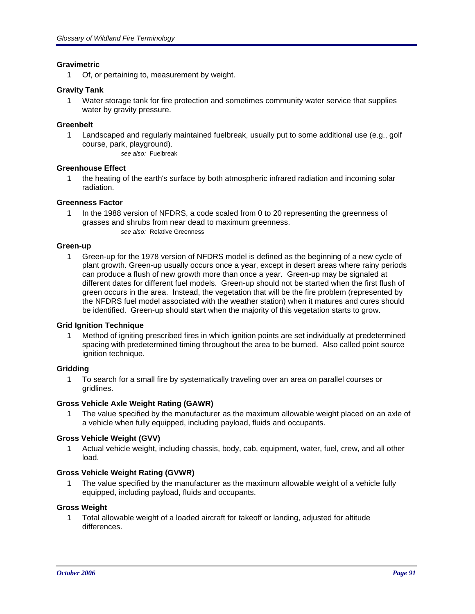## **Gravimetric**

1 Of, or pertaining to, measurement by weight.

## **Gravity Tank**

1 Water storage tank for fire protection and sometimes community water service that supplies water by gravity pressure.

## **Greenbelt**

- 1 Landscaped and regularly maintained fuelbreak, usually put to some additional use (e.g., golf course, park, playground).
	- *see also:* Fuelbreak

## **Greenhouse Effect**

1 the heating of the earth's surface by both atmospheric infrared radiation and incoming solar radiation.

## **Greenness Factor**

1 In the 1988 version of NFDRS, a code scaled from 0 to 20 representing the greenness of grasses and shrubs from near dead to maximum greenness. *see also:* Relative Greenness

## **Green-up**

1 Green-up for the 1978 version of NFDRS model is defined as the beginning of a new cycle of plant growth. Green-up usually occurs once a year, except in desert areas where rainy periods can produce a flush of new growth more than once a year. Green-up may be signaled at different dates for different fuel models. Green-up should not be started when the first flush of green occurs in the area. Instead, the vegetation that will be the fire problem (represented by the NFDRS fuel model associated with the weather station) when it matures and cures should be identified. Green-up should start when the majority of this vegetation starts to grow.

## **Grid Ignition Technique**

Method of igniting prescribed fires in which ignition points are set individually at predetermined spacing with predetermined timing throughout the area to be burned. Also called point source ignition technique.

# **Gridding**

1 To search for a small fire by systematically traveling over an area on parallel courses or gridlines.

## **Gross Vehicle Axle Weight Rating (GAWR)**

1 The value specified by the manufacturer as the maximum allowable weight placed on an axle of a vehicle when fully equipped, including payload, fluids and occupants.

## **Gross Vehicle Weight (GVV)**

1 Actual vehicle weight, including chassis, body, cab, equipment, water, fuel, crew, and all other load.

## **Gross Vehicle Weight Rating (GVWR)**

The value specified by the manufacturer as the maximum allowable weight of a vehicle fully equipped, including payload, fluids and occupants.

## **Gross Weight**

1 Total allowable weight of a loaded aircraft for takeoff or landing, adjusted for altitude differences.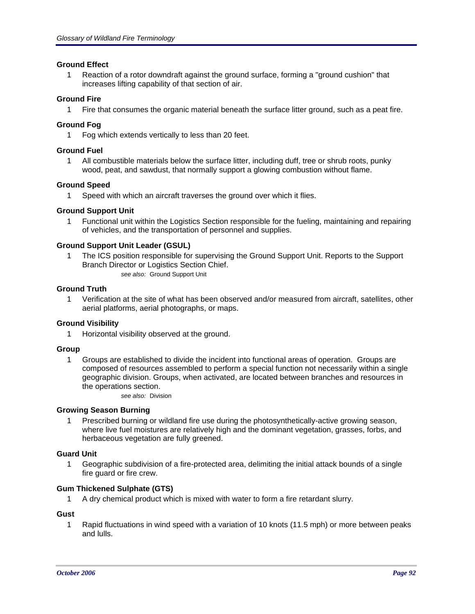## **Ground Effect**

1 Reaction of a rotor downdraft against the ground surface, forming a "ground cushion" that increases lifting capability of that section of air.

## **Ground Fire**

1 Fire that consumes the organic material beneath the surface litter ground, such as a peat fire.

## **Ground Fog**

1 Fog which extends vertically to less than 20 feet.

## **Ground Fuel**

1 All combustible materials below the surface litter, including duff, tree or shrub roots, punky wood, peat, and sawdust, that normally support a glowing combustion without flame.

## **Ground Speed**

1 Speed with which an aircraft traverses the ground over which it flies.

## **Ground Support Unit**

1 Functional unit within the Logistics Section responsible for the fueling, maintaining and repairing of vehicles, and the transportation of personnel and supplies.

## **Ground Support Unit Leader (GSUL)**

The ICS position responsible for supervising the Ground Support Unit. Reports to the Support Branch Director or Logistics Section Chief. *see also:* Ground Support Unit

## **Ground Truth**

1 Verification at the site of what has been observed and/or measured from aircraft, satellites, other aerial platforms, aerial photographs, or maps.

## **Ground Visibility**

1 Horizontal visibility observed at the ground.

## **Group**

1 Groups are established to divide the incident into functional areas of operation. Groups are composed of resources assembled to perform a special function not necessarily within a single geographic division. Groups, when activated, are located between branches and resources in the operations section.

*see also:* Division

## **Growing Season Burning**

1 Prescribed burning or wildland fire use during the photosynthetically-active growing season, where live fuel moistures are relatively high and the dominant vegetation, grasses, forbs, and herbaceous vegetation are fully greened.

## **Guard Unit**

1 Geographic subdivision of a fire-protected area, delimiting the initial attack bounds of a single fire guard or fire crew.

## **Gum Thickened Sulphate (GTS)**

1 A dry chemical product which is mixed with water to form a fire retardant slurry.

## **Gust**

1 Rapid fluctuations in wind speed with a variation of 10 knots (11.5 mph) or more between peaks and lulls.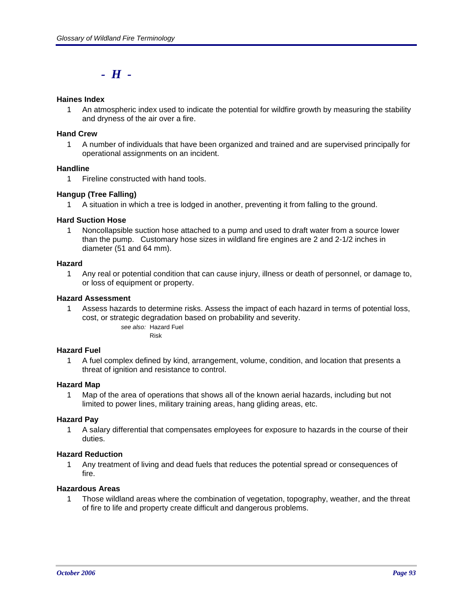# *- H -*

## **Haines Index**

1 An atmospheric index used to indicate the potential for wildfire growth by measuring the stability and dryness of the air over a fire.

## **Hand Crew**

1 A number of individuals that have been organized and trained and are supervised principally for operational assignments on an incident.

## **Handline**

1 Fireline constructed with hand tools.

## **Hangup (Tree Falling)**

1 A situation in which a tree is lodged in another, preventing it from falling to the ground.

## **Hard Suction Hose**

1 Noncollapsible suction hose attached to a pump and used to draft water from a source lower than the pump. Customary hose sizes in wildland fire engines are 2 and 2-1/2 inches in diameter (51 and 64 mm).

#### **Hazard**

1 Any real or potential condition that can cause injury, illness or death of personnel, or damage to, or loss of equipment or property.

## **Hazard Assessment**

1 Assess hazards to determine risks. Assess the impact of each hazard in terms of potential loss, cost, or strategic degradation based on probability and severity. *see also:* Hazard Fuel

Risk

## **Hazard Fuel**

1 A fuel complex defined by kind, arrangement, volume, condition, and location that presents a threat of ignition and resistance to control.

## **Hazard Map**

1 Map of the area of operations that shows all of the known aerial hazards, including but not limited to power lines, military training areas, hang gliding areas, etc.

## **Hazard Pay**

1 A salary differential that compensates employees for exposure to hazards in the course of their duties.

## **Hazard Reduction**

1 Any treatment of living and dead fuels that reduces the potential spread or consequences of fire.

#### **Hazardous Areas**

1 Those wildland areas where the combination of vegetation, topography, weather, and the threat of fire to life and property create difficult and dangerous problems.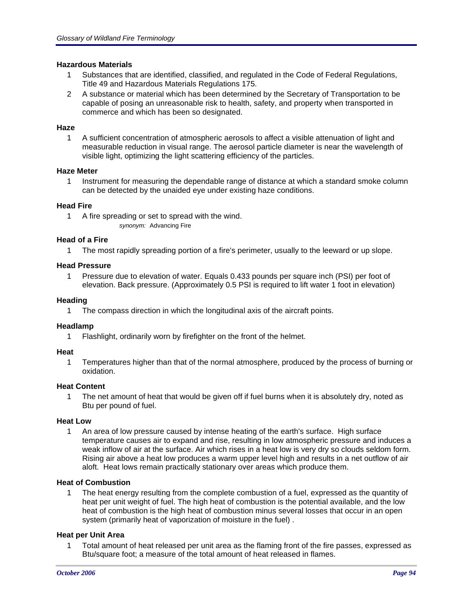## **Hazardous Materials**

- 1 Substances that are identified, classified, and regulated in the Code of Federal Regulations, Title 49 and Hazardous Materials Regulations 175.
- 2 A substance or material which has been determined by the Secretary of Transportation to be capable of posing an unreasonable risk to health, safety, and property when transported in commerce and which has been so designated.

## **Haze**

1 A sufficient concentration of atmospheric aerosols to affect a visible attenuation of light and measurable reduction in visual range. The aerosol particle diameter is near the wavelength of visible light, optimizing the light scattering efficiency of the particles.

## **Haze Meter**

1 Instrument for measuring the dependable range of distance at which a standard smoke column can be detected by the unaided eye under existing haze conditions.

## **Head Fire**

1 A fire spreading or set to spread with the wind. *synonym:* Advancing Fire

## **Head of a Fire**

1 The most rapidly spreading portion of a fire's perimeter, usually to the leeward or up slope.

## **Head Pressure**

1 Pressure due to elevation of water. Equals 0.433 pounds per square inch (PSI) per foot of elevation. Back pressure. (Approximately 0.5 PSI is required to lift water 1 foot in elevation)

## **Heading**

1 The compass direction in which the longitudinal axis of the aircraft points.

# **Headlamp**

1 Flashlight, ordinarily worn by firefighter on the front of the helmet.

## **Heat**

1 Temperatures higher than that of the normal atmosphere, produced by the process of burning or oxidation.

## **Heat Content**

1 The net amount of heat that would be given off if fuel burns when it is absolutely dry, noted as Btu per pound of fuel.

## **Heat Low**

1 An area of low pressure caused by intense heating of the earth's surface. High surface temperature causes air to expand and rise, resulting in low atmospheric pressure and induces a weak inflow of air at the surface. Air which rises in a heat low is very dry so clouds seldom form. Rising air above a heat low produces a warm upper level high and results in a net outflow of air aloft. Heat lows remain practically stationary over areas which produce them.

## **Heat of Combustion**

1 The heat energy resulting from the complete combustion of a fuel, expressed as the quantity of heat per unit weight of fuel. The high heat of combustion is the potential available, and the low heat of combustion is the high heat of combustion minus several losses that occur in an open system (primarily heat of vaporization of moisture in the fuel) .

## **Heat per Unit Area**

1 Total amount of heat released per unit area as the flaming front of the fire passes, expressed as Btu/square foot; a measure of the total amount of heat released in flames.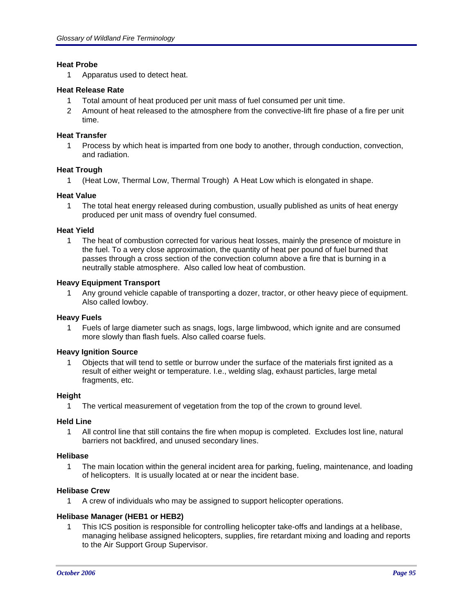## **Heat Probe**

1 Apparatus used to detect heat.

## **Heat Release Rate**

- 1 Total amount of heat produced per unit mass of fuel consumed per unit time.
- 2 Amount of heat released to the atmosphere from the convective-lift fire phase of a fire per unit time.

## **Heat Transfer**

1 Process by which heat is imparted from one body to another, through conduction, convection, and radiation.

## **Heat Trough**

1 (Heat Low, Thermal Low, Thermal Trough) A Heat Low which is elongated in shape.

#### **Heat Value**

1 The total heat energy released during combustion, usually published as units of heat energy produced per unit mass of ovendry fuel consumed.

#### **Heat Yield**

1 The heat of combustion corrected for various heat losses, mainly the presence of moisture in the fuel. To a very close approximation, the quantity of heat per pound of fuel burned that passes through a cross section of the convection column above a fire that is burning in a neutrally stable atmosphere. Also called low heat of combustion.

#### **Heavy Equipment Transport**

1 Any ground vehicle capable of transporting a dozer, tractor, or other heavy piece of equipment. Also called lowboy.

## **Heavy Fuels**

1 Fuels of large diameter such as snags, logs, large limbwood, which ignite and are consumed more slowly than flash fuels. Also called coarse fuels.

## **Heavy Ignition Source**

1 Objects that will tend to settle or burrow under the surface of the materials first ignited as a result of either weight or temperature. I.e., welding slag, exhaust particles, large metal fragments, etc.

## **Height**

1 The vertical measurement of vegetation from the top of the crown to ground level.

#### **Held Line**

1 All control line that still contains the fire when mopup is completed. Excludes lost line, natural barriers not backfired, and unused secondary lines.

#### **Helibase**

1 The main location within the general incident area for parking, fueling, maintenance, and loading of helicopters. It is usually located at or near the incident base.

## **Helibase Crew**

1 A crew of individuals who may be assigned to support helicopter operations.

## **Helibase Manager (HEB1 or HEB2)**

1 This ICS position is responsible for controlling helicopter take-offs and landings at a helibase, managing helibase assigned helicopters, supplies, fire retardant mixing and loading and reports to the Air Support Group Supervisor.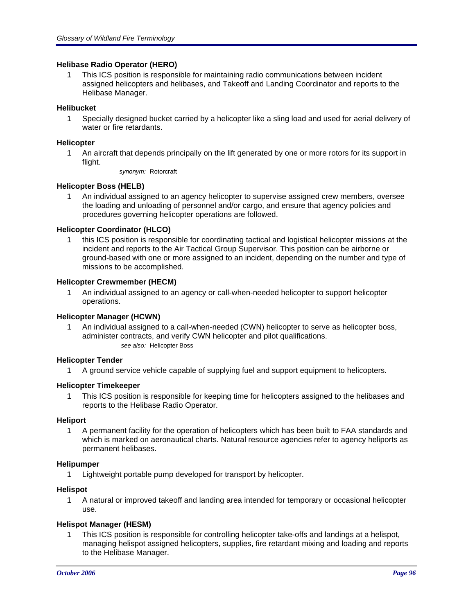## **Helibase Radio Operator (HERO)**

1 This ICS position is responsible for maintaining radio communications between incident assigned helicopters and helibases, and Takeoff and Landing Coordinator and reports to the Helibase Manager.

## **Helibucket**

1 Specially designed bucket carried by a helicopter like a sling load and used for aerial delivery of water or fire retardants.

## **Helicopter**

- 1 An aircraft that depends principally on the lift generated by one or more rotors for its support in flight.
	- *synonym:* Rotorcraft

## **Helicopter Boss (HELB)**

1 An individual assigned to an agency helicopter to supervise assigned crew members, oversee the loading and unloading of personnel and/or cargo, and ensure that agency policies and procedures governing helicopter operations are followed.

## **Helicopter Coordinator (HLCO)**

1 this ICS position is responsible for coordinating tactical and logistical helicopter missions at the incident and reports to the Air Tactical Group Supervisor. This position can be airborne or ground-based with one or more assigned to an incident, depending on the number and type of missions to be accomplished.

## **Helicopter Crewmember (HECM)**

1 An individual assigned to an agency or call-when-needed helicopter to support helicopter operations.

## **Helicopter Manager (HCWN)**

1 An individual assigned to a call-when-needed (CWN) helicopter to serve as helicopter boss, administer contracts, and verify CWN helicopter and pilot qualifications. *see also:* Helicopter Boss

## **Helicopter Tender**

1 A ground service vehicle capable of supplying fuel and support equipment to helicopters.

## **Helicopter Timekeeper**

1 This ICS position is responsible for keeping time for helicopters assigned to the helibases and reports to the Helibase Radio Operator.

## **Heliport**

1 A permanent facility for the operation of helicopters which has been built to FAA standards and which is marked on aeronautical charts. Natural resource agencies refer to agency heliports as permanent helibases.

## **Helipumper**

1 Lightweight portable pump developed for transport by helicopter.

## **Helispot**

1 A natural or improved takeoff and landing area intended for temporary or occasional helicopter use.

# **Helispot Manager (HESM)**

1 This ICS position is responsible for controlling helicopter take-offs and landings at a helispot, managing helispot assigned helicopters, supplies, fire retardant mixing and loading and reports to the Helibase Manager.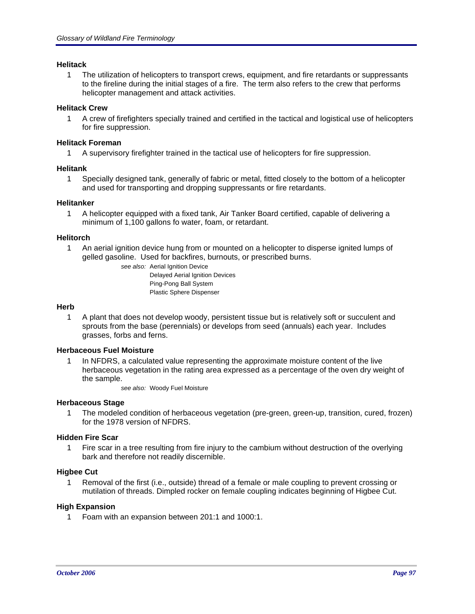## **Helitack**

1 The utilization of helicopters to transport crews, equipment, and fire retardants or suppressants to the fireline during the initial stages of a fire. The term also refers to the crew that performs helicopter management and attack activities.

## **Helitack Crew**

1 A crew of firefighters specially trained and certified in the tactical and logistical use of helicopters for fire suppression.

## **Helitack Foreman**

1 A supervisory firefighter trained in the tactical use of helicopters for fire suppression.

## **Helitank**

1 Specially designed tank, generally of fabric or metal, fitted closely to the bottom of a helicopter and used for transporting and dropping suppressants or fire retardants.

## **Helitanker**

1 A helicopter equipped with a fixed tank, Air Tanker Board certified, capable of delivering a minimum of 1,100 gallons fo water, foam, or retardant.

## **Helitorch**

1 An aerial ignition device hung from or mounted on a helicopter to disperse ignited lumps of gelled gasoline. Used for backfires, burnouts, or prescribed burns.

*see also:* Aerial Ignition Device Delayed Aerial Ignition Devices Ping-Pong Ball System Plastic Sphere Dispenser

## **Herb**

1 A plant that does not develop woody, persistent tissue but is relatively soft or succulent and sprouts from the base (perennials) or develops from seed (annuals) each year. Includes grasses, forbs and ferns.

## **Herbaceous Fuel Moisture**

1 In NFDRS, a calculated value representing the approximate moisture content of the live herbaceous vegetation in the rating area expressed as a percentage of the oven dry weight of the sample.

*see also:* Woody Fuel Moisture

## **Herbaceous Stage**

1 The modeled condition of herbaceous vegetation (pre-green, green-up, transition, cured, frozen) for the 1978 version of NFDRS.

## **Hidden Fire Scar**

1 Fire scar in a tree resulting from fire injury to the cambium without destruction of the overlying bark and therefore not readily discernible.

# **Higbee Cut**

1 Removal of the first (i.e., outside) thread of a female or male coupling to prevent crossing or mutilation of threads. Dimpled rocker on female coupling indicates beginning of Higbee Cut.

## **High Expansion**

1 Foam with an expansion between 201:1 and 1000:1.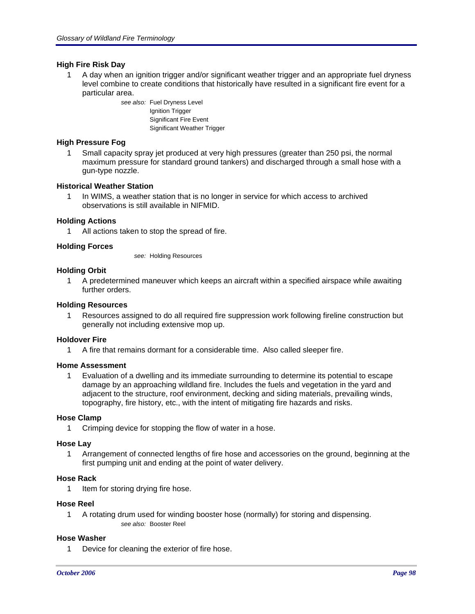## **High Fire Risk Day**

1 A day when an ignition trigger and/or significant weather trigger and an appropriate fuel dryness level combine to create conditions that historically have resulted in a significant fire event for a particular area.

> *see also:* Fuel Dryness Level Ignition Trigger Significant Fire Event Significant Weather Trigger

## **High Pressure Fog**

1 Small capacity spray jet produced at very high pressures (greater than 250 psi, the normal maximum pressure for standard ground tankers) and discharged through a small hose with a gun-type nozzle.

## **Historical Weather Station**

1 In WIMS, a weather station that is no longer in service for which access to archived observations is still available in NIFMID.

## **Holding Actions**

1 All actions taken to stop the spread of fire.

## **Holding Forces**

*see:* Holding Resources

## **Holding Orbit**

1 A predetermined maneuver which keeps an aircraft within a specified airspace while awaiting further orders.

## **Holding Resources**

1 Resources assigned to do all required fire suppression work following fireline construction but generally not including extensive mop up.

## **Holdover Fire**

1 A fire that remains dormant for a considerable time. Also called sleeper fire.

## **Home Assessment**

1 Evaluation of a dwelling and its immediate surrounding to determine its potential to escape damage by an approaching wildland fire. Includes the fuels and vegetation in the yard and adjacent to the structure, roof environment, decking and siding materials, prevailing winds, topography, fire history, etc., with the intent of mitigating fire hazards and risks.

## **Hose Clamp**

1 Crimping device for stopping the flow of water in a hose.

## **Hose Lay**

1 Arrangement of connected lengths of fire hose and accessories on the ground, beginning at the first pumping unit and ending at the point of water delivery.

## **Hose Rack**

1 Item for storing drying fire hose.

## **Hose Reel**

1 A rotating drum used for winding booster hose (normally) for storing and dispensing. *see also:* Booster Reel

## **Hose Washer**

1 Device for cleaning the exterior of fire hose.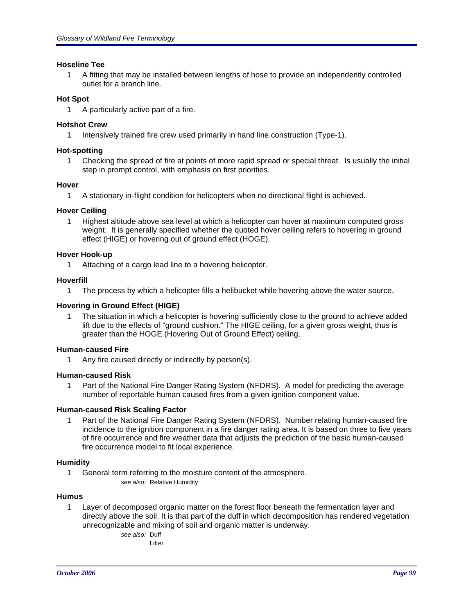## **Hoseline Tee**

1 A fitting that may be installed between lengths of hose to provide an independently controlled outlet for a branch line.

## **Hot Spot**

1 A particularly active part of a fire.

# **Hotshot Crew**

1 Intensively trained fire crew used primarily in hand line construction (Type-1).

## **Hot-spotting**

1 Checking the spread of fire at points of more rapid spread or special threat. Is usually the initial step in prompt control, with emphasis on first priorities.

## **Hover**

1 A stationary in-flight condition for helicopters when no directional flight is achieved.

## **Hover Ceiling**

1 Highest altitude above sea level at which a helicopter can hover at maximum computed gross weight. It is generally specified whether the quoted hover ceiling refers to hovering in ground effect (HIGE) or hovering out of ground effect (HOGE).

## **Hover Hook-up**

1 Attaching of a cargo lead line to a hovering helicopter.

## **Hoverfill**

1 The process by which a helicopter fills a helibucket while hovering above the water source.

## **Hovering in Ground Effect (HIGE)**

1 The situation in which a helicopter is hovering sufficiently close to the ground to achieve added lift due to the effects of "ground cushion." The HIGE ceiling, for a given gross weight, thus is greater than the HOGE (Hovering Out of Ground Effect) ceiling.

## **Human-caused Fire**

1 Any fire caused directly or indirectly by person(s).

## **Human-caused Risk**

1 Part of the National Fire Danger Rating System (NFDRS). A model for predicting the average number of reportable human caused fires from a given ignition component value.

## **Human-caused Risk Scaling Factor**

1 Part of the National Fire Danger Rating System (NFDRS). Number relating human-caused fire incidence to the ignition component in a fire danger rating area. It is based on three to five years of fire occurrence and fire weather data that adjusts the prediction of the basic human-caused fire occurrence model to fit local experience.

## **Humidity**

1 General term referring to the moisture content of the atmosphere. *see also:* Relative Humidity

## **Humus**

1 Layer of decomposed organic matter on the forest floor beneath the fermentation layer and directly above the soil. It is that part of the duff in which decomposition has rendered vegetation unrecognizable and mixing of soil and organic matter is underway.

*see also:* Duff

Litter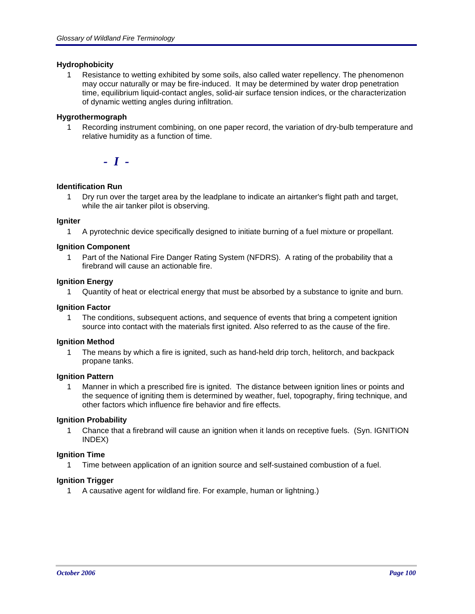## **Hydrophobicity**

1 Resistance to wetting exhibited by some soils, also called water repellency. The phenomenon may occur naturally or may be fire-induced. It may be determined by water drop penetration time, equilibrium liquid-contact angles, solid-air surface tension indices, or the characterization of dynamic wetting angles during infiltration.

## **Hygrothermograph**

1 Recording instrument combining, on one paper record, the variation of dry-bulb temperature and relative humidity as a function of time.

*- I -*

## **Identification Run**

1 Dry run over the target area by the leadplane to indicate an airtanker's flight path and target, while the air tanker pilot is observing.

## **Igniter**

1 A pyrotechnic device specifically designed to initiate burning of a fuel mixture or propellant.

## **Ignition Component**

1 Part of the National Fire Danger Rating System (NFDRS). A rating of the probability that a firebrand will cause an actionable fire.

## **Ignition Energy**

1 Quantity of heat or electrical energy that must be absorbed by a substance to ignite and burn.

## **Ignition Factor**

1 The conditions, subsequent actions, and sequence of events that bring a competent ignition source into contact with the materials first ignited. Also referred to as the cause of the fire.

## **Ignition Method**

1 The means by which a fire is ignited, such as hand-held drip torch, helitorch, and backpack propane tanks.

## **Ignition Pattern**

1 Manner in which a prescribed fire is ignited. The distance between ignition lines or points and the sequence of igniting them is determined by weather, fuel, topography, firing technique, and other factors which influence fire behavior and fire effects.

## **Ignition Probability**

1 Chance that a firebrand will cause an ignition when it lands on receptive fuels. (Syn. IGNITION INDEX)

## **Ignition Time**

1 Time between application of an ignition source and self-sustained combustion of a fuel.

# **Ignition Trigger**

1 A causative agent for wildland fire. For example, human or lightning.)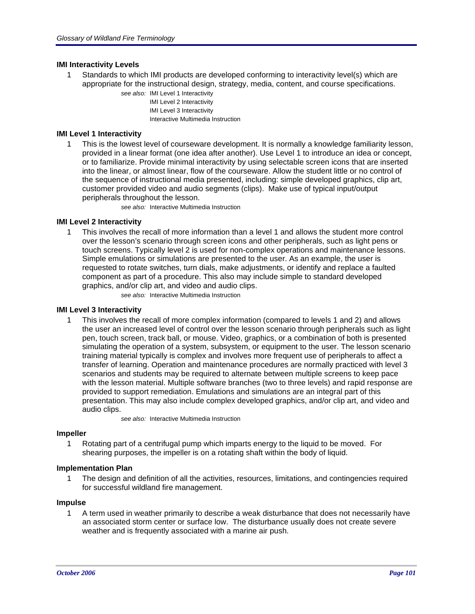## **IMI Interactivity Levels**

- 1 Standards to which IMI products are developed conforming to interactivity level(s) which are appropriate for the instructional design, strategy, media, content, and course specifications.
	- *see also:* IMI Level 1 Interactivity
		- IMI Level 2 Interactivity IMI Level 3 Interactivity
		- Interactive Multimedia Instruction

## **IMI Level 1 Interactivity**

1 This is the lowest level of courseware development. It is normally a knowledge familiarity lesson, provided in a linear format (one idea after another). Use Level 1 to introduce an idea or concept, or to familiarize. Provide minimal interactivity by using selectable screen icons that are inserted into the linear, or almost linear, flow of the courseware. Allow the student little or no control of the sequence of instructional media presented, including: simple developed graphics, clip art, customer provided video and audio segments (clips). Make use of typical input/output peripherals throughout the lesson.

*see also:* Interactive Multimedia Instruction

# **IMI Level 2 Interactivity**

1 This involves the recall of more information than a level 1 and allows the student more control over the lesson's scenario through screen icons and other peripherals, such as light pens or touch screens. Typically level 2 is used for non-complex operations and maintenance lessons. Simple emulations or simulations are presented to the user. As an example, the user is requested to rotate switches, turn dials, make adjustments, or identify and replace a faulted component as part of a procedure. This also may include simple to standard developed graphics, and/or clip art, and video and audio clips.

*see also:* Interactive Multimedia Instruction

## **IMI Level 3 Interactivity**

1 This involves the recall of more complex information (compared to levels 1 and 2) and allows the user an increased level of control over the lesson scenario through peripherals such as light pen, touch screen, track ball, or mouse. Video, graphics, or a combination of both is presented simulating the operation of a system, subsystem, or equipment to the user. The lesson scenario training material typically is complex and involves more frequent use of peripherals to affect a transfer of learning. Operation and maintenance procedures are normally practiced with level 3 scenarios and students may be required to alternate between multiple screens to keep pace with the lesson material. Multiple software branches (two to three levels) and rapid response are provided to support remediation. Emulations and simulations are an integral part of this presentation. This may also include complex developed graphics, and/or clip art, and video and audio clips.

*see also:* Interactive Multimedia Instruction

## **Impeller**

1 Rotating part of a centrifugal pump which imparts energy to the liquid to be moved. For shearing purposes, the impeller is on a rotating shaft within the body of liquid.

## **Implementation Plan**

1 The design and definition of all the activities, resources, limitations, and contingencies required for successful wildland fire management.

### **Impulse**

1 A term used in weather primarily to describe a weak disturbance that does not necessarily have an associated storm center or surface low. The disturbance usually does not create severe weather and is frequently associated with a marine air push.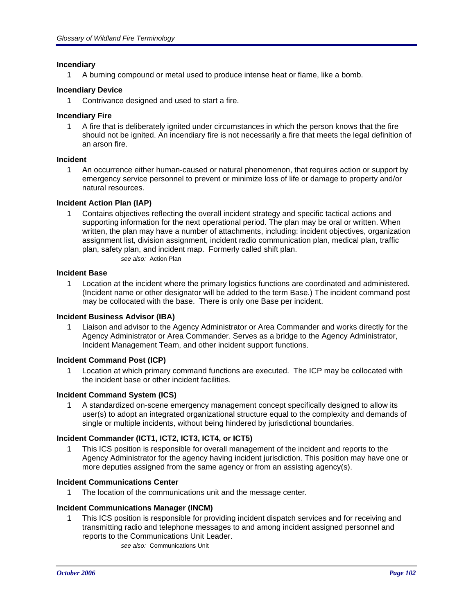## **Incendiary**

1 A burning compound or metal used to produce intense heat or flame, like a bomb.

## **Incendiary Device**

1 Contrivance designed and used to start a fire.

## **Incendiary Fire**

1 A fire that is deliberately ignited under circumstances in which the person knows that the fire should not be ignited. An incendiary fire is not necessarily a fire that meets the legal definition of an arson fire.

## **Incident**

1 An occurrence either human-caused or natural phenomenon, that requires action or support by emergency service personnel to prevent or minimize loss of life or damage to property and/or natural resources.

## **Incident Action Plan (IAP)**

1 Contains objectives reflecting the overall incident strategy and specific tactical actions and supporting information for the next operational period. The plan may be oral or written. When written, the plan may have a number of attachments, including: incident objectives, organization assignment list, division assignment, incident radio communication plan, medical plan, traffic plan, safety plan, and incident map. Formerly called shift plan.

*see also:* Action Plan

## **Incident Base**

1 Location at the incident where the primary logistics functions are coordinated and administered. (Incident name or other designator will be added to the term Base.) The incident command post may be collocated with the base. There is only one Base per incident.

## **Incident Business Advisor (IBA)**

1 Liaison and advisor to the Agency Administrator or Area Commander and works directly for the Agency Administrator or Area Commander. Serves as a bridge to the Agency Administrator, Incident Management Team, and other incident support functions.

## **Incident Command Post (ICP)**

1 Location at which primary command functions are executed. The ICP may be collocated with the incident base or other incident facilities.

# **Incident Command System (ICS)**

1 A standardized on-scene emergency management concept specifically designed to allow its user(s) to adopt an integrated organizational structure equal to the complexity and demands of single or multiple incidents, without being hindered by jurisdictional boundaries.

# **Incident Commander (ICT1, ICT2, ICT3, ICT4, or ICT5)**

1 This ICS position is responsible for overall management of the incident and reports to the Agency Administrator for the agency having incident jurisdiction. This position may have one or more deputies assigned from the same agency or from an assisting agency(s).

## **Incident Communications Center**

1 The location of the communications unit and the message center.

# **Incident Communications Manager (INCM)**

1 This ICS position is responsible for providing incident dispatch services and for receiving and transmitting radio and telephone messages to and among incident assigned personnel and reports to the Communications Unit Leader. *see also:* Communications Unit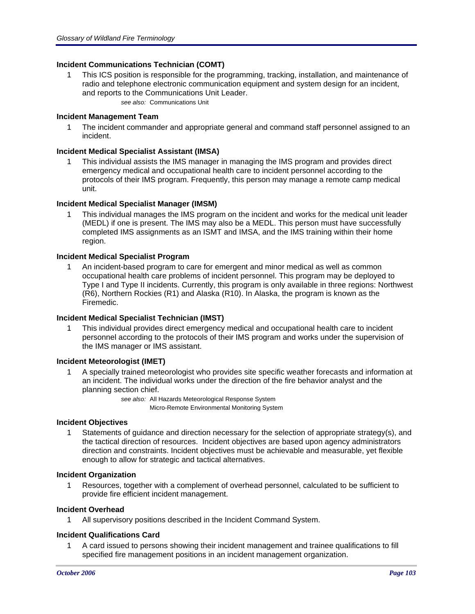## **Incident Communications Technician (COMT)**

- 1 This ICS position is responsible for the programming, tracking, installation, and maintenance of radio and telephone electronic communication equipment and system design for an incident, and reports to the Communications Unit Leader.
	- *see also:* Communications Unit

## **Incident Management Team**

1 The incident commander and appropriate general and command staff personnel assigned to an incident.

## **Incident Medical Specialist Assistant (IMSA)**

1 This individual assists the IMS manager in managing the IMS program and provides direct emergency medical and occupational health care to incident personnel according to the protocols of their IMS program. Frequently, this person may manage a remote camp medical unit.

## **Incident Medical Specialist Manager (IMSM)**

1 This individual manages the IMS program on the incident and works for the medical unit leader (MEDL) if one is present. The IMS may also be a MEDL. This person must have successfully completed IMS assignments as an ISMT and IMSA, and the IMS training within their home region.

## **Incident Medical Specialist Program**

1 An incident-based program to care for emergent and minor medical as well as common occupational health care problems of incident personnel. This program may be deployed to Type I and Type II incidents. Currently, this program is only available in three regions: Northwest (R6), Northern Rockies (R1) and Alaska (R10). In Alaska, the program is known as the Firemedic.

## **Incident Medical Specialist Technician (IMST)**

1 This individual provides direct emergency medical and occupational health care to incident personnel according to the protocols of their IMS program and works under the supervision of the IMS manager or IMS assistant.

## **Incident Meteorologist (IMET)**

1 A specially trained meteorologist who provides site specific weather forecasts and information at an incident. The individual works under the direction of the fire behavior analyst and the planning section chief.

> *see also:* All Hazards Meteorological Response System Micro-Remote Environmental Monitoring System

## **Incident Objectives**

1 Statements of guidance and direction necessary for the selection of appropriate strategy(s), and the tactical direction of resources. Incident objectives are based upon agency administrators direction and constraints. Incident objectives must be achievable and measurable, yet flexible enough to allow for strategic and tactical alternatives.

## **Incident Organization**

1 Resources, together with a complement of overhead personnel, calculated to be sufficient to provide fire efficient incident management.

## **Incident Overhead**

1 All supervisory positions described in the Incident Command System.

## **Incident Qualifications Card**

1 A card issued to persons showing their incident management and trainee qualifications to fill specified fire management positions in an incident management organization.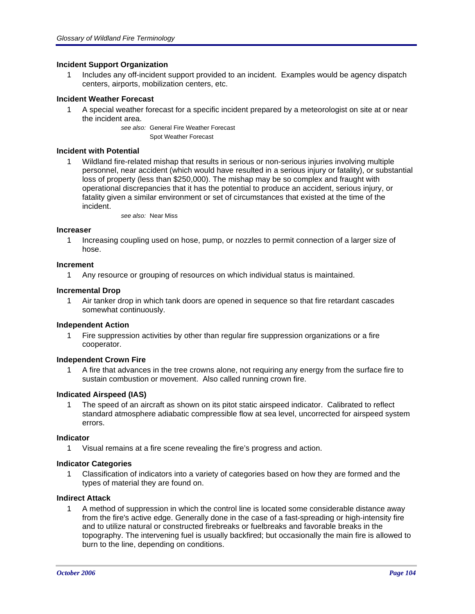## **Incident Support Organization**

1 Includes any off-incident support provided to an incident. Examples would be agency dispatch centers, airports, mobilization centers, etc.

## **Incident Weather Forecast**

1 A special weather forecast for a specific incident prepared by a meteorologist on site at or near the incident area.

> *see also:* General Fire Weather Forecast Spot Weather Forecast

### **Incident with Potential**

1 Wildland fire-related mishap that results in serious or non-serious injuries involving multiple personnel, near accident (which would have resulted in a serious injury or fatality), or substantial loss of property (less than \$250,000). The mishap may be so complex and fraught with operational discrepancies that it has the potential to produce an accident, serious injury, or fatality given a similar environment or set of circumstances that existed at the time of the incident.

*see also:* Near Miss

#### **Increaser**

1 Increasing coupling used on hose, pump, or nozzles to permit connection of a larger size of hose.

#### **Increment**

1 Any resource or grouping of resources on which individual status is maintained.

#### **Incremental Drop**

1 Air tanker drop in which tank doors are opened in sequence so that fire retardant cascades somewhat continuously.

## **Independent Action**

Fire suppression activities by other than regular fire suppression organizations or a fire cooperator.

#### **Independent Crown Fire**

1 A fire that advances in the tree crowns alone, not requiring any energy from the surface fire to sustain combustion or movement. Also called running crown fire.

## **Indicated Airspeed (IAS)**

1 The speed of an aircraft as shown on its pitot static airspeed indicator. Calibrated to reflect standard atmosphere adiabatic compressible flow at sea level, uncorrected for airspeed system errors.

#### **Indicator**

1 Visual remains at a fire scene revealing the fire's progress and action.

## **Indicator Categories**

1 Classification of indicators into a variety of categories based on how they are formed and the types of material they are found on.

## **Indirect Attack**

1 A method of suppression in which the control line is located some considerable distance away from the fire's active edge. Generally done in the case of a fast-spreading or high-intensity fire and to utilize natural or constructed firebreaks or fuelbreaks and favorable breaks in the topography. The intervening fuel is usually backfired; but occasionally the main fire is allowed to burn to the line, depending on conditions.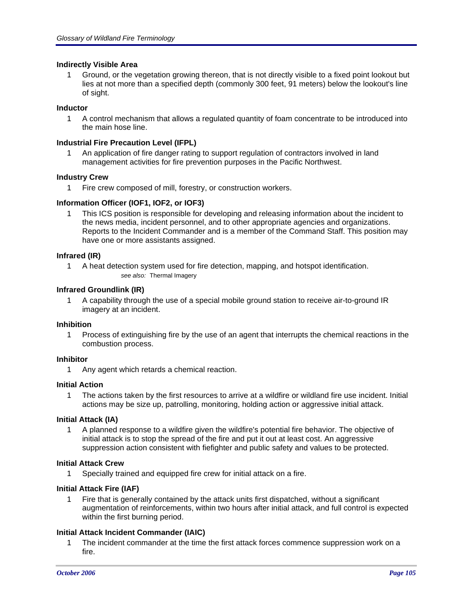## **Indirectly Visible Area**

1 Ground, or the vegetation growing thereon, that is not directly visible to a fixed point lookout but lies at not more than a specified depth (commonly 300 feet, 91 meters) below the lookout's line of sight.

## **Inductor**

1 A control mechanism that allows a regulated quantity of foam concentrate to be introduced into the main hose line.

## **Industrial Fire Precaution Level (IFPL)**

1 An application of fire danger rating to support regulation of contractors involved in land management activities for fire prevention purposes in the Pacific Northwest.

## **Industry Crew**

1 Fire crew composed of mill, forestry, or construction workers.

## **Information Officer (IOF1, IOF2, or IOF3)**

1 This ICS position is responsible for developing and releasing information about the incident to the news media, incident personnel, and to other appropriate agencies and organizations. Reports to the Incident Commander and is a member of the Command Staff. This position may have one or more assistants assigned.

## **Infrared (IR)**

1 A heat detection system used for fire detection, mapping, and hotspot identification. *see also:* Thermal Imagery

# **Infrared Groundlink (IR)**

1 A capability through the use of a special mobile ground station to receive air-to-ground IR imagery at an incident.

## **Inhibition**

1 Process of extinguishing fire by the use of an agent that interrupts the chemical reactions in the combustion process.

## **Inhibitor**

1 Any agent which retards a chemical reaction.

## **Initial Action**

1 The actions taken by the first resources to arrive at a wildfire or wildland fire use incident. Initial actions may be size up, patrolling, monitoring, holding action or aggressive initial attack.

## **Initial Attack (IA)**

1 A planned response to a wildfire given the wildfire's potential fire behavior. The objective of initial attack is to stop the spread of the fire and put it out at least cost. An aggressive suppression action consistent with fiefighter and public safety and values to be protected.

## **Initial Attack Crew**

1 Specially trained and equipped fire crew for initial attack on a fire.

## **Initial Attack Fire (IAF)**

1 Fire that is generally contained by the attack units first dispatched, without a significant augmentation of reinforcements, within two hours after initial attack, and full control is expected within the first burning period.

## **Initial Attack Incident Commander (IAIC)**

1 The incident commander at the time the first attack forces commence suppression work on a fire.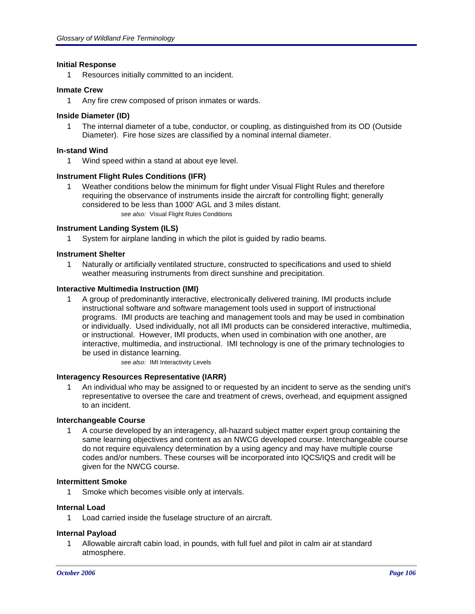## **Initial Response**

1 Resources initially committed to an incident.

#### **Inmate Crew**

1 Any fire crew composed of prison inmates or wards.

#### **Inside Diameter (ID)**

1 The internal diameter of a tube, conductor, or coupling, as distinguished from its OD (Outside Diameter). Fire hose sizes are classified by a nominal internal diameter.

#### **In-stand Wind**

1 Wind speed within a stand at about eye level.

#### **Instrument Flight Rules Conditions (IFR)**

1 Weather conditions below the minimum for flight under Visual Flight Rules and therefore requiring the observance of instruments inside the aircraft for controlling flight; generally considered to be less than 1000' AGL and 3 miles distant. *see also:* Visual Flight Rules Conditions

#### **Instrument Landing System (ILS)**

1 System for airplane landing in which the pilot is guided by radio beams.

#### **Instrument Shelter**

1 Naturally or artificially ventilated structure, constructed to specifications and used to shield weather measuring instruments from direct sunshine and precipitation.

#### **Interactive Multimedia Instruction (IMI)**

1 A group of predominantly interactive, electronically delivered training. IMI products include instructional software and software management tools used in support of instructional programs. IMI products are teaching and management tools and may be used in combination or individually. Used individually, not all IMI products can be considered interactive, multimedia, or instructional. However, IMI products, when used in combination with one another, are interactive, multimedia, and instructional. IMI technology is one of the primary technologies to be used in distance learning.

*see also:* IMI Interactivity Levels

#### **Interagency Resources Representative (IARR)**

1 An individual who may be assigned to or requested by an incident to serve as the sending unit's representative to oversee the care and treatment of crews, overhead, and equipment assigned to an incident.

## **Interchangeable Course**

1 A course developed by an interagency, all-hazard subject matter expert group containing the same learning objectives and content as an NWCG developed course. Interchangeable course do not require equivalency determination by a using agency and may have multiple course codes and/or numbers. These courses will be incorporated into IQCS/IQS and credit will be given for the NWCG course.

#### **Intermittent Smoke**

1 Smoke which becomes visible only at intervals.

#### **Internal Load**

1 Load carried inside the fuselage structure of an aircraft.

#### **Internal Payload**

1 Allowable aircraft cabin load, in pounds, with full fuel and pilot in calm air at standard atmosphere.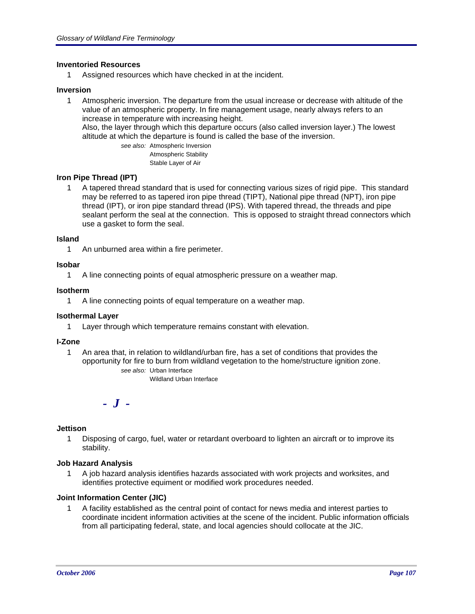## **Inventoried Resources**

1 Assigned resources which have checked in at the incident.

#### **Inversion**

1 Atmospheric inversion. The departure from the usual increase or decrease with altitude of the value of an atmospheric property. In fire management usage, nearly always refers to an increase in temperature with increasing height. Also, the layer through which this departure occurs (also called inversion layer.) The lowest

altitude at which the departure is found is called the base of the inversion.

*see also:* Atmospheric Inversion Atmospheric Stability Stable Layer of Air

#### **Iron Pipe Thread (IPT)**

1 A tapered thread standard that is used for connecting various sizes of rigid pipe. This standard may be referred to as tapered iron pipe thread (TIPT), National pipe thread (NPT), iron pipe thread (IPT), or iron pipe standard thread (IPS). With tapered thread, the threads and pipe sealant perform the seal at the connection. This is opposed to straight thread connectors which use a gasket to form the seal.

#### **Island**

1 An unburned area within a fire perimeter.

#### **Isobar**

1 A line connecting points of equal atmospheric pressure on a weather map.

#### **Isotherm**

1 A line connecting points of equal temperature on a weather map.

## **Isothermal Layer**

1 Layer through which temperature remains constant with elevation.

#### **I-Zone**

1 An area that, in relation to wildland/urban fire, has a set of conditions that provides the opportunity for fire to burn from wildland vegetation to the home/structure ignition zone. *see also:* Urban Interface

Wildland Urban Interface

*- J -*

## **Jettison**

1 Disposing of cargo, fuel, water or retardant overboard to lighten an aircraft or to improve its stability.

#### **Job Hazard Analysis**

1 A job hazard analysis identifies hazards associated with work projects and worksites, and identifies protective equiment or modified work procedures needed.

## **Joint Information Center (JIC)**

1 A facility established as the central point of contact for news media and interest parties to coordinate incident information activities at the scene of the incident. Public information officials from all participating federal, state, and local agencies should collocate at the JIC.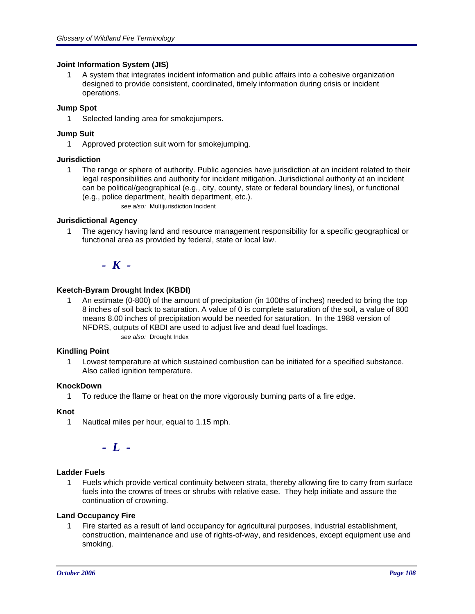## **Joint Information System (JIS)**

1 A system that integrates incident information and public affairs into a cohesive organization designed to provide consistent, coordinated, timely information during crisis or incident operations.

## **Jump Spot**

1 Selected landing area for smokejumpers.

## **Jump Suit**

1 Approved protection suit worn for smokejumping.

## **Jurisdiction**

- 1 The range or sphere of authority. Public agencies have jurisdiction at an incident related to their legal responsibilities and authority for incident mitigation. Jurisdictional authority at an incident can be political/geographical (e.g., city, county, state or federal boundary lines), or functional (e.g., police department, health department, etc.).
	- *see also:* Multijurisdiction Incident

## **Jurisdictional Agency**

1 The agency having land and resource management responsibility for a specific geographical or functional area as provided by federal, state or local law.

*- K -*

## **Keetch-Byram Drought Index (KBDI)**

1 An estimate (0-800) of the amount of precipitation (in 100ths of inches) needed to bring the top 8 inches of soil back to saturation. A value of 0 is complete saturation of the soil, a value of 800 means 8.00 inches of precipitation would be needed for saturation. In the 1988 version of NFDRS, outputs of KBDI are used to adjust live and dead fuel loadings. *see also:* Drought Index

## **Kindling Point**

1 Lowest temperature at which sustained combustion can be initiated for a specified substance. Also called ignition temperature.

## **KnockDown**

1 To reduce the flame or heat on the more vigorously burning parts of a fire edge.

# **Knot**

1 Nautical miles per hour, equal to 1.15 mph.

*- L -*

# **Ladder Fuels**

1 Fuels which provide vertical continuity between strata, thereby allowing fire to carry from surface fuels into the crowns of trees or shrubs with relative ease. They help initiate and assure the continuation of crowning.

# **Land Occupancy Fire**

1 Fire started as a result of land occupancy for agricultural purposes, industrial establishment, construction, maintenance and use of rights-of-way, and residences, except equipment use and smoking.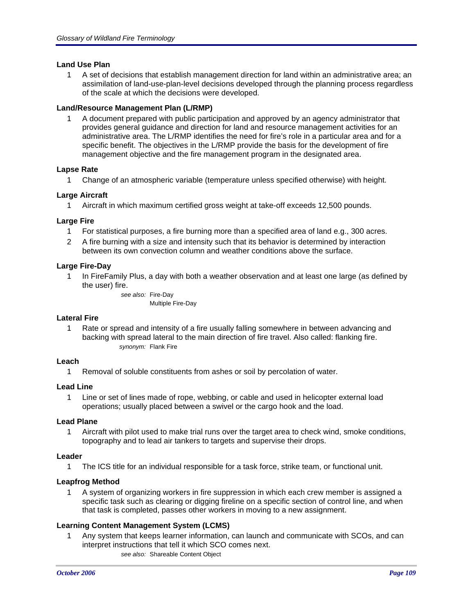# **Land Use Plan**

1 A set of decisions that establish management direction for land within an administrative area; an assimilation of land-use-plan-level decisions developed through the planning process regardless of the scale at which the decisions were developed.

# **Land/Resource Management Plan (L/RMP)**

1 A document prepared with public participation and approved by an agency administrator that provides general guidance and direction for land and resource management activities for an administrative area. The L/RMP identifies the need for fire's role in a particular area and for a specific benefit. The objectives in the L/RMP provide the basis for the development of fire management objective and the fire management program in the designated area.

# **Lapse Rate**

1 Change of an atmospheric variable (temperature unless specified otherwise) with height.

# **Large Aircraft**

1 Aircraft in which maximum certified gross weight at take-off exceeds 12,500 pounds.

# **Large Fire**

- 1 For statistical purposes, a fire burning more than a specified area of land e.g., 300 acres.
- 2 A fire burning with a size and intensity such that its behavior is determined by interaction between its own convection column and weather conditions above the surface.

# **Large Fire-Day**

1 In FireFamily Plus, a day with both a weather observation and at least one large (as defined by the user) fire.

> *see also:* Fire-Day Multiple Fire-Day

# **Lateral Fire**

1 Rate or spread and intensity of a fire usually falling somewhere in between advancing and backing with spread lateral to the main direction of fire travel. Also called: flanking fire. *synonym:* Flank Fire

# **Leach**

1 Removal of soluble constituents from ashes or soil by percolation of water.

# **Lead Line**

1 Line or set of lines made of rope, webbing, or cable and used in helicopter external load operations; usually placed between a swivel or the cargo hook and the load.

# **Lead Plane**

1 Aircraft with pilot used to make trial runs over the target area to check wind, smoke conditions, topography and to lead air tankers to targets and supervise their drops.

# **Leader**

1 The ICS title for an individual responsible for a task force, strike team, or functional unit.

# **Leapfrog Method**

1 A system of organizing workers in fire suppression in which each crew member is assigned a specific task such as clearing or digging fireline on a specific section of control line, and when that task is completed, passes other workers in moving to a new assignment.

# **Learning Content Management System (LCMS)**

1 Any system that keeps learner information, can launch and communicate with SCOs, and can interpret instructions that tell it which SCO comes next. *see also:* Shareable Content Object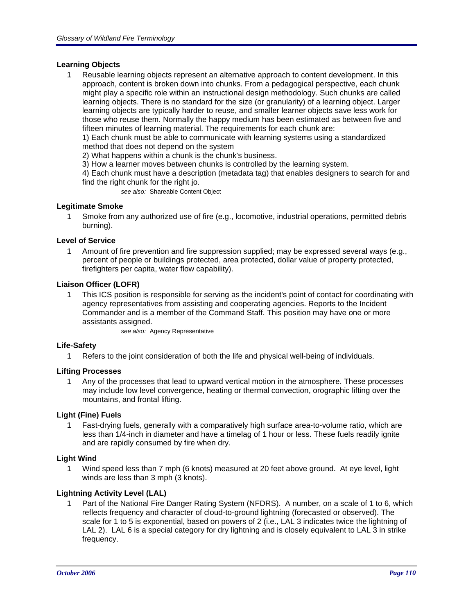# **Learning Objects**

1 Reusable learning objects represent an alternative approach to content development. In this approach, content is broken down into chunks. From a pedagogical perspective, each chunk might play a specific role within an instructional design methodology. Such chunks are called learning objects. There is no standard for the size (or granularity) of a learning object. Larger learning objects are typically harder to reuse, and smaller learner objects save less work for those who reuse them. Normally the happy medium has been estimated as between five and fifteen minutes of learning material. The requirements for each chunk are:

1) Each chunk must be able to communicate with learning systems using a standardized method that does not depend on the system

2) What happens within a chunk is the chunk's business.

3) How a learner moves between chunks is controlled by the learning system.

4) Each chunk must have a description (metadata tag) that enables designers to search for and find the right chunk for the right jo.

*see also:* Shareable Content Object

# **Legitimate Smoke**

1 Smoke from any authorized use of fire (e.g., locomotive, industrial operations, permitted debris burning).

#### **Level of Service**

1 Amount of fire prevention and fire suppression supplied; may be expressed several ways (e.g., percent of people or buildings protected, area protected, dollar value of property protected, firefighters per capita, water flow capability).

#### **Liaison Officer (LOFR)**

1 This ICS position is responsible for serving as the incident's point of contact for coordinating with agency representatives from assisting and cooperating agencies. Reports to the Incident Commander and is a member of the Command Staff. This position may have one or more assistants assigned.

*see also:* Agency Representative

#### **Life-Safety**

1 Refers to the joint consideration of both the life and physical well-being of individuals.

# **Lifting Processes**

1 Any of the processes that lead to upward vertical motion in the atmosphere. These processes may include low level convergence, heating or thermal convection, orographic lifting over the mountains, and frontal lifting.

# **Light (Fine) Fuels**

1 Fast-drying fuels, generally with a comparatively high surface area-to-volume ratio, which are less than 1/4-inch in diameter and have a timelag of 1 hour or less. These fuels readily ignite and are rapidly consumed by fire when dry.

#### **Light Wind**

1 Wind speed less than 7 mph (6 knots) measured at 20 feet above ground. At eye level, light winds are less than 3 mph (3 knots).

# **Lightning Activity Level (LAL)**

1 Part of the National Fire Danger Rating System (NFDRS). A number, on a scale of 1 to 6, which reflects frequency and character of cloud-to-ground lightning (forecasted or observed). The scale for 1 to 5 is exponential, based on powers of 2 (i.e., LAL 3 indicates twice the lightning of LAL 2). LAL 6 is a special category for dry lightning and is closely equivalent to LAL 3 in strike frequency.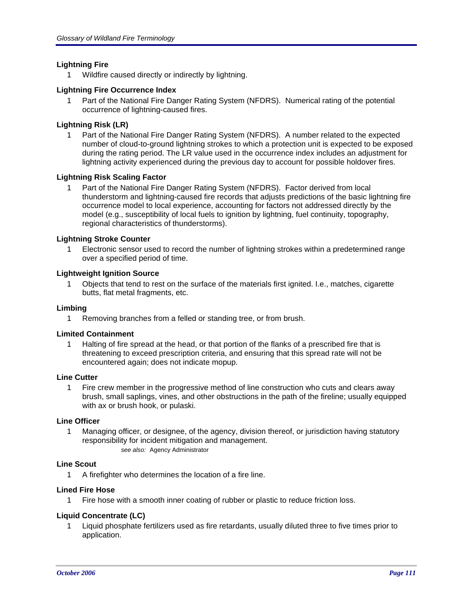# **Lightning Fire**

1 Wildfire caused directly or indirectly by lightning.

# **Lightning Fire Occurrence Index**

1 Part of the National Fire Danger Rating System (NFDRS). Numerical rating of the potential occurrence of lightning-caused fires.

# **Lightning Risk (LR)**

1 Part of the National Fire Danger Rating System (NFDRS). A number related to the expected number of cloud-to-ground lightning strokes to which a protection unit is expected to be exposed during the rating period. The LR value used in the occurrence index includes an adjustment for lightning activity experienced during the previous day to account for possible holdover fires.

# **Lightning Risk Scaling Factor**

1 Part of the National Fire Danger Rating System (NFDRS). Factor derived from local thunderstorm and lightning-caused fire records that adjusts predictions of the basic lightning fire occurrence model to local experience, accounting for factors not addressed directly by the model (e.g., susceptibility of local fuels to ignition by lightning, fuel continuity, topography, regional characteristics of thunderstorms).

# **Lightning Stroke Counter**

1 Electronic sensor used to record the number of lightning strokes within a predetermined range over a specified period of time.

# **Lightweight Ignition Source**

1 Objects that tend to rest on the surface of the materials first ignited. I.e., matches, cigarette butts, flat metal fragments, etc.

# **Limbing**

1 Removing branches from a felled or standing tree, or from brush.

# **Limited Containment**

1 Halting of fire spread at the head, or that portion of the flanks of a prescribed fire that is threatening to exceed prescription criteria, and ensuring that this spread rate will not be encountered again; does not indicate mopup.

# **Line Cutter**

1 Fire crew member in the progressive method of line construction who cuts and clears away brush, small saplings, vines, and other obstructions in the path of the fireline; usually equipped with ax or brush hook, or pulaski.

# **Line Officer**

1 Managing officer, or designee, of the agency, division thereof, or jurisdiction having statutory responsibility for incident mitigation and management. *see also:* Agency Administrator

# **Line Scout**

1 A firefighter who determines the location of a fire line.

# **Lined Fire Hose**

1 Fire hose with a smooth inner coating of rubber or plastic to reduce friction loss.

# **Liquid Concentrate (LC)**

1 Liquid phosphate fertilizers used as fire retardants, usually diluted three to five times prior to application.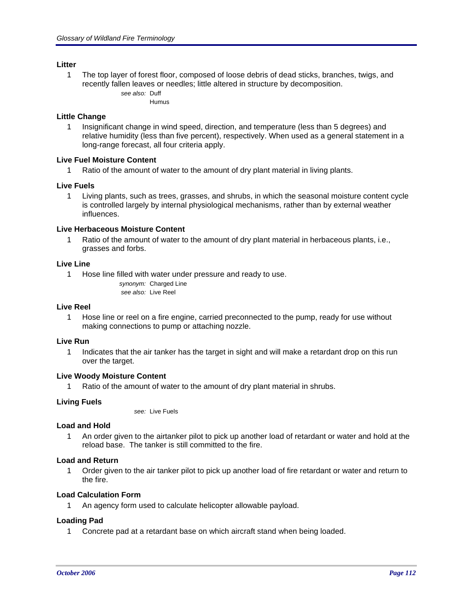# **Litter**

1 The top layer of forest floor, composed of loose debris of dead sticks, branches, twigs, and recently fallen leaves or needles; little altered in structure by decomposition. *see also:* Duff

Humus

#### **Little Change**

1 Insignificant change in wind speed, direction, and temperature (less than 5 degrees) and relative humidity (less than five percent), respectively. When used as a general statement in a long-range forecast, all four criteria apply.

# **Live Fuel Moisture Content**

Ratio of the amount of water to the amount of dry plant material in living plants.

#### **Live Fuels**

1 Living plants, such as trees, grasses, and shrubs, in which the seasonal moisture content cycle is controlled largely by internal physiological mechanisms, rather than by external weather influences.

#### **Live Herbaceous Moisture Content**

1 Ratio of the amount of water to the amount of dry plant material in herbaceous plants, i.e., grasses and forbs.

#### **Live Line**

1 Hose line filled with water under pressure and ready to use.

*synonym:* Charged Line *see also:* Live Reel

#### **Live Reel**

1 Hose line or reel on a fire engine, carried preconnected to the pump, ready for use without making connections to pump or attaching nozzle.

#### **Live Run**

1 Indicates that the air tanker has the target in sight and will make a retardant drop on this run over the target.

#### **Live Woody Moisture Content**

1 Ratio of the amount of water to the amount of dry plant material in shrubs.

# **Living Fuels**

*see:* Live Fuels

#### **Load and Hold**

1 An order given to the airtanker pilot to pick up another load of retardant or water and hold at the reload base. The tanker is still committed to the fire.

#### **Load and Return**

1 Order given to the air tanker pilot to pick up another load of fire retardant or water and return to the fire.

# **Load Calculation Form**

1 An agency form used to calculate helicopter allowable payload.

# **Loading Pad**

1 Concrete pad at a retardant base on which aircraft stand when being loaded.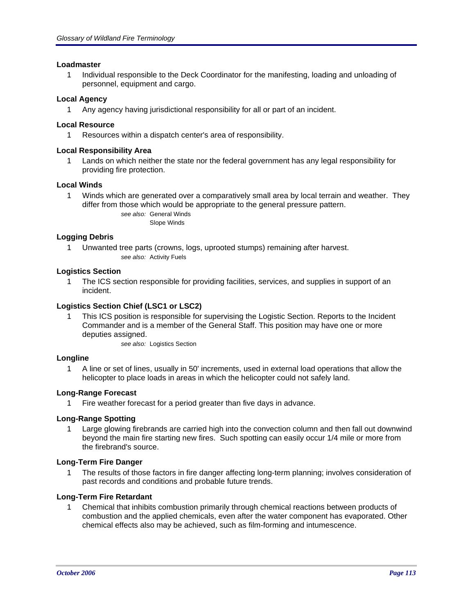# **Loadmaster**

1 Individual responsible to the Deck Coordinator for the manifesting, loading and unloading of personnel, equipment and cargo.

# **Local Agency**

1 Any agency having jurisdictional responsibility for all or part of an incident.

# **Local Resource**

1 Resources within a dispatch center's area of responsibility.

# **Local Responsibility Area**

1 Lands on which neither the state nor the federal government has any legal responsibility for providing fire protection.

# **Local Winds**

1 Winds which are generated over a comparatively small area by local terrain and weather. They differ from those which would be appropriate to the general pressure pattern.

> *see also:* General Winds Slope Winds

# **Logging Debris**

1 Unwanted tree parts (crowns, logs, uprooted stumps) remaining after harvest. *see also:* Activity Fuels

# **Logistics Section**

1 The ICS section responsible for providing facilities, services, and supplies in support of an incident.

# **Logistics Section Chief (LSC1 or LSC2)**

1 This ICS position is responsible for supervising the Logistic Section. Reports to the Incident Commander and is a member of the General Staff. This position may have one or more deputies assigned.

*see also:* Logistics Section

# **Longline**

1 A line or set of lines, usually in 50' increments, used in external load operations that allow the helicopter to place loads in areas in which the helicopter could not safely land.

# **Long-Range Forecast**

1 Fire weather forecast for a period greater than five days in advance.

# **Long-Range Spotting**

1 Large glowing firebrands are carried high into the convection column and then fall out downwind beyond the main fire starting new fires. Such spotting can easily occur 1/4 mile or more from the firebrand's source.

# **Long-Term Fire Danger**

1 The results of those factors in fire danger affecting long-term planning; involves consideration of past records and conditions and probable future trends.

# **Long-Term Fire Retardant**

1 Chemical that inhibits combustion primarily through chemical reactions between products of combustion and the applied chemicals, even after the water component has evaporated. Other chemical effects also may be achieved, such as film-forming and intumescence.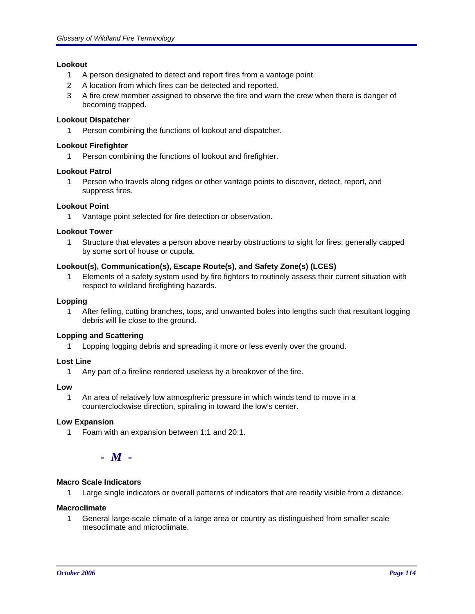# **Lookout**

- 1 A person designated to detect and report fires from a vantage point.
- 2 A location from which fires can be detected and reported.
- 3 A fire crew member assigned to observe the fire and warn the crew when there is danger of becoming trapped.

# **Lookout Dispatcher**

1 Person combining the functions of lookout and dispatcher.

# **Lookout Firefighter**

1 Person combining the functions of lookout and firefighter.

# **Lookout Patrol**

1 Person who travels along ridges or other vantage points to discover, detect, report, and suppress fires.

# **Lookout Point**

1 Vantage point selected for fire detection or observation.

# **Lookout Tower**

1 Structure that elevates a person above nearby obstructions to sight for fires; generally capped by some sort of house or cupola.

# **Lookout(s), Communication(s), Escape Route(s), and Safety Zone(s) (LCES)**

1 Elements of a safety system used by fire fighters to routinely assess their current situation with respect to wildland firefighting hazards.

# **Lopping**

1 After felling, cutting branches, tops, and unwanted boles into lengths such that resultant logging debris will lie close to the ground.

# **Lopping and Scattering**

1 Lopping logging debris and spreading it more or less evenly over the ground.

# **Lost Line**

1 Any part of a fireline rendered useless by a breakover of the fire.

# **Low**

1 An area of relatively low atmospheric pressure in which winds tend to move in a counterclockwise direction, spiraling in toward the low's center.

# **Low Expansion**

1 Foam with an expansion between 1:1 and 20:1.

# *- M -*

# **Macro Scale Indicators**

1 Large single indicators or overall patterns of indicators that are readily visible from a distance.

# **Macroclimate**

1 General large-scale climate of a large area or country as distinguished from smaller scale mesoclimate and microclimate.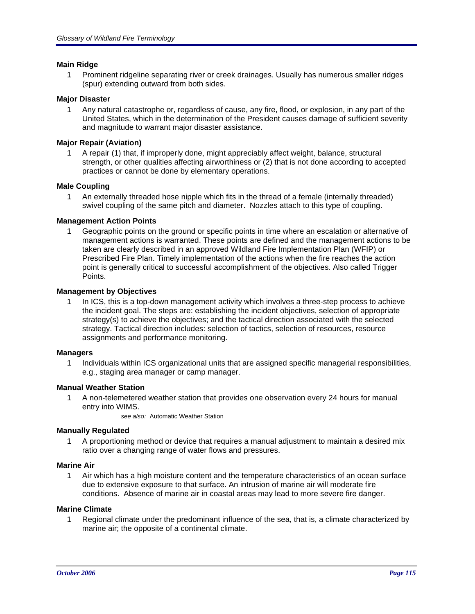# **Main Ridge**

1 Prominent ridgeline separating river or creek drainages. Usually has numerous smaller ridges (spur) extending outward from both sides.

# **Major Disaster**

1 Any natural catastrophe or, regardless of cause, any fire, flood, or explosion, in any part of the United States, which in the determination of the President causes damage of sufficient severity and magnitude to warrant major disaster assistance.

# **Major Repair (Aviation)**

1 A repair (1) that, if improperly done, might appreciably affect weight, balance, structural strength, or other qualities affecting airworthiness or (2) that is not done according to accepted practices or cannot be done by elementary operations.

# **Male Coupling**

1 An externally threaded hose nipple which fits in the thread of a female (internally threaded) swivel coupling of the same pitch and diameter. Nozzles attach to this type of coupling.

# **Management Action Points**

1 Geographic points on the ground or specific points in time where an escalation or alternative of management actions is warranted. These points are defined and the management actions to be taken are clearly described in an approved Wildland Fire Implementation Plan (WFIP) or Prescribed Fire Plan. Timely implementation of the actions when the fire reaches the action point is generally critical to successful accomplishment of the objectives. Also called Trigger Points.

# **Management by Objectives**

1 In ICS, this is a top-down management activity which involves a three-step process to achieve the incident goal. The steps are: establishing the incident objectives, selection of appropriate strategy(s) to achieve the objectives; and the tactical direction associated with the selected strategy. Tactical direction includes: selection of tactics, selection of resources, resource assignments and performance monitoring.

# **Managers**

1 Individuals within ICS organizational units that are assigned specific managerial responsibilities, e.g., staging area manager or camp manager.

# **Manual Weather Station**

1 A non-telemetered weather station that provides one observation every 24 hours for manual entry into WIMS.

*see also:* Automatic Weather Station

# **Manually Regulated**

1 A proportioning method or device that requires a manual adjustment to maintain a desired mix ratio over a changing range of water flows and pressures.

# **Marine Air**

1 Air which has a high moisture content and the temperature characteristics of an ocean surface due to extensive exposure to that surface. An intrusion of marine air will moderate fire conditions. Absence of marine air in coastal areas may lead to more severe fire danger.

# **Marine Climate**

1 Regional climate under the predominant influence of the sea, that is, a climate characterized by marine air; the opposite of a continental climate.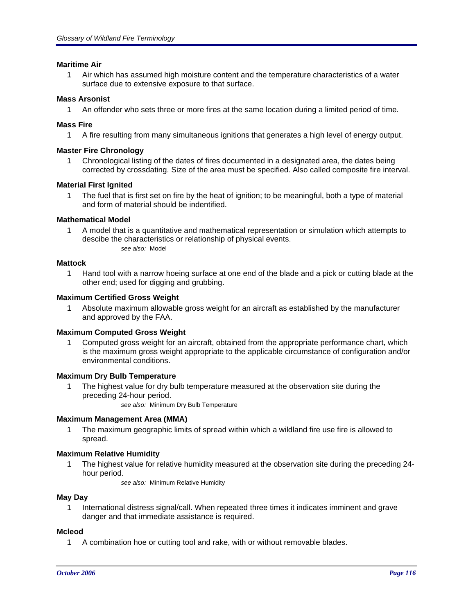# **Maritime Air**

1 Air which has assumed high moisture content and the temperature characteristics of a water surface due to extensive exposure to that surface.

# **Mass Arsonist**

1 An offender who sets three or more fires at the same location during a limited period of time.

# **Mass Fire**

1 A fire resulting from many simultaneous ignitions that generates a high level of energy output.

# **Master Fire Chronology**

1 Chronological listing of the dates of fires documented in a designated area, the dates being corrected by crossdating. Size of the area must be specified. Also called composite fire interval.

# **Material First Ignited**

1 The fuel that is first set on fire by the heat of ignition; to be meaningful, both a type of material and form of material should be indentified.

# **Mathematical Model**

1 A model that is a quantitative and mathematical representation or simulation which attempts to descibe the characteristics or relationship of physical events. *see also:* Model

# **Mattock**

1 Hand tool with a narrow hoeing surface at one end of the blade and a pick or cutting blade at the other end; used for digging and grubbing.

# **Maximum Certified Gross Weight**

1 Absolute maximum allowable gross weight for an aircraft as established by the manufacturer and approved by the FAA.

# **Maximum Computed Gross Weight**

1 Computed gross weight for an aircraft, obtained from the appropriate performance chart, which is the maximum gross weight appropriate to the applicable circumstance of configuration and/or environmental conditions.

# **Maximum Dry Bulb Temperature**

1 The highest value for dry bulb temperature measured at the observation site during the preceding 24-hour period.

*see also:* Minimum Dry Bulb Temperature

# **Maximum Management Area (MMA)**

1 The maximum geographic limits of spread within which a wildland fire use fire is allowed to spread.

# **Maximum Relative Humidity**

1 The highest value for relative humidity measured at the observation site during the preceding 24 hour period.

*see also:* Minimum Relative Humidity

# **May Day**

1 International distress signal/call. When repeated three times it indicates imminent and grave danger and that immediate assistance is required.

# **Mcleod**

1 A combination hoe or cutting tool and rake, with or without removable blades.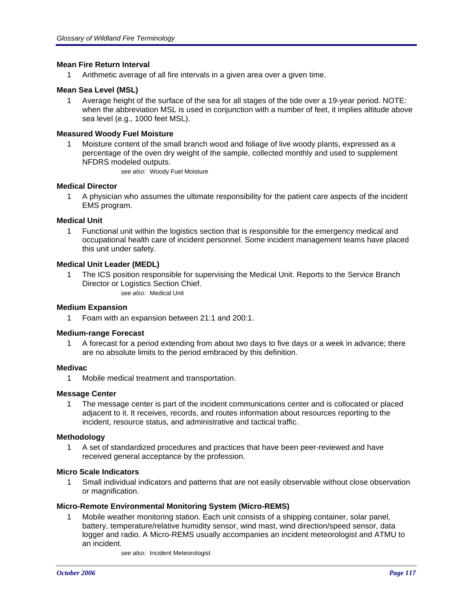# **Mean Fire Return Interval**

1 Arithmetic average of all fire intervals in a given area over a given time.

# **Mean Sea Level (MSL)**

1 Average height of the surface of the sea for all stages of the tide over a 19-year period. NOTE: when the abbreviation MSL is used in conjunction with a number of feet, it implies altitude above sea level (e.g., 1000 feet MSL).

# **Measured Woody Fuel Moisture**

1 Moisture content of the small branch wood and foliage of live woody plants, expressed as a percentage of the oven dry weight of the sample, collected monthly and used to supplement NFDRS modeled outputs.

*see also:* Woody Fuel Moisture

# **Medical Director**

1 A physician who assumes the ultimate responsibility for the patient care aspects of the incident EMS program.

# **Medical Unit**

1 Functional unit within the logistics section that is responsible for the emergency medical and occupational health care of incident personnel. Some incident management teams have placed this unit under safety.

# **Medical Unit Leader (MEDL)**

1 The ICS position responsible for supervising the Medical Unit. Reports to the Service Branch Director or Logistics Section Chief.

*see also:* Medical Unit

# **Medium Expansion**

1 Foam with an expansion between 21:1 and 200:1.

# **Medium-range Forecast**

1 A forecast for a period extending from about two days to five days or a week in advance; there are no absolute limits to the period embraced by this definition.

# **Medivac**

1 Mobile medical treatment and transportation.

# **Message Center**

1 The message center is part of the incident communications center and is collocated or placed adjacent to it. It receives, records, and routes information about resources reporting to the incident, resource status, and administrative and tactical traffic.

# **Methodology**

1 A set of standardized procedures and practices that have been peer-reviewed and have received general acceptance by the profession.

# **Micro Scale Indicators**

1 Small individual indicators and patterns that are not easily observable without close observation or magnification.

# **Micro-Remote Environmental Monitoring System (Micro-REMS)**

1 Mobile weather monitoring station. Each unit consists of a shipping container, solar panel, battery, temperature/relative humidity sensor, wind mast, wind direction/speed sensor, data logger and radio. A Micro-REMS usually accompanies an incident meteorologist and ATMU to an incident.

*see also:* Incident Meteorologist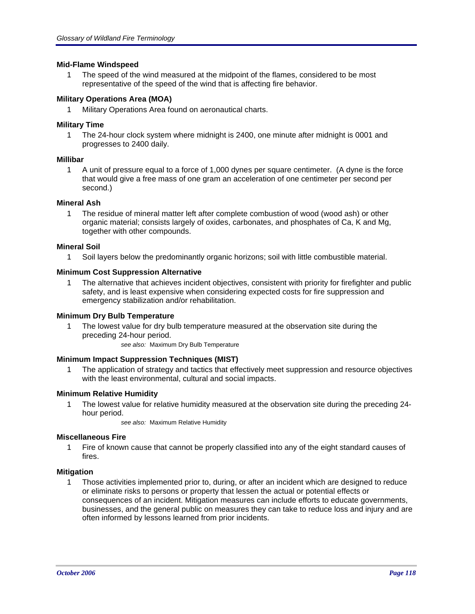# **Mid-Flame Windspeed**

1 The speed of the wind measured at the midpoint of the flames, considered to be most representative of the speed of the wind that is affecting fire behavior.

# **Military Operations Area (MOA)**

1 Military Operations Area found on aeronautical charts.

# **Military Time**

1 The 24-hour clock system where midnight is 2400, one minute after midnight is 0001 and progresses to 2400 daily.

# **Millibar**

1 A unit of pressure equal to a force of 1,000 dynes per square centimeter. (A dyne is the force that would give a free mass of one gram an acceleration of one centimeter per second per second.)

# **Mineral Ash**

1 The residue of mineral matter left after complete combustion of wood (wood ash) or other organic material; consists largely of oxides, carbonates, and phosphates of Ca, K and Mg, together with other compounds.

# **Mineral Soil**

1 Soil layers below the predominantly organic horizons; soil with little combustible material.

# **Minimum Cost Suppression Alternative**

1 The alternative that achieves incident objectives, consistent with priority for firefighter and public safety, and is least expensive when considering expected costs for fire suppression and emergency stabilization and/or rehabilitation.

# **Minimum Dry Bulb Temperature**

1 The lowest value for dry bulb temperature measured at the observation site during the preceding 24-hour period.

*see also:* Maximum Dry Bulb Temperature

# **Minimum Impact Suppression Techniques (MIST)**

1 The application of strategy and tactics that effectively meet suppression and resource objectives with the least environmental, cultural and social impacts.

# **Minimum Relative Humidity**

1 The lowest value for relative humidity measured at the observation site during the preceding 24 hour period.

*see also:* Maximum Relative Humidity

# **Miscellaneous Fire**

1 Fire of known cause that cannot be properly classified into any of the eight standard causes of fires.

# **Mitigation**

1 Those activities implemented prior to, during, or after an incident which are designed to reduce or eliminate risks to persons or property that lessen the actual or potential effects or consequences of an incident. Mitigation measures can include efforts to educate governments, businesses, and the general public on measures they can take to reduce loss and injury and are often informed by lessons learned from prior incidents.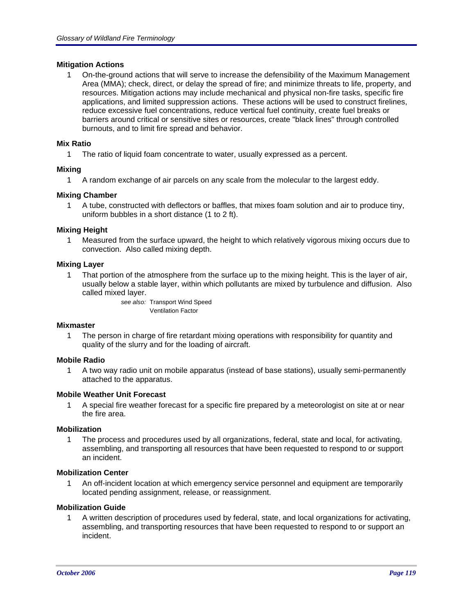# **Mitigation Actions**

1 On-the-ground actions that will serve to increase the defensibility of the Maximum Management Area (MMA); check, direct, or delay the spread of fire; and minimize threats to life, property, and resources. Mitigation actions may include mechanical and physical non-fire tasks, specific fire applications, and limited suppression actions. These actions will be used to construct firelines, reduce excessive fuel concentrations, reduce vertical fuel continuity, create fuel breaks or barriers around critical or sensitive sites or resources, create "black lines" through controlled burnouts, and to limit fire spread and behavior.

# **Mix Ratio**

1 The ratio of liquid foam concentrate to water, usually expressed as a percent.

# **Mixing**

1 A random exchange of air parcels on any scale from the molecular to the largest eddy.

# **Mixing Chamber**

1 A tube, constructed with deflectors or baffles, that mixes foam solution and air to produce tiny, uniform bubbles in a short distance (1 to 2 ft).

# **Mixing Height**

1 Measured from the surface upward, the height to which relatively vigorous mixing occurs due to convection. Also called mixing depth.

# **Mixing Layer**

1 That portion of the atmosphere from the surface up to the mixing height. This is the layer of air, usually below a stable layer, within which pollutants are mixed by turbulence and diffusion. Also called mixed layer.

> *see also:* Transport Wind Speed Ventilation Factor

# **Mixmaster**

1 The person in charge of fire retardant mixing operations with responsibility for quantity and quality of the slurry and for the loading of aircraft.

# **Mobile Radio**

1 A two way radio unit on mobile apparatus (instead of base stations), usually semi-permanently attached to the apparatus.

# **Mobile Weather Unit Forecast**

1 A special fire weather forecast for a specific fire prepared by a meteorologist on site at or near the fire area.

# **Mobilization**

1 The process and procedures used by all organizations, federal, state and local, for activating, assembling, and transporting all resources that have been requested to respond to or support an incident.

# **Mobilization Center**

1 An off-incident location at which emergency service personnel and equipment are temporarily located pending assignment, release, or reassignment.

# **Mobilization Guide**

1 A written description of procedures used by federal, state, and local organizations for activating, assembling, and transporting resources that have been requested to respond to or support an incident.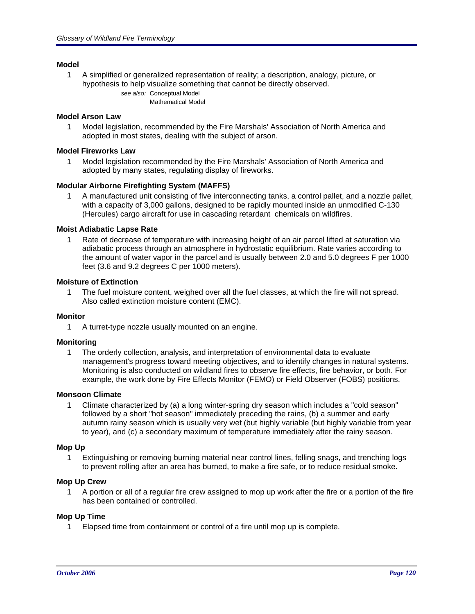# **Model**

1 A simplified or generalized representation of reality; a description, analogy, picture, or hypothesis to help visualize something that cannot be directly observed. *see also:* Conceptual Model

Mathematical Model

# **Model Arson Law**

1 Model legislation, recommended by the Fire Marshals' Association of North America and adopted in most states, dealing with the subject of arson.

# **Model Fireworks Law**

1 Model legislation recommended by the Fire Marshals' Association of North America and adopted by many states, regulating display of fireworks.

# **Modular Airborne Firefighting System (MAFFS)**

1 A manufactured unit consisting of five interconnecting tanks, a control pallet, and a nozzle pallet, with a capacity of 3,000 gallons, designed to be rapidly mounted inside an unmodified C-130 (Hercules) cargo aircraft for use in cascading retardant chemicals on wildfires.

# **Moist Adiabatic Lapse Rate**

1 Rate of decrease of temperature with increasing height of an air parcel lifted at saturation via adiabatic process through an atmosphere in hydrostatic equilibrium. Rate varies according to the amount of water vapor in the parcel and is usually between 2.0 and 5.0 degrees F per 1000 feet (3.6 and 9.2 degrees C per 1000 meters).

# **Moisture of Extinction**

1 The fuel moisture content, weighed over all the fuel classes, at which the fire will not spread. Also called extinction moisture content (EMC).

# **Monitor**

1 A turret-type nozzle usually mounted on an engine.

# **Monitoring**

1 The orderly collection, analysis, and interpretation of environmental data to evaluate management's progress toward meeting objectives, and to identify changes in natural systems. Monitoring is also conducted on wildland fires to observe fire effects, fire behavior, or both. For example, the work done by Fire Effects Monitor (FEMO) or Field Observer (FOBS) positions.

# **Monsoon Climate**

1 Climate characterized by (a) a long winter-spring dry season which includes a "cold season" followed by a short "hot season" immediately preceding the rains, (b) a summer and early autumn rainy season which is usually very wet (but highly variable (but highly variable from year to year), and (c) a secondary maximum of temperature immediately after the rainy season.

# **Mop Up**

1 Extinguishing or removing burning material near control lines, felling snags, and trenching logs to prevent rolling after an area has burned, to make a fire safe, or to reduce residual smoke.

# **Mop Up Crew**

1 A portion or all of a regular fire crew assigned to mop up work after the fire or a portion of the fire has been contained or controlled.

# **Mop Up Time**

1 Elapsed time from containment or control of a fire until mop up is complete.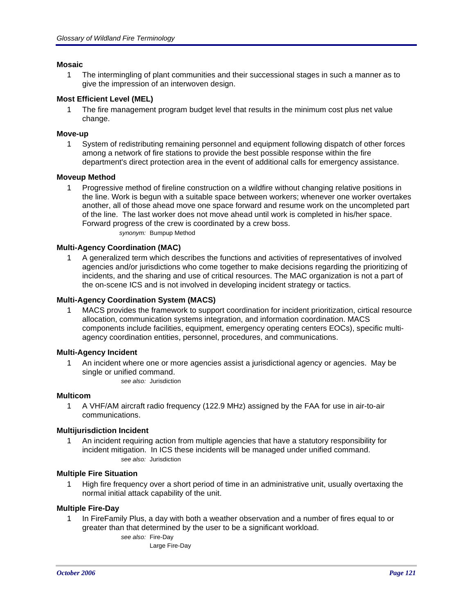# **Mosaic**

1 The intermingling of plant communities and their successional stages in such a manner as to give the impression of an interwoven design.

# **Most Efficient Level (MEL)**

1 The fire management program budget level that results in the minimum cost plus net value change.

# **Move-up**

1 System of redistributing remaining personnel and equipment following dispatch of other forces among a network of fire stations to provide the best possible response within the fire department's direct protection area in the event of additional calls for emergency assistance.

# **Moveup Method**

1 Progressive method of fireline construction on a wildfire without changing relative positions in the line. Work is begun with a suitable space between workers; whenever one worker overtakes another, all of those ahead move one space forward and resume work on the uncompleted part of the line. The last worker does not move ahead until work is completed in his/her space. Forward progress of the crew is coordinated by a crew boss.

*synonym:* Bumpup Method

# **Multi-Agency Coordination (MAC)**

1 A generalized term which describes the functions and activities of representatives of involved agencies and/or jurisdictions who come together to make decisions regarding the prioritizing of incidents, and the sharing and use of critical resources. The MAC organization is not a part of the on-scene ICS and is not involved in developing incident strategy or tactics.

# **Multi-Agency Coordination System (MACS)**

1 MACS provides the framework to support coordination for incident prioritization, cirtical resource allocation, communication systems integration, and information coordination. MACS components include facilities, equipment, emergency operating centers EOCs), specific multiagency coordination entities, personnel, procedures, and communications.

# **Multi-Agency Incident**

1 An incident where one or more agencies assist a jurisdictional agency or agencies. May be single or unified command.

*see also:* Jurisdiction

# **Multicom**

1 A VHF/AM aircraft radio frequency (122.9 MHz) assigned by the FAA for use in air-to-air communications.

# **Multijurisdiction Incident**

1 An incident requiring action from multiple agencies that have a statutory responsibility for incident mitigation. In ICS these incidents will be managed under unified command. *see also:* Jurisdiction

# **Multiple Fire Situation**

1 High fire frequency over a short period of time in an administrative unit, usually overtaxing the normal initial attack capability of the unit.

# **Multiple Fire-Day**

1 In FireFamily Plus, a day with both a weather observation and a number of fires equal to or greater than that determined by the user to be a significant workload.

> *see also:* Fire-Day Large Fire-Day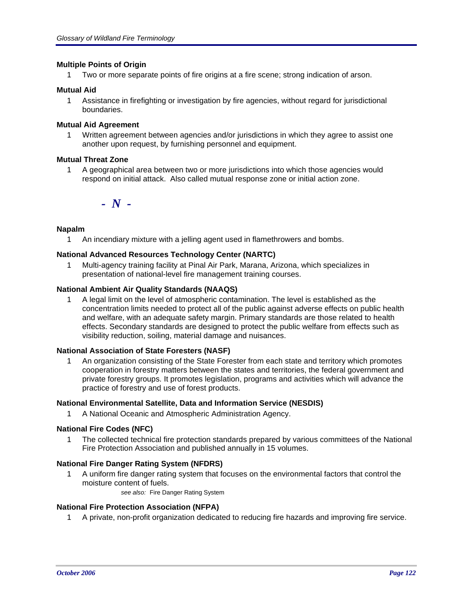# **Multiple Points of Origin**

1 Two or more separate points of fire origins at a fire scene; strong indication of arson.

# **Mutual Aid**

1 Assistance in firefighting or investigation by fire agencies, without regard for jurisdictional boundaries.

# **Mutual Aid Agreement**

1 Written agreement between agencies and/or jurisdictions in which they agree to assist one another upon request, by furnishing personnel and equipment.

# **Mutual Threat Zone**

1 A geographical area between two or more jurisdictions into which those agencies would respond on initial attack. Also called mutual response zone or initial action zone.

*- N -*

# **Napalm**

1 An incendiary mixture with a jelling agent used in flamethrowers and bombs.

# **National Advanced Resources Technology Center (NARTC)**

1 Multi-agency training facility at Pinal Air Park, Marana, Arizona, which specializes in presentation of national-level fire management training courses.

# **National Ambient Air Quality Standards (NAAQS)**

1 A legal limit on the level of atmospheric contamination. The level is established as the concentration limits needed to protect all of the public against adverse effects on public health and welfare, with an adequate safety margin. Primary standards are those related to health effects. Secondary standards are designed to protect the public welfare from effects such as visibility reduction, soiling, material damage and nuisances.

# **National Association of State Foresters (NASF)**

1 An organization consisting of the State Forester from each state and territory which promotes cooperation in forestry matters between the states and territories, the federal government and private forestry groups. It promotes legislation, programs and activities which will advance the practice of forestry and use of forest products.

# **National Environmental Satellite, Data and Information Service (NESDIS)**

1 A National Oceanic and Atmospheric Administration Agency.

# **National Fire Codes (NFC)**

1 The collected technical fire protection standards prepared by various committees of the National Fire Protection Association and published annually in 15 volumes.

# **National Fire Danger Rating System (NFDRS)**

- 1 A uniform fire danger rating system that focuses on the environmental factors that control the moisture content of fuels.
	- *see also:* Fire Danger Rating System

# **National Fire Protection Association (NFPA)**

1 A private, non-profit organization dedicated to reducing fire hazards and improving fire service.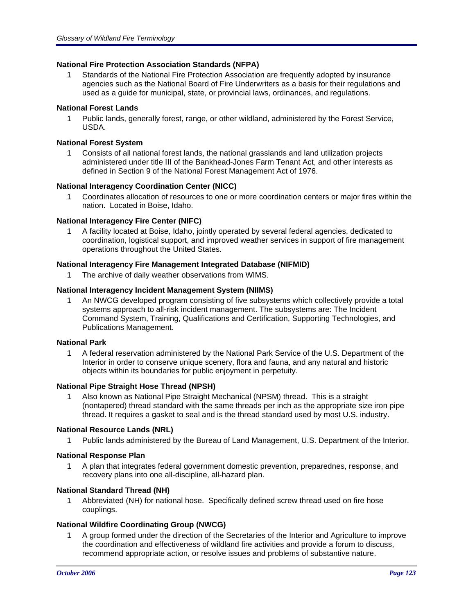# **National Fire Protection Association Standards (NFPA)**

1 Standards of the National Fire Protection Association are frequently adopted by insurance agencies such as the National Board of Fire Underwriters as a basis for their regulations and used as a guide for municipal, state, or provincial laws, ordinances, and regulations.

# **National Forest Lands**

1 Public lands, generally forest, range, or other wildland, administered by the Forest Service, USDA.

# **National Forest System**

1 Consists of all national forest lands, the national grasslands and land utilization projects administered under title III of the Bankhead-Jones Farm Tenant Act, and other interests as defined in Section 9 of the National Forest Management Act of 1976.

# **National Interagency Coordination Center (NICC)**

1 Coordinates allocation of resources to one or more coordination centers or major fires within the nation. Located in Boise, Idaho.

# **National Interagency Fire Center (NIFC)**

1 A facility located at Boise, Idaho, jointly operated by several federal agencies, dedicated to coordination, logistical support, and improved weather services in support of fire management operations throughout the United States.

# **National Interagency Fire Management Integrated Database (NIFMID)**

1 The archive of daily weather observations from WIMS.

# **National Interagency Incident Management System (NIIMS)**

1 An NWCG developed program consisting of five subsystems which collectively provide a total systems approach to all-risk incident management. The subsystems are: The Incident Command System, Training, Qualifications and Certification, Supporting Technologies, and Publications Management.

# **National Park**

1 A federal reservation administered by the National Park Service of the U.S. Department of the Interior in order to conserve unique scenery, flora and fauna, and any natural and historic objects within its boundaries for public enjoyment in perpetuity.

# **National Pipe Straight Hose Thread (NPSH)**

1 Also known as National Pipe Straight Mechanical (NPSM) thread. This is a straight (nontapered) thread standard with the same threads per inch as the appropriate size iron pipe thread. It requires a gasket to seal and is the thread standard used by most U.S. industry.

# **National Resource Lands (NRL)**

1 Public lands administered by the Bureau of Land Management, U.S. Department of the Interior.

# **National Response Plan**

1 A plan that integrates federal government domestic prevention, preparednes, response, and recovery plans into one all-discipline, all-hazard plan.

# **National Standard Thread (NH)**

1 Abbreviated (NH) for national hose. Specifically defined screw thread used on fire hose couplings.

# **National Wildfire Coordinating Group (NWCG)**

1 A group formed under the direction of the Secretaries of the Interior and Agriculture to improve the coordination and effectiveness of wildland fire activities and provide a forum to discuss, recommend appropriate action, or resolve issues and problems of substantive nature.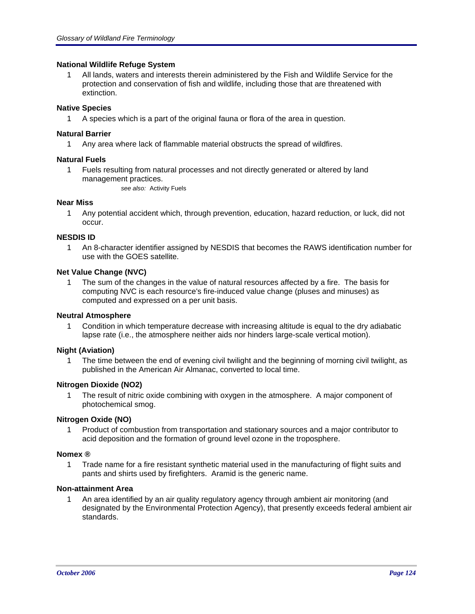# **National Wildlife Refuge System**

1 All lands, waters and interests therein administered by the Fish and Wildlife Service for the protection and conservation of fish and wildlife, including those that are threatened with extinction.

# **Native Species**

1 A species which is a part of the original fauna or flora of the area in question.

# **Natural Barrier**

1 Any area where lack of flammable material obstructs the spread of wildfires.

# **Natural Fuels**

1 Fuels resulting from natural processes and not directly generated or altered by land management practices.

*see also:* Activity Fuels

# **Near Miss**

1 Any potential accident which, through prevention, education, hazard reduction, or luck, did not occur.

# **NESDIS ID**

1 An 8-character identifier assigned by NESDIS that becomes the RAWS identification number for use with the GOES satellite.

# **Net Value Change (NVC)**

1 The sum of the changes in the value of natural resources affected by a fire. The basis for computing NVC is each resource's fire-induced value change (pluses and minuses) as computed and expressed on a per unit basis.

# **Neutral Atmosphere**

1 Condition in which temperature decrease with increasing altitude is equal to the dry adiabatic lapse rate (i.e., the atmosphere neither aids nor hinders large-scale vertical motion).

# **Night (Aviation)**

1 The time between the end of evening civil twilight and the beginning of morning civil twilight, as published in the American Air Almanac, converted to local time.

# **Nitrogen Dioxide (NO2)**

1 The result of nitric oxide combining with oxygen in the atmosphere. A major component of photochemical smog.

# **Nitrogen Oxide (NO)**

1 Product of combustion from transportation and stationary sources and a major contributor to acid deposition and the formation of ground level ozone in the troposphere.

# **Nomex ®**

1 Trade name for a fire resistant synthetic material used in the manufacturing of flight suits and pants and shirts used by firefighters. Aramid is the generic name.

# **Non-attainment Area**

1 An area identified by an air quality regulatory agency through ambient air monitoring (and designated by the Environmental Protection Agency), that presently exceeds federal ambient air standards.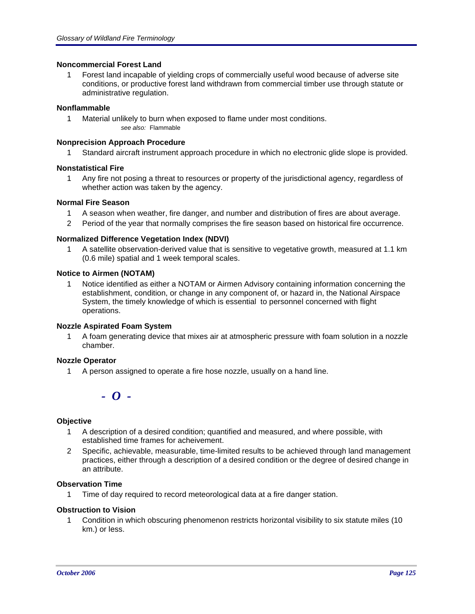# **Noncommercial Forest Land**

1 Forest land incapable of yielding crops of commercially useful wood because of adverse site conditions, or productive forest land withdrawn from commercial timber use through statute or administrative regulation.

# **Nonflammable**

1 Material unlikely to burn when exposed to flame under most conditions. *see also:* Flammable

# **Nonprecision Approach Procedure**

1 Standard aircraft instrument approach procedure in which no electronic glide slope is provided.

# **Nonstatistical Fire**

1 Any fire not posing a threat to resources or property of the jurisdictional agency, regardless of whether action was taken by the agency.

# **Normal Fire Season**

- 1 A season when weather, fire danger, and number and distribution of fires are about average.
- 2 Period of the year that normally comprises the fire season based on historical fire occurrence.

# **Normalized Difference Vegetation Index (NDVI)**

1 A satellite observation-derived value that is sensitive to vegetative growth, measured at 1.1 km (0.6 mile) spatial and 1 week temporal scales.

# **Notice to Airmen (NOTAM)**

1 Notice identified as either a NOTAM or Airmen Advisory containing information concerning the establishment, condition, or change in any component of, or hazard in, the National Airspace System, the timely knowledge of which is essential to personnel concerned with flight operations.

# **Nozzle Aspirated Foam System**

1 A foam generating device that mixes air at atmospheric pressure with foam solution in a nozzle chamber.

# **Nozzle Operator**

1 A person assigned to operate a fire hose nozzle, usually on a hand line.

# *- O -*

# **Objective**

- 1 A description of a desired condition; quantified and measured, and where possible, with established time frames for acheivement.
- 2 Specific, achievable, measurable, time-limited results to be achieved through land management practices, either through a description of a desired condition or the degree of desired change in an attribute.

# **Observation Time**

1 Time of day required to record meteorological data at a fire danger station.

# **Obstruction to Vision**

1 Condition in which obscuring phenomenon restricts horizontal visibility to six statute miles (10 km.) or less.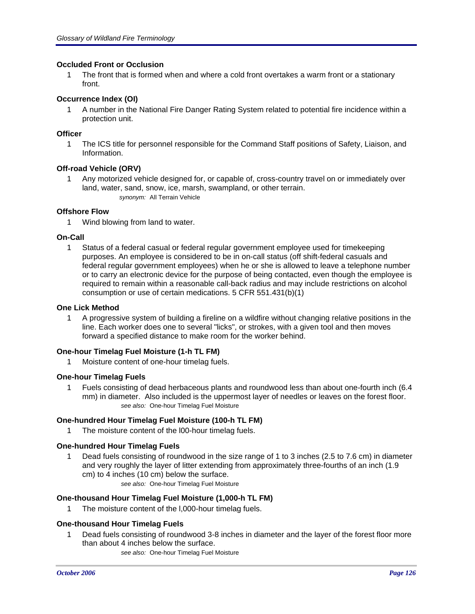# **Occluded Front or Occlusion**

1 The front that is formed when and where a cold front overtakes a warm front or a stationary front.

# **Occurrence Index (OI)**

1 A number in the National Fire Danger Rating System related to potential fire incidence within a protection unit.

# **Officer**

1 The ICS title for personnel responsible for the Command Staff positions of Safety, Liaison, and Information.

# **Off-road Vehicle (ORV)**

1 Any motorized vehicle designed for, or capable of, cross-country travel on or immediately over land, water, sand, snow, ice, marsh, swampland, or other terrain. *synonym:* All Terrain Vehicle

# **Offshore Flow**

1 Wind blowing from land to water.

# **On-Call**

1 Status of a federal casual or federal regular government employee used for timekeeping purposes. An employee is considered to be in on-call status (off shift-federal casuals and federal regular government employees) when he or she is allowed to leave a telephone number or to carry an electronic device for the purpose of being contacted, even though the employee is required to remain within a reasonable call-back radius and may include restrictions on alcohol consumption or use of certain medications. 5 CFR 551.431(b)(1)

# **One Lick Method**

1 A progressive system of building a fireline on a wildfire without changing relative positions in the line. Each worker does one to several "licks", or strokes, with a given tool and then moves forward a specified distance to make room for the worker behind.

# **One-hour Timelag Fuel Moisture (1-h TL FM)**

1 Moisture content of one-hour timelag fuels.

# **One-hour Timelag Fuels**

1 Fuels consisting of dead herbaceous plants and roundwood less than about one-fourth inch (6.4 mm) in diameter. Also included is the uppermost layer of needles or leaves on the forest floor. *see also:* One-hour Timelag Fuel Moisture

# **One-hundred Hour Timelag Fuel Moisture (100-h TL FM)**

1 The moisture content of the l00-hour timelag fuels.

# **One-hundred Hour Timelag Fuels**

- 1 Dead fuels consisting of roundwood in the size range of 1 to 3 inches (2.5 to 7.6 cm) in diameter and very roughly the layer of litter extending from approximately three-fourths of an inch (1.9 cm) to 4 inches (10 cm) below the surface.
	- *see also:* One-hour Timelag Fuel Moisture

# **One-thousand Hour Timelag Fuel Moisture (1,000-h TL FM)**

1 The moisture content of the l,000-hour timelag fuels.

# **One-thousand Hour Timelag Fuels**

- 1 Dead fuels consisting of roundwood 3-8 inches in diameter and the layer of the forest floor more than about 4 inches below the surface.
	- *see also:* One-hour Timelag Fuel Moisture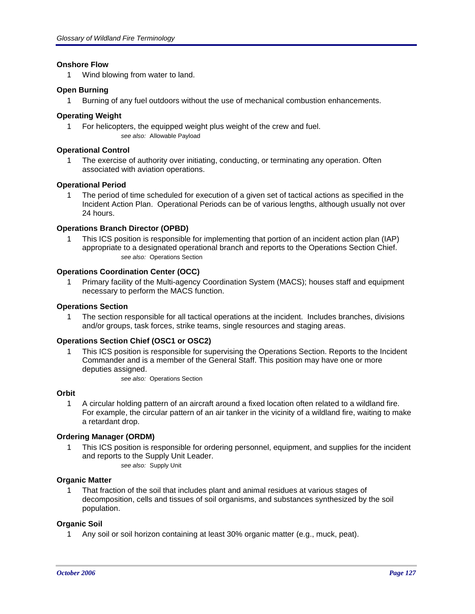# **Onshore Flow**

1 Wind blowing from water to land.

# **Open Burning**

1 Burning of any fuel outdoors without the use of mechanical combustion enhancements.

# **Operating Weight**

1 For helicopters, the equipped weight plus weight of the crew and fuel. *see also:* Allowable Payload

# **Operational Control**

1 The exercise of authority over initiating, conducting, or terminating any operation. Often associated with aviation operations.

# **Operational Period**

1 The period of time scheduled for execution of a given set of tactical actions as specified in the Incident Action Plan. Operational Periods can be of various lengths, although usually not over 24 hours.

# **Operations Branch Director (OPBD)**

1 This ICS position is responsible for implementing that portion of an incident action plan (IAP) appropriate to a designated operational branch and reports to the Operations Section Chief. *see also:* Operations Section

# **Operations Coordination Center (OCC)**

1 Primary facility of the Multi-agency Coordination System (MACS); houses staff and equipment necessary to perform the MACS function.

#### **Operations Section**

1 The section responsible for all tactical operations at the incident. Includes branches, divisions and/or groups, task forces, strike teams, single resources and staging areas.

# **Operations Section Chief (OSC1 or OSC2)**

1 This ICS position is responsible for supervising the Operations Section. Reports to the Incident Commander and is a member of the General Staff. This position may have one or more deputies assigned.

*see also:* Operations Section

# **Orbit**

1 A circular holding pattern of an aircraft around a fixed location often related to a wildland fire. For example, the circular pattern of an air tanker in the vicinity of a wildland fire, waiting to make a retardant drop.

# **Ordering Manager (ORDM)**

1 This ICS position is responsible for ordering personnel, equipment, and supplies for the incident and reports to the Supply Unit Leader.

*see also:* Supply Unit

# **Organic Matter**

1 That fraction of the soil that includes plant and animal residues at various stages of decomposition, cells and tissues of soil organisms, and substances synthesized by the soil population.

# **Organic Soil**

1 Any soil or soil horizon containing at least 30% organic matter (e.g., muck, peat).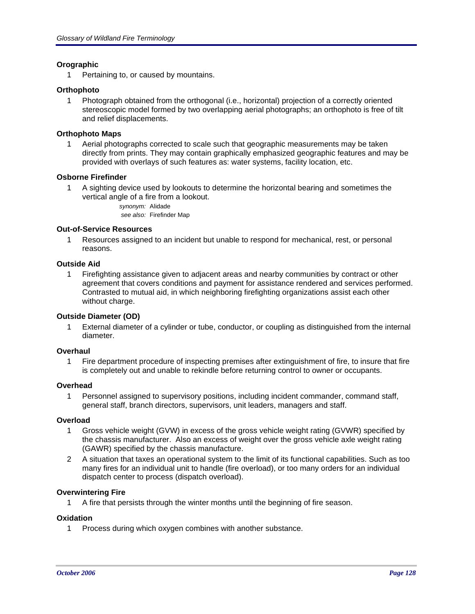# **Orographic**

1 Pertaining to, or caused by mountains.

# **Orthophoto**

1 Photograph obtained from the orthogonal (i.e., horizontal) projection of a correctly oriented stereoscopic model formed by two overlapping aerial photographs; an orthophoto is free of tilt and relief displacements.

# **Orthophoto Maps**

1 Aerial photographs corrected to scale such that geographic measurements may be taken directly from prints. They may contain graphically emphasized geographic features and may be provided with overlays of such features as: water systems, facility location, etc.

# **Osborne Firefinder**

- 1 A sighting device used by lookouts to determine the horizontal bearing and sometimes the vertical angle of a fire from a lookout.
	- *synonym:* Alidade *see also:* Firefinder Map

# **Out-of-Service Resources**

1 Resources assigned to an incident but unable to respond for mechanical, rest, or personal reasons.

# **Outside Aid**

1 Firefighting assistance given to adjacent areas and nearby communities by contract or other agreement that covers conditions and payment for assistance rendered and services performed. Contrasted to mutual aid, in which neighboring firefighting organizations assist each other without charge.

# **Outside Diameter (OD)**

1 External diameter of a cylinder or tube, conductor, or coupling as distinguished from the internal diameter.

# **Overhaul**

1 Fire department procedure of inspecting premises after extinguishment of fire, to insure that fire is completely out and unable to rekindle before returning control to owner or occupants.

# **Overhead**

1 Personnel assigned to supervisory positions, including incident commander, command staff, general staff, branch directors, supervisors, unit leaders, managers and staff.

# **Overload**

- 1 Gross vehicle weight (GVW) in excess of the gross vehicle weight rating (GVWR) specified by the chassis manufacturer. Also an excess of weight over the gross vehicle axle weight rating (GAWR) specified by the chassis manufacture.
- 2 A situation that taxes an operational system to the limit of its functional capabilities. Such as too many fires for an individual unit to handle (fire overload), or too many orders for an individual dispatch center to process (dispatch overload).

# **Overwintering Fire**

1 A fire that persists through the winter months until the beginning of fire season.

# **Oxidation**

1 Process during which oxygen combines with another substance.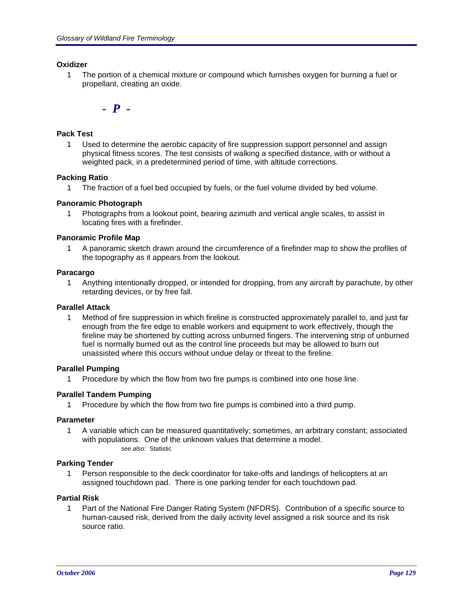# **Oxidizer**

1 The portion of a chemical mixture or compound which furnishes oxygen for burning a fuel or propellant, creating an oxide.

*- P -*

# **Pack Test**

1 Used to determine the aerobic capacity of fire suppression support personnel and assign physical fitness scores. The test consists of walking a specified distance, with or without a weighted pack, in a predetermined period of time, with altitude corrections.

# **Packing Ratio**

1 The fraction of a fuel bed occupied by fuels, or the fuel volume divided by bed volume.

# **Panoramic Photograph**

1 Photographs from a lookout point, bearing azimuth and vertical angle scales, to assist in locating fires with a firefinder.

# **Panoramic Profile Map**

1 A panoramic sketch drawn around the circumference of a firefinder map to show the profiles of the topography as it appears from the lookout.

# **Paracargo**

1 Anything intentionally dropped, or intended for dropping, from any aircraft by parachute, by other retarding devices, or by free fall.

# **Parallel Attack**

1 Method of fire suppression in which fireline is constructed approximately parallel to, and just far enough from the fire edge to enable workers and equipment to work effectively, though the fireline may be shortened by cutting across unburned fingers. The intervening strip of unburned fuel is normally burned out as the control line proceeds but may be allowed to burn out unassisted where this occurs without undue delay or threat to the fireline.

# **Parallel Pumping**

1 Procedure by which the flow from two fire pumps is combined into one hose line.

# **Parallel Tandem Pumping**

1 Procedure by which the flow from two fire pumps is combined into a third pump.

# **Parameter**

1 A variable which can be measured quantitatively; sometimes, an arbitrary constant; associated with populations. One of the unknown values that determine a model. *see also:* Statistic

# **Parking Tender**

1 Person responsible to the deck coordinator for take-offs and landings of helicopters at an assigned touchdown pad. There is one parking tender for each touchdown pad.

# **Partial Risk**

1 Part of the National Fire Danger Rating System (NFDRS). Contribution of a specific source to human-caused risk, derived from the daily activity level assigned a risk source and its risk source ratio.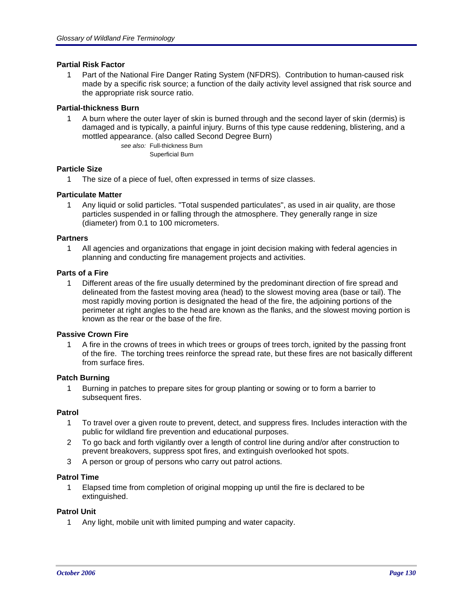# **Partial Risk Factor**

1 Part of the National Fire Danger Rating System (NFDRS). Contribution to human-caused risk made by a specific risk source; a function of the daily activity level assigned that risk source and the appropriate risk source ratio.

# **Partial-thickness Burn**

1 A burn where the outer layer of skin is burned through and the second layer of skin (dermis) is damaged and is typically, a painful injury. Burns of this type cause reddening, blistering, and a mottled appearance. (also called Second Degree Burn)

> *see also:* Full-thickness Burn Superficial Burn

# **Particle Size**

1 The size of a piece of fuel, often expressed in terms of size classes.

# **Particulate Matter**

1 Any liquid or solid particles. "Total suspended particulates", as used in air quality, are those particles suspended in or falling through the atmosphere. They generally range in size (diameter) from 0.1 to 100 micrometers.

# **Partners**

1 All agencies and organizations that engage in joint decision making with federal agencies in planning and conducting fire management projects and activities.

# **Parts of a Fire**

1 Different areas of the fire usually determined by the predominant direction of fire spread and delineated from the fastest moving area (head) to the slowest moving area (base or tail). The most rapidly moving portion is designated the head of the fire, the adjoining portions of the perimeter at right angles to the head are known as the flanks, and the slowest moving portion is known as the rear or the base of the fire.

# **Passive Crown Fire**

1 A fire in the crowns of trees in which trees or groups of trees torch, ignited by the passing front of the fire. The torching trees reinforce the spread rate, but these fires are not basically different from surface fires.

# **Patch Burning**

1 Burning in patches to prepare sites for group planting or sowing or to form a barrier to subsequent fires.

# **Patrol**

- 1 To travel over a given route to prevent, detect, and suppress fires. Includes interaction with the public for wildland fire prevention and educational purposes.
- 2 To go back and forth vigilantly over a length of control line during and/or after construction to prevent breakovers, suppress spot fires, and extinguish overlooked hot spots.
- 3 A person or group of persons who carry out patrol actions.

#### **Patrol Time**

1 Elapsed time from completion of original mopping up until the fire is declared to be extinguished.

# **Patrol Unit**

1 Any light, mobile unit with limited pumping and water capacity.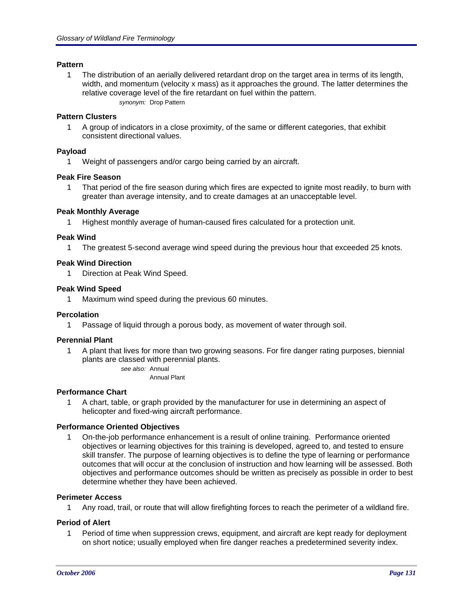# **Pattern**

1 The distribution of an aerially delivered retardant drop on the target area in terms of its length, width, and momentum (velocity x mass) as it approaches the ground. The latter determines the relative coverage level of the fire retardant on fuel within the pattern. *synonym:* Drop Pattern

#### **Pattern Clusters**

1 A group of indicators in a close proximity, of the same or different categories, that exhibit consistent directional values.

#### **Payload**

1 Weight of passengers and/or cargo being carried by an aircraft.

# **Peak Fire Season**

1 That period of the fire season during which fires are expected to ignite most readily, to burn with greater than average intensity, and to create damages at an unacceptable level.

#### **Peak Monthly Average**

1 Highest monthly average of human-caused fires calculated for a protection unit.

#### **Peak Wind**

1 The greatest 5-second average wind speed during the previous hour that exceeded 25 knots.

#### **Peak Wind Direction**

1 Direction at Peak Wind Speed.

#### **Peak Wind Speed**

1 Maximum wind speed during the previous 60 minutes.

#### **Percolation**

1 Passage of liquid through a porous body, as movement of water through soil.

#### **Perennial Plant**

1 A plant that lives for more than two growing seasons. For fire danger rating purposes, biennial plants are classed with perennial plants.

*see also:* Annual Annual Plant

#### **Performance Chart**

1 A chart, table, or graph provided by the manufacturer for use in determining an aspect of helicopter and fixed-wing aircraft performance.

# **Performance Oriented Objectives**

1 On-the-job performance enhancement is a result of online training. Performance oriented objectives or learning objectives for this training is developed, agreed to, and tested to ensure skill transfer. The purpose of learning objectives is to define the type of learning or performance outcomes that will occur at the conclusion of instruction and how learning will be assessed. Both objectives and performance outcomes should be written as precisely as possible in order to best determine whether they have been achieved.

# **Perimeter Access**

1 Any road, trail, or route that will allow firefighting forces to reach the perimeter of a wildland fire.

# **Period of Alert**

1 Period of time when suppression crews, equipment, and aircraft are kept ready for deployment on short notice; usually employed when fire danger reaches a predetermined severity index.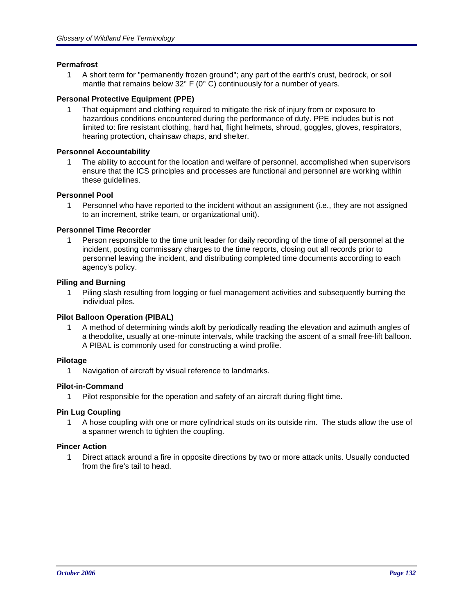# **Permafrost**

1 A short term for "permanently frozen ground"; any part of the earth's crust, bedrock, or soil mantle that remains below 32° F (0° C) continuously for a number of years.

# **Personal Protective Equipment (PPE)**

1 That equipment and clothing required to mitigate the risk of injury from or exposure to hazardous conditions encountered during the performance of duty. PPE includes but is not limited to: fire resistant clothing, hard hat, flight helmets, shroud, goggles, gloves, respirators, hearing protection, chainsaw chaps, and shelter.

# **Personnel Accountability**

1 The ability to account for the location and welfare of personnel, accomplished when supervisors ensure that the ICS principles and processes are functional and personnel are working within these guidelines.

# **Personnel Pool**

1 Personnel who have reported to the incident without an assignment (i.e., they are not assigned to an increment, strike team, or organizational unit).

# **Personnel Time Recorder**

1 Person responsible to the time unit leader for daily recording of the time of all personnel at the incident, posting commissary charges to the time reports, closing out all records prior to personnel leaving the incident, and distributing completed time documents according to each agency's policy.

# **Piling and Burning**

1 Piling slash resulting from logging or fuel management activities and subsequently burning the individual piles.

# **Pilot Balloon Operation (PIBAL)**

1 A method of determining winds aloft by periodically reading the elevation and azimuth angles of a theodolite, usually at one-minute intervals, while tracking the ascent of a small free-lift balloon. A PIBAL is commonly used for constructing a wind profile.

# **Pilotage**

1 Navigation of aircraft by visual reference to landmarks.

# **Pilot-in-Command**

1 Pilot responsible for the operation and safety of an aircraft during flight time.

# **Pin Lug Coupling**

1 A hose coupling with one or more cylindrical studs on its outside rim. The studs allow the use of a spanner wrench to tighten the coupling.

# **Pincer Action**

1 Direct attack around a fire in opposite directions by two or more attack units. Usually conducted from the fire's tail to head.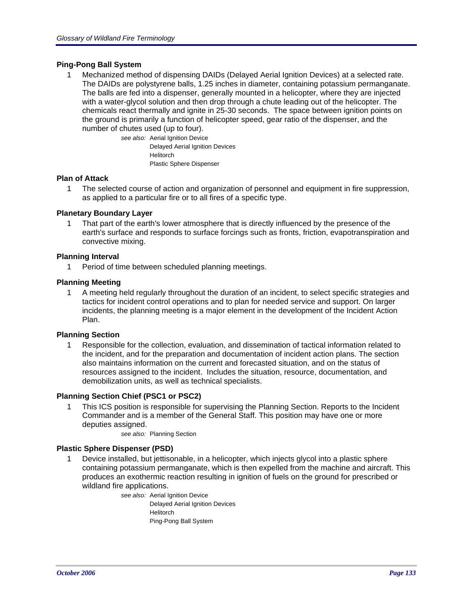# **Ping-Pong Ball System**

1 Mechanized method of dispensing DAIDs (Delayed Aerial Ignition Devices) at a selected rate. The DAIDs are polystyrene balls, 1.25 inches in diameter, containing potassium permanganate. The balls are fed into a dispenser, generally mounted in a helicopter, where they are injected with a water-glycol solution and then drop through a chute leading out of the helicopter. The chemicals react thermally and ignite in 25-30 seconds. The space between ignition points on the ground is primarily a function of helicopter speed, gear ratio of the dispenser, and the number of chutes used (up to four).

*see also:* Aerial Ignition Device Delayed Aerial Ignition Devices Helitorch Plastic Sphere Dispenser

# **Plan of Attack**

1 The selected course of action and organization of personnel and equipment in fire suppression, as applied to a particular fire or to all fires of a specific type.

# **Planetary Boundary Layer**

1 That part of the earth's lower atmosphere that is directly influenced by the presence of the earth's surface and responds to surface forcings such as fronts, friction, evapotranspiration and convective mixing.

# **Planning Interval**

1 Period of time between scheduled planning meetings.

# **Planning Meeting**

1 A meeting held regularly throughout the duration of an incident, to select specific strategies and tactics for incident control operations and to plan for needed service and support. On larger incidents, the planning meeting is a major element in the development of the Incident Action Plan.

# **Planning Section**

1 Responsible for the collection, evaluation, and dissemination of tactical information related to the incident, and for the preparation and documentation of incident action plans. The section also maintains information on the current and forecasted situation, and on the status of resources assigned to the incident. Includes the situation, resource, documentation, and demobilization units, as well as technical specialists.

# **Planning Section Chief (PSC1 or PSC2)**

- 1 This ICS position is responsible for supervising the Planning Section. Reports to the Incident Commander and is a member of the General Staff. This position may have one or more deputies assigned.
	- *see also:* Planning Section

# **Plastic Sphere Dispenser (PSD)**

1 Device installed, but jettisonable, in a helicopter, which injects glycol into a plastic sphere containing potassium permanganate, which is then expelled from the machine and aircraft. This produces an exothermic reaction resulting in ignition of fuels on the ground for prescribed or wildland fire applications.

*see also:* Aerial Ignition Device Delayed Aerial Ignition Devices Helitorch Ping-Pong Ball System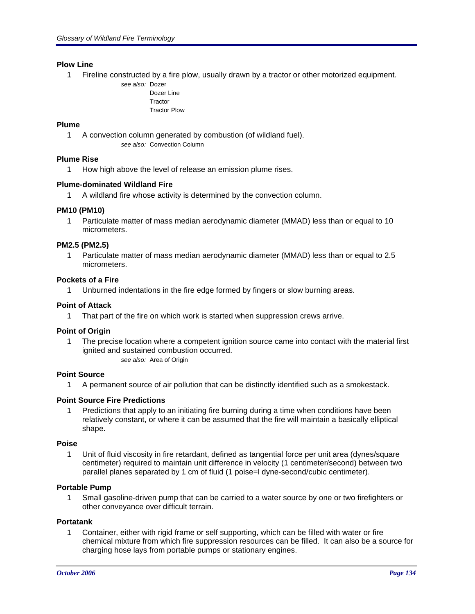# **Plow Line**

1 Fireline constructed by a fire plow, usually drawn by a tractor or other motorized equipment.

*see also:* Dozer Dozer Line **Tractor** Tractor Plow

# **Plume**

1 A convection column generated by combustion (of wildland fuel).

*see also:* Convection Column

# **Plume Rise**

1 How high above the level of release an emission plume rises.

# **Plume-dominated Wildland Fire**

1 A wildland fire whose activity is determined by the convection column.

# **PM10 (PM10)**

1 Particulate matter of mass median aerodynamic diameter (MMAD) less than or equal to 10 micrometers.

# **PM2.5 (PM2.5)**

1 Particulate matter of mass median aerodynamic diameter (MMAD) less than or equal to 2.5 micrometers.

# **Pockets of a Fire**

1 Unburned indentations in the fire edge formed by fingers or slow burning areas.

# **Point of Attack**

1 That part of the fire on which work is started when suppression crews arrive.

# **Point of Origin**

1 The precise location where a competent ignition source came into contact with the material first ignited and sustained combustion occurred.

see also: Area of Origin

# **Point Source**

1 A permanent source of air pollution that can be distinctly identified such as a smokestack.

# **Point Source Fire Predictions**

1 Predictions that apply to an initiating fire burning during a time when conditions have been relatively constant, or where it can be assumed that the fire will maintain a basically elliptical shape.

# **Poise**

1 Unit of fluid viscosity in fire retardant, defined as tangential force per unit area (dynes/square centimeter) required to maintain unit difference in velocity (1 centimeter/second) between two parallel planes separated by 1 cm of fluid (1 poise=l dyne-second/cubic centimeter).

# **Portable Pump**

1 Small gasoline-driven pump that can be carried to a water source by one or two firefighters or other conveyance over difficult terrain.

# **Portatank**

1 Container, either with rigid frame or self supporting, which can be filled with water or fire chemical mixture from which fire suppression resources can be filled. It can also be a source for charging hose lays from portable pumps or stationary engines.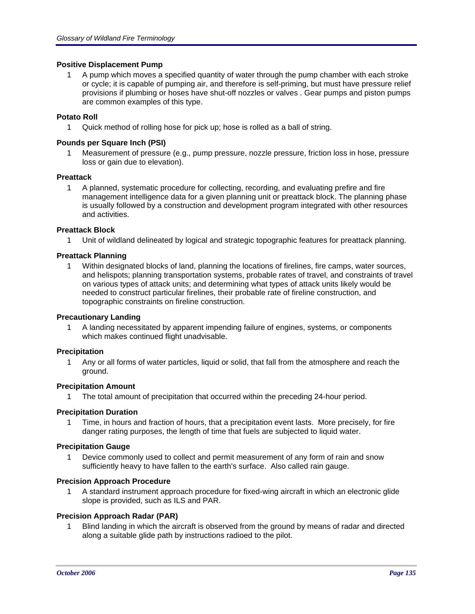# **Positive Displacement Pump**

1 A pump which moves a specified quantity of water through the pump chamber with each stroke or cycle; it is capable of pumping air, and therefore is self-priming, but must have pressure relief provisions if plumbing or hoses have shut-off nozzles or valves . Gear pumps and piston pumps are common examples of this type.

# **Potato Roll**

1 Quick method of rolling hose for pick up; hose is rolled as a ball of string.

# **Pounds per Square Inch (PSI)**

1 Measurement of pressure (e.g., pump pressure, nozzle pressure, friction loss in hose, pressure loss or gain due to elevation).

# **Preattack**

1 A planned, systematic procedure for collecting, recording, and evaluating prefire and fire management intelligence data for a given planning unit or preattack block. The planning phase is usually followed by a construction and development program integrated with other resources and activities.

# **Preattack Block**

1 Unit of wildland delineated by logical and strategic topographic features for preattack planning.

# **Preattack Planning**

1 Within designated blocks of land, planning the locations of firelines, fire camps, water sources, and helispots; planning transportation systems, probable rates of travel, and constraints of travel on various types of attack units; and determining what types of attack units likely would be needed to construct particular firelines, their probable rate of fireline construction, and topographic constraints on fireline construction.

# **Precautionary Landing**

1 A landing necessitated by apparent impending failure of engines, systems, or components which makes continued flight unadvisable.

# **Precipitation**

1 Any or all forms of water particles, liquid or solid, that fall from the atmosphere and reach the ground.

# **Precipitation Amount**

1 The total amount of precipitation that occurred within the preceding 24-hour period.

# **Precipitation Duration**

1 Time, in hours and fraction of hours, that a precipitation event lasts. More precisely, for fire danger rating purposes, the length of time that fuels are subjected to liquid water.

# **Precipitation Gauge**

1 Device commonly used to collect and permit measurement of any form of rain and snow sufficiently heavy to have fallen to the earth's surface. Also called rain gauge.

#### **Precision Approach Procedure**

1 A standard instrument approach procedure for fixed-wing aircraft in which an electronic glide slope is provided, such as ILS and PAR.

# **Precision Approach Radar (PAR)**

1 Blind landing in which the aircraft is observed from the ground by means of radar and directed along a suitable glide path by instructions radioed to the pilot.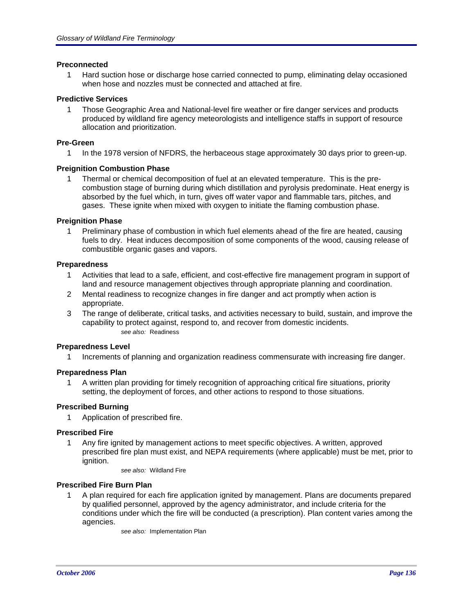# **Preconnected**

1 Hard suction hose or discharge hose carried connected to pump, eliminating delay occasioned when hose and nozzles must be connected and attached at fire.

#### **Predictive Services**

1 Those Geographic Area and National-level fire weather or fire danger services and products produced by wildland fire agency meteorologists and intelligence staffs in support of resource allocation and prioritization.

#### **Pre-Green**

1 In the 1978 version of NFDRS, the herbaceous stage approximately 30 days prior to green-up.

#### **Preignition Combustion Phase**

1 Thermal or chemical decomposition of fuel at an elevated temperature. This is the precombustion stage of burning during which distillation and pyrolysis predominate. Heat energy is absorbed by the fuel which, in turn, gives off water vapor and flammable tars, pitches, and gases. These ignite when mixed with oxygen to initiate the flaming combustion phase.

#### **Preignition Phase**

1 Preliminary phase of combustion in which fuel elements ahead of the fire are heated, causing fuels to dry. Heat induces decomposition of some components of the wood, causing release of combustible organic gases and vapors.

#### **Preparedness**

- 1 Activities that lead to a safe, efficient, and cost-effective fire management program in support of land and resource management objectives through appropriate planning and coordination.
- 2 Mental readiness to recognize changes in fire danger and act promptly when action is appropriate.
- 3 The range of deliberate, critical tasks, and activities necessary to build, sustain, and improve the capability to protect against, respond to, and recover from domestic incidents. *see also:* Readiness

#### **Preparedness Level**

1 Increments of planning and organization readiness commensurate with increasing fire danger.

#### **Preparedness Plan**

1 A written plan providing for timely recognition of approaching critical fire situations, priority setting, the deployment of forces, and other actions to respond to those situations.

# **Prescribed Burning**

1 Application of prescribed fire.

# **Prescribed Fire**

1 Any fire ignited by management actions to meet specific objectives. A written, approved prescribed fire plan must exist, and NEPA requirements (where applicable) must be met, prior to ignition.

*see also:* Wildland Fire

# **Prescribed Fire Burn Plan**

1 A plan required for each fire application ignited by management. Plans are documents prepared by qualified personnel, approved by the agency administrator, and include criteria for the conditions under which the fire will be conducted (a prescription). Plan content varies among the agencies.

*see also:* Implementation Plan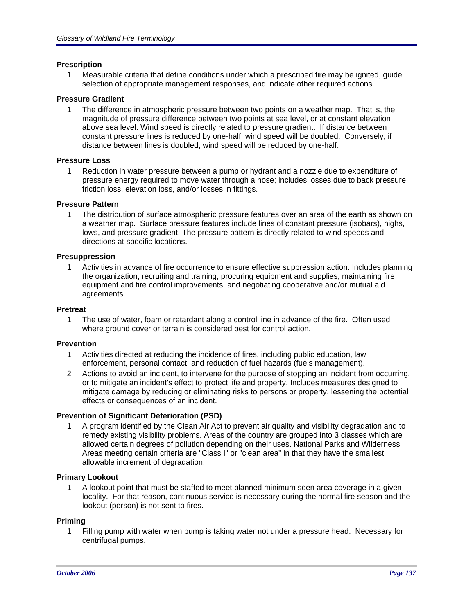# **Prescription**

1 Measurable criteria that define conditions under which a prescribed fire may be ignited, guide selection of appropriate management responses, and indicate other required actions.

# **Pressure Gradient**

1 The difference in atmospheric pressure between two points on a weather map. That is, the magnitude of pressure difference between two points at sea level, or at constant elevation above sea level. Wind speed is directly related to pressure gradient. If distance between constant pressure lines is reduced by one-half, wind speed will be doubled. Conversely, if distance between lines is doubled, wind speed will be reduced by one-half.

# **Pressure Loss**

1 Reduction in water pressure between a pump or hydrant and a nozzle due to expenditure of pressure energy required to move water through a hose; includes losses due to back pressure, friction loss, elevation loss, and/or losses in fittings.

# **Pressure Pattern**

1 The distribution of surface atmospheric pressure features over an area of the earth as shown on a weather map. Surface pressure features include lines of constant pressure (isobars), highs, lows, and pressure gradient. The pressure pattern is directly related to wind speeds and directions at specific locations.

# **Presuppression**

1 Activities in advance of fire occurrence to ensure effective suppression action. Includes planning the organization, recruiting and training, procuring equipment and supplies, maintaining fire equipment and fire control improvements, and negotiating cooperative and/or mutual aid agreements.

# **Pretreat**

1 The use of water, foam or retardant along a control line in advance of the fire. Often used where ground cover or terrain is considered best for control action.

# **Prevention**

- 1 Activities directed at reducing the incidence of fires, including public education, law enforcement, personal contact, and reduction of fuel hazards (fuels management).
- 2 Actions to avoid an incident, to intervene for the purpose of stopping an incident from occurring, or to mitigate an incident's effect to protect life and property. Includes measures designed to mitigate damage by reducing or eliminating risks to persons or property, lessening the potential effects or consequences of an incident.

# **Prevention of Significant Deterioration (PSD)**

1 A program identified by the Clean Air Act to prevent air quality and visibility degradation and to remedy existing visibility problems. Areas of the country are grouped into 3 classes which are allowed certain degrees of pollution depending on their uses. National Parks and Wilderness Areas meeting certain criteria are "Class I" or "clean area" in that they have the smallest allowable increment of degradation.

# **Primary Lookout**

1 A lookout point that must be staffed to meet planned minimum seen area coverage in a given locality. For that reason, continuous service is necessary during the normal fire season and the lookout (person) is not sent to fires.

# **Priming**

1 Filling pump with water when pump is taking water not under a pressure head. Necessary for centrifugal pumps.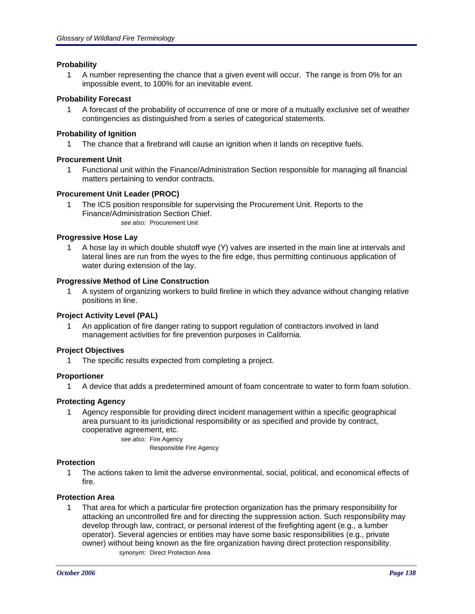# **Probability**

1 A number representing the chance that a given event will occur. The range is from 0% for an impossible event, to 100% for an inevitable event.

# **Probability Forecast**

1 A forecast of the probability of occurrence of one or more of a mutually exclusive set of weather contingencies as distinguished from a series of categorical statements.

# **Probability of Ignition**

1 The chance that a firebrand will cause an ignition when it lands on receptive fuels.

# **Procurement Unit**

1 Functional unit within the Finance/Administration Section responsible for managing all financial matters pertaining to vendor contracts.

# **Procurement Unit Leader (PROC)**

1 The ICS position responsible for supervising the Procurement Unit. Reports to the Finance/Administration Section Chief. *see also:* Procurement Unit

# **Progressive Hose Lay**

1 A hose lay in which double shutoff wye (Y) valves are inserted in the main line at intervals and lateral lines are run from the wyes to the fire edge, thus permitting continuous application of water during extension of the lay.

# **Progressive Method of Line Construction**

1 A system of organizing workers to build fireline in which they advance without changing relative positions in line.

# **Project Activity Level (PAL)**

1 An application of fire danger rating to support regulation of contractors involved in land management activities for fire prevention purposes in California.

# **Project Objectives**

1 The specific results expected from completing a project.

# **Proportioner**

1 A device that adds a predetermined amount of foam concentrate to water to form foam solution.

# **Protecting Agency**

1 Agency responsible for providing direct incident management within a specific geographical area pursuant to its jurisdictional responsibility or as specified and provide by contract, cooperative agreement, etc.

> *see also:* Fire Agency Responsible Fire Agency

# **Protection**

1 The actions taken to limit the adverse environmental, social, political, and economical effects of fire.

# **Protection Area**

1 That area for which a particular fire protection organization has the primary responsibility for attacking an uncontrolled fire and for directing the suppression action. Such responsibility may develop through law, contract, or personal interest of the firefighting agent (e.g., a lumber operator). Several agencies or entities may have some basic responsibilities (e.g., private owner) without being known as the fire organization having direct protection responsibility. *synonym:* Direct Protection Area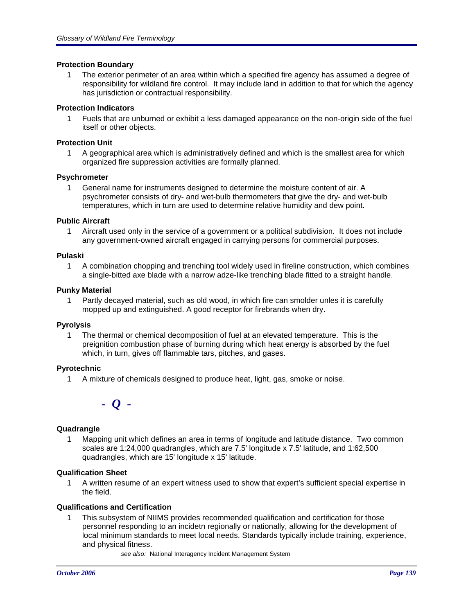# **Protection Boundary**

1 The exterior perimeter of an area within which a specified fire agency has assumed a degree of responsibility for wildland fire control. It may include land in addition to that for which the agency has jurisdiction or contractual responsibility.

# **Protection Indicators**

1 Fuels that are unburned or exhibit a less damaged appearance on the non-origin side of the fuel itself or other objects.

# **Protection Unit**

1 A geographical area which is administratively defined and which is the smallest area for which organized fire suppression activities are formally planned.

# **Psychrometer**

1 General name for instruments designed to determine the moisture content of air. A psychrometer consists of dry- and wet-bulb thermometers that give the dry- and wet-bulb temperatures, which in turn are used to determine relative humidity and dew point.

# **Public Aircraft**

1 Aircraft used only in the service of a government or a political subdivision. It does not include any government-owned aircraft engaged in carrying persons for commercial purposes.

# **Pulaski**

1 A combination chopping and trenching tool widely used in fireline construction, which combines a single-bitted axe blade with a narrow adze-like trenching blade fitted to a straight handle.

# **Punky Material**

1 Partly decayed material, such as old wood, in which fire can smolder unles it is carefully mopped up and extinguished. A good receptor for firebrands when dry.

# **Pyrolysis**

1 The thermal or chemical decomposition of fuel at an elevated temperature. This is the preignition combustion phase of burning during which heat energy is absorbed by the fuel which, in turn, gives off flammable tars, pitches, and gases.

# **Pyrotechnic**

1 A mixture of chemicals designed to produce heat, light, gas, smoke or noise.

*- Q -*

# **Quadrangle**

1 Mapping unit which defines an area in terms of longitude and latitude distance. Two common scales are 1:24,000 quadrangles, which are 7.5' longitude x 7.5' latitude, and 1:62,500 quadrangles, which are 15' longitude x 15' latitude.

# **Qualification Sheet**

1 A written resume of an expert witness used to show that expert's sufficient special expertise in the field.

# **Qualifications and Certification**

- 1 This subsystem of NIIMS provides recommended qualification and certification for those personnel responding to an incidetn regionally or nationally, allowing for the development of local minimum standards to meet local needs. Standards typically include training, experience, and physical fitness.
	- *see also:* National Interagency Incident Management System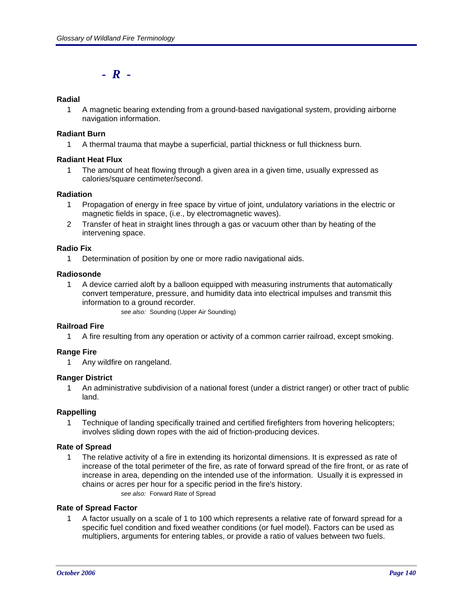*- R -*

# **Radial**

1 A magnetic bearing extending from a ground-based navigational system, providing airborne navigation information.

# **Radiant Burn**

1 A thermal trauma that maybe a superficial, partial thickness or full thickness burn.

# **Radiant Heat Flux**

1 The amount of heat flowing through a given area in a given time, usually expressed as calories/square centimeter/second.

# **Radiation**

- 1 Propagation of energy in free space by virtue of joint, undulatory variations in the electric or magnetic fields in space, (i.e., by electromagnetic waves).
- 2 Transfer of heat in straight lines through a gas or vacuum other than by heating of the intervening space.

# **Radio Fix**

1 Determination of position by one or more radio navigational aids.

# **Radiosonde**

- 1 A device carried aloft by a balloon equipped with measuring instruments that automatically convert temperature, pressure, and humidity data into electrical impulses and transmit this information to a ground recorder.
	- *see also:* Sounding (Upper Air Sounding)

# **Railroad Fire**

1 A fire resulting from any operation or activity of a common carrier railroad, except smoking.

# **Range Fire**

1 Any wildfire on rangeland.

# **Ranger District**

1 An administrative subdivision of a national forest (under a district ranger) or other tract of public land.

# **Rappelling**

1 Technique of landing specifically trained and certified firefighters from hovering helicopters; involves sliding down ropes with the aid of friction-producing devices.

# **Rate of Spread**

1 The relative activity of a fire in extending its horizontal dimensions. It is expressed as rate of increase of the total perimeter of the fire, as rate of forward spread of the fire front, or as rate of increase in area, depending on the intended use of the information. Usually it is expressed in chains or acres per hour for a specific period in the fire's history. *see also:* Forward Rate of Spread

# **Rate of Spread Factor**

1 A factor usually on a scale of 1 to 100 which represents a relative rate of forward spread for a specific fuel condition and fixed weather conditions (or fuel model). Factors can be used as multipliers, arguments for entering tables, or provide a ratio of values between two fuels.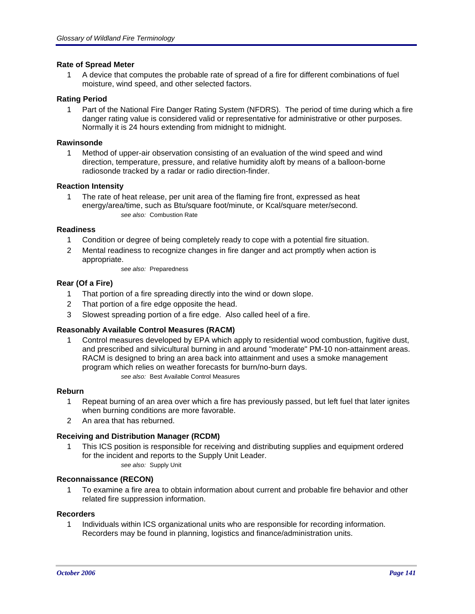# **Rate of Spread Meter**

1 A device that computes the probable rate of spread of a fire for different combinations of fuel moisture, wind speed, and other selected factors.

# **Rating Period**

1 Part of the National Fire Danger Rating System (NFDRS). The period of time during which a fire danger rating value is considered valid or representative for administrative or other purposes. Normally it is 24 hours extending from midnight to midnight.

# **Rawinsonde**

1 Method of upper-air observation consisting of an evaluation of the wind speed and wind direction, temperature, pressure, and relative humidity aloft by means of a balloon-borne radiosonde tracked by a radar or radio direction-finder.

# **Reaction Intensity**

1 The rate of heat release, per unit area of the flaming fire front, expressed as heat energy/area/time, such as Btu/square foot/minute, or Kcal/square meter/second. *see also:* Combustion Rate

# **Readiness**

- 1 Condition or degree of being completely ready to cope with a potential fire situation.
- 2 Mental readiness to recognize changes in fire danger and act promptly when action is appropriate.
	- *see also:* Preparedness

# **Rear (Of a Fire)**

- 1 That portion of a fire spreading directly into the wind or down slope.
- 2 That portion of a fire edge opposite the head.
- 3 Slowest spreading portion of a fire edge. Also called heel of a fire.

# **Reasonably Available Control Measures (RACM)**

1 Control measures developed by EPA which apply to residential wood combustion, fugitive dust, and prescribed and silvicultural burning in and around "moderate" PM-10 non-attainment areas. RACM is designed to bring an area back into attainment and uses a smoke management program which relies on weather forecasts for burn/no-burn days. *see also:* Best Available Control Measures

# **Reburn**

- 1 Repeat burning of an area over which a fire has previously passed, but left fuel that later ignites when burning conditions are more favorable.
- 2 An area that has reburned.

# **Receiving and Distribution Manager (RCDM)**

- 1 This ICS position is responsible for receiving and distributing supplies and equipment ordered for the incident and reports to the Supply Unit Leader.
	- *see also:* Supply Unit

# **Reconnaissance (RECON)**

1 To examine a fire area to obtain information about current and probable fire behavior and other related fire suppression information.

# **Recorders**

1 Individuals within ICS organizational units who are responsible for recording information. Recorders may be found in planning, logistics and finance/administration units.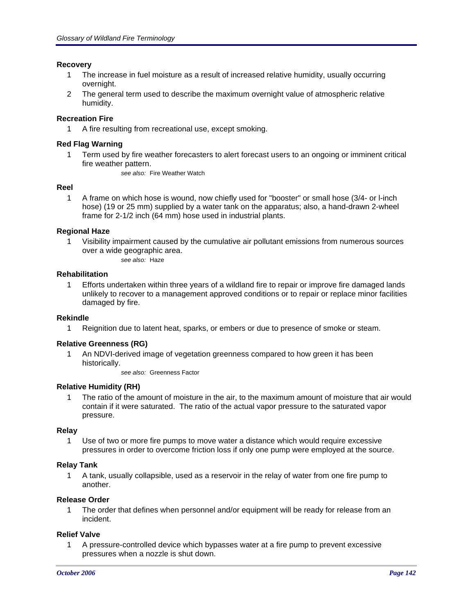# **Recovery**

- 1 The increase in fuel moisture as a result of increased relative humidity, usually occurring overnight.
- 2 The general term used to describe the maximum overnight value of atmospheric relative humidity.

# **Recreation Fire**

1 A fire resulting from recreational use, except smoking.

# **Red Flag Warning**

1 Term used by fire weather forecasters to alert forecast users to an ongoing or imminent critical fire weather pattern.

*see also:* Fire Weather Watch

# **Reel**

1 A frame on which hose is wound, now chiefly used for "booster" or small hose (3/4- or l-inch hose) (19 or 25 mm) supplied by a water tank on the apparatus; also, a hand-drawn 2-wheel frame for 2-1/2 inch (64 mm) hose used in industrial plants.

# **Regional Haze**

1 Visibility impairment caused by the cumulative air pollutant emissions from numerous sources over a wide geographic area.

*see also:* Haze

# **Rehabilitation**

1 Efforts undertaken within three years of a wildland fire to repair or improve fire damaged lands unlikely to recover to a management approved conditions or to repair or replace minor facilities damaged by fire.

# **Rekindle**

1 Reignition due to latent heat, sparks, or embers or due to presence of smoke or steam.

# **Relative Greenness (RG)**

1 An NDVI-derived image of vegetation greenness compared to how green it has been historically.

*see also:* Greenness Factor

# **Relative Humidity (RH)**

1 The ratio of the amount of moisture in the air, to the maximum amount of moisture that air would contain if it were saturated. The ratio of the actual vapor pressure to the saturated vapor pressure.

# **Relay**

1 Use of two or more fire pumps to move water a distance which would require excessive pressures in order to overcome friction loss if only one pump were employed at the source.

# **Relay Tank**

1 A tank, usually collapsible, used as a reservoir in the relay of water from one fire pump to another.

# **Release Order**

1 The order that defines when personnel and/or equipment will be ready for release from an incident.

# **Relief Valve**

1 A pressure-controlled device which bypasses water at a fire pump to prevent excessive pressures when a nozzle is shut down.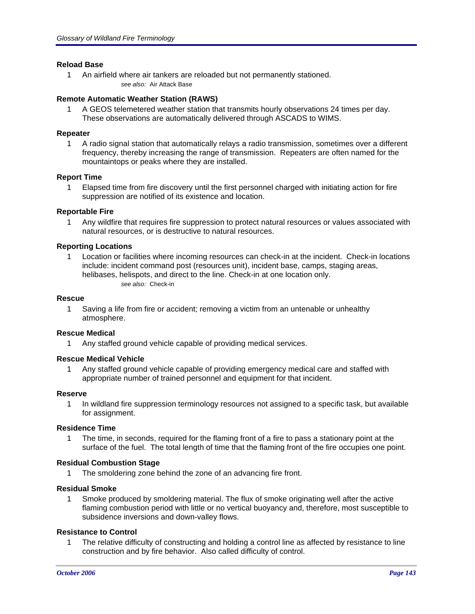# **Reload Base**

1 An airfield where air tankers are reloaded but not permanently stationed. *see also:* Air Attack Base

# **Remote Automatic Weather Station (RAWS)**

1 A GEOS telemetered weather station that transmits hourly observations 24 times per day. These observations are automatically delivered through ASCADS to WIMS.

#### **Repeater**

1 A radio signal station that automatically relays a radio transmission, sometimes over a different frequency, thereby increasing the range of transmission. Repeaters are often named for the mountaintops or peaks where they are installed.

#### **Report Time**

1 Elapsed time from fire discovery until the first personnel charged with initiating action for fire suppression are notified of its existence and location.

#### **Reportable Fire**

1 Any wildfire that requires fire suppression to protect natural resources or values associated with natural resources, or is destructive to natural resources.

#### **Reporting Locations**

1 Location or facilities where incoming resources can check-in at the incident. Check-in locations include: incident command post (resources unit), incident base, camps, staging areas, helibases, helispots, and direct to the line. Check-in at one location only. *see also:* Check-in

#### **Rescue**

1 Saving a life from fire or accident; removing a victim from an untenable or unhealthy atmosphere.

#### **Rescue Medical**

1 Any staffed ground vehicle capable of providing medical services.

#### **Rescue Medical Vehicle**

1 Any staffed ground vehicle capable of providing emergency medical care and staffed with appropriate number of trained personnel and equipment for that incident.

#### **Reserve**

1 In wildland fire suppression terminology resources not assigned to a specific task, but available for assignment.

#### **Residence Time**

1 The time, in seconds, required for the flaming front of a fire to pass a stationary point at the surface of the fuel. The total length of time that the flaming front of the fire occupies one point.

#### **Residual Combustion Stage**

1 The smoldering zone behind the zone of an advancing fire front.

#### **Residual Smoke**

1 Smoke produced by smoldering material. The flux of smoke originating well after the active flaming combustion period with little or no vertical buoyancy and, therefore, most susceptible to subsidence inversions and down-valley flows.

#### **Resistance to Control**

1 The relative difficulty of constructing and holding a control line as affected by resistance to line construction and by fire behavior. Also called difficulty of control.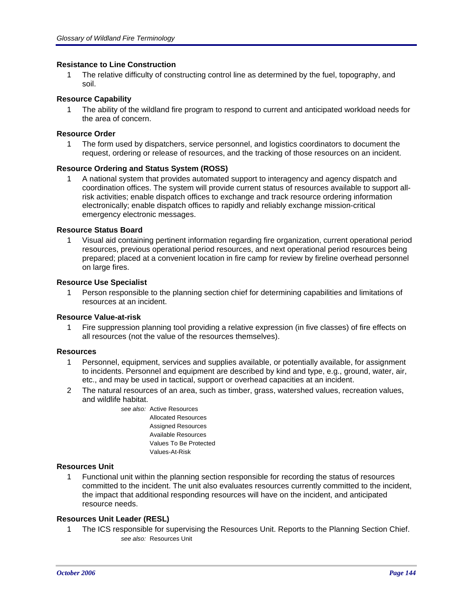# **Resistance to Line Construction**

1 The relative difficulty of constructing control line as determined by the fuel, topography, and soil.

# **Resource Capability**

1 The ability of the wildland fire program to respond to current and anticipated workload needs for the area of concern.

# **Resource Order**

1 The form used by dispatchers, service personnel, and logistics coordinators to document the request, ordering or release of resources, and the tracking of those resources on an incident.

# **Resource Ordering and Status System (ROSS)**

1 A national system that provides automated support to interagency and agency dispatch and coordination offices. The system will provide current status of resources available to support allrisk activities; enable dispatch offices to exchange and track resource ordering information electronically; enable dispatch offices to rapidly and reliably exchange mission-critical emergency electronic messages.

# **Resource Status Board**

1 Visual aid containing pertinent information regarding fire organization, current operational period resources, previous operational period resources, and next operational period resources being prepared; placed at a convenient location in fire camp for review by fireline overhead personnel on large fires.

# **Resource Use Specialist**

1 Person responsible to the planning section chief for determining capabilities and limitations of resources at an incident.

# **Resource Value-at-risk**

1 Fire suppression planning tool providing a relative expression (in five classes) of fire effects on all resources (not the value of the resources themselves).

# **Resources**

- 1 Personnel, equipment, services and supplies available, or potentially available, for assignment to incidents. Personnel and equipment are described by kind and type, e.g., ground, water, air, etc., and may be used in tactical, support or overhead capacities at an incident.
- 2 The natural resources of an area, such as timber, grass, watershed values, recreation values, and wildlife habitat.
	- *see also:* Active Resources Allocated Resources Assigned Resources Available Resources Values To Be Protected Values-At-Risk

# **Resources Unit**

1 Functional unit within the planning section responsible for recording the status of resources committed to the incident. The unit also evaluates resources currently committed to the incident, the impact that additional responding resources will have on the incident, and anticipated resource needs.

# **Resources Unit Leader (RESL)**

1 The ICS responsible for supervising the Resources Unit. Reports to the Planning Section Chief. *see also:* Resources Unit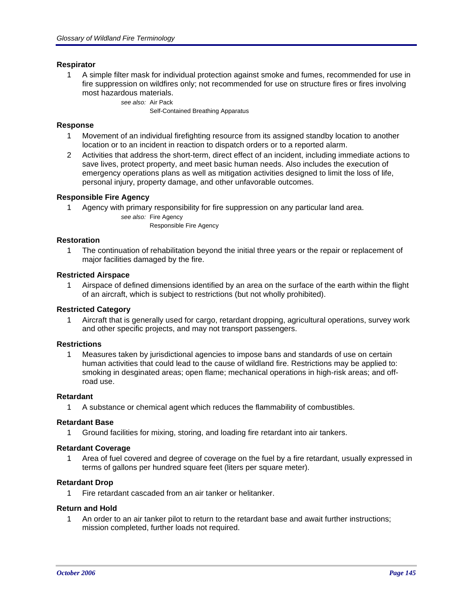#### **Respirator**

1 A simple filter mask for individual protection against smoke and fumes, recommended for use in fire suppression on wildfires only; not recommended for use on structure fires or fires involving most hazardous materials.

*see also:* Air Pack

Self-Contained Breathing Apparatus

#### **Response**

- 1 Movement of an individual firefighting resource from its assigned standby location to another location or to an incident in reaction to dispatch orders or to a reported alarm.
- 2 Activities that address the short-term, direct effect of an incident, including immediate actions to save lives, protect property, and meet basic human needs. Also includes the execution of emergency operations plans as well as mitigation activities designed to limit the loss of life, personal injury, property damage, and other unfavorable outcomes.

### **Responsible Fire Agency**

1 Agency with primary responsibility for fire suppression on any particular land area.

*see also:* Fire Agency Responsible Fire Agency

#### **Restoration**

1 The continuation of rehabilitation beyond the initial three years or the repair or replacement of major facilities damaged by the fire.

#### **Restricted Airspace**

1 Airspace of defined dimensions identified by an area on the surface of the earth within the flight of an aircraft, which is subject to restrictions (but not wholly prohibited).

#### **Restricted Category**

1 Aircraft that is generally used for cargo, retardant dropping, agricultural operations, survey work and other specific projects, and may not transport passengers.

### **Restrictions**

1 Measures taken by jurisdictional agencies to impose bans and standards of use on certain human activities that could lead to the cause of wildland fire. Restrictions may be applied to: smoking in desginated areas; open flame; mechanical operations in high-risk areas; and offroad use.

#### **Retardant**

1 A substance or chemical agent which reduces the flammability of combustibles.

#### **Retardant Base**

1 Ground facilities for mixing, storing, and loading fire retardant into air tankers.

#### **Retardant Coverage**

1 Area of fuel covered and degree of coverage on the fuel by a fire retardant, usually expressed in terms of gallons per hundred square feet (liters per square meter).

#### **Retardant Drop**

1 Fire retardant cascaded from an air tanker or helitanker.

#### **Return and Hold**

1 An order to an air tanker pilot to return to the retardant base and await further instructions; mission completed, further loads not required.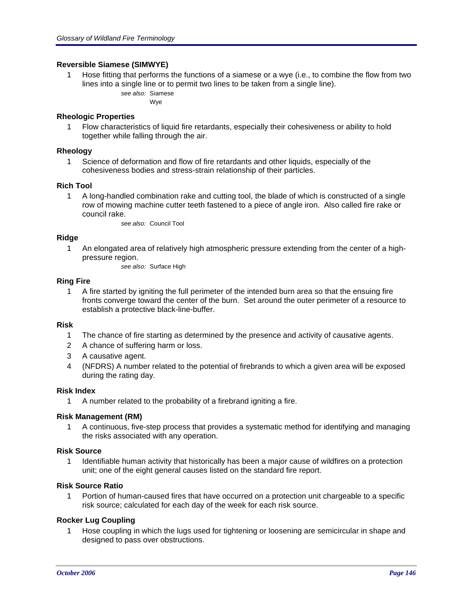### **Reversible Siamese (SIMWYE)**

1 Hose fitting that performs the functions of a siamese or a wye (i.e., to combine the flow from two lines into a single line or to permit two lines to be taken from a single line). *see also:* Siamese

Wye

### **Rheologic Properties**

1 Flow characteristics of liquid fire retardants, especially their cohesiveness or ability to hold together while falling through the air.

### **Rheology**

1 Science of deformation and flow of fire retardants and other liquids, especially of the cohesiveness bodies and stress-strain relationship of their particles.

### **Rich Tool**

1 A long-handled combination rake and cutting tool, the blade of which is constructed of a single row of mowing machine cutter teeth fastened to a piece of angle iron. Also called fire rake or council rake.

*see also:* Council Tool

## **Ridge**

1 An elongated area of relatively high atmospheric pressure extending from the center of a highpressure region.

*see also:* Surface High

### **Ring Fire**

1 A fire started by igniting the full perimeter of the intended burn area so that the ensuing fire fronts converge toward the center of the burn. Set around the outer perimeter of a resource to establish a protective black-line-buffer.

# **Risk**

- 1 The chance of fire starting as determined by the presence and activity of causative agents.
- 2 A chance of suffering harm or loss.
- 3 A causative agent.
- 4 (NFDRS) A number related to the potential of firebrands to which a given area will be exposed during the rating day.

### **Risk Index**

1 A number related to the probability of a firebrand igniting a fire.

### **Risk Management (RM)**

1 A continuous, five-step process that provides a systematic method for identifying and managing the risks associated with any operation.

### **Risk Source**

1 Identifiable human activity that historically has been a major cause of wildfires on a protection unit; one of the eight general causes listed on the standard fire report.

### **Risk Source Ratio**

1 Portion of human-caused fires that have occurred on a protection unit chargeable to a specific risk source; calculated for each day of the week for each risk source.

### **Rocker Lug Coupling**

1 Hose coupling in which the lugs used for tightening or loosening are semicircular in shape and designed to pass over obstructions.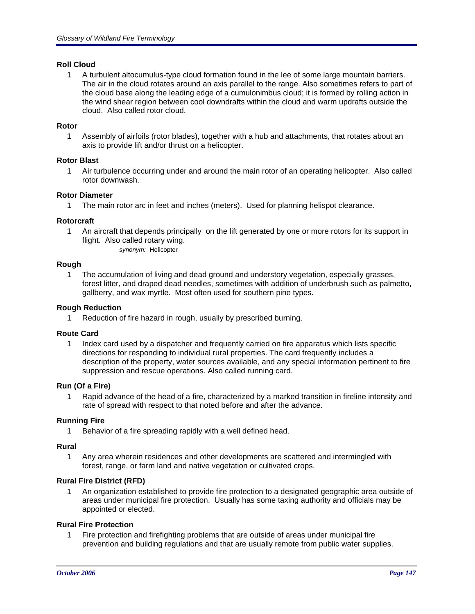## **Roll Cloud**

1 A turbulent altocumulus-type cloud formation found in the lee of some large mountain barriers. The air in the cloud rotates around an axis parallel to the range. Also sometimes refers to part of the cloud base along the leading edge of a cumulonimbus cloud; it is formed by rolling action in the wind shear region between cool downdrafts within the cloud and warm updrafts outside the cloud. Also called rotor cloud.

### **Rotor**

1 Assembly of airfoils (rotor blades), together with a hub and attachments, that rotates about an axis to provide lift and/or thrust on a helicopter.

## **Rotor Blast**

1 Air turbulence occurring under and around the main rotor of an operating helicopter. Also called rotor downwash.

### **Rotor Diameter**

1 The main rotor arc in feet and inches (meters). Used for planning helispot clearance.

## **Rotorcraft**

- 1 An aircraft that depends principally on the lift generated by one or more rotors for its support in flight. Also called rotary wing.
	- *synonym:* Helicopter

# **Rough**

1 The accumulation of living and dead ground and understory vegetation, especially grasses, forest litter, and draped dead needles, sometimes with addition of underbrush such as palmetto, gallberry, and wax myrtle. Most often used for southern pine types.

### **Rough Reduction**

1 Reduction of fire hazard in rough, usually by prescribed burning.

### **Route Card**

1 Index card used by a dispatcher and frequently carried on fire apparatus which lists specific directions for responding to individual rural properties. The card frequently includes a description of the property, water sources available, and any special information pertinent to fire suppression and rescue operations. Also called running card.

### **Run (Of a Fire)**

1 Rapid advance of the head of a fire, characterized by a marked transition in fireline intensity and rate of spread with respect to that noted before and after the advance.

# **Running Fire**

1 Behavior of a fire spreading rapidly with a well defined head.

### **Rural**

1 Any area wherein residences and other developments are scattered and intermingled with forest, range, or farm land and native vegetation or cultivated crops.

### **Rural Fire District (RFD)**

1 An organization established to provide fire protection to a designated geographic area outside of areas under municipal fire protection. Usually has some taxing authority and officials may be appointed or elected.

### **Rural Fire Protection**

1 Fire protection and firefighting problems that are outside of areas under municipal fire prevention and building regulations and that are usually remote from public water supplies.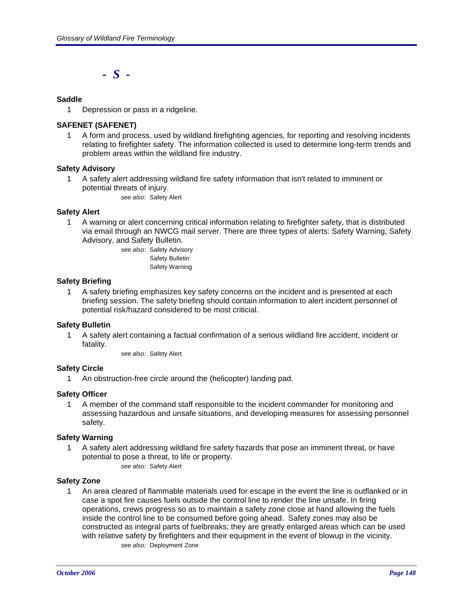*- S -*

## **Saddle**

1 Depression or pass in a ridgeline.

## **SAFENET (SAFENET)**

1 A form and process, used by wildland firefighting agencies, for reporting and resolving incidents relating to firefighter safety. The information collected is used to determine long-term trends and problem areas within the wildland fire industry.

### **Safety Advisory**

1 A safety alert addressing wildland fire safety information that isn't related to imminent or potential threats of injury. *see also:* Safety Alert

### **Safety Alert**

1 A warning or alert concerning critical information relating to firefighter safety, that is distributed via email through an NWCG mail server. There are three types of alerts: Safety Warning, Safety Advisory, and Safety Bulletin.

> *see also:* Safety Advisory Safety Bulletin Safety Warning

### **Safety Briefing**

1 A safety briefing emphasizes key safety concerns on the incident and is presented at each briefing session. The safety briefing should contain information to alert incident personnel of potential risk/hazard considered to be most criticial.

### **Safety Bulletin**

1 A safety alert containing a factual confirmation of a serious wildland fire accident, incident or fatality.

*see also:* Safety Alert

# **Safety Circle**

1 An obstruction-free circle around the (helicopter) landing pad.

### **Safety Officer**

1 A member of the command staff responsible to the incident commander for monitoring and assessing hazardous and unsafe situations, and developing measures for assessing personnel safety.

### **Safety Warning**

1 A safety alert addressing wildland fire safety hazards that pose an imminent threat, or have potential to pose a threat, to life or property. *see also:* Safety Alert

### **Safety Zone**

1 An area cleared of flammable materials used for escape in the event the line is outflanked or in case a spot fire causes fuels outside the control line to render the line unsafe. In firing operations, crews progress so as to maintain a safety zone close at hand allowing the fuels inside the control line to be consumed before going ahead. Safety zones may also be constructed as integral parts of fuelbreaks; they are greatly enlarged areas which can be used with relative safety by firefighters and their equipment in the event of blowup in the vicinity. *see also:* Deployment Zone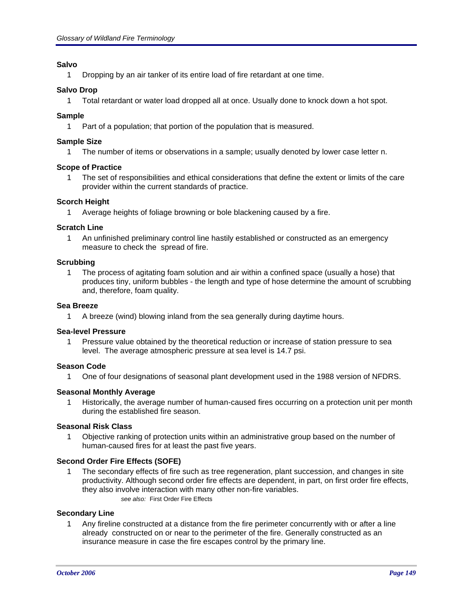# **Salvo**

1 Dropping by an air tanker of its entire load of fire retardant at one time.

### **Salvo Drop**

1 Total retardant or water load dropped all at once. Usually done to knock down a hot spot.

### **Sample**

1 Part of a population; that portion of the population that is measured.

### **Sample Size**

1 The number of items or observations in a sample; usually denoted by lower case letter n.

### **Scope of Practice**

1 The set of responsibilities and ethical considerations that define the extent or limits of the care provider within the current standards of practice.

### **Scorch Height**

Average heights of foliage browning or bole blackening caused by a fire.

### **Scratch Line**

1 An unfinished preliminary control line hastily established or constructed as an emergency measure to check the spread of fire.

### **Scrubbing**

1 The process of agitating foam solution and air within a confined space (usually a hose) that produces tiny, uniform bubbles - the length and type of hose determine the amount of scrubbing and, therefore, foam quality.

#### **Sea Breeze**

1 A breeze (wind) blowing inland from the sea generally during daytime hours.

#### **Sea-level Pressure**

1 Pressure value obtained by the theoretical reduction or increase of station pressure to sea level. The average atmospheric pressure at sea level is 14.7 psi.

### **Season Code**

1 One of four designations of seasonal plant development used in the 1988 version of NFDRS.

### **Seasonal Monthly Average**

1 Historically, the average number of human-caused fires occurring on a protection unit per month during the established fire season.

### **Seasonal Risk Class**

1 Objective ranking of protection units within an administrative group based on the number of human-caused fires for at least the past five years.

### **Second Order Fire Effects (SOFE)**

1 The secondary effects of fire such as tree regeneration, plant succession, and changes in site productivity. Although second order fire effects are dependent, in part, on first order fire effects, they also involve interaction with many other non-fire variables. *see also:* First Order Fire Effects

#### **Secondary Line**

1 Any fireline constructed at a distance from the fire perimeter concurrently with or after a line already constructed on or near to the perimeter of the fire. Generally constructed as an insurance measure in case the fire escapes control by the primary line.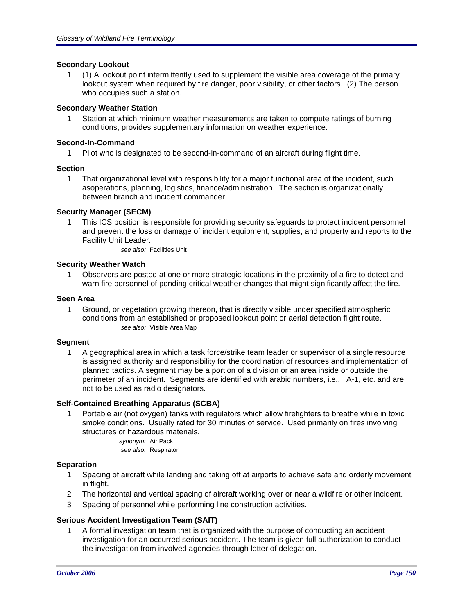## **Secondary Lookout**

1 (1) A lookout point intermittently used to supplement the visible area coverage of the primary lookout system when required by fire danger, poor visibility, or other factors. (2) The person who occupies such a station.

## **Secondary Weather Station**

1 Station at which minimum weather measurements are taken to compute ratings of burning conditions; provides supplementary information on weather experience.

### **Second-In-Command**

1 Pilot who is designated to be second-in-command of an aircraft during flight time.

### **Section**

1 That organizational level with responsibility for a major functional area of the incident, such asoperations, planning, logistics, finance/administration. The section is organizationally between branch and incident commander.

## **Security Manager (SECM)**

- 1 This ICS position is responsible for providing security safeguards to protect incident personnel and prevent the loss or damage of incident equipment, supplies, and property and reports to the Facility Unit Leader.
	- *see also:* Facilities Unit

## **Security Weather Watch**

1 Observers are posted at one or more strategic locations in the proximity of a fire to detect and warn fire personnel of pending critical weather changes that might significantly affect the fire.

### **Seen Area**

1 Ground, or vegetation growing thereon, that is directly visible under specified atmospheric conditions from an established or proposed lookout point or aerial detection flight route. *see also:* Visible Area Map

### **Segment**

1 A geographical area in which a task force/strike team leader or supervisor of a single resource is assigned authority and responsibility for the coordination of resources and implementation of planned tactics. A segment may be a portion of a division or an area inside or outside the perimeter of an incident. Segments are identified with arabic numbers, i.e., A-1, etc. and are not to be used as radio designators.

### **Self-Contained Breathing Apparatus (SCBA)**

1 Portable air (not oxygen) tanks with regulators which allow firefighters to breathe while in toxic smoke conditions. Usually rated for 30 minutes of service. Used primarily on fires involving structures or hazardous materials.

> *synonym:* Air Pack *see also:* Respirator

### **Separation**

- 1 Spacing of aircraft while landing and taking off at airports to achieve safe and orderly movement in flight.
- 2 The horizontal and vertical spacing of aircraft working over or near a wildfire or other incident.
- 3 Spacing of personnel while performing line construction activities.

### **Serious Accident Investigation Team (SAIT)**

1 A formal investigation team that is organized with the purpose of conducting an accident investigation for an occurred serious accident. The team is given full authorization to conduct the investigation from involved agencies through letter of delegation.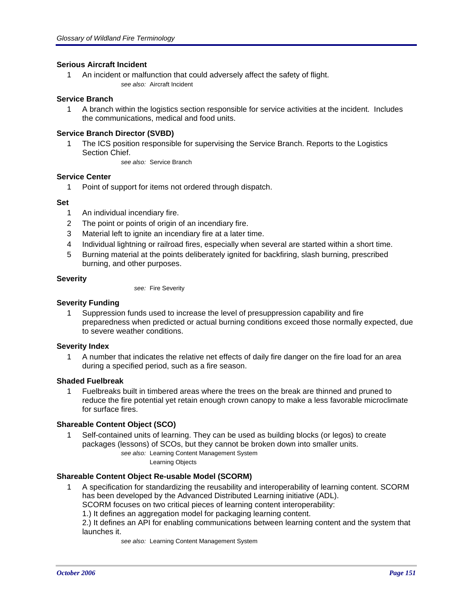### **Serious Aircraft Incident**

1 An incident or malfunction that could adversely affect the safety of flight. *see also:* Aircraft Incident

### **Service Branch**

1 A branch within the logistics section responsible for service activities at the incident. Includes the communications, medical and food units.

### **Service Branch Director (SVBD)**

1 The ICS position responsible for supervising the Service Branch. Reports to the Logistics Section Chief.

*see also:* Service Branch

## **Service Center**

1 Point of support for items not ordered through dispatch.

## **Set**

- 1 An individual incendiary fire.
- 2 The point or points of origin of an incendiary fire.
- 3 Material left to ignite an incendiary fire at a later time.
- 4 Individual lightning or railroad fires, especially when several are started within a short time.
- 5 Burning material at the points deliberately ignited for backfiring, slash burning, prescribed burning, and other purposes.

## **Severity**

*see:* Fire Severity

### **Severity Funding**

1 Suppression funds used to increase the level of presuppression capability and fire preparedness when predicted or actual burning conditions exceed those normally expected, due to severe weather conditions.

### **Severity Index**

1 A number that indicates the relative net effects of daily fire danger on the fire load for an area during a specified period, such as a fire season.

### **Shaded Fuelbreak**

1 Fuelbreaks built in timbered areas where the trees on the break are thinned and pruned to reduce the fire potential yet retain enough crown canopy to make a less favorable microclimate for surface fires.

# **Shareable Content Object (SCO)**

1 Self-contained units of learning. They can be used as building blocks (or legos) to create packages (lessons) of SCOs, but they cannot be broken down into smaller units.

> *see also:* Learning Content Management System Learning Objects

# **Shareable Content Object Re-usable Model (SCORM)**

1 A specification for standardizing the reusability and interoperability of learning content. SCORM has been developed by the Advanced Distributed Learning initiative (ADL).

SCORM focuses on two critical pieces of learning content interoperability:

1.) It defines an aggregation model for packaging learning content.

2.) It defines an API for enabling communications between learning content and the system that launches it.

*see also:* Learning Content Management System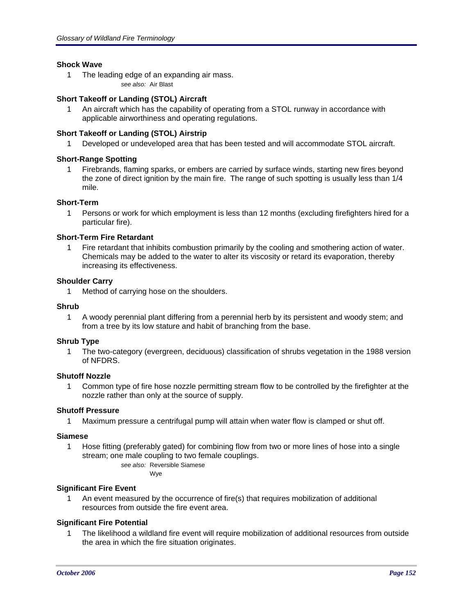### **Shock Wave**

1 The leading edge of an expanding air mass. *see also:* Air Blast

## **Short Takeoff or Landing (STOL) Aircraft**

1 An aircraft which has the capability of operating from a STOL runway in accordance with applicable airworthiness and operating regulations.

### **Short Takeoff or Landing (STOL) Airstrip**

1 Developed or undeveloped area that has been tested and will accommodate STOL aircraft.

## **Short-Range Spotting**

1 Firebrands, flaming sparks, or embers are carried by surface winds, starting new fires beyond the zone of direct ignition by the main fire. The range of such spotting is usually less than 1/4 mile.

### **Short-Term**

1 Persons or work for which employment is less than 12 months (excluding firefighters hired for a particular fire).

### **Short-Term Fire Retardant**

1 Fire retardant that inhibits combustion primarily by the cooling and smothering action of water. Chemicals may be added to the water to alter its viscosity or retard its evaporation, thereby increasing its effectiveness.

### **Shoulder Carry**

1 Method of carrying hose on the shoulders.

# **Shrub**

1 A woody perennial plant differing from a perennial herb by its persistent and woody stem; and from a tree by its low stature and habit of branching from the base.

### **Shrub Type**

1 The two-category (evergreen, deciduous) classification of shrubs vegetation in the 1988 version of NFDRS.

## **Shutoff Nozzle**

1 Common type of fire hose nozzle permitting stream flow to be controlled by the firefighter at the nozzle rather than only at the source of supply.

# **Shutoff Pressure**

1 Maximum pressure a centrifugal pump will attain when water flow is clamped or shut off.

### **Siamese**

1 Hose fitting (preferably gated) for combining flow from two or more lines of hose into a single stream; one male coupling to two female couplings.

*see also:* Reversible Siamese Wye

# **Significant Fire Event**

1 An event measured by the occurrence of fire(s) that requires mobilization of additional resources from outside the fire event area.

### **Significant Fire Potential**

1 The likelihood a wildland fire event will require mobilization of additional resources from outside the area in which the fire situation originates.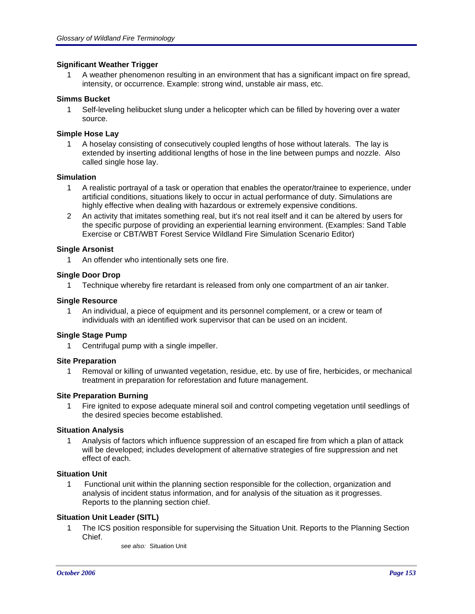### **Significant Weather Trigger**

1 A weather phenomenon resulting in an environment that has a significant impact on fire spread, intensity, or occurrence. Example: strong wind, unstable air mass, etc.

### **Simms Bucket**

1 Self-leveling helibucket slung under a helicopter which can be filled by hovering over a water source.

### **Simple Hose Lay**

1 A hoselay consisting of consecutively coupled lengths of hose without laterals. The lay is extended by inserting additional lengths of hose in the line between pumps and nozzle. Also called single hose lay.

### **Simulation**

- 1 A realistic portrayal of a task or operation that enables the operator/trainee to experience, under artificial conditions, situations likely to occur in actual performance of duty. Simulations are highly effective when dealing with hazardous or extremely expensive conditions.
- 2 An activity that imitates something real, but it's not real itself and it can be altered by users for the specific purpose of providing an experiential learning environment. (Examples: Sand Table Exercise or CBT/WBT Forest Service Wildland Fire Simulation Scenario Editor)

### **Single Arsonist**

1 An offender who intentionally sets one fire.

### **Single Door Drop**

1 Technique whereby fire retardant is released from only one compartment of an air tanker.

### **Single Resource**

1 An individual, a piece of equipment and its personnel complement, or a crew or team of individuals with an identified work supervisor that can be used on an incident.

### **Single Stage Pump**

1 Centrifugal pump with a single impeller.

### **Site Preparation**

1 Removal or killing of unwanted vegetation, residue, etc. by use of fire, herbicides, or mechanical treatment in preparation for reforestation and future management.

### **Site Preparation Burning**

1 Fire ignited to expose adequate mineral soil and control competing vegetation until seedlings of the desired species become established.

### **Situation Analysis**

1 Analysis of factors which influence suppression of an escaped fire from which a plan of attack will be developed; includes development of alternative strategies of fire suppression and net effect of each.

### **Situation Unit**

1 Functional unit within the planning section responsible for the collection, organization and analysis of incident status information, and for analysis of the situation as it progresses. Reports to the planning section chief.

# **Situation Unit Leader (SITL)**

- 1 The ICS position responsible for supervising the Situation Unit. Reports to the Planning Section Chief.
	- *see also:* Situation Unit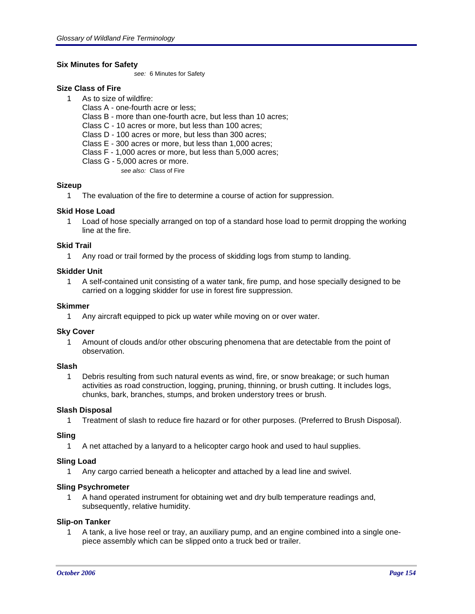## **Six Minutes for Safety**

*see:* 6 Minutes for Safety

## **Size Class of Fire**

- 1 As to size of wildfire:
	- Class A one-fourth acre or less;
	- Class B more than one-fourth acre, but less than 10 acres;
	- Class C 10 acres or more, but less than 100 acres;
	- Class D 100 acres or more, but less than 300 acres;
	- Class E 300 acres or more, but less than 1,000 acres;
	- Class F 1,000 acres or more, but less than 5,000 acres;
	- Class G 5,000 acres or more.
		- *see also:* Class of Fire

## **Sizeup**

1 The evaluation of the fire to determine a course of action for suppression.

## **Skid Hose Load**

1 Load of hose specially arranged on top of a standard hose load to permit dropping the working line at the fire.

### **Skid Trail**

1 Any road or trail formed by the process of skidding logs from stump to landing.

## **Skidder Unit**

1 A self-contained unit consisting of a water tank, fire pump, and hose specially designed to be carried on a logging skidder for use in forest fire suppression.

### **Skimmer**

1 Any aircraft equipped to pick up water while moving on or over water.

### **Sky Cover**

1 Amount of clouds and/or other obscuring phenomena that are detectable from the point of observation.

# **Slash**

1 Debris resulting from such natural events as wind, fire, or snow breakage; or such human activities as road construction, logging, pruning, thinning, or brush cutting. It includes logs, chunks, bark, branches, stumps, and broken understory trees or brush.

### **Slash Disposal**

1 Treatment of slash to reduce fire hazard or for other purposes. (Preferred to Brush Disposal).

### **Sling**

1 A net attached by a lanyard to a helicopter cargo hook and used to haul supplies.

### **Sling Load**

1 Any cargo carried beneath a helicopter and attached by a lead line and swivel.

### **Sling Psychrometer**

1 A hand operated instrument for obtaining wet and dry bulb temperature readings and, subsequently, relative humidity.

### **Slip-on Tanker**

1 A tank, a live hose reel or tray, an auxiliary pump, and an engine combined into a single onepiece assembly which can be slipped onto a truck bed or trailer.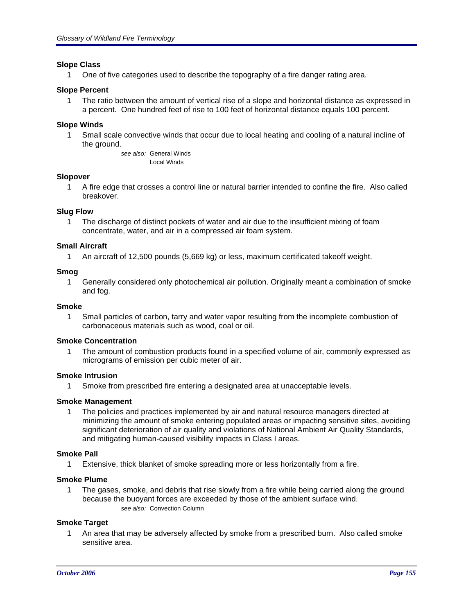### **Slope Class**

1 One of five categories used to describe the topography of a fire danger rating area.

#### **Slope Percent**

1 The ratio between the amount of vertical rise of a slope and horizontal distance as expressed in a percent. One hundred feet of rise to 100 feet of horizontal distance equals 100 percent.

#### **Slope Winds**

1 Small scale convective winds that occur due to local heating and cooling of a natural incline of the ground.

> *see also:* General Winds Local Winds

#### **Slopover**

1 A fire edge that crosses a control line or natural barrier intended to confine the fire. Also called breakover.

#### **Slug Flow**

1 The discharge of distinct pockets of water and air due to the insufficient mixing of foam concentrate, water, and air in a compressed air foam system.

#### **Small Aircraft**

1 An aircraft of 12,500 pounds (5,669 kg) or less, maximum certificated takeoff weight.

#### **Smog**

1 Generally considered only photochemical air pollution. Originally meant a combination of smoke and fog.

#### **Smoke**

1 Small particles of carbon, tarry and water vapor resulting from the incomplete combustion of carbonaceous materials such as wood, coal or oil.

#### **Smoke Concentration**

1 The amount of combustion products found in a specified volume of air, commonly expressed as micrograms of emission per cubic meter of air.

#### **Smoke Intrusion**

1 Smoke from prescribed fire entering a designated area at unacceptable levels.

### **Smoke Management**

1 The policies and practices implemented by air and natural resource managers directed at minimizing the amount of smoke entering populated areas or impacting sensitive sites, avoiding significant deterioration of air quality and violations of National Ambient Air Quality Standards, and mitigating human-caused visibility impacts in Class I areas.

### **Smoke Pall**

1 Extensive, thick blanket of smoke spreading more or less horizontally from a fire.

### **Smoke Plume**

1 The gases, smoke, and debris that rise slowly from a fire while being carried along the ground because the buoyant forces are exceeded by those of the ambient surface wind. *see also:* Convection Column

#### **Smoke Target**

1 An area that may be adversely affected by smoke from a prescribed burn. Also called smoke sensitive area.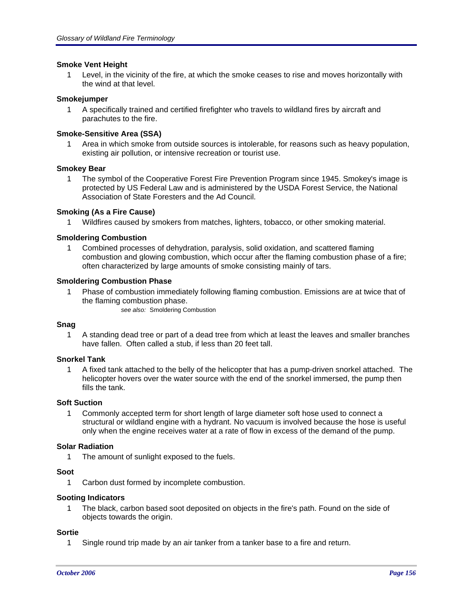### **Smoke Vent Height**

1 Level, in the vicinity of the fire, at which the smoke ceases to rise and moves horizontally with the wind at that level.

### **Smokejumper**

1 A specifically trained and certified firefighter who travels to wildland fires by aircraft and parachutes to the fire.

## **Smoke-Sensitive Area (SSA)**

1 Area in which smoke from outside sources is intolerable, for reasons such as heavy population, existing air pollution, or intensive recreation or tourist use.

### **Smokey Bear**

1 The symbol of the Cooperative Forest Fire Prevention Program since 1945. Smokey's image is protected by US Federal Law and is administered by the USDA Forest Service, the National Association of State Foresters and the Ad Council.

## **Smoking (As a Fire Cause)**

1 Wildfires caused by smokers from matches, lighters, tobacco, or other smoking material.

## **Smoldering Combustion**

1 Combined processes of dehydration, paralysis, solid oxidation, and scattered flaming combustion and glowing combustion, which occur after the flaming combustion phase of a fire; often characterized by large amounts of smoke consisting mainly of tars.

### **Smoldering Combustion Phase**

- 1 Phase of combustion immediately following flaming combustion. Emissions are at twice that of the flaming combustion phase.
	- *see also:* Smoldering Combustion

### **Snag**

1 A standing dead tree or part of a dead tree from which at least the leaves and smaller branches have fallen. Often called a stub, if less than 20 feet tall.

### **Snorkel Tank**

1 A fixed tank attached to the belly of the helicopter that has a pump-driven snorkel attached. The helicopter hovers over the water source with the end of the snorkel immersed, the pump then fills the tank.

### **Soft Suction**

1 Commonly accepted term for short length of large diameter soft hose used to connect a structural or wildland engine with a hydrant. No vacuum is involved because the hose is useful only when the engine receives water at a rate of flow in excess of the demand of the pump.

### **Solar Radiation**

1 The amount of sunlight exposed to the fuels.

### **Soot**

1 Carbon dust formed by incomplete combustion.

### **Sooting Indicators**

1 The black, carbon based soot deposited on objects in the fire's path. Found on the side of objects towards the origin.

#### **Sortie**

1 Single round trip made by an air tanker from a tanker base to a fire and return.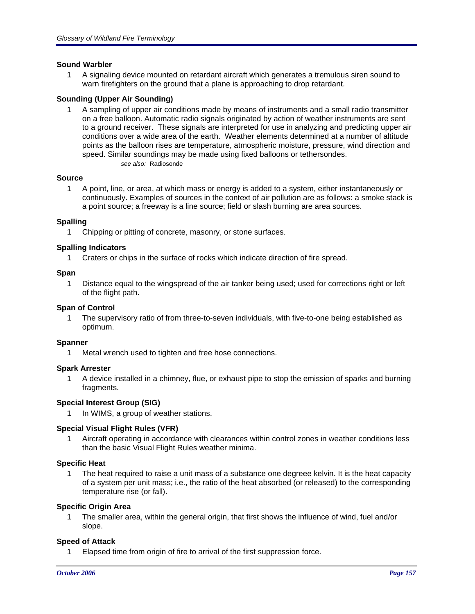## **Sound Warbler**

1 A signaling device mounted on retardant aircraft which generates a tremulous siren sound to warn firefighters on the ground that a plane is approaching to drop retardant.

## **Sounding (Upper Air Sounding)**

1 A sampling of upper air conditions made by means of instruments and a small radio transmitter on a free balloon. Automatic radio signals originated by action of weather instruments are sent to a ground receiver. These signals are interpreted for use in analyzing and predicting upper air conditions over a wide area of the earth. Weather elements determined at a number of altitude points as the balloon rises are temperature, atmospheric moisture, pressure, wind direction and speed. Similar soundings may be made using fixed balloons or tethersondes. *see also:* Radiosonde

### **Source**

1 A point, line, or area, at which mass or energy is added to a system, either instantaneously or continuously. Examples of sources in the context of air pollution are as follows: a smoke stack is a point source; a freeway is a line source; field or slash burning are area sources.

## **Spalling**

1 Chipping or pitting of concrete, masonry, or stone surfaces.

## **Spalling Indicators**

1 Craters or chips in the surface of rocks which indicate direction of fire spread.

### **Span**

1 Distance equal to the wingspread of the air tanker being used; used for corrections right or left of the flight path.

### **Span of Control**

1 The supervisory ratio of from three-to-seven individuals, with five-to-one being established as optimum.

### **Spanner**

1 Metal wrench used to tighten and free hose connections.

# **Spark Arrester**

1 A device installed in a chimney, flue, or exhaust pipe to stop the emission of sparks and burning fragments.

# **Special Interest Group (SIG)**

In WIMS, a group of weather stations.

# **Special Visual Flight Rules (VFR)**

1 Aircraft operating in accordance with clearances within control zones in weather conditions less than the basic Visual Flight Rules weather minima.

### **Specific Heat**

1 The heat required to raise a unit mass of a substance one degreee kelvin. It is the heat capacity of a system per unit mass; i.e., the ratio of the heat absorbed (or released) to the corresponding temperature rise (or fall).

### **Specific Origin Area**

1 The smaller area, within the general origin, that first shows the influence of wind, fuel and/or slope.

# **Speed of Attack**

1 Elapsed time from origin of fire to arrival of the first suppression force.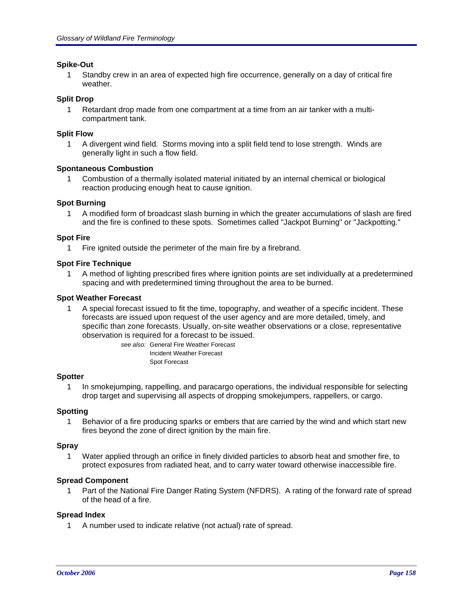### **Spike-Out**

1 Standby crew in an area of expected high fire occurrence, generally on a day of critical fire weather.

## **Split Drop**

1 Retardant drop made from one compartment at a time from an air tanker with a multicompartment tank.

### **Split Flow**

1 A divergent wind field. Storms moving into a split field tend to lose strength. Winds are generally light in such a flow field.

## **Spontaneous Combustion**

1 Combustion of a thermally isolated material initiated by an internal chemical or biological reaction producing enough heat to cause ignition.

### **Spot Burning**

1 A modified form of broadcast slash burning in which the greater accumulations of slash are fired and the fire is confined to these spots. Sometimes called "Jackpot Burning" or "Jackpotting."

### **Spot Fire**

1 Fire ignited outside the perimeter of the main fire by a firebrand.

## **Spot Fire Technique**

1 A method of lighting prescribed fires where ignition points are set individually at a predetermined spacing and with predetermined timing throughout the area to be burned.

### **Spot Weather Forecast**

1 A special forecast issued to fit the time, topography, and weather of a specific incident. These forecasts are issued upon request of the user agency and are more detailed, timely, and specific than zone forecasts. Usually, on-site weather observations or a close, representative observation is required for a forecast to be issued.

> *see also:* General Fire Weather Forecast Incident Weather Forecast Spot Forecast

### **Spotter**

1 In smokejumping, rappelling, and paracargo operations, the individual responsible for selecting drop target and supervising all aspects of dropping smokejumpers, rappellers, or cargo.

### **Spotting**

1 Behavior of a fire producing sparks or embers that are carried by the wind and which start new fires beyond the zone of direct ignition by the main fire.

### **Spray**

1 Water applied through an orifice in finely divided particles to absorb heat and smother fire, to protect exposures from radiated heat, and to carry water toward otherwise inaccessible fire.

### **Spread Component**

1 Part of the National Fire Danger Rating System (NFDRS). A rating of the forward rate of spread of the head of a fire.

### **Spread Index**

1 A number used to indicate relative (not actual) rate of spread.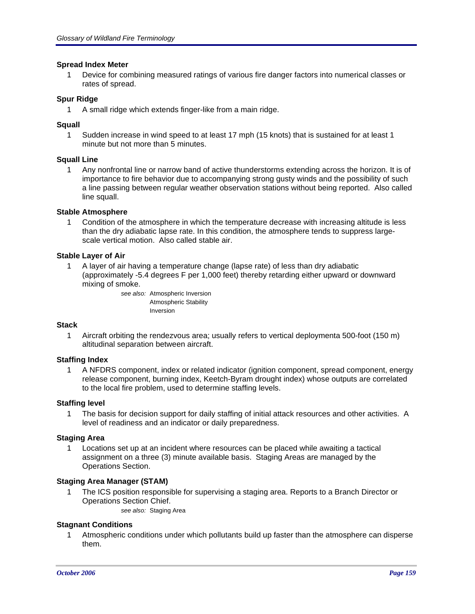### **Spread Index Meter**

1 Device for combining measured ratings of various fire danger factors into numerical classes or rates of spread.

### **Spur Ridge**

1 A small ridge which extends finger-like from a main ridge.

#### **Squall**

1 Sudden increase in wind speed to at least 17 mph (15 knots) that is sustained for at least 1 minute but not more than 5 minutes.

### **Squall Line**

1 Any nonfrontal line or narrow band of active thunderstorms extending across the horizon. It is of importance to fire behavior due to accompanying strong gusty winds and the possibility of such a line passing between regular weather observation stations without being reported. Also called line squall.

#### **Stable Atmosphere**

1 Condition of the atmosphere in which the temperature decrease with increasing altitude is less than the dry adiabatic lapse rate. In this condition, the atmosphere tends to suppress largescale vertical motion. Also called stable air.

### **Stable Layer of Air**

1 A layer of air having a temperature change (lapse rate) of less than dry adiabatic (approximately -5.4 degrees F per 1,000 feet) thereby retarding either upward or downward mixing of smoke.

*see also:* Atmospheric Inversion Atmospheric Stability Inversion

#### **Stack**

1 Aircraft orbiting the rendezvous area; usually refers to vertical deploymenta 500-foot (150 m) altitudinal separation between aircraft.

#### **Staffing Index**

1 A NFDRS component, index or related indicator (ignition component, spread component, energy release component, burning index, Keetch-Byram drought index) whose outputs are correlated to the local fire problem, used to determine staffing levels.

### **Staffing level**

1 The basis for decision support for daily staffing of initial attack resources and other activities. A level of readiness and an indicator or daily preparedness.

#### **Staging Area**

1 Locations set up at an incident where resources can be placed while awaiting a tactical assignment on a three (3) minute available basis. Staging Areas are managed by the Operations Section.

### **Staging Area Manager (STAM)**

- 1 The ICS position responsible for supervising a staging area. Reports to a Branch Director or Operations Section Chief.
	- *see also:* Staging Area

### **Stagnant Conditions**

1 Atmospheric conditions under which pollutants build up faster than the atmosphere can disperse them.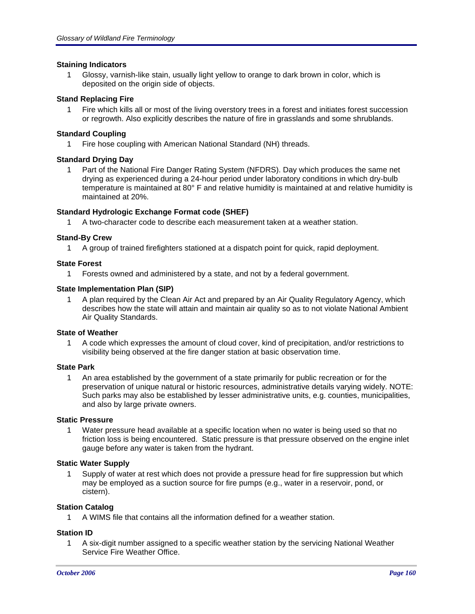### **Staining Indicators**

1 Glossy, varnish-like stain, usually light yellow to orange to dark brown in color, which is deposited on the origin side of objects.

### **Stand Replacing Fire**

1 Fire which kills all or most of the living overstory trees in a forest and initiates forest succession or regrowth. Also explicitly describes the nature of fire in grasslands and some shrublands.

## **Standard Coupling**

1 Fire hose coupling with American National Standard (NH) threads.

## **Standard Drying Day**

1 Part of the National Fire Danger Rating System (NFDRS). Day which produces the same net drying as experienced during a 24-hour period under laboratory conditions in which dry-bulb temperature is maintained at 80° F and relative humidity is maintained at and relative humidity is maintained at 20%.

## **Standard Hydrologic Exchange Format code (SHEF)**

1 A two-character code to describe each measurement taken at a weather station.

## **Stand-By Crew**

1 A group of trained firefighters stationed at a dispatch point for quick, rapid deployment.

### **State Forest**

1 Forests owned and administered by a state, and not by a federal government.

## **State Implementation Plan (SIP)**

1 A plan required by the Clean Air Act and prepared by an Air Quality Regulatory Agency, which describes how the state will attain and maintain air quality so as to not violate National Ambient Air Quality Standards.

# **State of Weather**

1 A code which expresses the amount of cloud cover, kind of precipitation, and/or restrictions to visibility being observed at the fire danger station at basic observation time.

# **State Park**

1 An area established by the government of a state primarily for public recreation or for the preservation of unique natural or historic resources, administrative details varying widely. NOTE: Such parks may also be established by lesser administrative units, e.g. counties, municipalities, and also by large private owners.

### **Static Pressure**

1 Water pressure head available at a specific location when no water is being used so that no friction loss is being encountered. Static pressure is that pressure observed on the engine inlet gauge before any water is taken from the hydrant.

### **Static Water Supply**

1 Supply of water at rest which does not provide a pressure head for fire suppression but which may be employed as a suction source for fire pumps (e.g., water in a reservoir, pond, or cistern).

# **Station Catalog**

1 A WIMS file that contains all the information defined for a weather station.

# **Station ID**

1 A six-digit number assigned to a specific weather station by the servicing National Weather Service Fire Weather Office.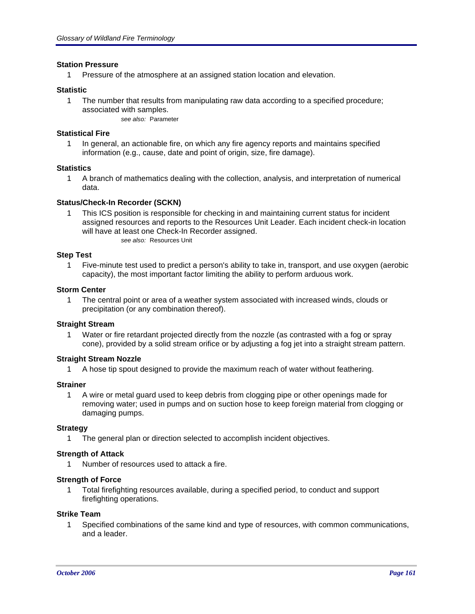### **Station Pressure**

1 Pressure of the atmosphere at an assigned station location and elevation.

#### **Statistic**

1 The number that results from manipulating raw data according to a specified procedure; associated with samples. *see also:* Parameter

#### **Statistical Fire**

1 In general, an actionable fire, on which any fire agency reports and maintains specified information (e.g., cause, date and point of origin, size, fire damage).

#### **Statistics**

1 A branch of mathematics dealing with the collection, analysis, and interpretation of numerical data.

#### **Status/Check-In Recorder (SCKN)**

1 This ICS position is responsible for checking in and maintaining current status for incident assigned resources and reports to the Resources Unit Leader. Each incident check-in location will have at least one Check-In Recorder assigned. *see also:* Resources Unit

#### **Step Test**

1 Five-minute test used to predict a person's ability to take in, transport, and use oxygen (aerobic capacity), the most important factor limiting the ability to perform arduous work.

#### **Storm Center**

1 The central point or area of a weather system associated with increased winds, clouds or precipitation (or any combination thereof).

#### **Straight Stream**

1 Water or fire retardant projected directly from the nozzle (as contrasted with a fog or spray cone), provided by a solid stream orifice or by adjusting a fog jet into a straight stream pattern.

#### **Straight Stream Nozzle**

1 A hose tip spout designed to provide the maximum reach of water without feathering.

#### **Strainer**

1 A wire or metal guard used to keep debris from clogging pipe or other openings made for removing water; used in pumps and on suction hose to keep foreign material from clogging or damaging pumps.

#### **Strategy**

1 The general plan or direction selected to accomplish incident objectives.

#### **Strength of Attack**

1 Number of resources used to attack a fire.

#### **Strength of Force**

1 Total firefighting resources available, during a specified period, to conduct and support firefighting operations.

#### **Strike Team**

1 Specified combinations of the same kind and type of resources, with common communications, and a leader.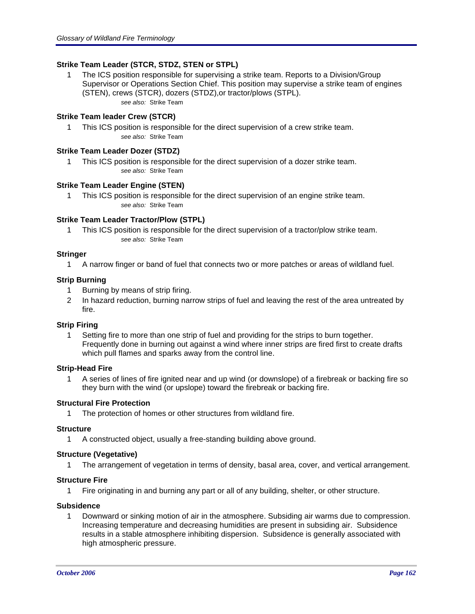# **Strike Team Leader (STCR, STDZ, STEN or STPL)**

1 The ICS position responsible for supervising a strike team. Reports to a Division/Group Supervisor or Operations Section Chief. This position may supervise a strike team of engines (STEN), crews (STCR), dozers (STDZ),or tractor/plows (STPL). *see also:* Strike Team

# **Strike Team leader Crew (STCR)**

1 This ICS position is responsible for the direct supervision of a crew strike team. *see also:* Strike Team

### **Strike Team Leader Dozer (STDZ)**

1 This ICS position is responsible for the direct supervision of a dozer strike team. *see also:* Strike Team

#### **Strike Team Leader Engine (STEN)**

1 This ICS position is responsible for the direct supervision of an engine strike team. *see also:* Strike Team

### **Strike Team Leader Tractor/Plow (STPL)**

1 This ICS position is responsible for the direct supervision of a tractor/plow strike team. *see also:* Strike Team

### **Stringer**

1 A narrow finger or band of fuel that connects two or more patches or areas of wildland fuel.

### **Strip Burning**

- 1 Burning by means of strip firing.
- 2 In hazard reduction, burning narrow strips of fuel and leaving the rest of the area untreated by fire.

### **Strip Firing**

1 Setting fire to more than one strip of fuel and providing for the strips to burn together. Frequently done in burning out against a wind where inner strips are fired first to create drafts which pull flames and sparks away from the control line.

### **Strip-Head Fire**

1 A series of lines of fire ignited near and up wind (or downslope) of a firebreak or backing fire so they burn with the wind (or upslope) toward the firebreak or backing fire.

### **Structural Fire Protection**

1 The protection of homes or other structures from wildland fire.

#### **Structure**

1 A constructed object, usually a free-standing building above ground.

#### **Structure (Vegetative)**

1 The arrangement of vegetation in terms of density, basal area, cover, and vertical arrangement.

### **Structure Fire**

1 Fire originating in and burning any part or all of any building, shelter, or other structure.

#### **Subsidence**

1 Downward or sinking motion of air in the atmosphere. Subsiding air warms due to compression. Increasing temperature and decreasing humidities are present in subsiding air. Subsidence results in a stable atmosphere inhibiting dispersion. Subsidence is generally associated with high atmospheric pressure.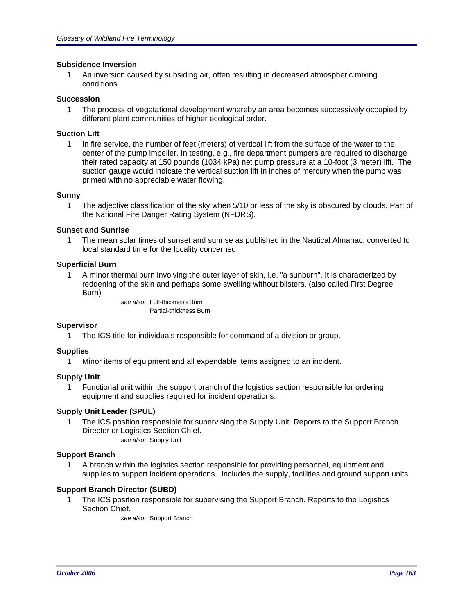### **Subsidence Inversion**

1 An inversion caused by subsiding air, often resulting in decreased atmospheric mixing conditions.

#### **Succession**

1 The process of vegetational development whereby an area becomes successively occupied by different plant communities of higher ecological order.

#### **Suction Lift**

1 In fire service, the number of feet (meters) of vertical lift from the surface of the water to the center of the pump impeller. In testing, e.g., fire department pumpers are required to discharge their rated capacity at 150 pounds (1034 kPa) net pump pressure at a 10-foot (3 meter) lift. The suction gauge would indicate the vertical suction lift in inches of mercury when the pump was primed with no appreciable water flowing.

#### **Sunny**

1 The adjective classification of the sky when 5/10 or less of the sky is obscured by clouds. Part of the National Fire Danger Rating System (NFDRS).

#### **Sunset and Sunrise**

1 The mean solar times of sunset and sunrise as published in the Nautical Almanac, converted to local standard time for the locality concerned.

#### **Superficial Burn**

1 A minor thermal burn involving the outer layer of skin, i.e. "a sunburn". It is characterized by reddening of the skin and perhaps some swelling without blisters. (also called First Degree Burn)

> *see also:* Full-thickness Burn Partial-thickness Burn

#### **Supervisor**

1 The ICS title for individuals responsible for command of a division or group.

#### **Supplies**

1 Minor items of equipment and all expendable items assigned to an incident.

#### **Supply Unit**

1 Functional unit within the support branch of the logistics section responsible for ordering equipment and supplies required for incident operations.

#### **Supply Unit Leader (SPUL)**

1 The ICS position responsible for supervising the Supply Unit. Reports to the Support Branch Director or Logistics Section Chief. *see also:* Supply Unit

### **Support Branch**

1 A branch within the logistics section responsible for providing personnel, equipment and supplies to support incident operations. Includes the supply, facilities and ground support units.

### **Support Branch Director (SUBD)**

1 The ICS position responsible for supervising the Support Branch. Reports to the Logistics Section Chief.

*see also:* Support Branch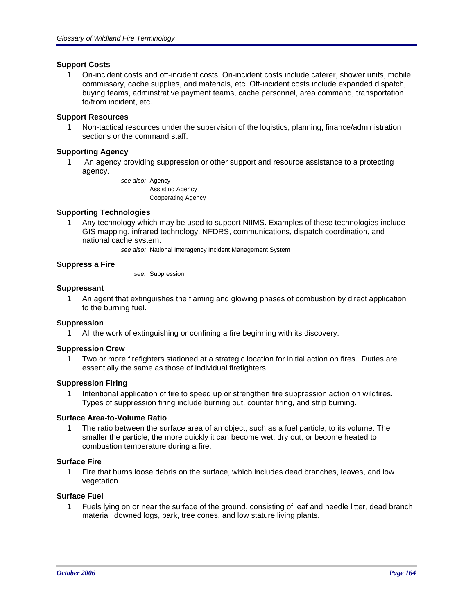### **Support Costs**

1 On-incident costs and off-incident costs. On-incident costs include caterer, shower units, mobile commissary, cache supplies, and materials, etc. Off-incident costs include expanded dispatch, buying teams, adminstrative payment teams, cache personnel, area command, transportation to/from incident, etc.

## **Support Resources**

1 Non-tactical resources under the supervision of the logistics, planning, finance/administration sections or the command staff.

## **Supporting Agency**

1 An agency providing suppression or other support and resource assistance to a protecting agency.

> *see also:* Agency Assisting Agency Cooperating Agency

## **Supporting Technologies**

1 Any technology which may be used to support NIIMS. Examples of these technologies include GIS mapping, infrared technology, NFDRS, communications, dispatch coordination, and national cache system.

*see also:* National Interagency Incident Management System

## **Suppress a Fire**

*see:* Suppression

### **Suppressant**

1 An agent that extinguishes the flaming and glowing phases of combustion by direct application to the burning fuel.

### **Suppression**

1 All the work of extinguishing or confining a fire beginning with its discovery.

### **Suppression Crew**

1 Two or more firefighters stationed at a strategic location for initial action on fires. Duties are essentially the same as those of individual firefighters.

### **Suppression Firing**

1 Intentional application of fire to speed up or strengthen fire suppression action on wildfires. Types of suppression firing include burning out, counter firing, and strip burning.

### **Surface Area-to-Volume Ratio**

1 The ratio between the surface area of an object, such as a fuel particle, to its volume. The smaller the particle, the more quickly it can become wet, dry out, or become heated to combustion temperature during a fire.

### **Surface Fire**

1 Fire that burns loose debris on the surface, which includes dead branches, leaves, and low vegetation.

# **Surface Fuel**

1 Fuels lying on or near the surface of the ground, consisting of leaf and needle litter, dead branch material, downed logs, bark, tree cones, and low stature living plants.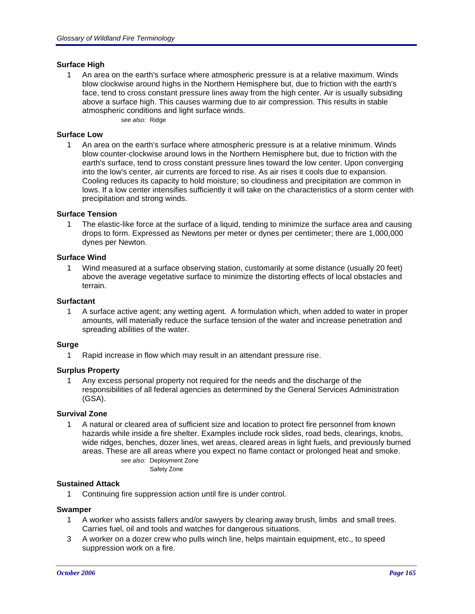### **Surface High**

1 An area on the earth's surface where atmospheric pressure is at a relative maximum. Winds blow clockwise around highs in the Northern Hemisphere but, due to friction with the earth's face, tend to cross constant pressure lines away from the high center. Air is usually subsiding above a surface high. This causes warming due to air compression. This results in stable atmospheric conditions and light surface winds. *see also:* Ridge

### **Surface Low**

1 An area on the earth's surface where atmospheric pressure is at a relative minimum. Winds blow counter-clockwise around lows in the Northern Hemisphere but, due to friction with the earth's surface, tend to cross constant pressure lines toward the low center. Upon converging into the low's center, air currents are forced to rise. As air rises it cools due to expansion. Cooling reduces its capacity to hold moisture; so cloudiness and precipitation are common in lows. If a low center intensifies sufficiently it will take on the characteristics of a storm center with precipitation and strong winds.

### **Surface Tension**

1 The elastic-like force at the surface of a liquid, tending to minimize the surface area and causing drops to form. Expressed as Newtons per meter or dynes per centimeter; there are 1,000,000 dynes per Newton.

#### **Surface Wind**

1 Wind measured at a surface observing station, customarily at some distance (usually 20 feet) above the average vegetative surface to minimize the distorting effects of local obstacles and terrain.

#### **Surfactant**

1 A surface active agent; any wetting agent. A formulation which, when added to water in proper amounts, will materially reduce the surface tension of the water and increase penetration and spreading abilities of the water.

### **Surge**

1 Rapid increase in flow which may result in an attendant pressure rise.

### **Surplus Property**

1 Any excess personal property not required for the needs and the discharge of the responsibilities of all federal agencies as determined by the General Services Administration (GSA).

### **Survival Zone**

1 A natural or cleared area of sufficient size and location to protect fire personnel from known hazards while inside a fire shelter. Examples include rock slides, road beds, clearings, knobs, wide ridges, benches, dozer lines, wet areas, cleared areas in light fuels, and previously burned areas. These are all areas where you expect no flame contact or prolonged heat and smoke. *see also:* Deployment Zone

Safety Zone

#### **Sustained Attack**

1 Continuing fire suppression action until fire is under control.

#### **Swamper**

- 1 A worker who assists fallers and/or sawyers by clearing away brush, limbs and small trees. Carries fuel, oil and tools and watches for dangerous situations.
- 3 A worker on a dozer crew who pulls winch line, helps maintain equipment, etc., to speed suppression work on a fire.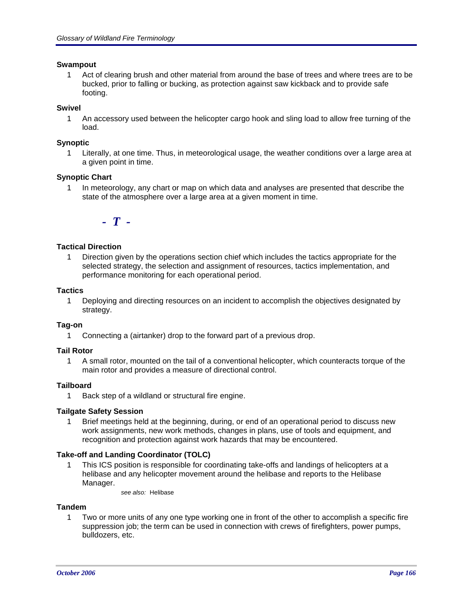### **Swampout**

1 Act of clearing brush and other material from around the base of trees and where trees are to be bucked, prior to falling or bucking, as protection against saw kickback and to provide safe footing.

# **Swivel**

1 An accessory used between the helicopter cargo hook and sling load to allow free turning of the load.

### **Synoptic**

1 Literally, at one time. Thus, in meteorological usage, the weather conditions over a large area at a given point in time.

## **Synoptic Chart**

1 In meteorology, any chart or map on which data and analyses are presented that describe the state of the atmosphere over a large area at a given moment in time.

*- T -*

## **Tactical Direction**

1 Direction given by the operations section chief which includes the tactics appropriate for the selected strategy, the selection and assignment of resources, tactics implementation, and performance monitoring for each operational period.

### **Tactics**

1 Deploying and directing resources on an incident to accomplish the objectives designated by strategy.

### **Tag-on**

1 Connecting a (airtanker) drop to the forward part of a previous drop.

### **Tail Rotor**

1 A small rotor, mounted on the tail of a conventional helicopter, which counteracts torque of the main rotor and provides a measure of directional control.

# **Tailboard**

1 Back step of a wildland or structural fire engine.

### **Tailgate Safety Session**

1 Brief meetings held at the beginning, during, or end of an operational period to discuss new work assignments, new work methods, changes in plans, use of tools and equipment, and recognition and protection against work hazards that may be encountered.

### **Take-off and Landing Coordinator (TOLC)**

- 1 This ICS position is responsible for coordinating take-offs and landings of helicopters at a helibase and any helicopter movement around the helibase and reports to the Helibase Manager.
	- *see also:* Helibase

### **Tandem**

1 Two or more units of any one type working one in front of the other to accomplish a specific fire suppression job; the term can be used in connection with crews of firefighters, power pumps, bulldozers, etc.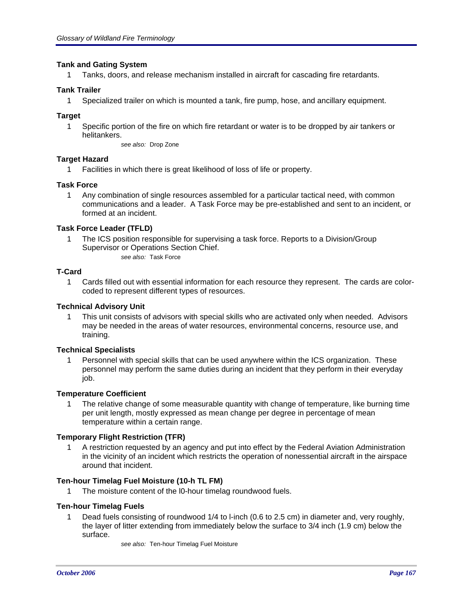### **Tank and Gating System**

1 Tanks, doors, and release mechanism installed in aircraft for cascading fire retardants.

### **Tank Trailer**

1 Specialized trailer on which is mounted a tank, fire pump, hose, and ancillary equipment.

## **Target**

1 Specific portion of the fire on which fire retardant or water is to be dropped by air tankers or helitankers.

*see also:* Drop Zone

# **Target Hazard**

1 Facilities in which there is great likelihood of loss of life or property.

## **Task Force**

1 Any combination of single resources assembled for a particular tactical need, with common communications and a leader. A Task Force may be pre-established and sent to an incident, or formed at an incident.

## **Task Force Leader (TFLD)**

1 The ICS position responsible for supervising a task force. Reports to a Division/Group Supervisor or Operations Section Chief. *see also:* Task Force

## **T-Card**

1 Cards filled out with essential information for each resource they represent. The cards are colorcoded to represent different types of resources.

## **Technical Advisory Unit**

1 This unit consists of advisors with special skills who are activated only when needed. Advisors may be needed in the areas of water resources, environmental concerns, resource use, and training.

### **Technical Specialists**

1 Personnel with special skills that can be used anywhere within the ICS organization. These personnel may perform the same duties during an incident that they perform in their everyday job.

### **Temperature Coefficient**

1 The relative change of some measurable quantity with change of temperature, like burning time per unit length, mostly expressed as mean change per degree in percentage of mean temperature within a certain range.

### **Temporary Flight Restriction (TFR)**

1 A restriction requested by an agency and put into effect by the Federal Aviation Administration in the vicinity of an incident which restricts the operation of nonessential aircraft in the airspace around that incident.

### **Ten-hour Timelag Fuel Moisture (10-h TL FM)**

1 The moisture content of the l0-hour timelag roundwood fuels.

### **Ten-hour Timelag Fuels**

1 Dead fuels consisting of roundwood 1/4 to l-inch (0.6 to 2.5 cm) in diameter and, very roughly, the layer of litter extending from immediately below the surface to 3/4 inch (1.9 cm) below the surface.

*see also:* Ten-hour Timelag Fuel Moisture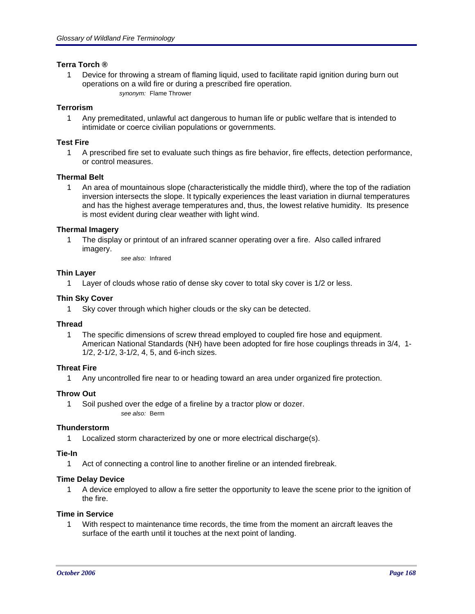## **Terra Torch ®**

1 Device for throwing a stream of flaming liquid, used to facilitate rapid ignition during burn out operations on a wild fire or during a prescribed fire operation. *synonym:* Flame Thrower

## **Terrorism**

1 Any premeditated, unlawful act dangerous to human life or public welfare that is intended to intimidate or coerce civilian populations or governments.

### **Test Fire**

1 A prescribed fire set to evaluate such things as fire behavior, fire effects, detection performance, or control measures.

## **Thermal Belt**

1 An area of mountainous slope (characteristically the middle third), where the top of the radiation inversion intersects the slope. It typically experiences the least variation in diurnal temperatures and has the highest average temperatures and, thus, the lowest relative humidity. Its presence is most evident during clear weather with light wind.

## **Thermal Imagery**

1 The display or printout of an infrared scanner operating over a fire. Also called infrared imagery.

*see also:* Infrared

### **Thin Layer**

1 Layer of clouds whose ratio of dense sky cover to total sky cover is 1/2 or less.

## **Thin Sky Cover**

1 Sky cover through which higher clouds or the sky can be detected.

### **Thread**

1 The specific dimensions of screw thread employed to coupled fire hose and equipment. American National Standards (NH) have been adopted for fire hose couplings threads in 3/4, 1- 1/2, 2-1/2, 3-1/2, 4, 5, and 6-inch sizes.

# **Threat Fire**

1 Any uncontrolled fire near to or heading toward an area under organized fire protection.

### **Throw Out**

1 Soil pushed over the edge of a fireline by a tractor plow or dozer. *see also:* Berm

### **Thunderstorm**

1 Localized storm characterized by one or more electrical discharge(s).

### **Tie-In**

1 Act of connecting a control line to another fireline or an intended firebreak.

### **Time Delay Device**

1 A device employed to allow a fire setter the opportunity to leave the scene prior to the ignition of the fire.

### **Time in Service**

1 With respect to maintenance time records, the time from the moment an aircraft leaves the surface of the earth until it touches at the next point of landing.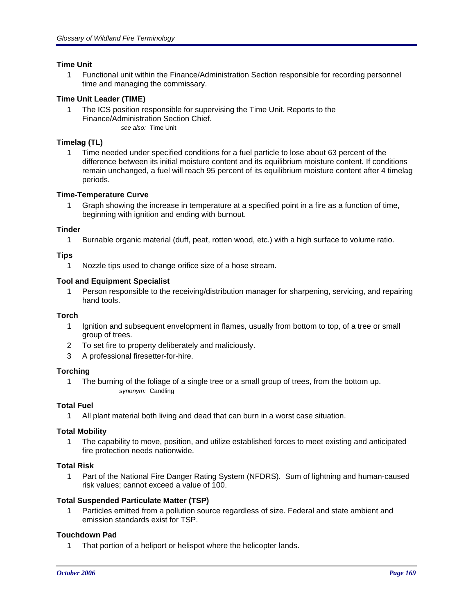## **Time Unit**

1 Functional unit within the Finance/Administration Section responsible for recording personnel time and managing the commissary.

# **Time Unit Leader (TIME)**

1 The ICS position responsible for supervising the Time Unit. Reports to the Finance/Administration Section Chief.

*see also:* Time Unit

## **Timelag (TL)**

1 Time needed under specified conditions for a fuel particle to lose about 63 percent of the difference between its initial moisture content and its equilibrium moisture content. If conditions remain unchanged, a fuel will reach 95 percent of its equilibrium moisture content after 4 timelag periods.

### **Time-Temperature Curve**

1 Graph showing the increase in temperature at a specified point in a fire as a function of time, beginning with ignition and ending with burnout.

### **Tinder**

1 Burnable organic material (duff, peat, rotten wood, etc.) with a high surface to volume ratio.

## **Tips**

1 Nozzle tips used to change orifice size of a hose stream.

## **Tool and Equipment Specialist**

1 Person responsible to the receiving/distribution manager for sharpening, servicing, and repairing hand tools.

# **Torch**

- 1 Ignition and subsequent envelopment in flames, usually from bottom to top, of a tree or small group of trees.
- 2 To set fire to property deliberately and maliciously.
- 3 A professional firesetter-for-hire.

### **Torching**

1 The burning of the foliage of a single tree or a small group of trees, from the bottom up. *synonym:* Candling

# **Total Fuel**

1 All plant material both living and dead that can burn in a worst case situation.

### **Total Mobility**

1 The capability to move, position, and utilize established forces to meet existing and anticipated fire protection needs nationwide.

### **Total Risk**

1 Part of the National Fire Danger Rating System (NFDRS). Sum of lightning and human-caused risk values; cannot exceed a value of 100.

### **Total Suspended Particulate Matter (TSP)**

1 Particles emitted from a pollution source regardless of size. Federal and state ambient and emission standards exist for TSP.

# **Touchdown Pad**

1 That portion of a heliport or helispot where the helicopter lands.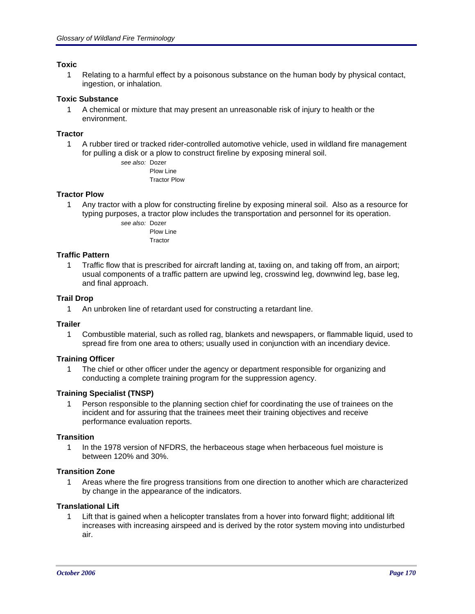### **Toxic**

1 Relating to a harmful effect by a poisonous substance on the human body by physical contact, ingestion, or inhalation.

### **Toxic Substance**

1 A chemical or mixture that may present an unreasonable risk of injury to health or the environment.

### **Tractor**

1 A rubber tired or tracked rider-controlled automotive vehicle, used in wildland fire management for pulling a disk or a plow to construct fireline by exposing mineral soil.

*see also:* Dozer Plow Line Tractor Plow

## **Tractor Plow**

1 Any tractor with a plow for constructing fireline by exposing mineral soil. Also as a resource for typing purposes, a tractor plow includes the transportation and personnel for its operation.

> *see also:* Dozer Plow Line Tractor

### **Traffic Pattern**

1 Traffic flow that is prescribed for aircraft landing at, taxiing on, and taking off from, an airport; usual components of a traffic pattern are upwind leg, crosswind leg, downwind leg, base leg, and final approach.

### **Trail Drop**

1 An unbroken line of retardant used for constructing a retardant line.

### **Trailer**

1 Combustible material, such as rolled rag, blankets and newspapers, or flammable liquid, used to spread fire from one area to others; usually used in conjunction with an incendiary device.

### **Training Officer**

1 The chief or other officer under the agency or department responsible for organizing and conducting a complete training program for the suppression agency.

### **Training Specialist (TNSP)**

1 Person responsible to the planning section chief for coordinating the use of trainees on the incident and for assuring that the trainees meet their training objectives and receive performance evaluation reports.

### **Transition**

1 In the 1978 version of NFDRS, the herbaceous stage when herbaceous fuel moisture is between 120% and 30%.

### **Transition Zone**

1 Areas where the fire progress transitions from one direction to another which are characterized by change in the appearance of the indicators.

### **Translational Lift**

1 Lift that is gained when a helicopter translates from a hover into forward flight; additional lift increases with increasing airspeed and is derived by the rotor system moving into undisturbed air.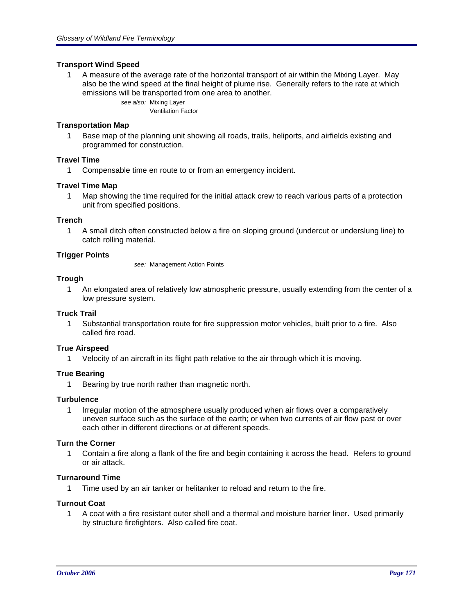### **Transport Wind Speed**

1 A measure of the average rate of the horizontal transport of air within the Mixing Layer. May also be the wind speed at the final height of plume rise. Generally refers to the rate at which emissions will be transported from one area to another.

> *see also:* Mixing Layer Ventilation Factor

## **Transportation Map**

1 Base map of the planning unit showing all roads, trails, heliports, and airfields existing and programmed for construction.

## **Travel Time**

1 Compensable time en route to or from an emergency incident.

### **Travel Time Map**

1 Map showing the time required for the initial attack crew to reach various parts of a protection unit from specified positions.

### **Trench**

1 A small ditch often constructed below a fire on sloping ground (undercut or underslung line) to catch rolling material.

## **Trigger Points**

*see:* Management Action Points

### **Trough**

1 An elongated area of relatively low atmospheric pressure, usually extending from the center of a low pressure system.

### **Truck Trail**

1 Substantial transportation route for fire suppression motor vehicles, built prior to a fire. Also called fire road.

### **True Airspeed**

1 Velocity of an aircraft in its flight path relative to the air through which it is moving.

### **True Bearing**

1 Bearing by true north rather than magnetic north.

#### **Turbulence**

1 Irregular motion of the atmosphere usually produced when air flows over a comparatively uneven surface such as the surface of the earth; or when two currents of air flow past or over each other in different directions or at different speeds.

### **Turn the Corner**

1 Contain a fire along a flank of the fire and begin containing it across the head. Refers to ground or air attack.

# **Turnaround Time**

1 Time used by an air tanker or helitanker to reload and return to the fire.

### **Turnout Coat**

1 A coat with a fire resistant outer shell and a thermal and moisture barrier liner. Used primarily by structure firefighters. Also called fire coat.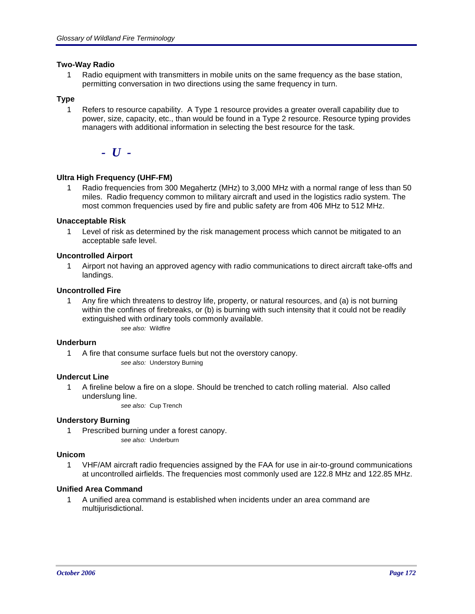## **Two-Way Radio**

1 Radio equipment with transmitters in mobile units on the same frequency as the base station, permitting conversation in two directions using the same frequency in turn.

# **Type**

1 Refers to resource capability. A Type 1 resource provides a greater overall capability due to power, size, capacity, etc., than would be found in a Type 2 resource. Resource typing provides managers with additional information in selecting the best resource for the task.

*- U -*

## **Ultra High Frequency (UHF-FM)**

Radio frequencies from 300 Megahertz (MHz) to 3,000 MHz with a normal range of less than 50 miles. Radio frequency common to military aircraft and used in the logistics radio system. The most common frequencies used by fire and public safety are from 406 MHz to 512 MHz.

## **Unacceptable Risk**

1 Level of risk as determined by the risk management process which cannot be mitigated to an acceptable safe level.

### **Uncontrolled Airport**

1 Airport not having an approved agency with radio communications to direct aircraft take-offs and landings.

## **Uncontrolled Fire**

1 Any fire which threatens to destroy life, property, or natural resources, and (a) is not burning within the confines of firebreaks, or (b) is burning with such intensity that it could not be readily extinguished with ordinary tools commonly available. *see also:* Wildfire

### **Underburn**

1 A fire that consume surface fuels but not the overstory canopy. *see also:* Understory Burning

### **Undercut Line**

1 A fireline below a fire on a slope. Should be trenched to catch rolling material. Also called underslung line.

*see also:* Cup Trench

### **Understory Burning**

1 Prescribed burning under a forest canopy. *see also:* Underburn

### **Unicom**

1 VHF/AM aircraft radio frequencies assigned by the FAA for use in air-to-ground communications at uncontrolled airfields. The frequencies most commonly used are 122.8 MHz and 122.85 MHz.

### **Unified Area Command**

1 A unified area command is established when incidents under an area command are multijurisdictional.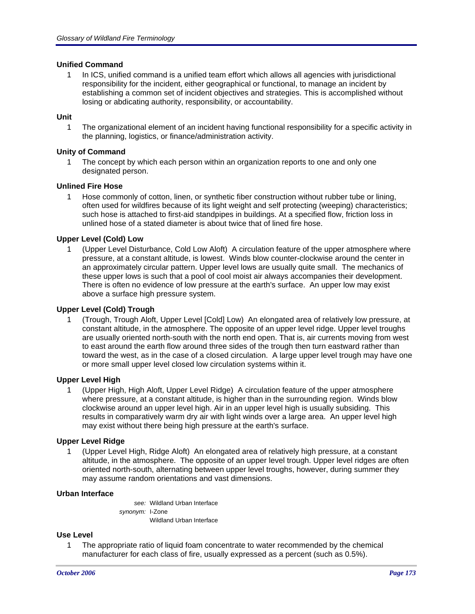### **Unified Command**

1 In ICS, unified command is a unified team effort which allows all agencies with jurisdictional responsibility for the incident, either geographical or functional, to manage an incident by establishing a common set of incident objectives and strategies. This is accomplished without losing or abdicating authority, responsibility, or accountability.

## **Unit**

1 The organizational element of an incident having functional responsibility for a specific activity in the planning, logistics, or finance/administration activity.

### **Unity of Command**

1 The concept by which each person within an organization reports to one and only one designated person.

## **Unlined Fire Hose**

1 Hose commonly of cotton, linen, or synthetic fiber construction without rubber tube or lining, often used for wildfires because of its light weight and self protecting (weeping) characteristics; such hose is attached to first-aid standpipes in buildings. At a specified flow, friction loss in unlined hose of a stated diameter is about twice that of lined fire hose.

## **Upper Level (Cold) Low**

1 (Upper Level Disturbance, Cold Low Aloft) A circulation feature of the upper atmosphere where pressure, at a constant altitude, is lowest. Winds blow counter-clockwise around the center in an approximately circular pattern. Upper level lows are usually quite small. The mechanics of these upper lows is such that a pool of cool moist air always accompanies their development. There is often no evidence of low pressure at the earth's surface. An upper low may exist above a surface high pressure system.

### **Upper Level (Cold) Trough**

1 (Trough, Trough Aloft, Upper Level [Cold] Low) An elongated area of relatively low pressure, at constant altitude, in the atmosphere. The opposite of an upper level ridge. Upper level troughs are usually oriented north-south with the north end open. That is, air currents moving from west to east around the earth flow around three sides of the trough then turn eastward rather than toward the west, as in the case of a closed circulation. A large upper level trough may have one or more small upper level closed low circulation systems within it.

### **Upper Level High**

1 (Upper High, High Aloft, Upper Level Ridge) A circulation feature of the upper atmosphere where pressure, at a constant altitude, is higher than in the surrounding region. Winds blow clockwise around an upper level high. Air in an upper level high is usually subsiding. This results in comparatively warm dry air with light winds over a large area. An upper level high may exist without there being high pressure at the earth's surface.

### **Upper Level Ridge**

1 (Upper Level High, Ridge Aloft) An elongated area of relatively high pressure, at a constant altitude, in the atmosphere. The opposite of an upper level trough. Upper level ridges are often oriented north-south, alternating between upper level troughs, however, during summer they may assume random orientations and vast dimensions.

### **Urban Interface**

*synonym:* I-Zone Wildland Urban Interface *see:* Wildland Urban Interface

### **Use Level**

1 The appropriate ratio of liquid foam concentrate to water recommended by the chemical manufacturer for each class of fire, usually expressed as a percent (such as 0.5%).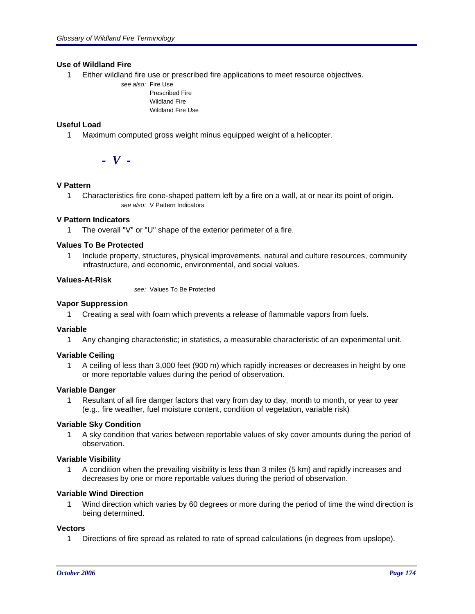### **Use of Wildland Fire**

- 1 Either wildland fire use or prescribed fire applications to meet resource objectives.
	- *see also:* Fire Use Prescribed Fire Wildland Fire Wildland Fire Use

## **Useful Load**

1 Maximum computed gross weight minus equipped weight of a helicopter.

*- V -*

# **V Pattern**

1 Characteristics fire cone-shaped pattern left by a fire on a wall, at or near its point of origin. *see also:* V Pattern Indicators

### **V Pattern Indicators**

1 The overall "V" or "U" shape of the exterior perimeter of a fire.

#### **Values To Be Protected**

1 Include property, structures, physical improvements, natural and culture resources, community infrastructure, and economic, environmental, and social values.

#### **Values-At-Risk**

*see:* Values To Be Protected

#### **Vapor Suppression**

1 Creating a seal with foam which prevents a release of flammable vapors from fuels.

#### **Variable**

1 Any changing characteristic; in statistics, a measurable characteristic of an experimental unit.

### **Variable Ceiling**

1 A ceiling of less than 3,000 feet (900 m) which rapidly increases or decreases in height by one or more reportable values during the period of observation.

#### **Variable Danger**

1 Resultant of all fire danger factors that vary from day to day, month to month, or year to year (e.g., fire weather, fuel moisture content, condition of vegetation, variable risk)

### **Variable Sky Condition**

1 A sky condition that varies between reportable values of sky cover amounts during the period of observation.

### **Variable Visibility**

1 A condition when the prevailing visibility is less than 3 miles (5 km) and rapidly increases and decreases by one or more reportable values during the period of observation.

#### **Variable Wind Direction**

1 Wind direction which varies by 60 degrees or more during the period of time the wind direction is being determined.

#### **Vectors**

1 Directions of fire spread as related to rate of spread calculations (in degrees from upslope).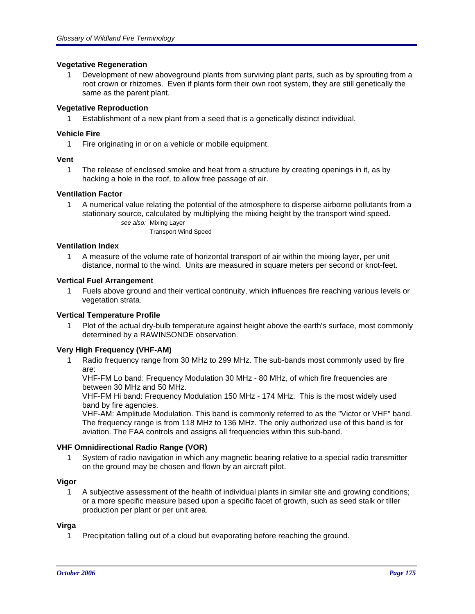## **Vegetative Regeneration**

1 Development of new aboveground plants from surviving plant parts, such as by sprouting from a root crown or rhizomes. Even if plants form their own root system, they are still genetically the same as the parent plant.

## **Vegetative Reproduction**

1 Establishment of a new plant from a seed that is a genetically distinct individual.

# **Vehicle Fire**

1 Fire originating in or on a vehicle or mobile equipment.

## **Vent**

1 The release of enclosed smoke and heat from a structure by creating openings in it, as by hacking a hole in the roof, to allow free passage of air.

## **Ventilation Factor**

1 A numerical value relating the potential of the atmosphere to disperse airborne pollutants from a stationary source, calculated by multiplying the mixing height by the transport wind speed. *see also:* Mixing Layer

Transport Wind Speed

### **Ventilation Index**

1 A measure of the volume rate of horizontal transport of air within the mixing layer, per unit distance, normal to the wind. Units are measured in square meters per second or knot-feet.

### **Vertical Fuel Arrangement**

1 Fuels above ground and their vertical continuity, which influences fire reaching various levels or vegetation strata.

### **Vertical Temperature Profile**

1 Plot of the actual dry-bulb temperature against height above the earth's surface, most commonly determined by a RAWINSONDE observation.

### **Very High Frequency (VHF-AM)**

1 Radio frequency range from 30 MHz to 299 MHz. The sub-bands most commonly used by fire are:

VHF-FM Lo band: Frequency Modulation 30 MHz - 80 MHz, of which fire frequencies are between 30 MHz and 50 MHz.

VHF-FM Hi band: Frequency Modulation 150 MHz - 174 MHz. This is the most widely used band by fire agencies.

VHF-AM: Amplitude Modulation. This band is commonly referred to as the "Victor or VHF" band. The frequency range is from 118 MHz to 136 MHz. The only authorized use of this band is for aviation. The FAA controls and assigns all frequencies within this sub-band.

### **VHF Omnidirectional Radio Range (VOR)**

1 System of radio navigation in which any magnetic bearing relative to a special radio transmitter on the ground may be chosen and flown by an aircraft pilot.

### **Vigor**

1 A subjective assessment of the health of individual plants in similar site and growing conditions; or a more specific measure based upon a specific facet of growth, such as seed stalk or tiller production per plant or per unit area.

### **Virga**

1 Precipitation falling out of a cloud but evaporating before reaching the ground.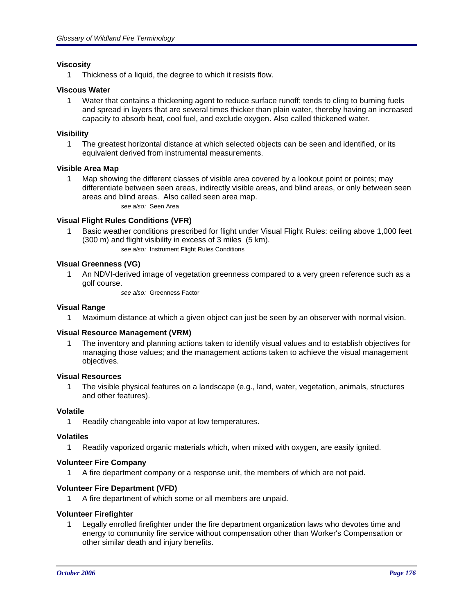### **Viscosity**

1 Thickness of a liquid, the degree to which it resists flow.

### **Viscous Water**

1 Water that contains a thickening agent to reduce surface runoff; tends to cling to burning fuels and spread in layers that are several times thicker than plain water, thereby having an increased capacity to absorb heat, cool fuel, and exclude oxygen. Also called thickened water.

### **Visibility**

1 The greatest horizontal distance at which selected objects can be seen and identified, or its equivalent derived from instrumental measurements.

### **Visible Area Map**

1 Map showing the different classes of visible area covered by a lookout point or points; may differentiate between seen areas, indirectly visible areas, and blind areas, or only between seen areas and blind areas. Also called seen area map. *see also:* Seen Area

## **Visual Flight Rules Conditions (VFR)**

- 1 Basic weather conditions prescribed for flight under Visual Flight Rules: ceiling above 1,000 feet (300 m) and flight visibility in excess of 3 miles (5 km).
	- *see also:* Instrument Flight Rules Conditions

# **Visual Greenness (VG)**

1 An NDVI-derived image of vegetation greenness compared to a very green reference such as a golf course.

*see also:* Greenness Factor

# **Visual Range**

1 Maximum distance at which a given object can just be seen by an observer with normal vision.

# **Visual Resource Management (VRM)**

1 The inventory and planning actions taken to identify visual values and to establish objectives for managing those values; and the management actions taken to achieve the visual management objectives.

### **Visual Resources**

1 The visible physical features on a landscape (e.g., land, water, vegetation, animals, structures and other features).

### **Volatile**

1 Readily changeable into vapor at low temperatures.

### **Volatiles**

1 Readily vaporized organic materials which, when mixed with oxygen, are easily ignited.

### **Volunteer Fire Company**

1 A fire department company or a response unit, the members of which are not paid.

### **Volunteer Fire Department (VFD)**

A fire department of which some or all members are unpaid.

### **Volunteer Firefighter**

1 Legally enrolled firefighter under the fire department organization laws who devotes time and energy to community fire service without compensation other than Worker's Compensation or other similar death and injury benefits.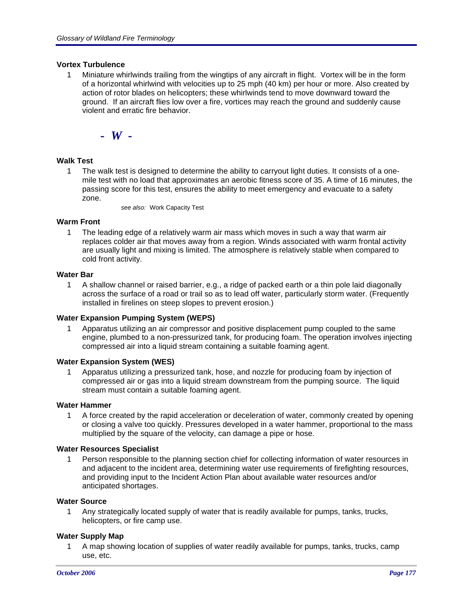#### **Vortex Turbulence**

1 Miniature whirlwinds trailing from the wingtips of any aircraft in flight. Vortex will be in the form of a horizontal whirlwind with velocities up to 25 mph (40 km) per hour or more. Also created by action of rotor blades on helicopters; these whirlwinds tend to move downward toward the ground. If an aircraft flies low over a fire, vortices may reach the ground and suddenly cause violent and erratic fire behavior.

*- W -*

### **Walk Test**

1 The walk test is designed to determine the ability to carryout light duties. It consists of a onemile test with no load that approximates an aerobic fitness score of 35. A time of 16 minutes, the passing score for this test, ensures the ability to meet emergency and evacuate to a safety zone.

*see also:* Work Capacity Test

### **Warm Front**

1 The leading edge of a relatively warm air mass which moves in such a way that warm air replaces colder air that moves away from a region. Winds associated with warm frontal activity are usually light and mixing is limited. The atmosphere is relatively stable when compared to cold front activity.

#### **Water Bar**

1 A shallow channel or raised barrier, e.g., a ridge of packed earth or a thin pole laid diagonally across the surface of a road or trail so as to lead off water, particularly storm water. (Frequently installed in firelines on steep slopes to prevent erosion.)

#### **Water Expansion Pumping System (WEPS)**

1 Apparatus utilizing an air compressor and positive displacement pump coupled to the same engine, plumbed to a non-pressurized tank, for producing foam. The operation involves injecting compressed air into a liquid stream containing a suitable foaming agent.

#### **Water Expansion System (WES)**

1 Apparatus utilizing a pressurized tank, hose, and nozzle for producing foam by injection of compressed air or gas into a liquid stream downstream from the pumping source. The liquid stream must contain a suitable foaming agent.

#### **Water Hammer**

1 A force created by the rapid acceleration or deceleration of water, commonly created by opening or closing a valve too quickly. Pressures developed in a water hammer, proportional to the mass multiplied by the square of the velocity, can damage a pipe or hose.

#### **Water Resources Specialist**

1 Person responsible to the planning section chief for collecting information of water resources in and adjacent to the incident area, determining water use requirements of firefighting resources, and providing input to the Incident Action Plan about available water resources and/or anticipated shortages.

#### **Water Source**

1 Any strategically located supply of water that is readily available for pumps, tanks, trucks, helicopters, or fire camp use.

### **Water Supply Map**

1 A map showing location of supplies of water readily available for pumps, tanks, trucks, camp use, etc.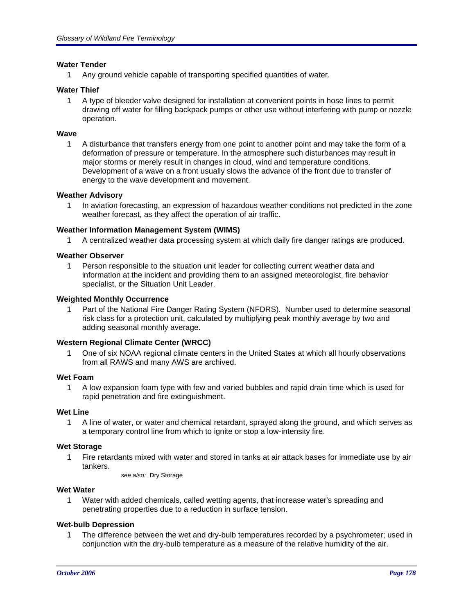### **Water Tender**

1 Any ground vehicle capable of transporting specified quantities of water.

## **Water Thief**

1 A type of bleeder valve designed for installation at convenient points in hose lines to permit drawing off water for filling backpack pumps or other use without interfering with pump or nozzle operation.

### **Wave**

1 A disturbance that transfers energy from one point to another point and may take the form of a deformation of pressure or temperature. In the atmosphere such disturbances may result in major storms or merely result in changes in cloud, wind and temperature conditions. Development of a wave on a front usually slows the advance of the front due to transfer of energy to the wave development and movement.

### **Weather Advisory**

1 In aviation forecasting, an expression of hazardous weather conditions not predicted in the zone weather forecast, as they affect the operation of air traffic.

### **Weather Information Management System (WIMS)**

1 A centralized weather data processing system at which daily fire danger ratings are produced.

#### **Weather Observer**

1 Person responsible to the situation unit leader for collecting current weather data and information at the incident and providing them to an assigned meteorologist, fire behavior specialist, or the Situation Unit Leader.

#### **Weighted Monthly Occurrence**

1 Part of the National Fire Danger Rating System (NFDRS). Number used to determine seasonal risk class for a protection unit, calculated by multiplying peak monthly average by two and adding seasonal monthly average.

### **Western Regional Climate Center (WRCC)**

1 One of six NOAA regional climate centers in the United States at which all hourly observations from all RAWS and many AWS are archived.

## **Wet Foam**

1 A low expansion foam type with few and varied bubbles and rapid drain time which is used for rapid penetration and fire extinguishment.

#### **Wet Line**

1 A line of water, or water and chemical retardant, sprayed along the ground, and which serves as a temporary control line from which to ignite or stop a low-intensity fire.

### **Wet Storage**

1 Fire retardants mixed with water and stored in tanks at air attack bases for immediate use by air tankers.

*see also:* Dry Storage

#### **Wet Water**

1 Water with added chemicals, called wetting agents, that increase water's spreading and penetrating properties due to a reduction in surface tension.

### **Wet-bulb Depression**

1 The difference between the wet and dry-bulb temperatures recorded by a psychrometer; used in conjunction with the dry-bulb temperature as a measure of the relative humidity of the air.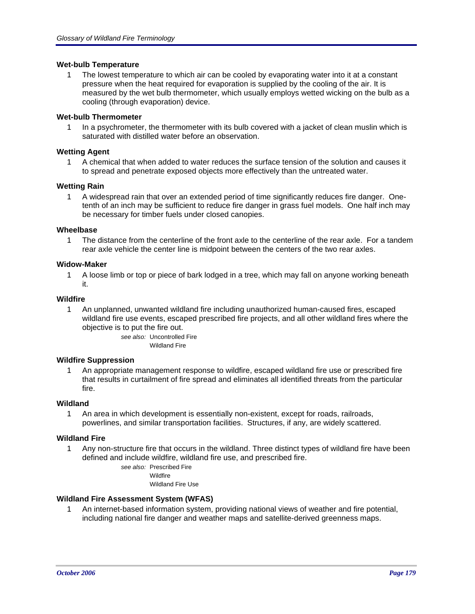### **Wet-bulb Temperature**

1 The lowest temperature to which air can be cooled by evaporating water into it at a constant pressure when the heat required for evaporation is supplied by the cooling of the air. It is measured by the wet bulb thermometer, which usually employs wetted wicking on the bulb as a cooling (through evaporation) device.

### **Wet-bulb Thermometer**

1 In a psychrometer, the thermometer with its bulb covered with a jacket of clean muslin which is saturated with distilled water before an observation.

## **Wetting Agent**

1 A chemical that when added to water reduces the surface tension of the solution and causes it to spread and penetrate exposed objects more effectively than the untreated water.

## **Wetting Rain**

1 A widespread rain that over an extended period of time significantly reduces fire danger. Onetenth of an inch may be sufficient to reduce fire danger in grass fuel models. One half inch may be necessary for timber fuels under closed canopies.

## **Wheelbase**

1 The distance from the centerline of the front axle to the centerline of the rear axle. For a tandem rear axle vehicle the center line is midpoint between the centers of the two rear axles.

### **Widow-Maker**

1 A loose limb or top or piece of bark lodged in a tree, which may fall on anyone working beneath it.

## **Wildfire**

1 An unplanned, unwanted wildland fire including unauthorized human-caused fires, escaped wildland fire use events, escaped prescribed fire projects, and all other wildland fires where the objective is to put the fire out.

*see also:* Uncontrolled Fire Wildland Fire

### **Wildfire Suppression**

An appropriate management response to wildfire, escaped wildland fire use or prescribed fire that results in curtailment of fire spread and eliminates all identified threats from the particular fire.

### **Wildland**

1 An area in which development is essentially non-existent, except for roads, railroads, powerlines, and similar transportation facilities. Structures, if any, are widely scattered.

### **Wildland Fire**

1 Any non-structure fire that occurs in the wildland. Three distinct types of wildland fire have been defined and include wildfire, wildland fire use, and prescribed fire.

*see also:* Prescribed Fire

Wildfire Wildland Fire Use

# **Wildland Fire Assessment System (WFAS)**

1 An internet-based information system, providing national views of weather and fire potential, including national fire danger and weather maps and satellite-derived greenness maps.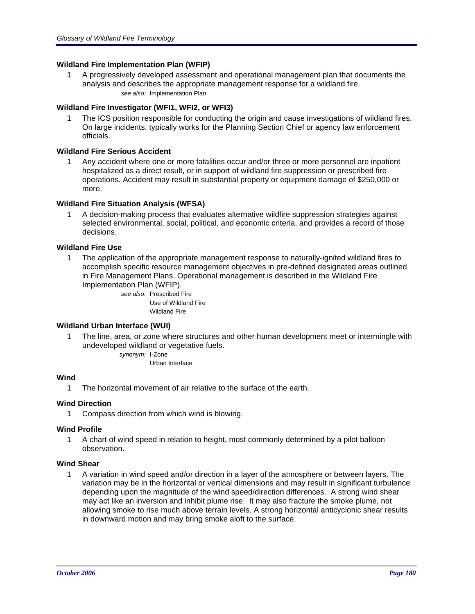## **Wildland Fire Implementation Plan (WFIP)**

1 A progressively developed assessment and operational management plan that documents the analysis and describes the appropriate management response for a wildland fire. *see also:* Implementation Plan

### **Wildland Fire Investigator (WFI1, WFI2, or WFI3)**

1 The ICS position responsible for conducting the origin and cause investigations of wildland fires. On large incidents, typically works for the Planning Section Chief or agency law enforcement officials.

## **Wildland Fire Serious Accident**

1 Any accident where one or more fatalities occur and/or three or more personnel are inpatient hospitalized as a direct result, or in support of wildland fire suppression or prescribed fire operations. Accident may result in substantial property or equipment damage of \$250,000 or more.

## **Wildland Fire Situation Analysis (WFSA)**

1 A decision-making process that evaluates alternative wildfire suppression strategies against selected environmental, social, political, and economic criteria, and provides a record of those decisions.

## **Wildland Fire Use**

1 The application of the appropriate management response to naturally-ignited wildland fires to accomplish specific resource management objectives in pre-defined designated areas outlined in Fire Management Plans. Operational management is described in the Wildland Fire Implementation Plan (WFIP).

> *see also:* Prescribed Fire Use of Wildland Fire Wildland Fire

### **Wildland Urban Interface (WUI)**

1 The line, area, or zone where structures and other human development meet or intermingle with undeveloped wildland or vegetative fuels.

*synonym:* I-Zone

Urban Interface

# **Wind**

1 The horizontal movement of air relative to the surface of the earth.

### **Wind Direction**

1 Compass direction from which wind is blowing.

### **Wind Profile**

1 A chart of wind speed in relation to height, most commonly determined by a pilot balloon observation.

### **Wind Shear**

1 A variation in wind speed and/or direction in a layer of the atmosphere or between layers. The variation may be in the horizontal or vertical dimensions and may result in significant turbulence depending upon the magnitude of the wind speed/direction differences. A strong wind shear may act like an inversion and inhibit plume rise. It may also fracture the smoke plume, not allowing smoke to rise much above terrain levels. A strong horizontal anticyclonic shear results in downward motion and may bring smoke aloft to the surface.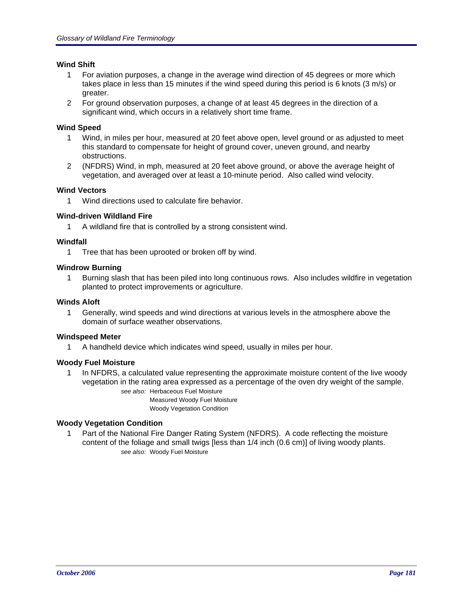# **Wind Shift**

- 1 For aviation purposes, a change in the average wind direction of 45 degrees or more which takes place in less than 15 minutes if the wind speed during this period is 6 knots (3 m/s) or greater.
- 2 For ground observation purposes, a change of at least 45 degrees in the direction of a significant wind, which occurs in a relatively short time frame.

## **Wind Speed**

- 1 Wind, in miles per hour, measured at 20 feet above open, level ground or as adjusted to meet this standard to compensate for height of ground cover, uneven ground, and nearby obstructions.
- 2 (NFDRS) Wind, in mph, measured at 20 feet above ground, or above the average height of vegetation, and averaged over at least a 10-minute period. Also called wind velocity.

# **Wind Vectors**

1 Wind directions used to calculate fire behavior.

# **Wind-driven Wildland Fire**

1 A wildland fire that is controlled by a strong consistent wind.

# **Windfall**

1 Tree that has been uprooted or broken off by wind.

# **Windrow Burning**

1 Burning slash that has been piled into long continuous rows. Also includes wildfire in vegetation planted to protect improvements or agriculture.

#### **Winds Aloft**

1 Generally, wind speeds and wind directions at various levels in the atmosphere above the domain of surface weather observations.

# **Windspeed Meter**

1 A handheld device which indicates wind speed, usually in miles per hour.

# **Woody Fuel Moisture**

1 In NFDRS, a calculated value representing the approximate moisture content of the live woody vegetation in the rating area expressed as a percentage of the oven dry weight of the sample.

> *see also:* Herbaceous Fuel Moisture Measured Woody Fuel Moisture

Woody Vegetation Condition

#### **Woody Vegetation Condition**

1 Part of the National Fire Danger Rating System (NFDRS). A code reflecting the moisture content of the foliage and small twigs [less than 1/4 inch (0.6 cm)] of living woody plants. *see also:* Woody Fuel Moisture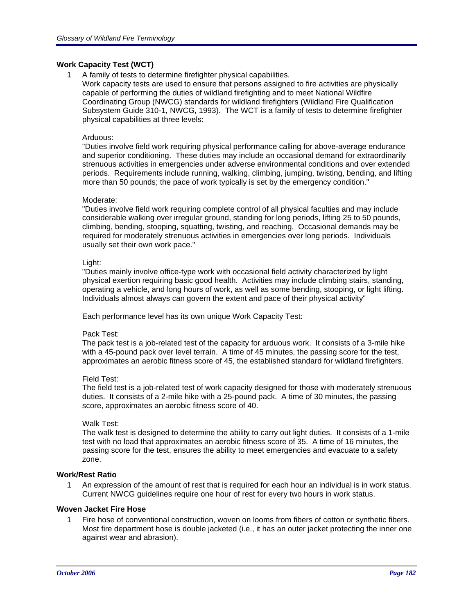# **Work Capacity Test (WCT)**

1 A family of tests to determine firefighter physical capabilities.

Work capacity tests are used to ensure that persons assigned to fire activities are physically capable of performing the duties of wildland firefighting and to meet National Wildfire Coordinating Group (NWCG) standards for wildland firefighters (Wildland Fire Qualification Subsystem Guide 310-1, NWCG, 1993). The WCT is a family of tests to determine firefighter physical capabilities at three levels:

#### Arduous:

"Duties involve field work requiring physical performance calling for above-average endurance and superior conditioning. These duties may include an occasional demand for extraordinarily strenuous activities in emergencies under adverse environmental conditions and over extended periods. Requirements include running, walking, climbing, jumping, twisting, bending, and lifting more than 50 pounds; the pace of work typically is set by the emergency condition."

#### Moderate:

"Duties involve field work requiring complete control of all physical faculties and may include considerable walking over irregular ground, standing for long periods, lifting 25 to 50 pounds, climbing, bending, stooping, squatting, twisting, and reaching. Occasional demands may be required for moderately strenuous activities in emergencies over long periods. Individuals usually set their own work pace."

#### Light:

"Duties mainly involve office-type work with occasional field activity characterized by light physical exertion requiring basic good health. Activities may include climbing stairs, standing, operating a vehicle, and long hours of work, as well as some bending, stooping, or light lifting. Individuals almost always can govern the extent and pace of their physical activity"

Each performance level has its own unique Work Capacity Test:

#### Pack Test:

The pack test is a job-related test of the capacity for arduous work. It consists of a 3-mile hike with a 45-pound pack over level terrain. A time of 45 minutes, the passing score for the test, approximates an aerobic fitness score of 45, the established standard for wildland firefighters.

#### Field Test:

The field test is a job-related test of work capacity designed for those with moderately strenuous duties. It consists of a 2-mile hike with a 25-pound pack. A time of 30 minutes, the passing score, approximates an aerobic fitness score of 40.

#### Walk Test:

The walk test is designed to determine the ability to carry out light duties. It consists of a 1-mile test with no load that approximates an aerobic fitness score of 35. A time of 16 minutes, the passing score for the test, ensures the ability to meet emergencies and evacuate to a safety zone.

#### **Work/Rest Ratio**

1 An expression of the amount of rest that is required for each hour an individual is in work status. Current NWCG guidelines require one hour of rest for every two hours in work status.

#### **Woven Jacket Fire Hose**

1 Fire hose of conventional construction, woven on looms from fibers of cotton or synthetic fibers. Most fire department hose is double jacketed (i.e., it has an outer jacket protecting the inner one against wear and abrasion).